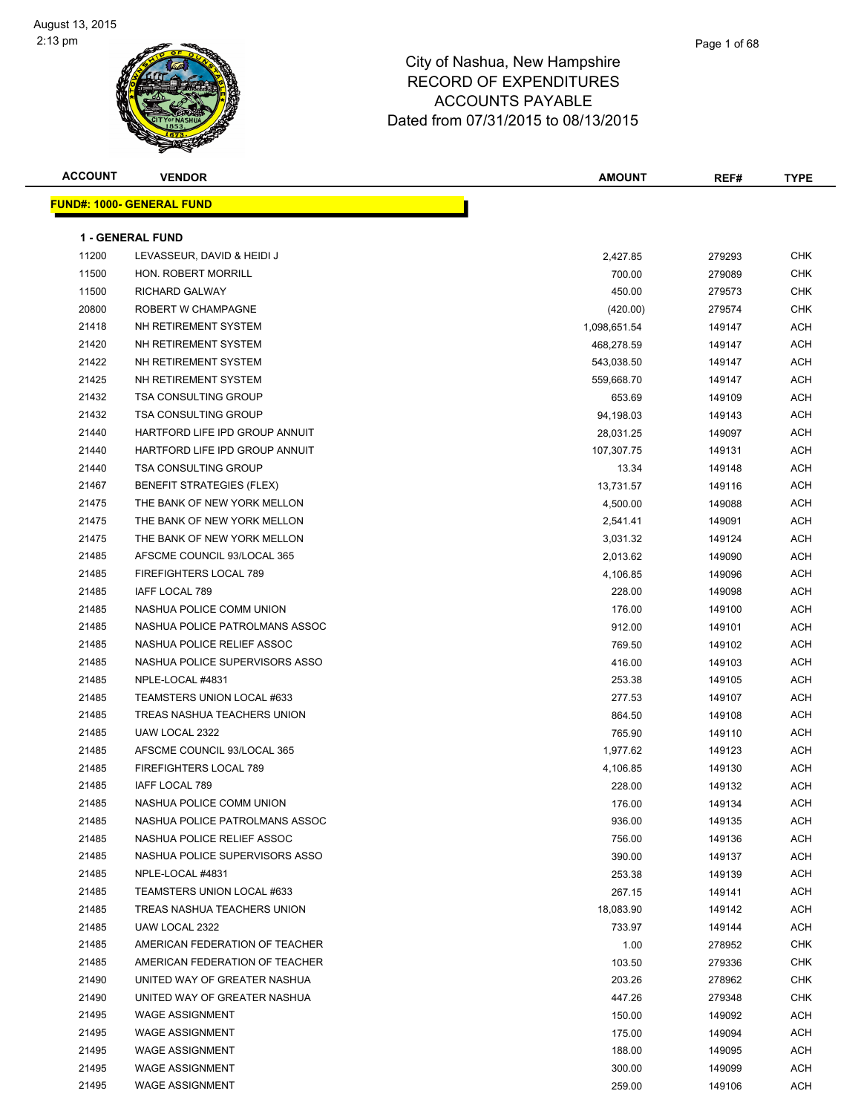

| <b>ACCOUNT</b> | <b>VENDOR</b>                     | <b>AMOUNT</b> | REF#   | <b>TYPE</b> |
|----------------|-----------------------------------|---------------|--------|-------------|
|                | <u> FUND#: 1000- GENERAL FUND</u> |               |        |             |
|                |                                   |               |        |             |
|                | <b>1 - GENERAL FUND</b>           |               |        |             |
| 11200          | LEVASSEUR, DAVID & HEIDI J        | 2,427.85      | 279293 | CHK         |
| 11500          | HON. ROBERT MORRILL               | 700.00        | 279089 | CHK         |
| 11500          | <b>RICHARD GALWAY</b>             | 450.00        | 279573 | <b>CHK</b>  |
| 20800          | ROBERT W CHAMPAGNE                | (420.00)      | 279574 | <b>CHK</b>  |
| 21418          | NH RETIREMENT SYSTEM              | 1,098,651.54  | 149147 | ACH         |
| 21420          | NH RETIREMENT SYSTEM              | 468,278.59    | 149147 | ACH         |
| 21422          | NH RETIREMENT SYSTEM              | 543,038.50    | 149147 | ACH         |
| 21425          | NH RETIREMENT SYSTEM              | 559,668.70    | 149147 | ACH         |
| 21432          | <b>TSA CONSULTING GROUP</b>       | 653.69        | 149109 | ACH         |
| 21432          | <b>TSA CONSULTING GROUP</b>       | 94,198.03     | 149143 | ACH         |
| 21440          | HARTFORD LIFE IPD GROUP ANNUIT    | 28,031.25     | 149097 | ACH         |
| 21440          | HARTFORD LIFE IPD GROUP ANNUIT    | 107,307.75    | 149131 | ACH         |
| 21440          | <b>TSA CONSULTING GROUP</b>       | 13.34         | 149148 | ACH         |
| 21467          | <b>BENEFIT STRATEGIES (FLEX)</b>  | 13,731.57     | 149116 | ACH         |
| 21475          | THE BANK OF NEW YORK MELLON       | 4,500.00      | 149088 | ACH         |
| 21475          | THE BANK OF NEW YORK MELLON       | 2,541.41      | 149091 | ACH         |
| 21475          | THE BANK OF NEW YORK MELLON       | 3,031.32      | 149124 | ACH         |
| 21485          | AFSCME COUNCIL 93/LOCAL 365       | 2,013.62      | 149090 | ACH         |
| 21485          | FIREFIGHTERS LOCAL 789            | 4,106.85      | 149096 | ACH         |
| 21485          | IAFF LOCAL 789                    | 228.00        | 149098 | ACH         |
| 21485          | NASHUA POLICE COMM UNION          | 176.00        | 149100 | ACH         |
| 21485          | NASHUA POLICE PATROLMANS ASSOC    | 912.00        | 149101 | ACH         |
| 21485          | NASHUA POLICE RELIEF ASSOC        | 769.50        | 149102 | ACH         |
| 21485          | NASHUA POLICE SUPERVISORS ASSO    | 416.00        | 149103 | ACH         |
| 21485          | NPLE-LOCAL #4831                  | 253.38        | 149105 | ACH         |
| 21485          | TEAMSTERS UNION LOCAL #633        | 277.53        | 149107 | ACH         |
| 21485          | TREAS NASHUA TEACHERS UNION       | 864.50        | 149108 | ACH         |
| 21485          | UAW LOCAL 2322                    | 765.90        | 149110 | ACH         |
| 21485          | AFSCME COUNCIL 93/LOCAL 365       | 1,977.62      | 149123 | ACH         |
| 21485          | FIREFIGHTERS LOCAL 789            | 4,106.85      | 149130 | ACH         |
| 21485          | IAFF LOCAL 789                    | 228.00        | 149132 | ACH         |
| 21485          | NASHUA POLICE COMM UNION          | 176.00        | 149134 | ACH         |
| 21485          | NASHUA POLICE PATROLMANS ASSOC    | 936.00        | 149135 | ACH         |
| 21485          | NASHUA POLICE RELIEF ASSOC        | 756.00        | 149136 | ACH         |
| 21485          | NASHUA POLICE SUPERVISORS ASSO    | 390.00        | 149137 | ACH         |
| 21485          | NPLE-LOCAL #4831                  | 253.38        | 149139 | ACH         |
| 21485          | TEAMSTERS UNION LOCAL #633        | 267.15        | 149141 | ACH         |
| 21485          | TREAS NASHUA TEACHERS UNION       | 18,083.90     | 149142 | ACH         |
| 21485          | UAW LOCAL 2322                    | 733.97        | 149144 | ACH         |
| 21485          | AMERICAN FEDERATION OF TEACHER    | 1.00          | 278952 | <b>CHK</b>  |
| 21485          | AMERICAN FEDERATION OF TEACHER    | 103.50        | 279336 | CHK         |
| 21490          | UNITED WAY OF GREATER NASHUA      | 203.26        | 278962 | CHK         |
| 21490          | UNITED WAY OF GREATER NASHUA      | 447.26        | 279348 | CHK         |
| 21495          | <b>WAGE ASSIGNMENT</b>            | 150.00        | 149092 | ACH         |
| 21495          | <b>WAGE ASSIGNMENT</b>            | 175.00        | 149094 | ACH         |
| 21495          | <b>WAGE ASSIGNMENT</b>            | 188.00        | 149095 | ACH         |
| 21495          | <b>WAGE ASSIGNMENT</b>            | 300.00        | 149099 | ACH         |
| 21495          | <b>WAGE ASSIGNMENT</b>            | 259.00        | 149106 | ACH         |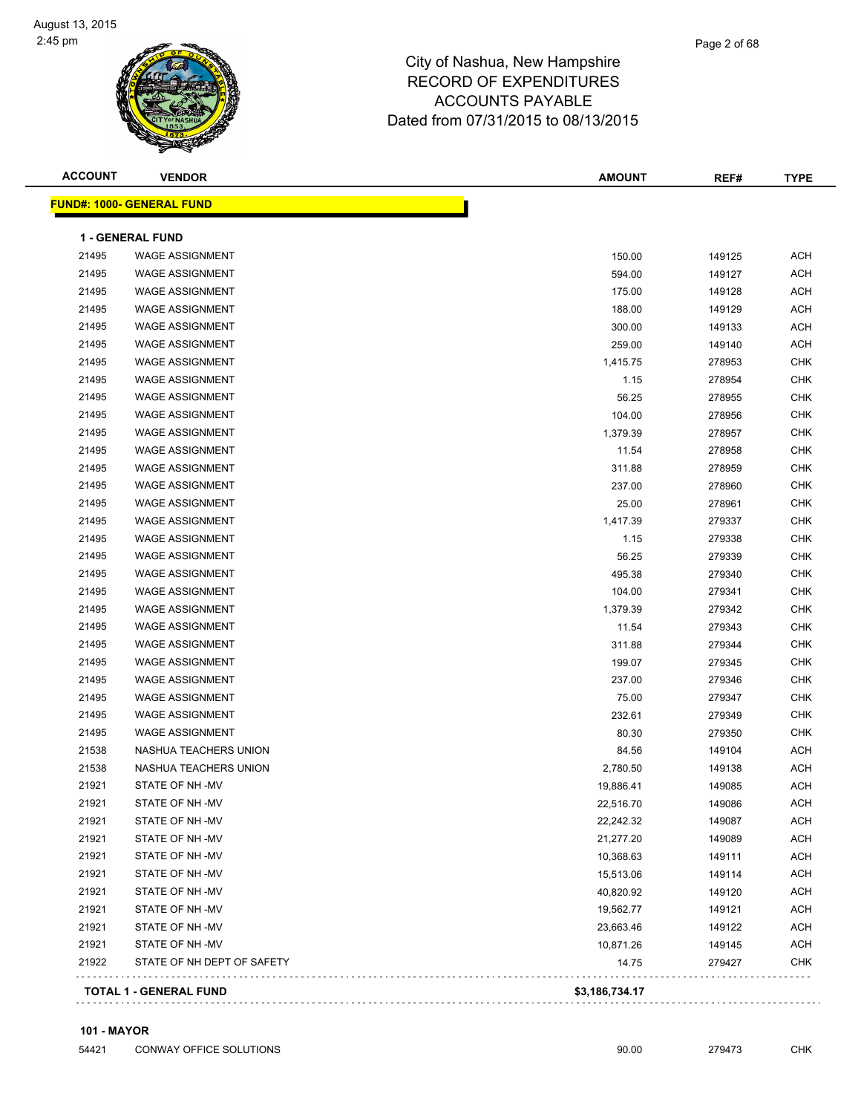| <b>ACCOUNT</b> | <b>VENDOR</b>                    | <b>AMOUNT</b>  | REF#   | <b>TYPE</b> |
|----------------|----------------------------------|----------------|--------|-------------|
|                | <b>FUND#: 1000- GENERAL FUND</b> |                |        |             |
|                | 1 - GENERAL FUND                 |                |        |             |
| 21495          | <b>WAGE ASSIGNMENT</b>           | 150.00         | 149125 | <b>ACH</b>  |
| 21495          | <b>WAGE ASSIGNMENT</b>           | 594.00         | 149127 | <b>ACH</b>  |
| 21495          | <b>WAGE ASSIGNMENT</b>           | 175.00         | 149128 | <b>ACH</b>  |
| 21495          | <b>WAGE ASSIGNMENT</b>           | 188.00         | 149129 | <b>ACH</b>  |
| 21495          | <b>WAGE ASSIGNMENT</b>           | 300.00         | 149133 | <b>ACH</b>  |
| 21495          | <b>WAGE ASSIGNMENT</b>           | 259.00         | 149140 | <b>ACH</b>  |
| 21495          | <b>WAGE ASSIGNMENT</b>           | 1,415.75       | 278953 | <b>CHK</b>  |
| 21495          | <b>WAGE ASSIGNMENT</b>           | 1.15           | 278954 | <b>CHK</b>  |
| 21495          | <b>WAGE ASSIGNMENT</b>           | 56.25          | 278955 | <b>CHK</b>  |
| 21495          | <b>WAGE ASSIGNMENT</b>           | 104.00         | 278956 | <b>CHK</b>  |
| 21495          | <b>WAGE ASSIGNMENT</b>           | 1,379.39       | 278957 | <b>CHK</b>  |
| 21495          | <b>WAGE ASSIGNMENT</b>           | 11.54          | 278958 | <b>CHK</b>  |
| 21495          | <b>WAGE ASSIGNMENT</b>           | 311.88         | 278959 | <b>CHK</b>  |
| 21495          | <b>WAGE ASSIGNMENT</b>           | 237.00         | 278960 | <b>CHK</b>  |
| 21495          | <b>WAGE ASSIGNMENT</b>           | 25.00          | 278961 | <b>CHK</b>  |
| 21495          | <b>WAGE ASSIGNMENT</b>           | 1,417.39       | 279337 | <b>CHK</b>  |
| 21495          | <b>WAGE ASSIGNMENT</b>           | 1.15           | 279338 | <b>CHK</b>  |
| 21495          | <b>WAGE ASSIGNMENT</b>           | 56.25          | 279339 | <b>CHK</b>  |
| 21495          | <b>WAGE ASSIGNMENT</b>           | 495.38         | 279340 | <b>CHK</b>  |
| 21495          | <b>WAGE ASSIGNMENT</b>           | 104.00         | 279341 | <b>CHK</b>  |
| 21495          | <b>WAGE ASSIGNMENT</b>           | 1,379.39       | 279342 | <b>CHK</b>  |
| 21495          | <b>WAGE ASSIGNMENT</b>           | 11.54          | 279343 | <b>CHK</b>  |
| 21495          | <b>WAGE ASSIGNMENT</b>           | 311.88         | 279344 | <b>CHK</b>  |
| 21495          | <b>WAGE ASSIGNMENT</b>           | 199.07         | 279345 | <b>CHK</b>  |
| 21495          | <b>WAGE ASSIGNMENT</b>           | 237.00         | 279346 | <b>CHK</b>  |
| 21495          | <b>WAGE ASSIGNMENT</b>           | 75.00          | 279347 | <b>CHK</b>  |
| 21495          | <b>WAGE ASSIGNMENT</b>           | 232.61         | 279349 | <b>CHK</b>  |
| 21495          | <b>WAGE ASSIGNMENT</b>           | 80.30          | 279350 | <b>CHK</b>  |
| 21538          | NASHUA TEACHERS UNION            | 84.56          | 149104 | <b>ACH</b>  |
| 21538          | NASHUA TEACHERS UNION            | 2,780.50       | 149138 | <b>ACH</b>  |
| 21921          | STATE OF NH-MV                   | 19,886.41      | 149085 | <b>ACH</b>  |
| 21921          | STATE OF NH-MV                   | 22,516.70      | 149086 | ACH         |
| 21921          | STATE OF NH -MV                  | 22,242.32      | 149087 | ACH         |
| 21921          | STATE OF NH-MV                   | 21,277.20      | 149089 | ACH         |
| 21921          | STATE OF NH-MV                   | 10,368.63      | 149111 | ACH         |
| 21921          | STATE OF NH -MV                  | 15,513.06      | 149114 | <b>ACH</b>  |
| 21921          | STATE OF NH -MV                  | 40,820.92      | 149120 | <b>ACH</b>  |
| 21921          | STATE OF NH -MV                  | 19,562.77      | 149121 | <b>ACH</b>  |
| 21921          | STATE OF NH -MV                  | 23,663.46      | 149122 | <b>ACH</b>  |
| 21921          | STATE OF NH -MV                  | 10,871.26      | 149145 | <b>ACH</b>  |
| 21922          | STATE OF NH DEPT OF SAFETY       | 14.75          | 279427 | <b>CHK</b>  |
|                | <b>TOTAL 1 - GENERAL FUND</b>    | \$3,186,734.17 |        |             |
|                |                                  |                |        |             |

#### **101 - MAYOR**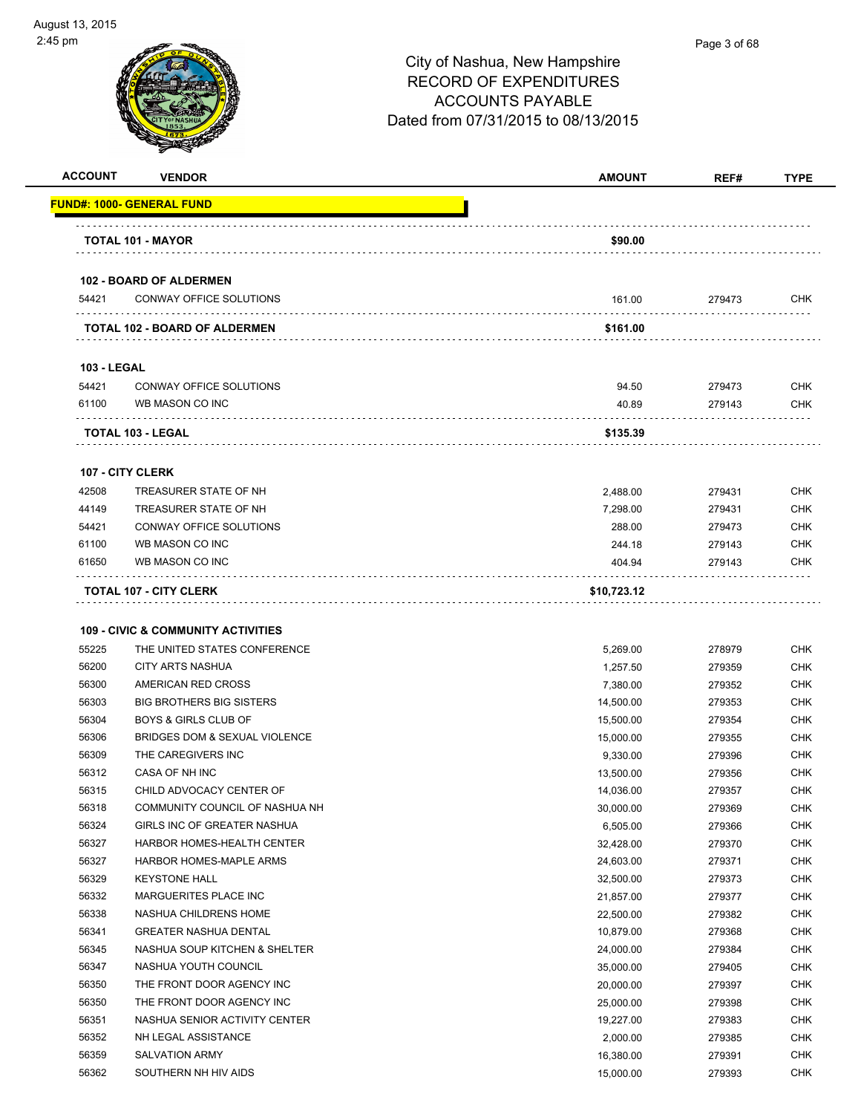

#### Page 3 of 68

| <b>ACCOUNT</b>     | <b>VENDOR</b>                                 | <b>AMOUNT</b>        | REF#             | <b>TYPE</b> |
|--------------------|-----------------------------------------------|----------------------|------------------|-------------|
|                    | <u> FUND#: 1000- GENERAL FUND</u>             |                      |                  |             |
|                    | TOTAL 101 - MAYOR                             | \$90.00              |                  |             |
|                    |                                               |                      |                  |             |
|                    | <b>102 - BOARD OF ALDERMEN</b>                |                      |                  |             |
| 54421              | CONWAY OFFICE SOLUTIONS                       | 161.00               | 279473           | <b>CHK</b>  |
|                    | <b>TOTAL 102 - BOARD OF ALDERMEN</b>          | \$161.00             |                  |             |
| <b>103 - LEGAL</b> |                                               |                      |                  |             |
| 54421              | CONWAY OFFICE SOLUTIONS                       | 94.50                | 279473           | <b>CHK</b>  |
| 61100              | WB MASON CO INC                               | 40.89                | 279143           | <b>CHK</b>  |
|                    | TOTAL 103 - LEGAL                             | \$135.39             |                  |             |
|                    | 107 - CITY CLERK                              |                      |                  |             |
| 42508              | TREASURER STATE OF NH                         | 2,488.00             | 279431           | <b>CHK</b>  |
| 44149              | TREASURER STATE OF NH                         | 7,298.00             | 279431           | <b>CHK</b>  |
| 54421              | CONWAY OFFICE SOLUTIONS                       | 288.00               | 279473           | <b>CHK</b>  |
| 61100              | WB MASON CO INC                               | 244.18               | 279143           | <b>CHK</b>  |
| 61650              | WB MASON CO INC                               | 404.94               | 279143           | <b>CHK</b>  |
|                    | <b>TOTAL 107 - CITY CLERK</b>                 | \$10,723.12          |                  |             |
|                    |                                               |                      |                  |             |
|                    | <b>109 - CIVIC &amp; COMMUNITY ACTIVITIES</b> |                      |                  |             |
| 55225              | THE UNITED STATES CONFERENCE                  |                      |                  | <b>CHK</b>  |
| 56200              | <b>CITY ARTS NASHUA</b>                       | 5,269.00<br>1,257.50 | 278979<br>279359 | <b>CHK</b>  |
| 56300              | AMERICAN RED CROSS                            | 7,380.00             | 279352           | <b>CHK</b>  |
| 56303              | <b>BIG BROTHERS BIG SISTERS</b>               | 14,500.00            | 279353           | <b>CHK</b>  |
| 56304              | <b>BOYS &amp; GIRLS CLUB OF</b>               | 15,500.00            | 279354           | <b>CHK</b>  |
| 56306              | BRIDGES DOM & SEXUAL VIOLENCE                 | 15,000.00            | 279355           | <b>CHK</b>  |
| 56309              | THE CAREGIVERS INC                            | 9,330.00             | 279396           | <b>CHK</b>  |
| 56312              | CASA OF NH INC                                | 13,500.00            | 279356           | <b>CHK</b>  |
| 56315              | CHILD ADVOCACY CENTER OF                      | 14,036.00            | 279357           | <b>CHK</b>  |
| 56318              | COMMUNITY COUNCIL OF NASHUA NH                | 30,000.00            | 279369           | <b>CHK</b>  |
| 56324              | GIRLS INC OF GREATER NASHUA                   | 6,505.00             | 279366           | <b>CHK</b>  |
| 56327              | HARBOR HOMES-HEALTH CENTER                    | 32,428.00            | 279370           | <b>CHK</b>  |
| 56327              | HARBOR HOMES-MAPLE ARMS                       | 24,603.00            | 279371           | <b>CHK</b>  |
| 56329              | <b>KEYSTONE HALL</b>                          | 32,500.00            | 279373           | <b>CHK</b>  |
| 56332              | MARGUERITES PLACE INC                         | 21,857.00            | 279377           | <b>CHK</b>  |
| 56338              | NASHUA CHILDRENS HOME                         | 22,500.00            | 279382           | <b>CHK</b>  |
| 56341              | <b>GREATER NASHUA DENTAL</b>                  | 10,879.00            | 279368           | <b>CHK</b>  |
| 56345              | NASHUA SOUP KITCHEN & SHELTER                 | 24,000.00            | 279384           | <b>CHK</b>  |
| 56347              | NASHUA YOUTH COUNCIL                          | 35,000.00            | 279405           | <b>CHK</b>  |
| 56350              | THE FRONT DOOR AGENCY INC                     | 20,000.00            | 279397           | <b>CHK</b>  |
| 56350              | THE FRONT DOOR AGENCY INC                     | 25,000.00            | 279398           | <b>CHK</b>  |
| 56351              | NASHUA SENIOR ACTIVITY CENTER                 | 19,227.00            | 279383           | <b>CHK</b>  |
| 56352              | NH LEGAL ASSISTANCE                           | 2,000.00             | 279385           | <b>CHK</b>  |
| 56359              | <b>SALVATION ARMY</b>                         | 16,380.00            | 279391           | <b>CHK</b>  |
| 56362              | SOUTHERN NH HIV AIDS                          | 15,000.00            | 279393           | <b>CHK</b>  |
|                    |                                               |                      |                  |             |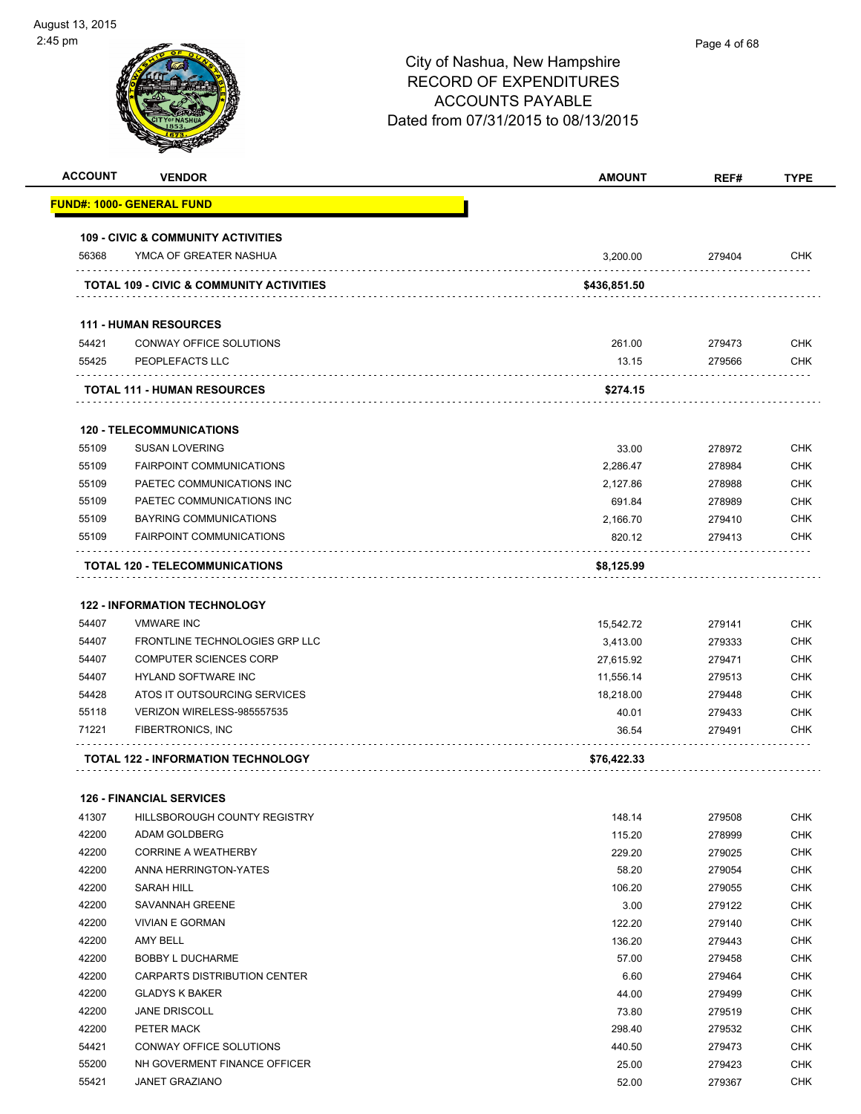| <b>ACCOUNT</b> | <b>VENDOR</b>                                                   | <b>AMOUNT</b>         | REF#             | <b>TYPE</b> |
|----------------|-----------------------------------------------------------------|-----------------------|------------------|-------------|
|                | FUND#: 1000- GENERAL FUND                                       |                       |                  |             |
|                | <b>109 - CIVIC &amp; COMMUNITY ACTIVITIES</b>                   |                       |                  |             |
| 56368          | YMCA OF GREATER NASHUA                                          | 3,200.00              | 279404           | <b>CHK</b>  |
|                | TOTAL 109 - CIVIC & COMMUNITY ACTIVITIES                        | \$436,851.50          |                  |             |
|                | <b>111 - HUMAN RESOURCES</b>                                    |                       |                  |             |
| 54421          | CONWAY OFFICE SOLUTIONS                                         | 261.00                | 279473           | <b>CHK</b>  |
| 55425          | PEOPLEFACTS LLC                                                 | 13.15                 | 279566           | <b>CHK</b>  |
|                | <b>TOTAL 111 - HUMAN RESOURCES</b>                              | \$274.15              |                  |             |
|                | <b>120 - TELECOMMUNICATIONS</b>                                 |                       |                  |             |
| 55109          | <b>SUSAN LOVERING</b>                                           | 33.00                 | 278972           | <b>CHK</b>  |
| 55109          | <b>FAIRPOINT COMMUNICATIONS</b>                                 | 2,286.47              | 278984           | <b>CHK</b>  |
| 55109          | PAETEC COMMUNICATIONS INC                                       | 2,127.86              | 278988           | <b>CHK</b>  |
| 55109          | PAETEC COMMUNICATIONS INC                                       | 691.84                | 278989           | <b>CHK</b>  |
| 55109          | <b>BAYRING COMMUNICATIONS</b>                                   | 2,166.70              | 279410           | <b>CHK</b>  |
| 55109          | <b>FAIRPOINT COMMUNICATIONS</b>                                 | 820.12                | 279413           | <b>CHK</b>  |
|                | TOTAL 120 - TELECOMMUNICATIONS                                  | \$8,125.99            |                  |             |
|                | <b>122 - INFORMATION TECHNOLOGY</b>                             |                       |                  |             |
| 54407          | <b>VMWARE INC</b>                                               |                       | 279141           | <b>CHK</b>  |
| 54407          | FRONTLINE TECHNOLOGIES GRP LLC                                  | 15,542.72<br>3,413.00 | 279333           | <b>CHK</b>  |
| 54407          | <b>COMPUTER SCIENCES CORP</b>                                   | 27,615.92             | 279471           | <b>CHK</b>  |
| 54407          | <b>HYLAND SOFTWARE INC</b>                                      | 11,556.14             | 279513           | <b>CHK</b>  |
| 54428          | ATOS IT OUTSOURCING SERVICES                                    | 18,218.00             | 279448           | <b>CHK</b>  |
| 55118          | VERIZON WIRELESS-985557535                                      | 40.01                 | 279433           | <b>CHK</b>  |
| 71221          | <b>FIBERTRONICS, INC</b>                                        | 36.54                 | 279491           | <b>CHK</b>  |
|                | <b>TOTAL 122 - INFORMATION TECHNOLOGY</b>                       | \$76,422.33           |                  |             |
|                |                                                                 |                       |                  |             |
|                | <b>126 - FINANCIAL SERVICES</b><br>HILLSBOROUGH COUNTY REGISTRY |                       |                  | <b>CHK</b>  |
| 41307<br>42200 | ADAM GOLDBERG                                                   | 148.14<br>115.20      | 279508<br>278999 | <b>CHK</b>  |
| 42200          | <b>CORRINE A WEATHERBY</b>                                      | 229.20                | 279025           | <b>CHK</b>  |
| 42200          | ANNA HERRINGTON-YATES                                           | 58.20                 | 279054           | <b>CHK</b>  |
| 42200          | SARAH HILL                                                      | 106.20                | 279055           | <b>CHK</b>  |
| 42200          | SAVANNAH GREENE                                                 | 3.00                  | 279122           | <b>CHK</b>  |
| 42200          | <b>VIVIAN E GORMAN</b>                                          | 122.20                | 279140           | <b>CHK</b>  |
| 42200          | AMY BELL                                                        | 136.20                | 279443           | <b>CHK</b>  |
| 42200          | <b>BOBBY L DUCHARME</b>                                         | 57.00                 | 279458           | <b>CHK</b>  |
| 42200          | CARPARTS DISTRIBUTION CENTER                                    | 6.60                  | 279464           | <b>CHK</b>  |
| 42200          | <b>GLADYS K BAKER</b>                                           | 44.00                 | 279499           | <b>CHK</b>  |
| 42200          | <b>JANE DRISCOLL</b>                                            | 73.80                 | 279519           | <b>CHK</b>  |
| 42200          | PETER MACK                                                      | 298.40                | 279532           | <b>CHK</b>  |
| 54421          | CONWAY OFFICE SOLUTIONS                                         | 440.50                | 279473           | <b>CHK</b>  |
| 55200          | NH GOVERMENT FINANCE OFFICER                                    | 25.00                 | 279423           | <b>CHK</b>  |
| 55421          | <b>JANET GRAZIANO</b>                                           | 52.00                 | 279367           | <b>CHK</b>  |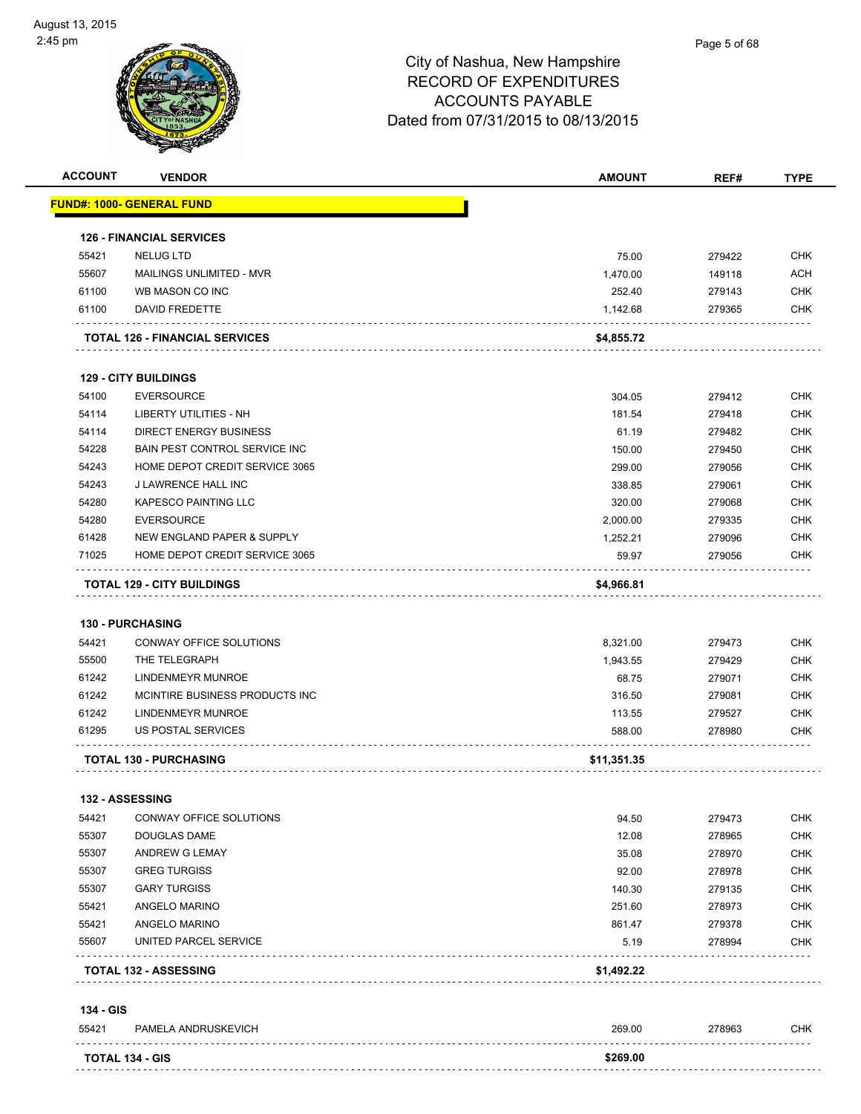

| <b>ACCOUNT</b>  | <b>VENDOR</b>                         | <b>AMOUNT</b> | REF#   | <b>TYPE</b> |
|-----------------|---------------------------------------|---------------|--------|-------------|
|                 | <u> FUND#: 1000- GENERAL FUND</u>     |               |        |             |
|                 | <b>126 - FINANCIAL SERVICES</b>       |               |        |             |
| 55421           | <b>NELUG LTD</b>                      | 75.00         | 279422 | <b>CHK</b>  |
| 55607           | MAILINGS UNLIMITED - MVR              | 1,470.00      | 149118 | <b>ACH</b>  |
| 61100           | WB MASON CO INC                       | 252.40        | 279143 | <b>CHK</b>  |
| 61100           | DAVID FREDETTE                        | 1,142.68      | 279365 | <b>CHK</b>  |
|                 |                                       |               |        |             |
|                 | <b>TOTAL 126 - FINANCIAL SERVICES</b> | \$4,855.72    |        |             |
|                 | <b>129 - CITY BUILDINGS</b>           |               |        |             |
| 54100           | <b>EVERSOURCE</b>                     | 304.05        | 279412 | <b>CHK</b>  |
| 54114           | LIBERTY UTILITIES - NH                | 181.54        | 279418 | <b>CHK</b>  |
| 54114           | <b>DIRECT ENERGY BUSINESS</b>         | 61.19         | 279482 | <b>CHK</b>  |
| 54228           | <b>BAIN PEST CONTROL SERVICE INC</b>  | 150.00        | 279450 | <b>CHK</b>  |
| 54243           | HOME DEPOT CREDIT SERVICE 3065        | 299.00        | 279056 | <b>CHK</b>  |
| 54243           | <b>J LAWRENCE HALL INC</b>            | 338.85        | 279061 | <b>CHK</b>  |
| 54280           | KAPESCO PAINTING LLC                  | 320.00        | 279068 | <b>CHK</b>  |
| 54280           | <b>EVERSOURCE</b>                     | 2,000.00      | 279335 | <b>CHK</b>  |
| 61428           | NEW ENGLAND PAPER & SUPPLY            | 1,252.21      | 279096 | <b>CHK</b>  |
| 71025           | HOME DEPOT CREDIT SERVICE 3065        | 59.97         | 279056 | <b>CHK</b>  |
|                 | <b>TOTAL 129 - CITY BUILDINGS</b>     | \$4,966.81    |        |             |
|                 |                                       |               |        |             |
|                 | <b>130 - PURCHASING</b>               |               |        |             |
| 54421           | CONWAY OFFICE SOLUTIONS               | 8,321.00      | 279473 | <b>CHK</b>  |
| 55500           | THE TELEGRAPH                         | 1,943.55      | 279429 | <b>CHK</b>  |
| 61242           | LINDENMEYR MUNROE                     | 68.75         | 279071 | <b>CHK</b>  |
| 61242           | MCINTIRE BUSINESS PRODUCTS INC        | 316.50        | 279081 | <b>CHK</b>  |
| 61242           | LINDENMEYR MUNROE                     | 113.55        | 279527 | <b>CHK</b>  |
| 61295           | US POSTAL SERVICES                    | 588.00        | 278980 | <b>CHK</b>  |
|                 | <b>TOTAL 130 - PURCHASING</b>         | \$11,351.35   |        |             |
|                 |                                       |               |        |             |
| 132 - ASSESSING |                                       |               |        |             |
| 54421           | CONWAY OFFICE SOLUTIONS               | 94.50         | 279473 | <b>CHK</b>  |
| 55307           | DOUGLAS DAME                          | 12.08         | 278965 | <b>CHK</b>  |
| 55307           | ANDREW G LEMAY                        | 35.08         | 278970 | <b>CHK</b>  |
| 55307           | <b>GREG TURGISS</b>                   | 92.00         | 278978 | <b>CHK</b>  |
| 55307           | <b>GARY TURGISS</b>                   | 140.30        | 279135 | <b>CHK</b>  |
| 55421           | ANGELO MARINO                         | 251.60        | 278973 | <b>CHK</b>  |
| 55421           | ANGELO MARINO                         | 861.47        | 279378 | <b>CHK</b>  |
| 55607           | UNITED PARCEL SERVICE                 | 5.19          | 278994 | <b>CHK</b>  |
|                 | <b>TOTAL 132 - ASSESSING</b>          | \$1,492.22    |        |             |
| 134 - GIS       |                                       |               |        |             |
| 55421           | PAMELA ANDRUSKEVICH                   | 269.00        | 278963 | <b>CHK</b>  |
|                 | <b>TOTAL 134 - GIS</b>                | \$269.00      |        |             |
|                 |                                       |               |        |             |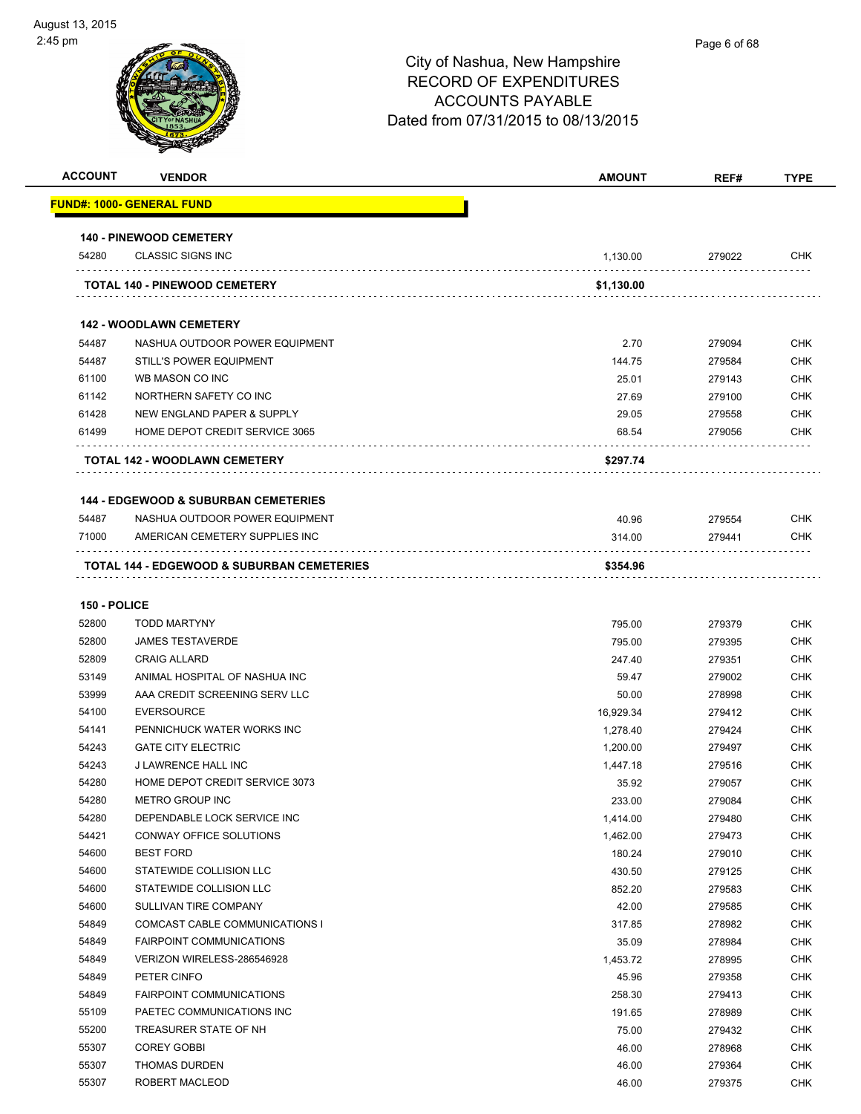| <b>ACCOUNT</b> | <b>VENDOR</b>                                   | <b>AMOUNT</b> | REF#   | <b>TYPE</b> |
|----------------|-------------------------------------------------|---------------|--------|-------------|
|                | <u> FUND#: 1000- GENERAL FUND</u>               |               |        |             |
|                | <b>140 - PINEWOOD CEMETERY</b>                  |               |        |             |
| 54280          | <b>CLASSIC SIGNS INC</b>                        | 1,130.00      | 279022 | <b>CHK</b>  |
|                | <b>TOTAL 140 - PINEWOOD CEMETERY</b>            | \$1,130.00    |        |             |
|                |                                                 |               |        |             |
|                | <b>142 - WOODLAWN CEMETERY</b>                  |               |        |             |
| 54487          | NASHUA OUTDOOR POWER EQUIPMENT                  | 2.70          | 279094 | <b>CHK</b>  |
| 54487          | <b>STILL'S POWER EQUIPMENT</b>                  | 144.75        | 279584 | <b>CHK</b>  |
| 61100          | WB MASON CO INC                                 | 25.01         | 279143 | <b>CHK</b>  |
| 61142          | NORTHERN SAFETY CO INC                          | 27.69         | 279100 | <b>CHK</b>  |
| 61428          | NEW ENGLAND PAPER & SUPPLY                      | 29.05         | 279558 | <b>CHK</b>  |
| 61499          | HOME DEPOT CREDIT SERVICE 3065                  | 68.54         | 279056 | <b>CHK</b>  |
|                | TOTAL 142 - WOODLAWN CEMETERY                   | \$297.74      |        |             |
|                | <b>144 - EDGEWOOD &amp; SUBURBAN CEMETERIES</b> |               |        |             |
| 54487          | NASHUA OUTDOOR POWER EQUIPMENT                  | 40.96         | 279554 | <b>CHK</b>  |
| 71000          | AMERICAN CEMETERY SUPPLIES INC                  | 314.00        | 279441 | <b>CHK</b>  |
|                | TOTAL 144 - EDGEWOOD & SUBURBAN CEMETERIES      | \$354.96      |        |             |
|                |                                                 |               |        |             |
| 150 - POLICE   |                                                 |               |        |             |
| 52800          | <b>TODD MARTYNY</b>                             | 795.00        | 279379 | <b>CHK</b>  |
| 52800          | <b>JAMES TESTAVERDE</b>                         | 795.00        | 279395 | <b>CHK</b>  |
| 52809          | <b>CRAIG ALLARD</b>                             | 247.40        | 279351 | <b>CHK</b>  |
| 53149          | ANIMAL HOSPITAL OF NASHUA INC                   | 59.47         | 279002 | <b>CHK</b>  |
| 53999          | AAA CREDIT SCREENING SERV LLC                   | 50.00         | 278998 | <b>CHK</b>  |
| 54100          | <b>EVERSOURCE</b>                               | 16,929.34     | 279412 | <b>CHK</b>  |
| 54141          | PENNICHUCK WATER WORKS INC                      | 1,278.40      | 279424 | <b>CHK</b>  |
| 54243          | <b>GATE CITY ELECTRIC</b>                       | 1,200.00      | 279497 | <b>CHK</b>  |
| 54243          | J LAWRENCE HALL INC                             | 1,447.18      | 279516 | <b>CHK</b>  |
| 54280          | HOME DEPOT CREDIT SERVICE 3073                  | 35.92         | 279057 | <b>CHK</b>  |
| 54280          | METRO GROUP INC                                 | 233.00        | 279084 | <b>CHK</b>  |
| 54280          | DEPENDABLE LOCK SERVICE INC                     | 1,414.00      | 279480 | <b>CHK</b>  |
| 54421          | CONWAY OFFICE SOLUTIONS                         | 1,462.00      | 279473 | <b>CHK</b>  |
| 54600          | <b>BEST FORD</b>                                | 180.24        | 279010 | <b>CHK</b>  |
| 54600          | STATEWIDE COLLISION LLC                         | 430.50        | 279125 | <b>CHK</b>  |
| 54600          | STATEWIDE COLLISION LLC                         | 852.20        | 279583 | <b>CHK</b>  |
| 54600          | SULLIVAN TIRE COMPANY                           | 42.00         | 279585 | <b>CHK</b>  |
| 54849          | COMCAST CABLE COMMUNICATIONS I                  | 317.85        | 278982 | <b>CHK</b>  |
| 54849          | <b>FAIRPOINT COMMUNICATIONS</b>                 | 35.09         | 278984 | <b>CHK</b>  |
| 54849          | VERIZON WIRELESS-286546928                      | 1,453.72      | 278995 | <b>CHK</b>  |
| 54849          | PETER CINFO                                     | 45.96         | 279358 | CHK         |
| 54849          | <b>FAIRPOINT COMMUNICATIONS</b>                 | 258.30        | 279413 | <b>CHK</b>  |
| 55109          | PAETEC COMMUNICATIONS INC                       | 191.65        | 278989 | <b>CHK</b>  |
| 55200          | TREASURER STATE OF NH                           | 75.00         | 279432 | <b>CHK</b>  |
| 55307          | <b>COREY GOBBI</b>                              | 46.00         | 278968 | <b>CHK</b>  |
| 55307          | <b>THOMAS DURDEN</b>                            | 46.00         | 279364 | <b>CHK</b>  |
| 55307          | ROBERT MACLEOD                                  | 46.00         | 279375 | <b>CHK</b>  |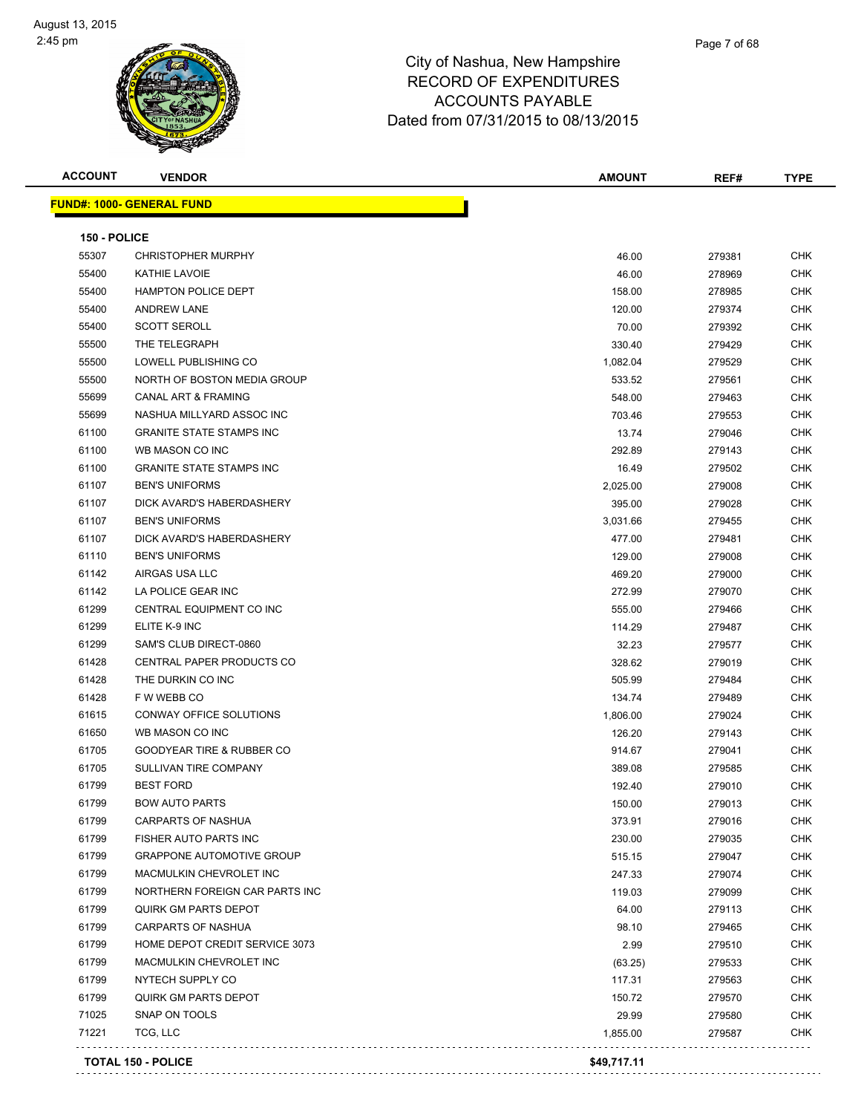| <b>ACCOUNT</b> | <b>VENDOR</b>                        | <b>AMOUNT</b> | REF#   | <b>TYPE</b> |
|----------------|--------------------------------------|---------------|--------|-------------|
|                | <b>FUND#: 1000- GENERAL FUND</b>     |               |        |             |
|                |                                      |               |        |             |
| 150 - POLICE   |                                      |               |        |             |
| 55307          | <b>CHRISTOPHER MURPHY</b>            | 46.00         | 279381 | CHK         |
| 55400          | <b>KATHIE LAVOIE</b>                 | 46.00         | 278969 | <b>CHK</b>  |
| 55400          | <b>HAMPTON POLICE DEPT</b>           | 158.00        | 278985 | CHK         |
| 55400          | <b>ANDREW LANE</b>                   | 120.00        | 279374 | <b>CHK</b>  |
| 55400          | <b>SCOTT SEROLL</b>                  | 70.00         | 279392 | <b>CHK</b>  |
| 55500          | THE TELEGRAPH                        | 330.40        | 279429 | CHK         |
| 55500          | LOWELL PUBLISHING CO                 | 1,082.04      | 279529 | <b>CHK</b>  |
| 55500          | NORTH OF BOSTON MEDIA GROUP          | 533.52        | 279561 | CHK         |
| 55699          | CANAL ART & FRAMING                  | 548.00        | 279463 | CHK         |
| 55699          | NASHUA MILLYARD ASSOC INC            | 703.46        | 279553 | <b>CHK</b>  |
| 61100          | <b>GRANITE STATE STAMPS INC</b>      | 13.74         | 279046 | CHK         |
| 61100          | WB MASON CO INC                      | 292.89        | 279143 | <b>CHK</b>  |
| 61100          | <b>GRANITE STATE STAMPS INC</b>      | 16.49         | 279502 | <b>CHK</b>  |
| 61107          | <b>BEN'S UNIFORMS</b>                | 2,025.00      | 279008 | CHK         |
| 61107          | DICK AVARD'S HABERDASHERY            | 395.00        | 279028 | <b>CHK</b>  |
| 61107          | <b>BEN'S UNIFORMS</b>                | 3,031.66      | 279455 | CHK         |
| 61107          | DICK AVARD'S HABERDASHERY            | 477.00        | 279481 | CHK         |
| 61110          | <b>BEN'S UNIFORMS</b>                | 129.00        | 279008 | <b>CHK</b>  |
| 61142          | AIRGAS USA LLC                       | 469.20        | 279000 | CHK         |
| 61142          | LA POLICE GEAR INC                   | 272.99        | 279070 | CHK         |
| 61299          | CENTRAL EQUIPMENT CO INC             | 555.00        | 279466 | CHK         |
| 61299          | ELITE K-9 INC                        | 114.29        | 279487 | CHK         |
| 61299          | SAM'S CLUB DIRECT-0860               | 32.23         | 279577 | <b>CHK</b>  |
| 61428          | CENTRAL PAPER PRODUCTS CO            | 328.62        | 279019 | CHK         |
| 61428          | THE DURKIN CO INC                    | 505.99        | 279484 | CHK         |
| 61428          | F W WEBB CO                          | 134.74        | 279489 | <b>CHK</b>  |
| 61615          | <b>CONWAY OFFICE SOLUTIONS</b>       | 1,806.00      | 279024 | <b>CHK</b>  |
| 61650          | WB MASON CO INC                      | 126.20        | 279143 | CHK         |
| 61705          | <b>GOODYEAR TIRE &amp; RUBBER CO</b> | 914.67        | 279041 | <b>CHK</b>  |
| 61705          | SULLIVAN TIRE COMPANY                | 389.08        | 279585 | CHK         |
| 61799          | <b>BEST FORD</b>                     | 192.40        | 279010 | CHK         |
| 61799          | <b>BOW AUTO PARTS</b>                | 150.00        | 279013 | CHK         |
| 61799          | <b>CARPARTS OF NASHUA</b>            | 373.91        | 279016 | CHK         |
| 61799          | FISHER AUTO PARTS INC                | 230.00        | 279035 | <b>CHK</b>  |
| 61799          | <b>GRAPPONE AUTOMOTIVE GROUP</b>     | 515.15        | 279047 | <b>CHK</b>  |
| 61799          | MACMULKIN CHEVROLET INC              | 247.33        | 279074 | CHK         |
| 61799          | NORTHERN FOREIGN CAR PARTS INC       | 119.03        | 279099 | <b>CHK</b>  |
| 61799          | <b>QUIRK GM PARTS DEPOT</b>          | 64.00         | 279113 | <b>CHK</b>  |
| 61799          | CARPARTS OF NASHUA                   | 98.10         | 279465 | <b>CHK</b>  |
| 61799          | HOME DEPOT CREDIT SERVICE 3073       | 2.99          | 279510 | <b>CHK</b>  |
| 61799          | MACMULKIN CHEVROLET INC              | (63.25)       | 279533 | CHK         |
| 61799          | NYTECH SUPPLY CO                     | 117.31        | 279563 | CHK         |
| 61799          | <b>QUIRK GM PARTS DEPOT</b>          | 150.72        | 279570 | <b>CHK</b>  |
| 71025          | SNAP ON TOOLS                        | 29.99         | 279580 | CHK         |
| 71221          | TCG, LLC                             | 1,855.00      | 279587 | CHK         |
|                | TOTAL 150 - POLICE                   | \$49 717 11   |        |             |

**TOTAL 150 - POLICE \$49,717.11**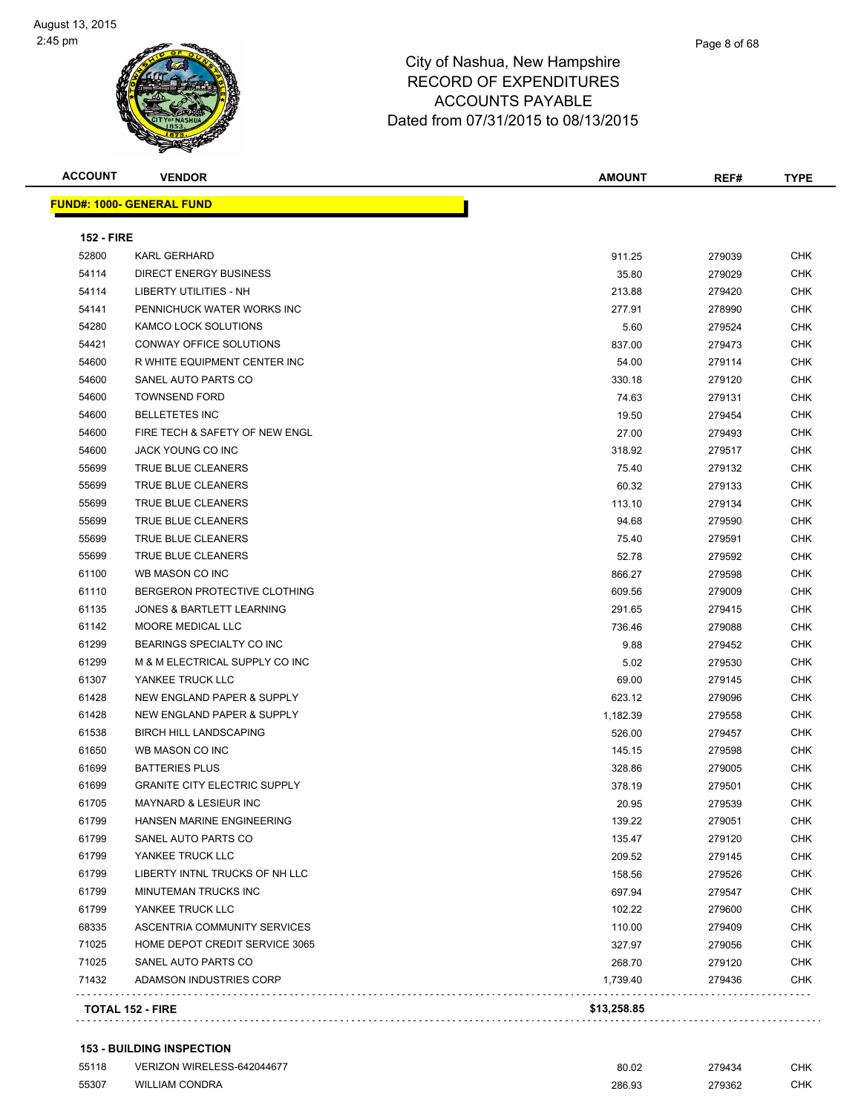| <b>ACCOUNT</b>    | <b>VENDOR</b>                       | AMOUNT   | REF#   | <b>TYPE</b> |
|-------------------|-------------------------------------|----------|--------|-------------|
|                   | <b>FUND#: 1000- GENERAL FUND</b>    |          |        |             |
| <b>152 - FIRE</b> |                                     |          |        |             |
| 52800             | <b>KARL GERHARD</b>                 | 911.25   | 279039 | <b>CHK</b>  |
| 54114             | <b>DIRECT ENERGY BUSINESS</b>       | 35.80    | 279029 | <b>CHK</b>  |
| 54114             | LIBERTY UTILITIES - NH              | 213.88   | 279420 | CHK         |
| 54141             | PENNICHUCK WATER WORKS INC          | 277.91   | 278990 | <b>CHK</b>  |
| 54280             | KAMCO LOCK SOLUTIONS                | 5.60     | 279524 | <b>CHK</b>  |
| 54421             | <b>CONWAY OFFICE SOLUTIONS</b>      | 837.00   | 279473 | CHK         |
| 54600             | R WHITE EQUIPMENT CENTER INC        | 54.00    | 279114 | CHK         |
| 54600             | SANEL AUTO PARTS CO                 | 330.18   | 279120 | <b>CHK</b>  |
| 54600             | <b>TOWNSEND FORD</b>                | 74.63    | 279131 | <b>CHK</b>  |
| 54600             | <b>BELLETETES INC</b>               | 19.50    | 279454 | <b>CHK</b>  |
| 54600             | FIRE TECH & SAFETY OF NEW ENGL      | 27.00    | 279493 | <b>CHK</b>  |
| 54600             | JACK YOUNG CO INC                   | 318.92   | 279517 | <b>CHK</b>  |
| 55699             | TRUE BLUE CLEANERS                  | 75.40    | 279132 | CHK         |
| 55699             | TRUE BLUE CLEANERS                  | 60.32    | 279133 | CHK         |
| 55699             | TRUE BLUE CLEANERS                  | 113.10   | 279134 | CHK         |
| 55699             | TRUE BLUE CLEANERS                  | 94.68    | 279590 | <b>CHK</b>  |
| 55699             | <b>TRUE BLUE CLEANERS</b>           | 75.40    | 279591 | CHK         |
| 55699             | TRUE BLUE CLEANERS                  | 52.78    | 279592 | <b>CHK</b>  |
| 61100             | WB MASON CO INC                     | 866.27   | 279598 | <b>CHK</b>  |
| 61110             | BERGERON PROTECTIVE CLOTHING        | 609.56   | 279009 | <b>CHK</b>  |
| 61135             | JONES & BARTLETT LEARNING           | 291.65   | 279415 | CHK         |
| 61142             | MOORE MEDICAL LLC                   | 736.46   | 279088 | CHK         |
| 61299             | BEARINGS SPECIALTY CO INC           | 9.88     | 279452 | <b>CHK</b>  |
| 61299             | M & M ELECTRICAL SUPPLY CO INC      | 5.02     | 279530 | CHK         |
| 61307             | YANKEE TRUCK LLC                    | 69.00    | 279145 | <b>CHK</b>  |
| 61428             | NEW ENGLAND PAPER & SUPPLY          | 623.12   | 279096 | <b>CHK</b>  |
| 61428             | NEW ENGLAND PAPER & SUPPLY          | 1,182.39 | 279558 | <b>CHK</b>  |
| 61538             | <b>BIRCH HILL LANDSCAPING</b>       | 526.00   | 279457 | CHK         |
| 61650             | WB MASON CO INC                     | 145.15   | 279598 | CHK         |
| 61699             | <b>BATTERIES PLUS</b>               | 328.86   | 279005 | <b>CHK</b>  |
| 61699             | <b>GRANITE CITY ELECTRIC SUPPLY</b> | 378.19   | 279501 | <b>CHK</b>  |
| 61705             | MAYNARD & LESIEUR INC               | 20.95    | 279539 | <b>CHK</b>  |
| 61799             | HANSEN MARINE ENGINEERING           | 139.22   | 279051 | <b>CHK</b>  |
| 61799             | SANEL AUTO PARTS CO                 | 135.47   | 279120 | <b>CHK</b>  |
| 61799             | YANKEE TRUCK LLC                    | 209.52   | 279145 | CHK         |
| 61799             | LIBERTY INTNL TRUCKS OF NH LLC      | 158.56   | 279526 | <b>CHK</b>  |
| 61799             | MINUTEMAN TRUCKS INC                | 697.94   | 279547 | <b>CHK</b>  |
| 61799             | YANKEE TRUCK LLC                    | 102.22   | 279600 | CHK         |
| 68335             | ASCENTRIA COMMUNITY SERVICES        | 110.00   | 279409 | <b>CHK</b>  |
| 71025             | HOME DEPOT CREDIT SERVICE 3065      | 327.97   | 279056 | CHK         |
| 71025             | SANEL AUTO PARTS CO                 | 268.70   | 279120 | CHK         |
| 71432             | ADAMSON INDUSTRIES CORP             | 1,739.40 | 279436 | CHK         |

#### **153 - BUILDING INSPECTION** VERIZON WIRELESS-642044677 80.02 279434 CHK WILLIAM CONDRA 286.93 279362 CHK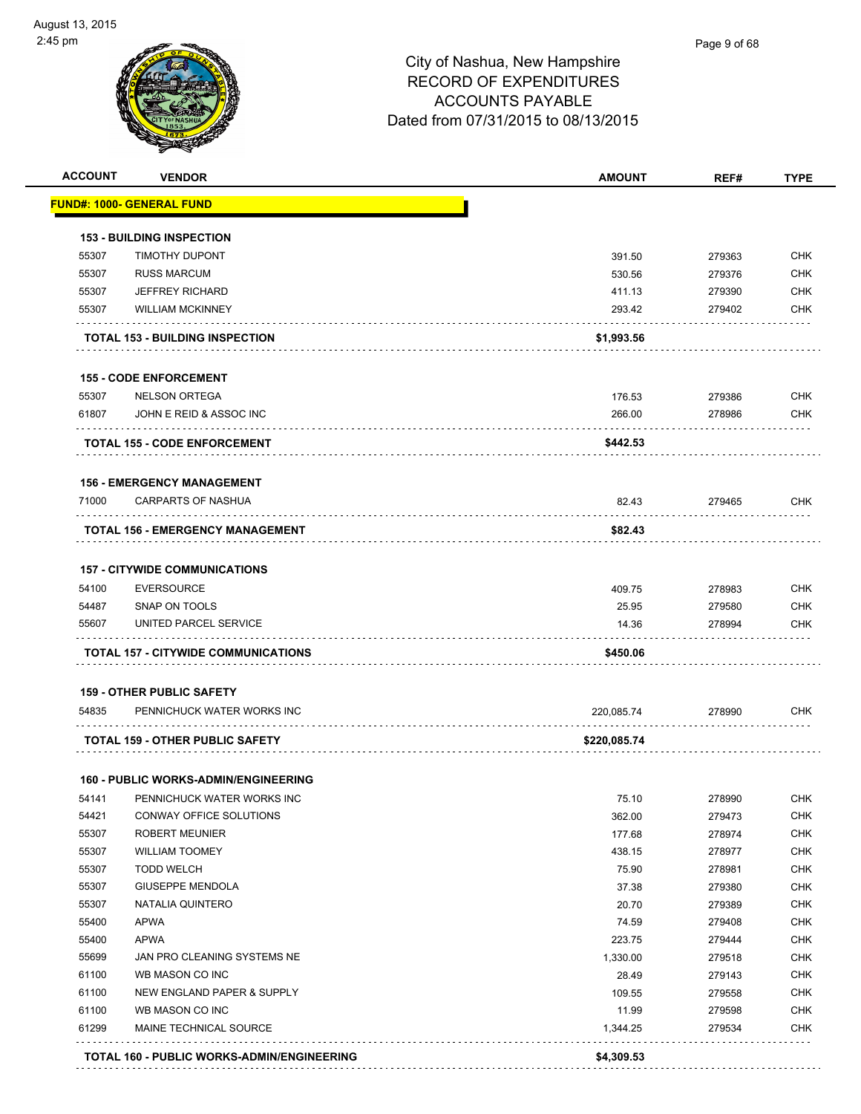

| <u> FUND#: 1000- GENERAL FUND</u><br><b>153 - BUILDING INSPECTION</b><br>55307<br><b>TIMOTHY DUPONT</b><br>391.50<br>279363<br><b>CHK</b><br>55307<br><b>RUSS MARCUM</b><br><b>CHK</b><br>530.56<br>279376<br>55307<br><b>JEFFREY RICHARD</b><br><b>CHK</b><br>411.13<br>279390<br>55307<br><b>WILLIAM MCKINNEY</b><br>293.42<br>279402<br>\$1,993.56<br><b>TOTAL 153 - BUILDING INSPECTION</b><br><b>155 - CODE ENFORCEMENT</b><br>55307<br><b>NELSON ORTEGA</b><br><b>CHK</b><br>176.53<br>279386<br>61807<br>JOHN E REID & ASSOC INC<br>266.00<br>278986<br>\$442.53<br><b>TOTAL 155 - CODE ENFORCEMENT</b><br><b>156 - EMERGENCY MANAGEMENT</b><br><b>CARPARTS OF NASHUA</b><br>71000<br>82.43<br>279465<br>\$82.43<br><b>TOTAL 156 - EMERGENCY MANAGEMENT</b><br><b>157 - CITYWIDE COMMUNICATIONS</b><br>54100<br><b>EVERSOURCE</b><br>409.75<br>278983<br>54487<br>SNAP ON TOOLS<br>25.95<br>279580<br>55607<br>UNITED PARCEL SERVICE<br>14.36<br>278994<br>\$450.06<br><b>TOTAL 157 - CITYWIDE COMMUNICATIONS</b><br><b>159 - OTHER PUBLIC SAFETY</b><br>54835<br>PENNICHUCK WATER WORKS INC<br>220,085.74<br>278990<br>TOTAL 159 - OTHER PUBLIC SAFETY<br>\$220,085.74<br><b>160 - PUBLIC WORKS-ADMIN/ENGINEERING</b><br>75.10<br>278990<br>CHK<br>54141<br>PENNICHUCK WATER WORKS INC<br>54421<br>CONWAY OFFICE SOLUTIONS<br>362.00<br>279473<br>55307<br><b>ROBERT MEUNIER</b><br>177.68<br>278974<br>55307<br><b>WILLIAM TOOMEY</b><br>438.15<br>278977<br><b>TODD WELCH</b><br>75.90<br>55307<br>278981<br>55307<br><b>GIUSEPPE MENDOLA</b><br>37.38<br>279380<br>55307<br>NATALIA QUINTERO<br>20.70<br>279389<br><b>APWA</b><br>55400<br>74.59<br>279408<br><b>APWA</b><br>55400<br>223.75<br><b>CHK</b><br>279444<br>55699<br>JAN PRO CLEANING SYSTEMS NE<br>1,330.00<br>279518<br>61100<br>WB MASON CO INC<br>28.49<br>279143<br>61100<br>NEW ENGLAND PAPER & SUPPLY<br>109.55<br>279558<br>61100<br>WB MASON CO INC<br><b>CHK</b><br>11.99<br>279598<br>61299<br>MAINE TECHNICAL SOURCE<br>1,344.25<br>279534 | <b>ACCOUNT</b> | <b>VENDOR</b> | <b>AMOUNT</b> | REF# | <b>TYPE</b> |
|-------------------------------------------------------------------------------------------------------------------------------------------------------------------------------------------------------------------------------------------------------------------------------------------------------------------------------------------------------------------------------------------------------------------------------------------------------------------------------------------------------------------------------------------------------------------------------------------------------------------------------------------------------------------------------------------------------------------------------------------------------------------------------------------------------------------------------------------------------------------------------------------------------------------------------------------------------------------------------------------------------------------------------------------------------------------------------------------------------------------------------------------------------------------------------------------------------------------------------------------------------------------------------------------------------------------------------------------------------------------------------------------------------------------------------------------------------------------------------------------------------------------------------------------------------------------------------------------------------------------------------------------------------------------------------------------------------------------------------------------------------------------------------------------------------------------------------------------------------------------------------------------------------------------------------------------------------------------------------------------------------------------------------|----------------|---------------|---------------|------|-------------|
|                                                                                                                                                                                                                                                                                                                                                                                                                                                                                                                                                                                                                                                                                                                                                                                                                                                                                                                                                                                                                                                                                                                                                                                                                                                                                                                                                                                                                                                                                                                                                                                                                                                                                                                                                                                                                                                                                                                                                                                                                               |                |               |               |      |             |
|                                                                                                                                                                                                                                                                                                                                                                                                                                                                                                                                                                                                                                                                                                                                                                                                                                                                                                                                                                                                                                                                                                                                                                                                                                                                                                                                                                                                                                                                                                                                                                                                                                                                                                                                                                                                                                                                                                                                                                                                                               |                |               |               |      |             |
|                                                                                                                                                                                                                                                                                                                                                                                                                                                                                                                                                                                                                                                                                                                                                                                                                                                                                                                                                                                                                                                                                                                                                                                                                                                                                                                                                                                                                                                                                                                                                                                                                                                                                                                                                                                                                                                                                                                                                                                                                               |                |               |               |      |             |
|                                                                                                                                                                                                                                                                                                                                                                                                                                                                                                                                                                                                                                                                                                                                                                                                                                                                                                                                                                                                                                                                                                                                                                                                                                                                                                                                                                                                                                                                                                                                                                                                                                                                                                                                                                                                                                                                                                                                                                                                                               |                |               |               |      |             |
|                                                                                                                                                                                                                                                                                                                                                                                                                                                                                                                                                                                                                                                                                                                                                                                                                                                                                                                                                                                                                                                                                                                                                                                                                                                                                                                                                                                                                                                                                                                                                                                                                                                                                                                                                                                                                                                                                                                                                                                                                               |                |               |               |      |             |
|                                                                                                                                                                                                                                                                                                                                                                                                                                                                                                                                                                                                                                                                                                                                                                                                                                                                                                                                                                                                                                                                                                                                                                                                                                                                                                                                                                                                                                                                                                                                                                                                                                                                                                                                                                                                                                                                                                                                                                                                                               |                |               |               |      | <b>CHK</b>  |
|                                                                                                                                                                                                                                                                                                                                                                                                                                                                                                                                                                                                                                                                                                                                                                                                                                                                                                                                                                                                                                                                                                                                                                                                                                                                                                                                                                                                                                                                                                                                                                                                                                                                                                                                                                                                                                                                                                                                                                                                                               |                |               |               |      |             |
|                                                                                                                                                                                                                                                                                                                                                                                                                                                                                                                                                                                                                                                                                                                                                                                                                                                                                                                                                                                                                                                                                                                                                                                                                                                                                                                                                                                                                                                                                                                                                                                                                                                                                                                                                                                                                                                                                                                                                                                                                               |                |               |               |      |             |
|                                                                                                                                                                                                                                                                                                                                                                                                                                                                                                                                                                                                                                                                                                                                                                                                                                                                                                                                                                                                                                                                                                                                                                                                                                                                                                                                                                                                                                                                                                                                                                                                                                                                                                                                                                                                                                                                                                                                                                                                                               |                |               |               |      |             |
|                                                                                                                                                                                                                                                                                                                                                                                                                                                                                                                                                                                                                                                                                                                                                                                                                                                                                                                                                                                                                                                                                                                                                                                                                                                                                                                                                                                                                                                                                                                                                                                                                                                                                                                                                                                                                                                                                                                                                                                                                               |                |               |               |      | <b>CHK</b>  |
|                                                                                                                                                                                                                                                                                                                                                                                                                                                                                                                                                                                                                                                                                                                                                                                                                                                                                                                                                                                                                                                                                                                                                                                                                                                                                                                                                                                                                                                                                                                                                                                                                                                                                                                                                                                                                                                                                                                                                                                                                               |                |               |               |      |             |
|                                                                                                                                                                                                                                                                                                                                                                                                                                                                                                                                                                                                                                                                                                                                                                                                                                                                                                                                                                                                                                                                                                                                                                                                                                                                                                                                                                                                                                                                                                                                                                                                                                                                                                                                                                                                                                                                                                                                                                                                                               |                |               |               |      |             |
|                                                                                                                                                                                                                                                                                                                                                                                                                                                                                                                                                                                                                                                                                                                                                                                                                                                                                                                                                                                                                                                                                                                                                                                                                                                                                                                                                                                                                                                                                                                                                                                                                                                                                                                                                                                                                                                                                                                                                                                                                               |                |               |               |      |             |
|                                                                                                                                                                                                                                                                                                                                                                                                                                                                                                                                                                                                                                                                                                                                                                                                                                                                                                                                                                                                                                                                                                                                                                                                                                                                                                                                                                                                                                                                                                                                                                                                                                                                                                                                                                                                                                                                                                                                                                                                                               |                |               |               |      | <b>CHK</b>  |
|                                                                                                                                                                                                                                                                                                                                                                                                                                                                                                                                                                                                                                                                                                                                                                                                                                                                                                                                                                                                                                                                                                                                                                                                                                                                                                                                                                                                                                                                                                                                                                                                                                                                                                                                                                                                                                                                                                                                                                                                                               |                |               |               |      |             |
|                                                                                                                                                                                                                                                                                                                                                                                                                                                                                                                                                                                                                                                                                                                                                                                                                                                                                                                                                                                                                                                                                                                                                                                                                                                                                                                                                                                                                                                                                                                                                                                                                                                                                                                                                                                                                                                                                                                                                                                                                               |                |               |               |      |             |
|                                                                                                                                                                                                                                                                                                                                                                                                                                                                                                                                                                                                                                                                                                                                                                                                                                                                                                                                                                                                                                                                                                                                                                                                                                                                                                                                                                                                                                                                                                                                                                                                                                                                                                                                                                                                                                                                                                                                                                                                                               |                |               |               |      | <b>CHK</b>  |
|                                                                                                                                                                                                                                                                                                                                                                                                                                                                                                                                                                                                                                                                                                                                                                                                                                                                                                                                                                                                                                                                                                                                                                                                                                                                                                                                                                                                                                                                                                                                                                                                                                                                                                                                                                                                                                                                                                                                                                                                                               |                |               |               |      | <b>CHK</b>  |
|                                                                                                                                                                                                                                                                                                                                                                                                                                                                                                                                                                                                                                                                                                                                                                                                                                                                                                                                                                                                                                                                                                                                                                                                                                                                                                                                                                                                                                                                                                                                                                                                                                                                                                                                                                                                                                                                                                                                                                                                                               |                |               |               |      | <b>CHK</b>  |
|                                                                                                                                                                                                                                                                                                                                                                                                                                                                                                                                                                                                                                                                                                                                                                                                                                                                                                                                                                                                                                                                                                                                                                                                                                                                                                                                                                                                                                                                                                                                                                                                                                                                                                                                                                                                                                                                                                                                                                                                                               |                |               |               |      |             |
|                                                                                                                                                                                                                                                                                                                                                                                                                                                                                                                                                                                                                                                                                                                                                                                                                                                                                                                                                                                                                                                                                                                                                                                                                                                                                                                                                                                                                                                                                                                                                                                                                                                                                                                                                                                                                                                                                                                                                                                                                               |                |               |               |      |             |
|                                                                                                                                                                                                                                                                                                                                                                                                                                                                                                                                                                                                                                                                                                                                                                                                                                                                                                                                                                                                                                                                                                                                                                                                                                                                                                                                                                                                                                                                                                                                                                                                                                                                                                                                                                                                                                                                                                                                                                                                                               |                |               |               |      | <b>CHK</b>  |
|                                                                                                                                                                                                                                                                                                                                                                                                                                                                                                                                                                                                                                                                                                                                                                                                                                                                                                                                                                                                                                                                                                                                                                                                                                                                                                                                                                                                                                                                                                                                                                                                                                                                                                                                                                                                                                                                                                                                                                                                                               |                |               |               |      |             |
|                                                                                                                                                                                                                                                                                                                                                                                                                                                                                                                                                                                                                                                                                                                                                                                                                                                                                                                                                                                                                                                                                                                                                                                                                                                                                                                                                                                                                                                                                                                                                                                                                                                                                                                                                                                                                                                                                                                                                                                                                               |                |               |               |      |             |
|                                                                                                                                                                                                                                                                                                                                                                                                                                                                                                                                                                                                                                                                                                                                                                                                                                                                                                                                                                                                                                                                                                                                                                                                                                                                                                                                                                                                                                                                                                                                                                                                                                                                                                                                                                                                                                                                                                                                                                                                                               |                |               |               |      |             |
|                                                                                                                                                                                                                                                                                                                                                                                                                                                                                                                                                                                                                                                                                                                                                                                                                                                                                                                                                                                                                                                                                                                                                                                                                                                                                                                                                                                                                                                                                                                                                                                                                                                                                                                                                                                                                                                                                                                                                                                                                               |                |               |               |      | <b>CHK</b>  |
|                                                                                                                                                                                                                                                                                                                                                                                                                                                                                                                                                                                                                                                                                                                                                                                                                                                                                                                                                                                                                                                                                                                                                                                                                                                                                                                                                                                                                                                                                                                                                                                                                                                                                                                                                                                                                                                                                                                                                                                                                               |                |               |               |      | CHK         |
|                                                                                                                                                                                                                                                                                                                                                                                                                                                                                                                                                                                                                                                                                                                                                                                                                                                                                                                                                                                                                                                                                                                                                                                                                                                                                                                                                                                                                                                                                                                                                                                                                                                                                                                                                                                                                                                                                                                                                                                                                               |                |               |               |      | <b>CHK</b>  |
|                                                                                                                                                                                                                                                                                                                                                                                                                                                                                                                                                                                                                                                                                                                                                                                                                                                                                                                                                                                                                                                                                                                                                                                                                                                                                                                                                                                                                                                                                                                                                                                                                                                                                                                                                                                                                                                                                                                                                                                                                               |                |               |               |      | <b>CHK</b>  |
|                                                                                                                                                                                                                                                                                                                                                                                                                                                                                                                                                                                                                                                                                                                                                                                                                                                                                                                                                                                                                                                                                                                                                                                                                                                                                                                                                                                                                                                                                                                                                                                                                                                                                                                                                                                                                                                                                                                                                                                                                               |                |               |               |      | <b>CHK</b>  |
|                                                                                                                                                                                                                                                                                                                                                                                                                                                                                                                                                                                                                                                                                                                                                                                                                                                                                                                                                                                                                                                                                                                                                                                                                                                                                                                                                                                                                                                                                                                                                                                                                                                                                                                                                                                                                                                                                                                                                                                                                               |                |               |               |      | <b>CHK</b>  |
|                                                                                                                                                                                                                                                                                                                                                                                                                                                                                                                                                                                                                                                                                                                                                                                                                                                                                                                                                                                                                                                                                                                                                                                                                                                                                                                                                                                                                                                                                                                                                                                                                                                                                                                                                                                                                                                                                                                                                                                                                               |                |               |               |      | <b>CHK</b>  |
|                                                                                                                                                                                                                                                                                                                                                                                                                                                                                                                                                                                                                                                                                                                                                                                                                                                                                                                                                                                                                                                                                                                                                                                                                                                                                                                                                                                                                                                                                                                                                                                                                                                                                                                                                                                                                                                                                                                                                                                                                               |                |               |               |      |             |
|                                                                                                                                                                                                                                                                                                                                                                                                                                                                                                                                                                                                                                                                                                                                                                                                                                                                                                                                                                                                                                                                                                                                                                                                                                                                                                                                                                                                                                                                                                                                                                                                                                                                                                                                                                                                                                                                                                                                                                                                                               |                |               |               |      | <b>CHK</b>  |
|                                                                                                                                                                                                                                                                                                                                                                                                                                                                                                                                                                                                                                                                                                                                                                                                                                                                                                                                                                                                                                                                                                                                                                                                                                                                                                                                                                                                                                                                                                                                                                                                                                                                                                                                                                                                                                                                                                                                                                                                                               |                |               |               |      | <b>CHK</b>  |
|                                                                                                                                                                                                                                                                                                                                                                                                                                                                                                                                                                                                                                                                                                                                                                                                                                                                                                                                                                                                                                                                                                                                                                                                                                                                                                                                                                                                                                                                                                                                                                                                                                                                                                                                                                                                                                                                                                                                                                                                                               |                |               |               |      | <b>CHK</b>  |
|                                                                                                                                                                                                                                                                                                                                                                                                                                                                                                                                                                                                                                                                                                                                                                                                                                                                                                                                                                                                                                                                                                                                                                                                                                                                                                                                                                                                                                                                                                                                                                                                                                                                                                                                                                                                                                                                                                                                                                                                                               |                |               |               |      |             |
|                                                                                                                                                                                                                                                                                                                                                                                                                                                                                                                                                                                                                                                                                                                                                                                                                                                                                                                                                                                                                                                                                                                                                                                                                                                                                                                                                                                                                                                                                                                                                                                                                                                                                                                                                                                                                                                                                                                                                                                                                               |                |               |               |      | <b>CHK</b>  |
| \$4,309.53                                                                                                                                                                                                                                                                                                                                                                                                                                                                                                                                                                                                                                                                                                                                                                                                                                                                                                                                                                                                                                                                                                                                                                                                                                                                                                                                                                                                                                                                                                                                                                                                                                                                                                                                                                                                                                                                                                                                                                                                                    |                |               |               |      |             |
|                                                                                                                                                                                                                                                                                                                                                                                                                                                                                                                                                                                                                                                                                                                                                                                                                                                                                                                                                                                                                                                                                                                                                                                                                                                                                                                                                                                                                                                                                                                                                                                                                                                                                                                                                                                                                                                                                                                                                                                                                               |                |               |               |      |             |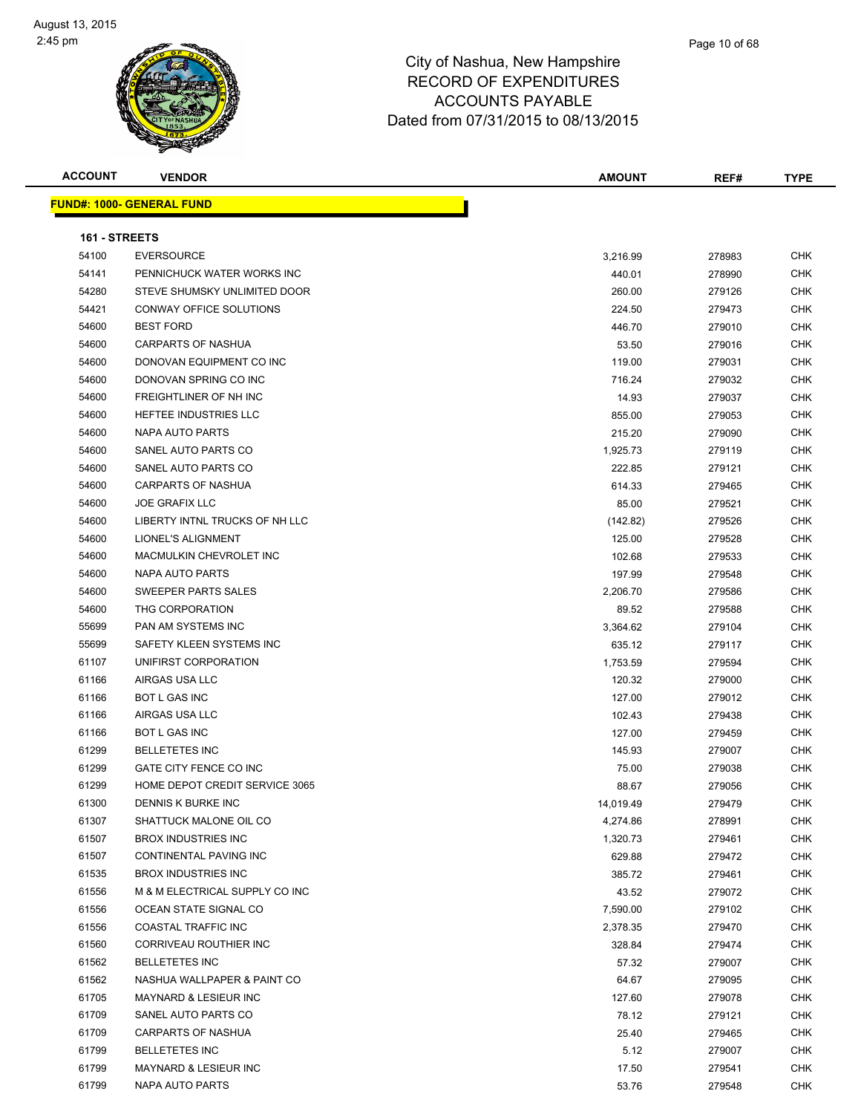| <b>ACCOUNT</b> | <b>VENDOR</b>                    | <b>AMOUNT</b> | REF#   | <b>TYPE</b> |
|----------------|----------------------------------|---------------|--------|-------------|
|                | <b>FUND#: 1000- GENERAL FUND</b> |               |        |             |
|                |                                  |               |        |             |
| 161 - STREETS  |                                  |               |        |             |
| 54100          | <b>EVERSOURCE</b>                | 3,216.99      | 278983 | <b>CHK</b>  |
| 54141          | PENNICHUCK WATER WORKS INC       | 440.01        | 278990 | CHK         |
| 54280          | STEVE SHUMSKY UNLIMITED DOOR     | 260.00        | 279126 | <b>CHK</b>  |
| 54421          | CONWAY OFFICE SOLUTIONS          | 224.50        | 279473 | CHK         |
| 54600          | <b>BEST FORD</b>                 | 446.70        | 279010 | CHK         |
| 54600          | <b>CARPARTS OF NASHUA</b>        | 53.50         | 279016 | <b>CHK</b>  |
| 54600          | DONOVAN EQUIPMENT CO INC         | 119.00        | 279031 | <b>CHK</b>  |
| 54600          | DONOVAN SPRING CO INC            | 716.24        | 279032 | CHK         |
| 54600          | FREIGHTLINER OF NH INC           | 14.93         | 279037 | CHK         |
| 54600          | HEFTEE INDUSTRIES LLC            | 855.00        | 279053 | CHK         |
| 54600          | NAPA AUTO PARTS                  | 215.20        | 279090 | CHK         |
| 54600          | SANEL AUTO PARTS CO              | 1,925.73      | 279119 | CHK         |
| 54600          | SANEL AUTO PARTS CO              | 222.85        | 279121 | CHK         |
| 54600          | <b>CARPARTS OF NASHUA</b>        | 614.33        | 279465 | <b>CHK</b>  |
| 54600          | <b>JOE GRAFIX LLC</b>            | 85.00         | 279521 | CHK         |
| 54600          | LIBERTY INTNL TRUCKS OF NH LLC   | (142.82)      | 279526 | CHK         |
| 54600          | <b>LIONEL'S ALIGNMENT</b>        | 125.00        | 279528 | <b>CHK</b>  |
| 54600          | MACMULKIN CHEVROLET INC          | 102.68        | 279533 | <b>CHK</b>  |
| 54600          | NAPA AUTO PARTS                  | 197.99        | 279548 | CHK         |
| 54600          | SWEEPER PARTS SALES              | 2,206.70      | 279586 | CHK         |
| 54600          | THG CORPORATION                  | 89.52         | 279588 | CHK         |
| 55699          | PAN AM SYSTEMS INC               | 3,364.62      | 279104 | CHK         |
| 55699          | SAFETY KLEEN SYSTEMS INC         | 635.12        | 279117 | CHK         |
| 61107          | UNIFIRST CORPORATION             | 1,753.59      | 279594 | CHK         |
| 61166          | AIRGAS USA LLC                   | 120.32        | 279000 | <b>CHK</b>  |
| 61166          | <b>BOT L GAS INC</b>             | 127.00        | 279012 | CHK         |
| 61166          | AIRGAS USA LLC                   | 102.43        | 279438 | <b>CHK</b>  |
| 61166          | <b>BOT L GAS INC</b>             | 127.00        | 279459 | <b>CHK</b>  |
| 61299          | <b>BELLETETES INC</b>            | 145.93        | 279007 | CHK         |
| 61299          | GATE CITY FENCE CO INC           | 75.00         | 279038 | CHK         |
| 61299          | HOME DEPOT CREDIT SERVICE 3065   | 88.67         | 279056 | CHK         |
| 61300          | DENNIS K BURKE INC               | 14,019.49     | 279479 | <b>CHK</b>  |
| 61307          | SHATTUCK MALONE OIL CO           | 4,274.86      | 278991 | <b>CHK</b>  |
| 61507          | <b>BROX INDUSTRIES INC</b>       | 1,320.73      | 279461 | CHK         |
| 61507          | CONTINENTAL PAVING INC           | 629.88        | 279472 | CHK         |
| 61535          | <b>BROX INDUSTRIES INC</b>       | 385.72        | 279461 | CHK         |
| 61556          | M & M ELECTRICAL SUPPLY CO INC   | 43.52         | 279072 | <b>CHK</b>  |
| 61556          | OCEAN STATE SIGNAL CO            | 7,590.00      | 279102 | <b>CHK</b>  |
| 61556          | COASTAL TRAFFIC INC              | 2,378.35      | 279470 | <b>CHK</b>  |
| 61560          | CORRIVEAU ROUTHIER INC           | 328.84        | 279474 | <b>CHK</b>  |
| 61562          | <b>BELLETETES INC</b>            | 57.32         | 279007 | CHK         |
| 61562          | NASHUA WALLPAPER & PAINT CO      | 64.67         | 279095 | <b>CHK</b>  |
| 61705          | <b>MAYNARD &amp; LESIEUR INC</b> | 127.60        | 279078 | <b>CHK</b>  |
| 61709          | SANEL AUTO PARTS CO              | 78.12         | 279121 | CHK         |
| 61709          | CARPARTS OF NASHUA               | 25.40         | 279465 | CHK         |
| 61799          | <b>BELLETETES INC</b>            | 5.12          | 279007 | CHK         |
| 61799          | MAYNARD & LESIEUR INC            | 17.50         | 279541 | CHK         |
| 61799          | NAPA AUTO PARTS                  | 53.76         | 279548 | <b>CHK</b>  |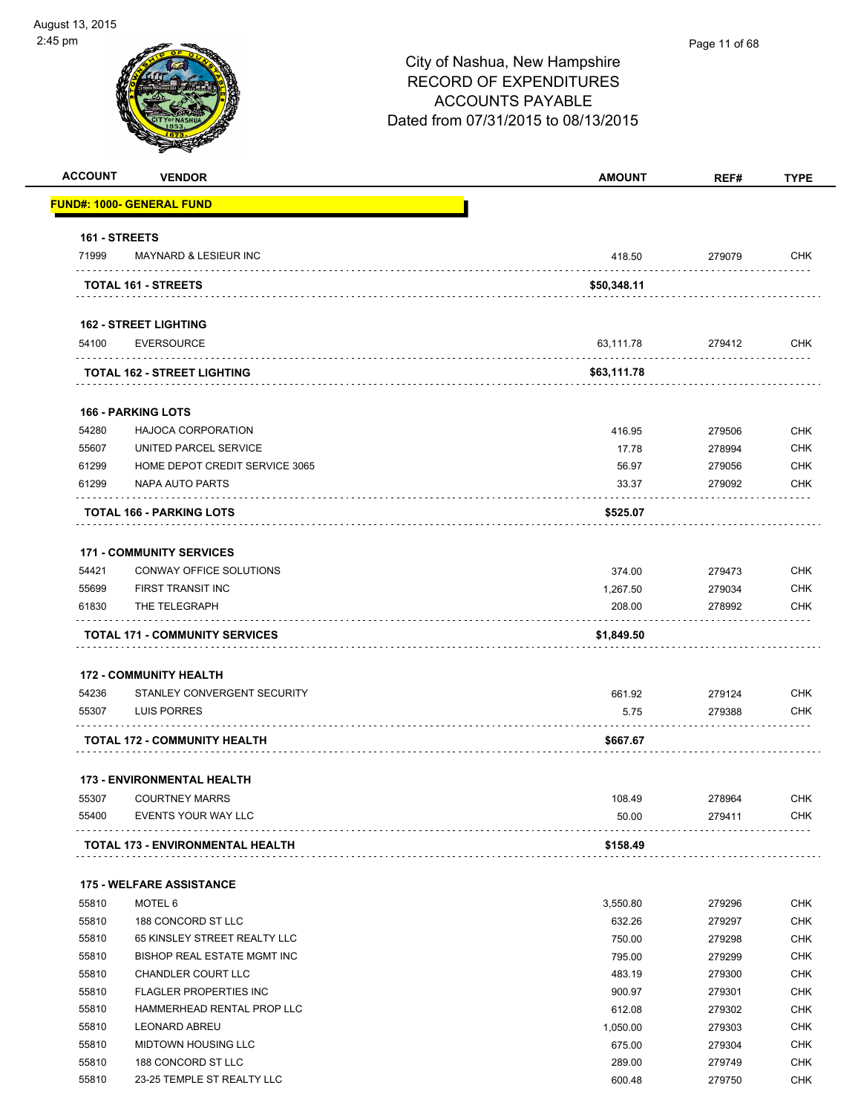| ust 13, 2015   |                                  |                                                                                                                                  |               |             |
|----------------|----------------------------------|----------------------------------------------------------------------------------------------------------------------------------|---------------|-------------|
| 5 pm           |                                  | City of Nashua, New Hampshire<br><b>RECORD OF EXPENDITURES</b><br><b>ACCOUNTS PAYABLE</b><br>Dated from 07/31/2015 to 08/13/2015 | Page 11 of 68 |             |
| <b>ACCOUNT</b> | <b>VENDOR</b>                    | <b>AMOUNT</b>                                                                                                                    | REF#          | <b>TYPE</b> |
|                | <b>FUND#: 1000- GENERAL FUND</b> |                                                                                                                                  |               |             |
| 161 - STREETS  |                                  |                                                                                                                                  |               |             |
| 71999          | <b>MAYNARD &amp; LESIEUR INC</b> | 418.50                                                                                                                           | 279079        | <b>CHK</b>  |
|                | <b>TOTAL 161 - STREETS</b>       | \$50,348.11                                                                                                                      |               |             |
|                | <b>162 - STREET LIGHTING</b>     |                                                                                                                                  |               |             |
| 54100          | <b>EVERSOURCE</b>                | 63,111.78                                                                                                                        | 279412        | <b>CHK</b>  |

|       | <b>TOTAL 162 - STREET LIGHTING</b> | \$63,111.78 |        |            |
|-------|------------------------------------|-------------|--------|------------|
|       | <b>166 - PARKING LOTS</b>          |             |        |            |
| 54280 | <b>HAJOCA CORPORATION</b>          | 416.95      | 279506 | <b>CHK</b> |
| 55607 | UNITED PARCEL SERVICE              | 17.78       | 278994 | СНК        |

|       | <b>TOTAL 166 - PARKING LOTS</b> | \$525.07 |        |         |
|-------|---------------------------------|----------|--------|---------|
| 61299 | NAPA AUTO PARTS                 | 33.37    | 279092 | CHK     |
| 61299 | HOME DEPOT CREDIT SERVICE 3065  | 56.97    | 279056 | СНК     |
|       |                                 | .        | -----  | ------- |

#### **171 - COMMUNITY SERVICES**

|       | <b>TOTAL 171 - COMMUNITY SERVICES</b> | \$1,849.50 |        |            |
|-------|---------------------------------------|------------|--------|------------|
| 61830 | THE TELEGRAPH                         | 208.00     | 278992 | CHK        |
| 55699 | FIRST TRANSIT INC                     | 1.267.50   | 279034 | <b>CHK</b> |
| 54421 | CONWAY OFFICE SOLUTIONS               | 374.00     | 279473 | <b>CHK</b> |

#### **172 - COMMUNITY HEALTH**

| 54236 | STANLEY CONVERGENT SECURITY         | 661.92   | 279124 | <b>CHK</b> |
|-------|-------------------------------------|----------|--------|------------|
| 55307 | LUIS PORRES                         | 5.75     | 279388 | <b>CHK</b> |
|       | <b>TOTAL 172 - COMMUNITY HEALTH</b> | \$667.67 |        |            |

#### **173 - ENVIRONMENTAL HEALTH**

| 55307 | <b>COURTNEY MARRS</b>                   | 108.49   | 278964 | CHK        |
|-------|-----------------------------------------|----------|--------|------------|
| 55400 | EVENTS YOUR WAY LLC                     | 50.00    | 279411 | <b>CHK</b> |
|       | <b>TOTAL 173 - ENVIRONMENTAL HEALTH</b> | \$158.49 |        |            |

#### **175 - WELFARE ASSISTANCE**

| 55810 | MOTEL 6                      | 3.550.80 | 279296 | <b>CHK</b> |
|-------|------------------------------|----------|--------|------------|
| 55810 | 188 CONCORD ST LLC           | 632.26   | 279297 | <b>CHK</b> |
| 55810 | 65 KINSLEY STREET REALTY LLC | 750.00   | 279298 | <b>CHK</b> |
| 55810 | BISHOP REAL ESTATE MGMT INC  | 795.00   | 279299 | <b>CHK</b> |
| 55810 | CHANDLER COURT LLC           | 483.19   | 279300 | <b>CHK</b> |
| 55810 | FLAGLER PROPERTIES INC       | 900.97   | 279301 | <b>CHK</b> |
| 55810 | HAMMERHEAD RENTAL PROP LLC   | 612.08   | 279302 | <b>CHK</b> |
| 55810 | <b>LEONARD ABREU</b>         | 1.050.00 | 279303 | <b>CHK</b> |
| 55810 | MIDTOWN HOUSING LLC          | 675.00   | 279304 | <b>CHK</b> |
| 55810 | 188 CONCORD ST LLC           | 289.00   | 279749 | <b>CHK</b> |
| 55810 | 23-25 TEMPLE ST REALTY LLC   | 600.48   | 279750 | <b>CHK</b> |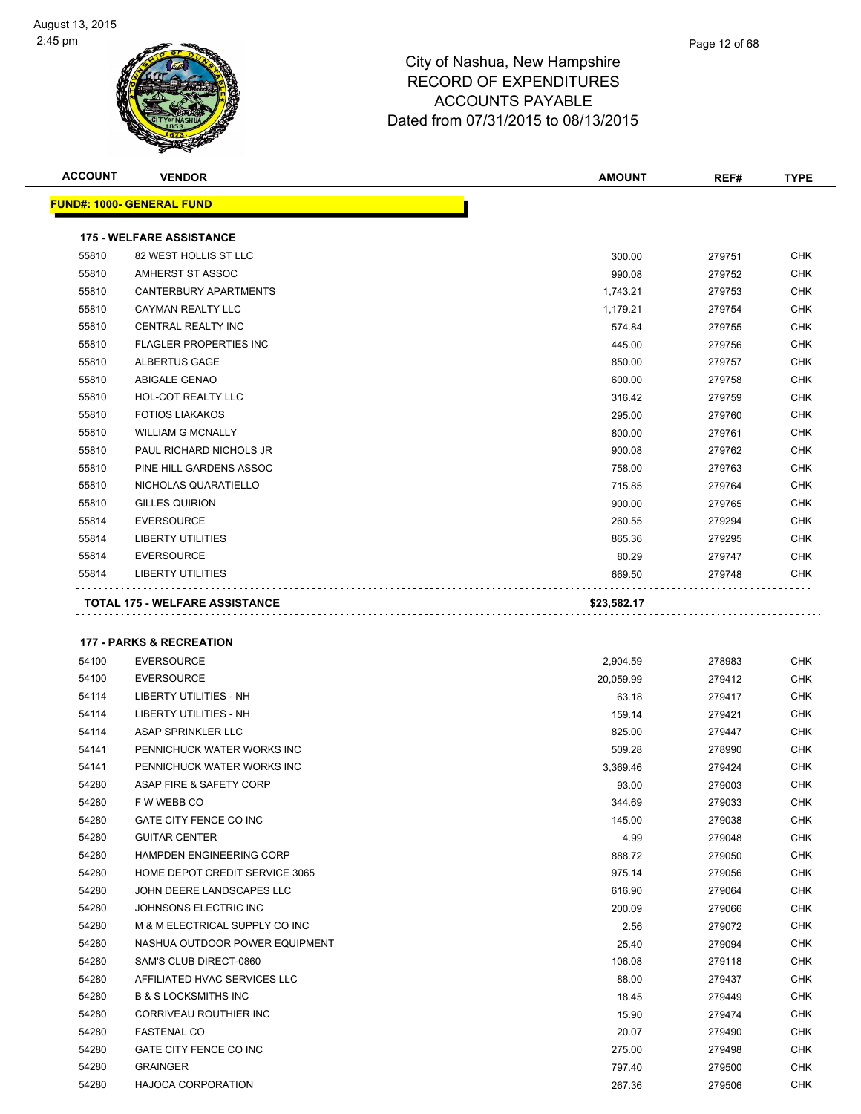| <b>ACCOUNT</b>                                                                                                                                                                                                                                                                                                                                                                                                                                                                                                                                                                                                                                                                                                                                                                                                                                                                                                                                                           | <b>VENDOR</b>                         | <b>AMOUNT</b> | REF#   | <b>TYPE</b> |
|--------------------------------------------------------------------------------------------------------------------------------------------------------------------------------------------------------------------------------------------------------------------------------------------------------------------------------------------------------------------------------------------------------------------------------------------------------------------------------------------------------------------------------------------------------------------------------------------------------------------------------------------------------------------------------------------------------------------------------------------------------------------------------------------------------------------------------------------------------------------------------------------------------------------------------------------------------------------------|---------------------------------------|---------------|--------|-------------|
| <b>FUND#: 1000- GENERAL FUND</b><br><b>175 - WELFARE ASSISTANCE</b><br>55810<br>82 WEST HOLLIS ST LLC<br>300.00<br>279751<br>55810<br>AMHERST ST ASSOC<br>990.08<br>279752<br><b>CANTERBURY APARTMENTS</b><br>55810<br>1,743.21<br>279753<br><b>CAYMAN REALTY LLC</b><br>55810<br>1,179.21<br>279754<br>55810<br>CENTRAL REALTY INC<br>574.84<br>279755<br>55810<br><b>FLAGLER PROPERTIES INC</b><br>445.00<br>279756<br>55810<br>ALBERTUS GAGE<br>850.00<br>279757<br>55810<br>ABIGALE GENAO<br>600.00<br>279758<br>55810<br><b>HOL-COT REALTY LLC</b><br>316.42<br>279759<br><b>FOTIOS LIAKAKOS</b><br>55810<br>295.00<br>279760<br>55810<br><b>WILLIAM G MCNALLY</b><br>800.00<br>279761<br>55810<br>PAUL RICHARD NICHOLS JR<br>900.08<br>279762<br>55810<br>PINE HILL GARDENS ASSOC<br>758.00<br>279763<br>55810<br>NICHOLAS QUARATIELLO<br>715.85<br>279764<br>55810<br><b>GILLES QUIRION</b><br>900.00<br>279765<br><b>EVERSOURCE</b><br>260.55<br>55814<br>279294 |                                       |               |        |             |
|                                                                                                                                                                                                                                                                                                                                                                                                                                                                                                                                                                                                                                                                                                                                                                                                                                                                                                                                                                          |                                       |               |        |             |
|                                                                                                                                                                                                                                                                                                                                                                                                                                                                                                                                                                                                                                                                                                                                                                                                                                                                                                                                                                          |                                       |               |        | <b>CHK</b>  |
|                                                                                                                                                                                                                                                                                                                                                                                                                                                                                                                                                                                                                                                                                                                                                                                                                                                                                                                                                                          |                                       |               |        | <b>CHK</b>  |
|                                                                                                                                                                                                                                                                                                                                                                                                                                                                                                                                                                                                                                                                                                                                                                                                                                                                                                                                                                          |                                       |               |        | <b>CHK</b>  |
|                                                                                                                                                                                                                                                                                                                                                                                                                                                                                                                                                                                                                                                                                                                                                                                                                                                                                                                                                                          |                                       |               |        | <b>CHK</b>  |
|                                                                                                                                                                                                                                                                                                                                                                                                                                                                                                                                                                                                                                                                                                                                                                                                                                                                                                                                                                          |                                       |               |        | <b>CHK</b>  |
|                                                                                                                                                                                                                                                                                                                                                                                                                                                                                                                                                                                                                                                                                                                                                                                                                                                                                                                                                                          |                                       |               |        | <b>CHK</b>  |
|                                                                                                                                                                                                                                                                                                                                                                                                                                                                                                                                                                                                                                                                                                                                                                                                                                                                                                                                                                          |                                       |               |        | <b>CHK</b>  |
|                                                                                                                                                                                                                                                                                                                                                                                                                                                                                                                                                                                                                                                                                                                                                                                                                                                                                                                                                                          |                                       |               |        | <b>CHK</b>  |
|                                                                                                                                                                                                                                                                                                                                                                                                                                                                                                                                                                                                                                                                                                                                                                                                                                                                                                                                                                          |                                       |               |        | <b>CHK</b>  |
|                                                                                                                                                                                                                                                                                                                                                                                                                                                                                                                                                                                                                                                                                                                                                                                                                                                                                                                                                                          |                                       |               |        | <b>CHK</b>  |
|                                                                                                                                                                                                                                                                                                                                                                                                                                                                                                                                                                                                                                                                                                                                                                                                                                                                                                                                                                          |                                       |               |        | <b>CHK</b>  |
|                                                                                                                                                                                                                                                                                                                                                                                                                                                                                                                                                                                                                                                                                                                                                                                                                                                                                                                                                                          |                                       |               |        | <b>CHK</b>  |
|                                                                                                                                                                                                                                                                                                                                                                                                                                                                                                                                                                                                                                                                                                                                                                                                                                                                                                                                                                          |                                       |               |        | <b>CHK</b>  |
|                                                                                                                                                                                                                                                                                                                                                                                                                                                                                                                                                                                                                                                                                                                                                                                                                                                                                                                                                                          |                                       |               |        | <b>CHK</b>  |
|                                                                                                                                                                                                                                                                                                                                                                                                                                                                                                                                                                                                                                                                                                                                                                                                                                                                                                                                                                          |                                       |               |        | <b>CHK</b>  |
|                                                                                                                                                                                                                                                                                                                                                                                                                                                                                                                                                                                                                                                                                                                                                                                                                                                                                                                                                                          |                                       |               |        | <b>CHK</b>  |
| 55814                                                                                                                                                                                                                                                                                                                                                                                                                                                                                                                                                                                                                                                                                                                                                                                                                                                                                                                                                                    | <b>LIBERTY UTILITIES</b>              | 865.36        | 279295 | <b>CHK</b>  |
| 55814                                                                                                                                                                                                                                                                                                                                                                                                                                                                                                                                                                                                                                                                                                                                                                                                                                                                                                                                                                    | <b>EVERSOURCE</b>                     | 80.29         | 279747 | <b>CHK</b>  |
| 55814                                                                                                                                                                                                                                                                                                                                                                                                                                                                                                                                                                                                                                                                                                                                                                                                                                                                                                                                                                    | <b>LIBERTY UTILITIES</b>              | 669.50        | 279748 | <b>CHK</b>  |
|                                                                                                                                                                                                                                                                                                                                                                                                                                                                                                                                                                                                                                                                                                                                                                                                                                                                                                                                                                          | <b>TOTAL 175 - WELFARE ASSISTANCE</b> | \$23,582.17   |        |             |
|                                                                                                                                                                                                                                                                                                                                                                                                                                                                                                                                                                                                                                                                                                                                                                                                                                                                                                                                                                          | <b>177 - PARKS &amp; RECREATION</b>   |               |        |             |
| 54100                                                                                                                                                                                                                                                                                                                                                                                                                                                                                                                                                                                                                                                                                                                                                                                                                                                                                                                                                                    | <b>EVERSOURCE</b>                     | 2,904.59      | 278983 | <b>CHK</b>  |
|                                                                                                                                                                                                                                                                                                                                                                                                                                                                                                                                                                                                                                                                                                                                                                                                                                                                                                                                                                          |                                       |               |        |             |

| 54100 | <b>EVERSOURCE</b>               | 20.059.99 | 279412 | <b>CHK</b> |
|-------|---------------------------------|-----------|--------|------------|
| 54114 | <b>LIBERTY UTILITIES - NH</b>   | 63.18     | 279417 | <b>CHK</b> |
| 54114 | LIBERTY UTILITIES - NH          | 159.14    | 279421 | <b>CHK</b> |
| 54114 | ASAP SPRINKLER LLC              | 825.00    | 279447 | <b>CHK</b> |
| 54141 | PENNICHUCK WATER WORKS INC      | 509.28    | 278990 | <b>CHK</b> |
| 54141 | PENNICHUCK WATER WORKS INC      | 3,369.46  | 279424 | <b>CHK</b> |
| 54280 | ASAP FIRE & SAFETY CORP         | 93.00     | 279003 | <b>CHK</b> |
| 54280 | F W WEBB CO                     | 344.69    | 279033 | <b>CHK</b> |
| 54280 | GATE CITY FENCE CO INC          | 145.00    | 279038 | <b>CHK</b> |
| 54280 | <b>GUITAR CENTER</b>            | 4.99      | 279048 | <b>CHK</b> |
| 54280 | <b>HAMPDEN ENGINEERING CORP</b> | 888.72    | 279050 | <b>CHK</b> |
| 54280 | HOME DEPOT CREDIT SERVICE 3065  | 975.14    | 279056 | <b>CHK</b> |
| 54280 | JOHN DEERE LANDSCAPES LLC       | 616.90    | 279064 | <b>CHK</b> |
| 54280 | JOHNSONS ELECTRIC INC           | 200.09    | 279066 | <b>CHK</b> |
| 54280 | M & M ELECTRICAL SUPPLY CO INC  | 2.56      | 279072 | <b>CHK</b> |
| 54280 | NASHUA OUTDOOR POWER EQUIPMENT  | 25.40     | 279094 | <b>CHK</b> |
| 54280 | SAM'S CLUB DIRECT-0860          | 106.08    | 279118 | <b>CHK</b> |
| 54280 | AFFILIATED HVAC SERVICES LLC    | 88.00     | 279437 | <b>CHK</b> |
| 54280 | <b>B &amp; S LOCKSMITHS INC</b> | 18.45     | 279449 | <b>CHK</b> |
| 54280 | CORRIVEAU ROUTHIER INC          | 15.90     | 279474 | <b>CHK</b> |
| 54280 | <b>FASTENAL CO</b>              | 20.07     | 279490 | <b>CHK</b> |
| 54280 | GATE CITY FENCE CO INC          | 275.00    | 279498 | <b>CHK</b> |
| 54280 | <b>GRAINGER</b>                 | 797.40    | 279500 | <b>CHK</b> |
| 54280 | <b>HAJOCA CORPORATION</b>       | 267.36    | 279506 | <b>CHK</b> |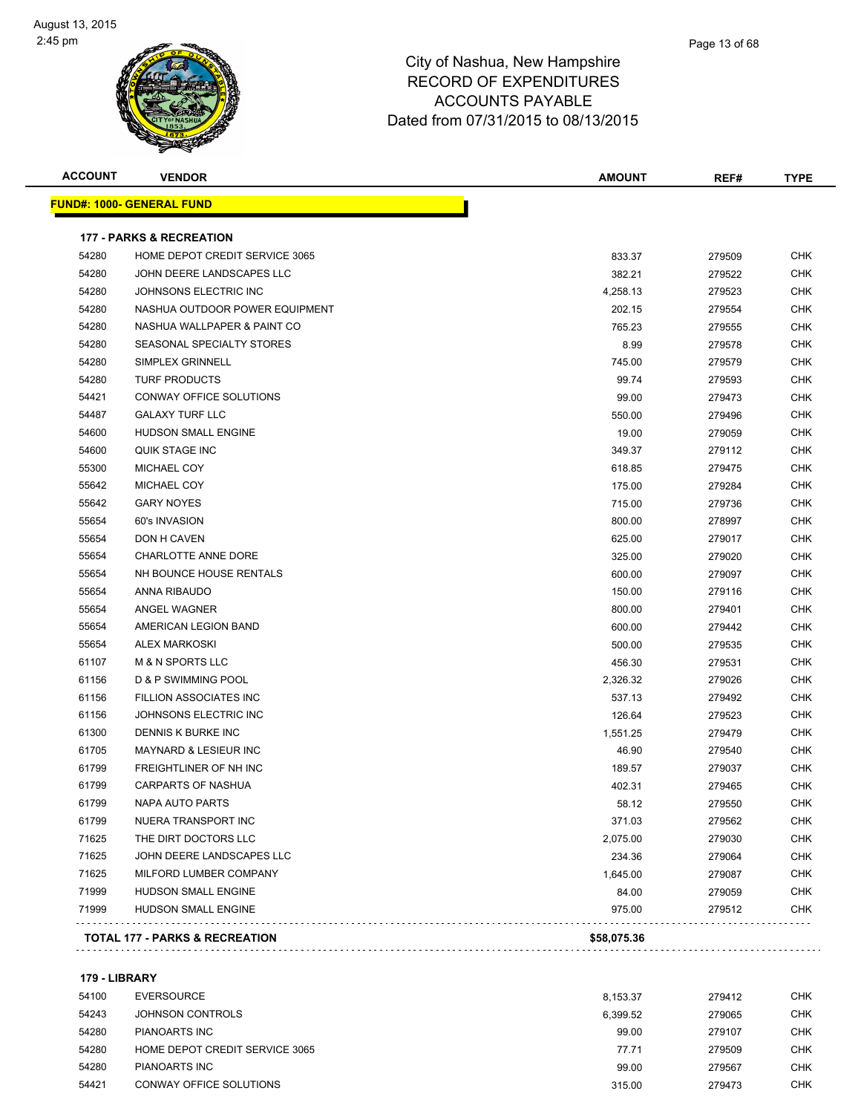

| <b>ACCOUNT</b> | <b>VENDOR</b>                       | <b>AMOUNT</b> | REF#   | <b>TYPE</b> |
|----------------|-------------------------------------|---------------|--------|-------------|
|                | <u> FUND#: 1000- GENERAL FUND</u>   |               |        |             |
|                | <b>177 - PARKS &amp; RECREATION</b> |               |        |             |
| 54280          | HOME DEPOT CREDIT SERVICE 3065      | 833.37        | 279509 | CHK         |
| 54280          | JOHN DEERE LANDSCAPES LLC           | 382.21        | 279522 | CHK         |
| 54280          | JOHNSONS ELECTRIC INC               | 4,258.13      | 279523 | <b>CHK</b>  |
| 54280          | NASHUA OUTDOOR POWER EQUIPMENT      | 202.15        | 279554 | CHK         |
| 54280          | NASHUA WALLPAPER & PAINT CO         | 765.23        | 279555 | <b>CHK</b>  |
| 54280          | SEASONAL SPECIALTY STORES           | 8.99          | 279578 | <b>CHK</b>  |
| 54280          | <b>SIMPLEX GRINNELL</b>             | 745.00        | 279579 | <b>CHK</b>  |
| 54280          | <b>TURF PRODUCTS</b>                | 99.74         | 279593 | <b>CHK</b>  |
| 54421          | CONWAY OFFICE SOLUTIONS             | 99.00         | 279473 | CHK         |
| 54487          | <b>GALAXY TURF LLC</b>              | 550.00        | 279496 | CHK         |
| 54600          | HUDSON SMALL ENGINE                 | 19.00         | 279059 | <b>CHK</b>  |
| 54600          | QUIK STAGE INC                      | 349.37        | 279112 | CHK         |
| 55300          | MICHAEL COY                         | 618.85        | 279475 | CHK         |
| 55642          | <b>MICHAEL COY</b>                  | 175.00        | 279284 | <b>CHK</b>  |
| 55642          | <b>GARY NOYES</b>                   | 715.00        | 279736 | <b>CHK</b>  |
| 55654          | 60's INVASION                       | 800.00        | 278997 | <b>CHK</b>  |
| 55654          | DON H CAVEN                         | 625.00        | 279017 | <b>CHK</b>  |
| 55654          | CHARLOTTE ANNE DORE                 | 325.00        | 279020 | CHK         |
| 55654          | NH BOUNCE HOUSE RENTALS             | 600.00        | 279097 | CHK         |
| 55654          | ANNA RIBAUDO                        | 150.00        | 279116 | CHK         |
| 55654          | ANGEL WAGNER                        | 800.00        | 279401 | CHK         |
| 55654          | AMERICAN LEGION BAND                | 600.00        | 279442 | CHK         |
| 55654          | <b>ALEX MARKOSKI</b>                | 500.00        | 279535 | CHK         |
| 61107          | M & N SPORTS LLC                    | 456.30        | 279531 | <b>CHK</b>  |
| 61156          | D & P SWIMMING POOL                 | 2,326.32      | 279026 | <b>CHK</b>  |
| 61156          | FILLION ASSOCIATES INC              | 537.13        | 279492 | CHK         |
| 61156          | JOHNSONS ELECTRIC INC               | 126.64        | 279523 | <b>CHK</b>  |
| 61300          | <b>DENNIS K BURKE INC</b>           | 1,551.25      | 279479 | <b>CHK</b>  |
| 61705          | MAYNARD & LESIEUR INC               | 46.90         | 279540 | <b>CHK</b>  |
| 61799          | FREIGHTLINER OF NH INC              | 189.57        | 279037 | CHK         |
| 61799          | <b>CARPARTS OF NASHUA</b>           | 402.31        | 279465 | CHK         |
| 61799          | NAPA AUTO PARTS                     | 58.12         | 279550 | <b>CHK</b>  |
| 61799          | NUERA TRANSPORT INC                 | 371.03        | 279562 | <b>CHK</b>  |
| 71625          | THE DIRT DOCTORS LLC                | 2,075.00      | 279030 | <b>CHK</b>  |
| 71625          | JOHN DEERE LANDSCAPES LLC           | 234.36        | 279064 | <b>CHK</b>  |
| 71625          | MILFORD LUMBER COMPANY              | 1,645.00      | 279087 | <b>CHK</b>  |
| 71999          | HUDSON SMALL ENGINE                 | 84.00         | 279059 | <b>CHK</b>  |
| 71999          | HUDSON SMALL ENGINE                 | 975.00        | 279512 | <b>CHK</b>  |

#### **179 - LIBRARY**

| 54100 | EVERSOURCE                     | 8.153.37 | 279412 | <b>CHK</b> |
|-------|--------------------------------|----------|--------|------------|
| 54243 | JOHNSON CONTROLS               | 6.399.52 | 279065 | <b>CHK</b> |
| 54280 | PIANOARTS INC                  | 99.00    | 279107 | <b>CHK</b> |
| 54280 | HOME DEPOT CREDIT SERVICE 3065 | 77.71    | 279509 | <b>CHK</b> |
| 54280 | <b>PIANOARTS INC</b>           | 99.00    | 279567 | <b>CHK</b> |
| 54421 | CONWAY OFFICE SOLUTIONS        | 315.00   | 279473 | <b>CHK</b> |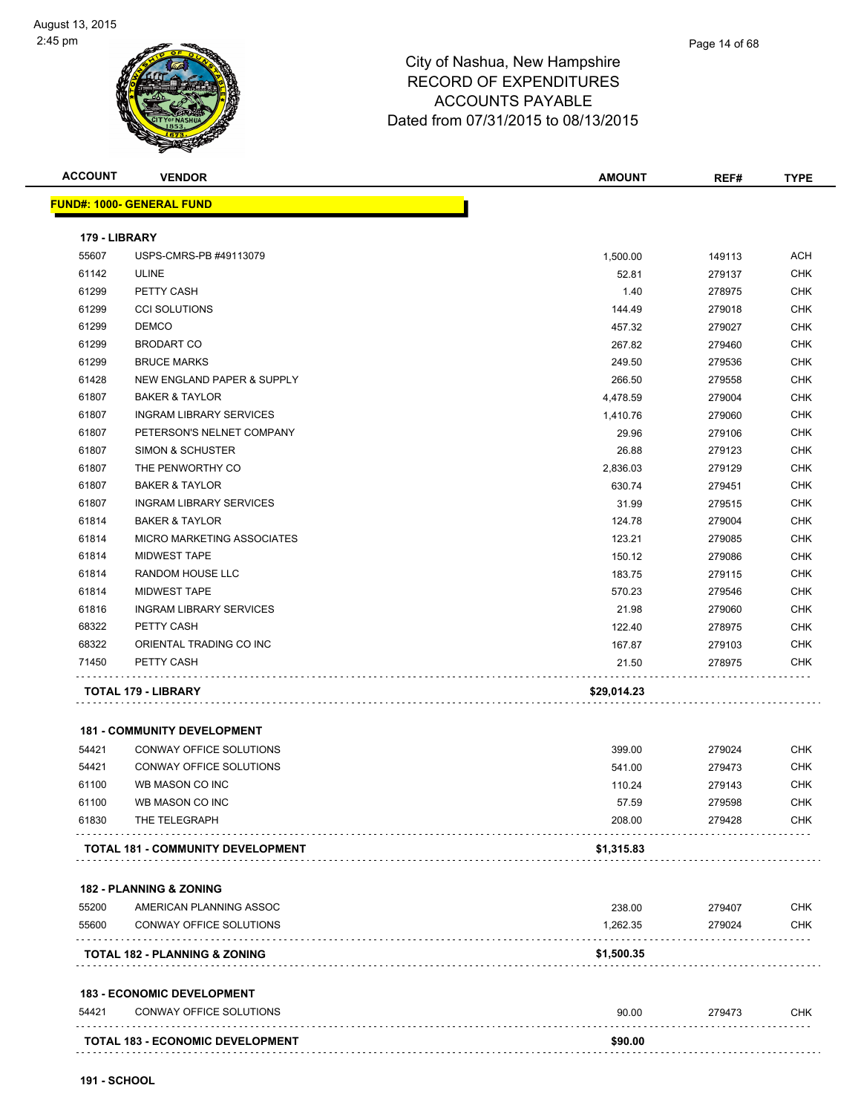#### Page 14 of 68

# City of Nashua, New Hampshire RECORD OF EXPENDITURES ACCOUNTS PAYABLE Dated from 07/31/2015 to 08/13/2015

| <b>ACCOUNT</b>         | <b>VENDOR</b>                            | <b>AMOUNT</b> | REF#   | <b>TYPE</b> |
|------------------------|------------------------------------------|---------------|--------|-------------|
|                        | <b>FUND#: 1000- GENERAL FUND</b>         |               |        |             |
|                        |                                          |               |        |             |
| 179 - LIBRARY<br>55607 | USPS-CMRS-PB #49113079                   | 1,500.00      | 149113 | <b>ACH</b>  |
| 61142                  | <b>ULINE</b>                             | 52.81         | 279137 | <b>CHK</b>  |
| 61299                  | PETTY CASH                               | 1.40          | 278975 | <b>CHK</b>  |
| 61299                  | <b>CCI SOLUTIONS</b>                     | 144.49        | 279018 | <b>CHK</b>  |
| 61299                  | <b>DEMCO</b>                             | 457.32        | 279027 | <b>CHK</b>  |
| 61299                  | <b>BRODART CO</b>                        | 267.82        | 279460 | <b>CHK</b>  |
| 61299                  | <b>BRUCE MARKS</b>                       | 249.50        | 279536 | <b>CHK</b>  |
| 61428                  | NEW ENGLAND PAPER & SUPPLY               | 266.50        | 279558 | <b>CHK</b>  |
| 61807                  | <b>BAKER &amp; TAYLOR</b>                | 4,478.59      | 279004 | <b>CHK</b>  |
| 61807                  | <b>INGRAM LIBRARY SERVICES</b>           | 1,410.76      | 279060 | <b>CHK</b>  |
| 61807                  | PETERSON'S NELNET COMPANY                | 29.96         | 279106 | <b>CHK</b>  |
| 61807                  | SIMON & SCHUSTER                         | 26.88         | 279123 | <b>CHK</b>  |
| 61807                  | THE PENWORTHY CO                         | 2,836.03      | 279129 | <b>CHK</b>  |
| 61807                  | <b>BAKER &amp; TAYLOR</b>                | 630.74        | 279451 | <b>CHK</b>  |
| 61807                  | <b>INGRAM LIBRARY SERVICES</b>           | 31.99         | 279515 | <b>CHK</b>  |
| 61814                  | <b>BAKER &amp; TAYLOR</b>                | 124.78        | 279004 | <b>CHK</b>  |
| 61814                  | MICRO MARKETING ASSOCIATES               | 123.21        | 279085 | <b>CHK</b>  |
| 61814                  | <b>MIDWEST TAPE</b>                      | 150.12        | 279086 | <b>CHK</b>  |
| 61814                  | RANDOM HOUSE LLC                         | 183.75        | 279115 | <b>CHK</b>  |
| 61814                  | <b>MIDWEST TAPE</b>                      | 570.23        | 279546 | <b>CHK</b>  |
| 61816                  | <b>INGRAM LIBRARY SERVICES</b>           | 21.98         | 279060 | <b>CHK</b>  |
| 68322                  | PETTY CASH                               | 122.40        | 278975 | <b>CHK</b>  |
| 68322                  | ORIENTAL TRADING CO INC                  | 167.87        | 279103 | <b>CHK</b>  |
| 71450                  | PETTY CASH                               | 21.50         | 278975 | <b>CHK</b>  |
|                        | TOTAL 179 - LIBRARY                      | \$29,014.23   |        |             |
|                        | <b>181 - COMMUNITY DEVELOPMENT</b>       |               |        |             |
| 54421                  | CONWAY OFFICE SOLUTIONS                  | 399.00        | 279024 | <b>CHK</b>  |
| 54421                  | CONWAY OFFICE SOLUTIONS                  | 541.00        | 279473 | <b>CHK</b>  |
| 61100                  | WB MASON CO INC                          | 110.24        | 279143 | <b>CHK</b>  |
| 61100                  | WB MASON CO INC                          | 57.59         | 279598 | <b>CHK</b>  |
| 61830                  | THE TELEGRAPH                            | 208.00        | 279428 | <b>CHK</b>  |
|                        | <b>TOTAL 181 - COMMUNITY DEVELOPMENT</b> | \$1,315.83    |        |             |
|                        |                                          |               |        |             |
|                        | 182 - PLANNING & ZONING                  |               |        |             |
| 55200                  | AMERICAN PLANNING ASSOC                  | 238.00        | 279407 | <b>CHK</b>  |
| 55600                  | CONWAY OFFICE SOLUTIONS                  | 1,262.35      | 279024 | <b>CHK</b>  |
|                        | <b>TOTAL 182 - PLANNING &amp; ZONING</b> | \$1,500.35    |        |             |
|                        | <b>183 - ECONOMIC DEVELOPMENT</b>        |               |        |             |
| 54421                  | CONWAY OFFICE SOLUTIONS                  | 90.00         | 279473 | <b>CHK</b>  |
|                        |                                          |               |        |             |

**TOTAL 183 - ECONOMIC DEVELOPMENT \$90.00**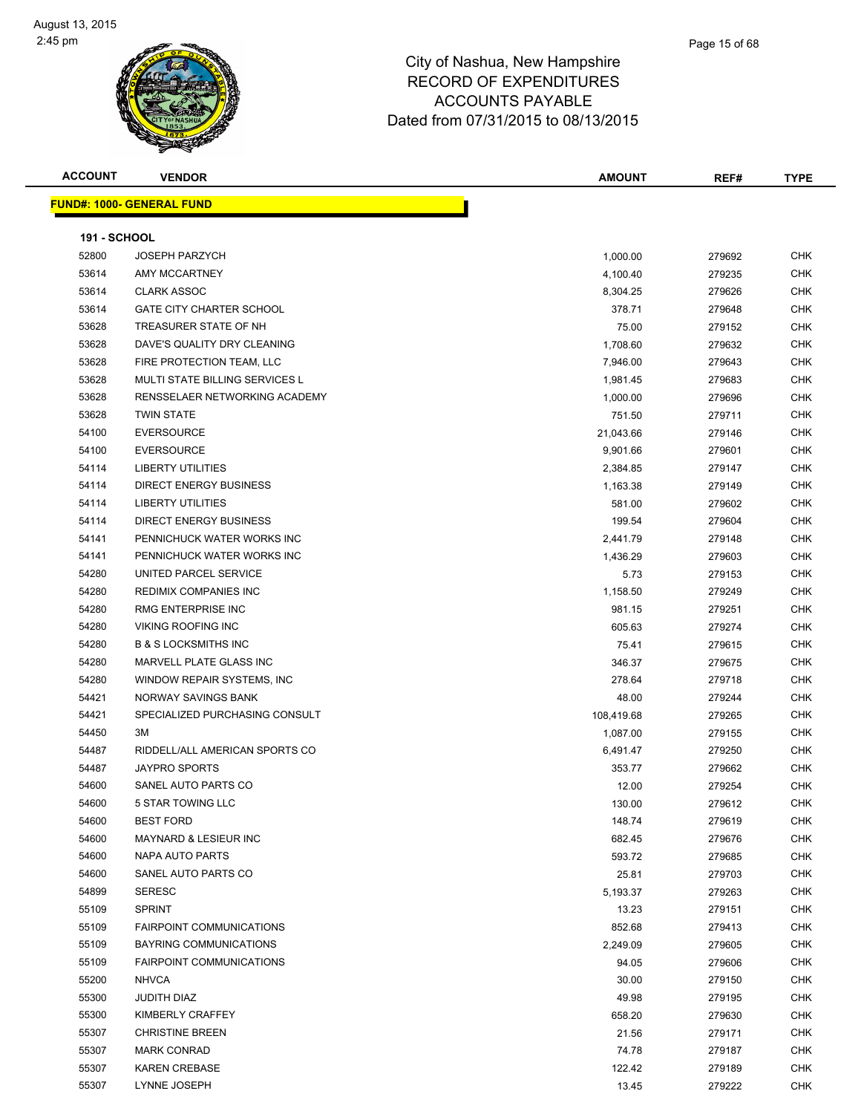#### Page 15 of 68

| <b>ACCOUNT</b>      | <b>VENDOR</b>                            | AMOUNT            | REF#             | <b>TYPE</b> |
|---------------------|------------------------------------------|-------------------|------------------|-------------|
|                     | <b>FUND#: 1000- GENERAL FUND</b>         |                   |                  |             |
|                     |                                          |                   |                  |             |
| <b>191 - SCHOOL</b> |                                          |                   |                  |             |
| 52800               | <b>JOSEPH PARZYCH</b>                    | 1,000.00          | 279692           | <b>CHK</b>  |
| 53614               | AMY MCCARTNEY                            | 4,100.40          | 279235           | <b>CHK</b>  |
| 53614               | <b>CLARK ASSOC</b>                       | 8,304.25          | 279626           | CHK         |
| 53614               | <b>GATE CITY CHARTER SCHOOL</b>          | 378.71            | 279648           | <b>CHK</b>  |
| 53628               | TREASURER STATE OF NH                    | 75.00             | 279152           | CHK         |
| 53628               | DAVE'S QUALITY DRY CLEANING              | 1,708.60          | 279632           | CHK         |
| 53628               | FIRE PROTECTION TEAM, LLC                | 7,946.00          | 279643           | CHK         |
| 53628               | MULTI STATE BILLING SERVICES L           | 1,981.45          | 279683           | CHK         |
| 53628               | RENSSELAER NETWORKING ACADEMY            | 1,000.00          | 279696           | <b>CHK</b>  |
| 53628               | <b>TWIN STATE</b>                        | 751.50            | 279711           | CHK         |
| 54100               | <b>EVERSOURCE</b>                        | 21,043.66         | 279146           | CHK         |
| 54100               | <b>EVERSOURCE</b>                        | 9,901.66          | 279601           | <b>CHK</b>  |
| 54114               | <b>LIBERTY UTILITIES</b>                 | 2,384.85          | 279147           | CHK         |
| 54114               | DIRECT ENERGY BUSINESS                   | 1,163.38          | 279149           | <b>CHK</b>  |
| 54114               | <b>LIBERTY UTILITIES</b>                 | 581.00            | 279602           | CHK         |
| 54114               | DIRECT ENERGY BUSINESS                   | 199.54            | 279604           | CHK         |
| 54141               | PENNICHUCK WATER WORKS INC               | 2,441.79          | 279148           | CHK         |
| 54141               | PENNICHUCK WATER WORKS INC               | 1,436.29          | 279603           | CHK         |
| 54280               | UNITED PARCEL SERVICE                    | 5.73              | 279153           | CHK         |
| 54280               | <b>REDIMIX COMPANIES INC</b>             | 1,158.50          | 279249           | <b>CHK</b>  |
| 54280               | RMG ENTERPRISE INC                       | 981.15            | 279251           | <b>CHK</b>  |
| 54280               | <b>VIKING ROOFING INC</b>                | 605.63            | 279274           | <b>CHK</b>  |
| 54280               | <b>B &amp; S LOCKSMITHS INC</b>          | 75.41             | 279615           | <b>CHK</b>  |
| 54280               | MARVELL PLATE GLASS INC                  | 346.37            | 279675           | <b>CHK</b>  |
| 54280               | WINDOW REPAIR SYSTEMS, INC.              | 278.64            | 279718           | <b>CHK</b>  |
| 54421               | NORWAY SAVINGS BANK                      | 48.00             | 279244           | <b>CHK</b>  |
| 54421               | SPECIALIZED PURCHASING CONSULT           | 108,419.68        | 279265           | CHK         |
| 54450               | ЗM                                       | 1,087.00          | 279155           | CHK         |
| 54487               | RIDDELL/ALL AMERICAN SPORTS CO           | 6,491.47          | 279250           | CHK         |
| 54487               | <b>JAYPRO SPORTS</b>                     | 353.77            | 279662           | CHK         |
| 54600               | SANEL AUTO PARTS CO                      | 12.00             | 279254           | <b>CHK</b>  |
| 54600               | 5 STAR TOWING LLC                        | 130.00            | 279612           | <b>CHK</b>  |
| 54600               | <b>BEST FORD</b>                         | 148.74            | 279619           | <b>CHK</b>  |
| 54600               | MAYNARD & LESIEUR INC<br>NAPA AUTO PARTS | 682.45            | 279676           | <b>CHK</b>  |
| 54600               | SANEL AUTO PARTS CO                      | 593.72            | 279685           | <b>CHK</b>  |
| 54600<br>54899      | <b>SERESC</b>                            | 25.81             | 279703           | <b>CHK</b>  |
| 55109               | <b>SPRINT</b>                            | 5,193.37<br>13.23 | 279263           | CHK<br>CHK  |
| 55109               | <b>FAIRPOINT COMMUNICATIONS</b>          | 852.68            | 279151<br>279413 | <b>CHK</b>  |
| 55109               | BAYRING COMMUNICATIONS                   | 2,249.09          | 279605           | CHK         |
| 55109               | <b>FAIRPOINT COMMUNICATIONS</b>          | 94.05             | 279606           | CHK         |
| 55200               | <b>NHVCA</b>                             | 30.00             | 279150           | <b>CHK</b>  |
| 55300               | JUDITH DIAZ                              | 49.98             | 279195           | <b>CHK</b>  |
| 55300               | KIMBERLY CRAFFEY                         | 658.20            | 279630           | <b>CHK</b>  |
| 55307               | <b>CHRISTINE BREEN</b>                   | 21.56             | 279171           | <b>CHK</b>  |
| 55307               | <b>MARK CONRAD</b>                       | 74.78             | 279187           | CHK         |
| 55307               | <b>KAREN CREBASE</b>                     | 122.42            | 279189           | CHK         |
| 55307               | LYNNE JOSEPH                             | 13.45             | 279222           | CHK         |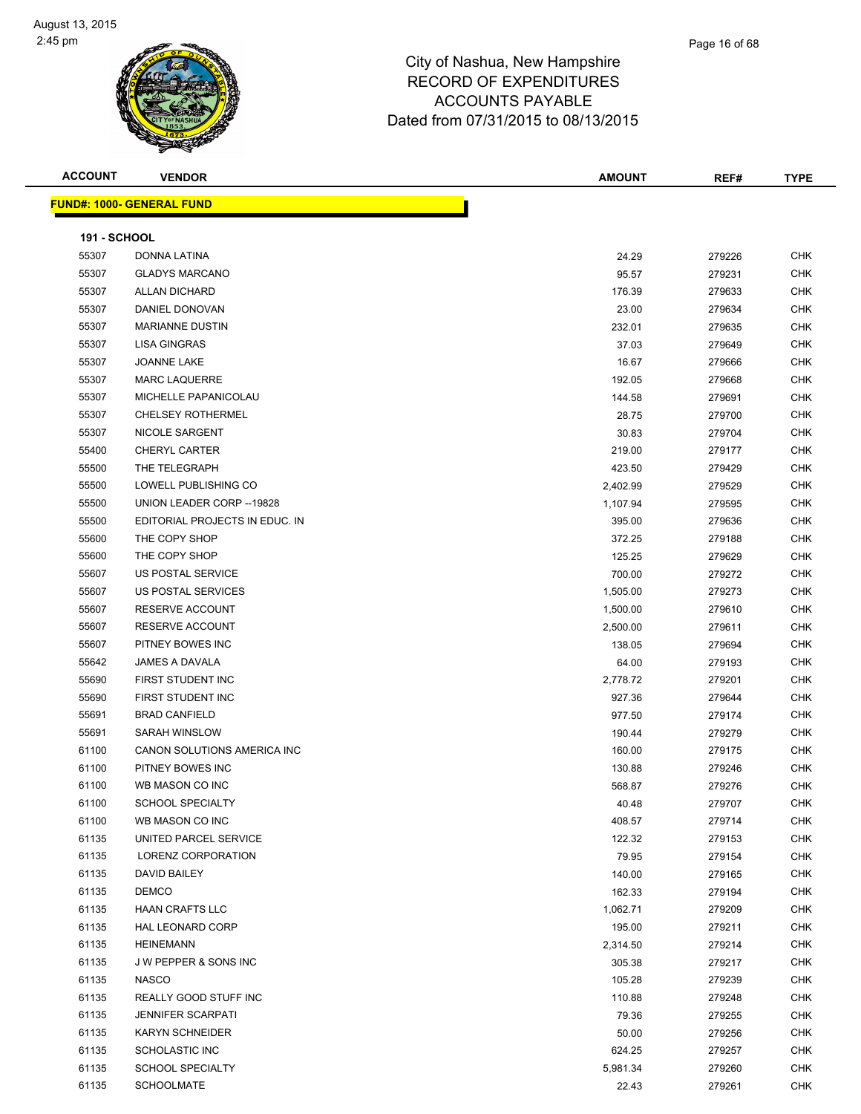| <b>ACCOUNT</b>      | <b>VENDOR</b>                     | <b>AMOUNT</b> | REF#   | <b>TYPE</b> |
|---------------------|-----------------------------------|---------------|--------|-------------|
|                     | <u> FUND#: 1000- GENERAL FUND</u> |               |        |             |
|                     |                                   |               |        |             |
| <b>191 - SCHOOL</b> |                                   |               |        |             |
| 55307               | DONNA LATINA                      | 24.29         | 279226 | <b>CHK</b>  |
| 55307               | <b>GLADYS MARCANO</b>             | 95.57         | 279231 | <b>CHK</b>  |
| 55307               | <b>ALLAN DICHARD</b>              | 176.39        | 279633 | <b>CHK</b>  |
| 55307               | DANIEL DONOVAN                    | 23.00         | 279634 | <b>CHK</b>  |
| 55307               | <b>MARIANNE DUSTIN</b>            | 232.01        | 279635 | <b>CHK</b>  |
| 55307               | <b>LISA GINGRAS</b>               | 37.03         | 279649 | <b>CHK</b>  |
| 55307               | JOANNE LAKE                       | 16.67         | 279666 | <b>CHK</b>  |
| 55307               | <b>MARC LAQUERRE</b>              | 192.05        | 279668 | <b>CHK</b>  |
| 55307               | MICHELLE PAPANICOLAU              | 144.58        | 279691 | <b>CHK</b>  |
| 55307               | <b>CHELSEY ROTHERMEL</b>          | 28.75         | 279700 | CHK         |
| 55307               | NICOLE SARGENT                    | 30.83         | 279704 | CHK         |
| 55400               | <b>CHERYL CARTER</b>              | 219.00        | 279177 | <b>CHK</b>  |
| 55500               | THE TELEGRAPH                     | 423.50        | 279429 | <b>CHK</b>  |
| 55500               | LOWELL PUBLISHING CO              | 2,402.99      | 279529 | <b>CHK</b>  |
| 55500               | UNION LEADER CORP -- 19828        | 1,107.94      | 279595 | <b>CHK</b>  |
| 55500               | EDITORIAL PROJECTS IN EDUC. IN    | 395.00        | 279636 | <b>CHK</b>  |
| 55600               | THE COPY SHOP                     | 372.25        | 279188 | <b>CHK</b>  |
| 55600               | THE COPY SHOP                     | 125.25        | 279629 | <b>CHK</b>  |
| 55607               | US POSTAL SERVICE                 | 700.00        | 279272 | <b>CHK</b>  |
| 55607               | US POSTAL SERVICES                | 1,505.00      | 279273 | <b>CHK</b>  |
| 55607               | <b>RESERVE ACCOUNT</b>            | 1,500.00      | 279610 | <b>CHK</b>  |
| 55607               | RESERVE ACCOUNT                   | 2,500.00      | 279611 | <b>CHK</b>  |
| 55607               | PITNEY BOWES INC                  | 138.05        | 279694 | <b>CHK</b>  |
| 55642               | JAMES A DAVALA                    | 64.00         | 279193 | <b>CHK</b>  |
| 55690               | FIRST STUDENT INC                 | 2,778.72      | 279201 | <b>CHK</b>  |
| 55690               | FIRST STUDENT INC                 | 927.36        | 279644 | <b>CHK</b>  |
| 55691               | <b>BRAD CANFIELD</b>              | 977.50        | 279174 | <b>CHK</b>  |
| 55691               | SARAH WINSLOW                     | 190.44        | 279279 | <b>CHK</b>  |
| 61100               | CANON SOLUTIONS AMERICA INC       | 160.00        | 279175 | <b>CHK</b>  |
| 61100               | PITNEY BOWES INC                  | 130.88        | 279246 | CHK         |
| 61100               | WB MASON CO INC                   | 568.87        | 279276 | <b>CHK</b>  |
| 61100               | <b>SCHOOL SPECIALTY</b>           | 40.48         | 279707 | <b>CHK</b>  |
| 61100               | WB MASON CO INC                   | 408.57        | 279714 | <b>CHK</b>  |
| 61135               | UNITED PARCEL SERVICE             | 122.32        | 279153 | <b>CHK</b>  |
| 61135               | LORENZ CORPORATION                | 79.95         | 279154 | CHK         |
| 61135               | DAVID BAILEY                      | 140.00        | 279165 | CHK         |
| 61135               | <b>DEMCO</b>                      | 162.33        | 279194 | <b>CHK</b>  |
| 61135               | <b>HAAN CRAFTS LLC</b>            | 1,062.71      | 279209 | <b>CHK</b>  |
| 61135               | HAL LEONARD CORP                  | 195.00        | 279211 | <b>CHK</b>  |
| 61135               | <b>HEINEMANN</b>                  | 2,314.50      | 279214 | <b>CHK</b>  |
| 61135               | J W PEPPER & SONS INC             | 305.38        | 279217 | CHK         |
| 61135               | <b>NASCO</b>                      | 105.28        | 279239 | <b>CHK</b>  |
| 61135               | REALLY GOOD STUFF INC             | 110.88        | 279248 | <b>CHK</b>  |
| 61135               | <b>JENNIFER SCARPATI</b>          | 79.36         | 279255 | <b>CHK</b>  |
| 61135               | <b>KARYN SCHNEIDER</b>            | 50.00         | 279256 | <b>CHK</b>  |
| 61135               | <b>SCHOLASTIC INC</b>             | 624.25        | 279257 | CHK         |
| 61135               | <b>SCHOOL SPECIALTY</b>           | 5,981.34      | 279260 | CHK         |
| 61135               | <b>SCHOOLMATE</b>                 | 22.43         | 279261 | <b>CHK</b>  |
|                     |                                   |               |        |             |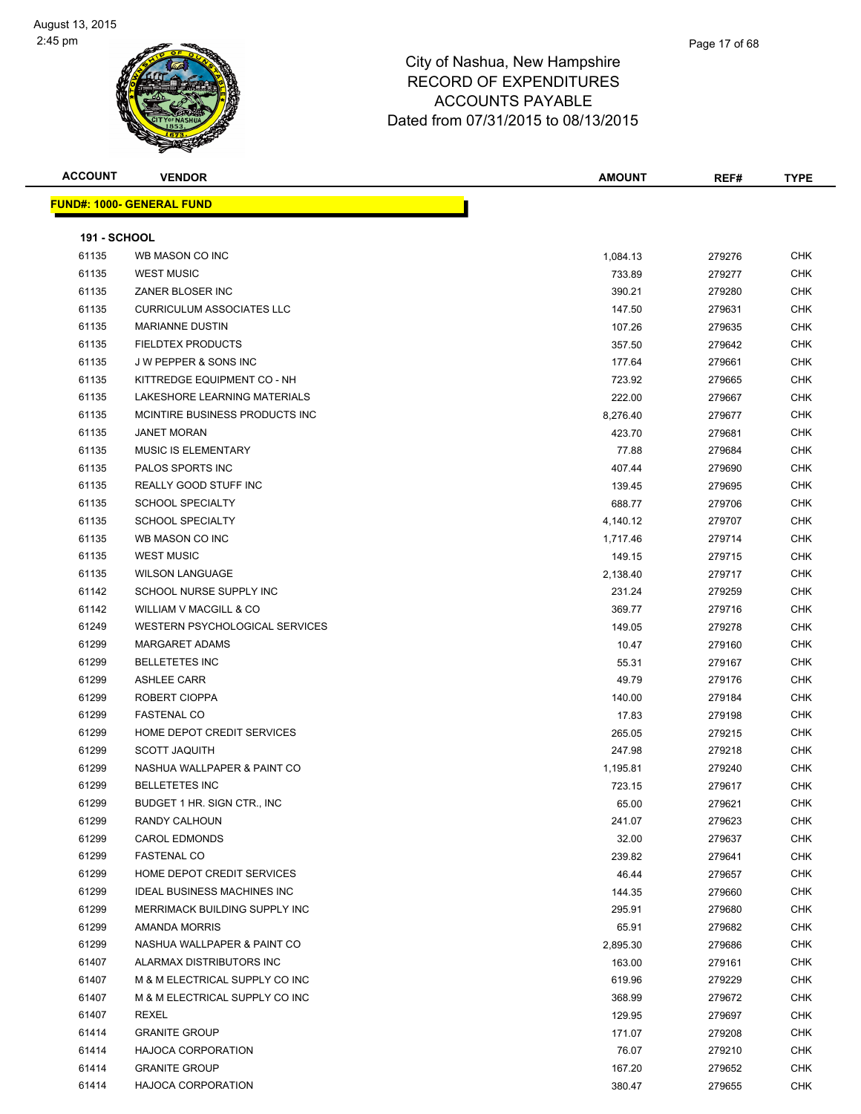| <b>ACCOUNT</b>      | <b>VENDOR</b>                                     | <b>AMOUNT</b>    | REF#             | <b>TYPE</b> |
|---------------------|---------------------------------------------------|------------------|------------------|-------------|
|                     | <b>FUND#: 1000- GENERAL FUND</b>                  |                  |                  |             |
|                     |                                                   |                  |                  |             |
| <b>191 - SCHOOL</b> |                                                   |                  |                  |             |
| 61135               | WB MASON CO INC                                   | 1,084.13         | 279276           | CHK         |
| 61135               | <b>WEST MUSIC</b>                                 | 733.89           | 279277           | <b>CHK</b>  |
| 61135               | ZANER BLOSER INC                                  | 390.21           | 279280           | <b>CHK</b>  |
| 61135               | <b>CURRICULUM ASSOCIATES LLC</b>                  | 147.50           | 279631           | <b>CHK</b>  |
| 61135               | <b>MARIANNE DUSTIN</b>                            | 107.26           | 279635           | CHK         |
| 61135               | <b>FIELDTEX PRODUCTS</b>                          | 357.50           | 279642           | <b>CHK</b>  |
| 61135               | J W PEPPER & SONS INC                             | 177.64           | 279661           | CHK         |
| 61135               | KITTREDGE EQUIPMENT CO - NH                       | 723.92           | 279665           | CHK         |
| 61135               | LAKESHORE LEARNING MATERIALS                      | 222.00           | 279667           | CHK         |
| 61135               | MCINTIRE BUSINESS PRODUCTS INC                    | 8,276.40         | 279677           | CHK         |
| 61135               | <b>JANET MORAN</b>                                | 423.70           | 279681           | CHK         |
| 61135               | <b>MUSIC IS ELEMENTARY</b>                        | 77.88            | 279684           | <b>CHK</b>  |
| 61135               | <b>PALOS SPORTS INC</b>                           | 407.44           | 279690           | <b>CHK</b>  |
| 61135               | REALLY GOOD STUFF INC                             | 139.45           | 279695           | <b>CHK</b>  |
| 61135               | <b>SCHOOL SPECIALTY</b>                           | 688.77           | 279706           | <b>CHK</b>  |
| 61135               | <b>SCHOOL SPECIALTY</b>                           | 4,140.12         | 279707           | <b>CHK</b>  |
| 61135               | WB MASON CO INC                                   | 1,717.46         | 279714           | <b>CHK</b>  |
| 61135               | <b>WEST MUSIC</b>                                 | 149.15           | 279715           | CHK         |
| 61135               | <b>WILSON LANGUAGE</b>                            | 2,138.40         | 279717           | <b>CHK</b>  |
| 61142               | SCHOOL NURSE SUPPLY INC                           | 231.24           | 279259           | <b>CHK</b>  |
| 61142               | WILLIAM V MACGILL & CO                            | 369.77           | 279716           | <b>CHK</b>  |
| 61249               | WESTERN PSYCHOLOGICAL SERVICES                    | 149.05           | 279278           | <b>CHK</b>  |
| 61299               | <b>MARGARET ADAMS</b>                             | 10.47            | 279160           | <b>CHK</b>  |
| 61299               | <b>BELLETETES INC</b>                             | 55.31            | 279167           | <b>CHK</b>  |
| 61299               | <b>ASHLEE CARR</b>                                | 49.79            | 279176           | <b>CHK</b>  |
| 61299               | ROBERT CIOPPA                                     | 140.00           | 279184           | <b>CHK</b>  |
| 61299               | <b>FASTENAL CO</b>                                | 17.83            | 279198           | <b>CHK</b>  |
| 61299               | HOME DEPOT CREDIT SERVICES                        | 265.05           | 279215           | <b>CHK</b>  |
| 61299               | <b>SCOTT JAQUITH</b>                              | 247.98           | 279218           | CHK         |
| 61299               | NASHUA WALLPAPER & PAINT CO                       | 1,195.81         | 279240           | CHK         |
| 61299               | <b>BELLETETES INC</b>                             | 723.15           | 279617           | CHK         |
| 61299               | BUDGET 1 HR. SIGN CTR., INC                       | 65.00            | 279621           | <b>CHK</b>  |
| 61299               | <b>RANDY CALHOUN</b>                              | 241.07           | 279623           | CHK         |
| 61299               | <b>CAROL EDMONDS</b>                              | 32.00            | 279637           | CHK         |
| 61299               | <b>FASTENAL CO</b>                                | 239.82           | 279641           | <b>CHK</b>  |
| 61299               | HOME DEPOT CREDIT SERVICES                        | 46.44            | 279657           | CHK         |
| 61299               | <b>IDEAL BUSINESS MACHINES INC</b>                | 144.35           | 279660           | <b>CHK</b>  |
| 61299               | MERRIMACK BUILDING SUPPLY INC                     | 295.91           | 279680           | <b>CHK</b>  |
| 61299               | AMANDA MORRIS                                     | 65.91            | 279682           | CHK         |
| 61299               | NASHUA WALLPAPER & PAINT CO                       | 2,895.30         | 279686           | CHK         |
| 61407               | ALARMAX DISTRIBUTORS INC                          | 163.00           | 279161           | CHK         |
| 61407               | M & M ELECTRICAL SUPPLY CO INC                    | 619.96           | 279229           | CHK         |
| 61407               | M & M ELECTRICAL SUPPLY CO INC                    | 368.99           | 279672           | CHK         |
| 61407               | REXEL                                             | 129.95           | 279697           | CHK         |
| 61414<br>61414      | <b>GRANITE GROUP</b>                              | 171.07<br>76.07  | 279208           | CHK         |
| 61414               | <b>HAJOCA CORPORATION</b><br><b>GRANITE GROUP</b> |                  | 279210           | CHK<br>CHK  |
| 61414               | HAJOCA CORPORATION                                | 167.20<br>380.47 | 279652<br>279655 | <b>CHK</b>  |
|                     |                                                   |                  |                  |             |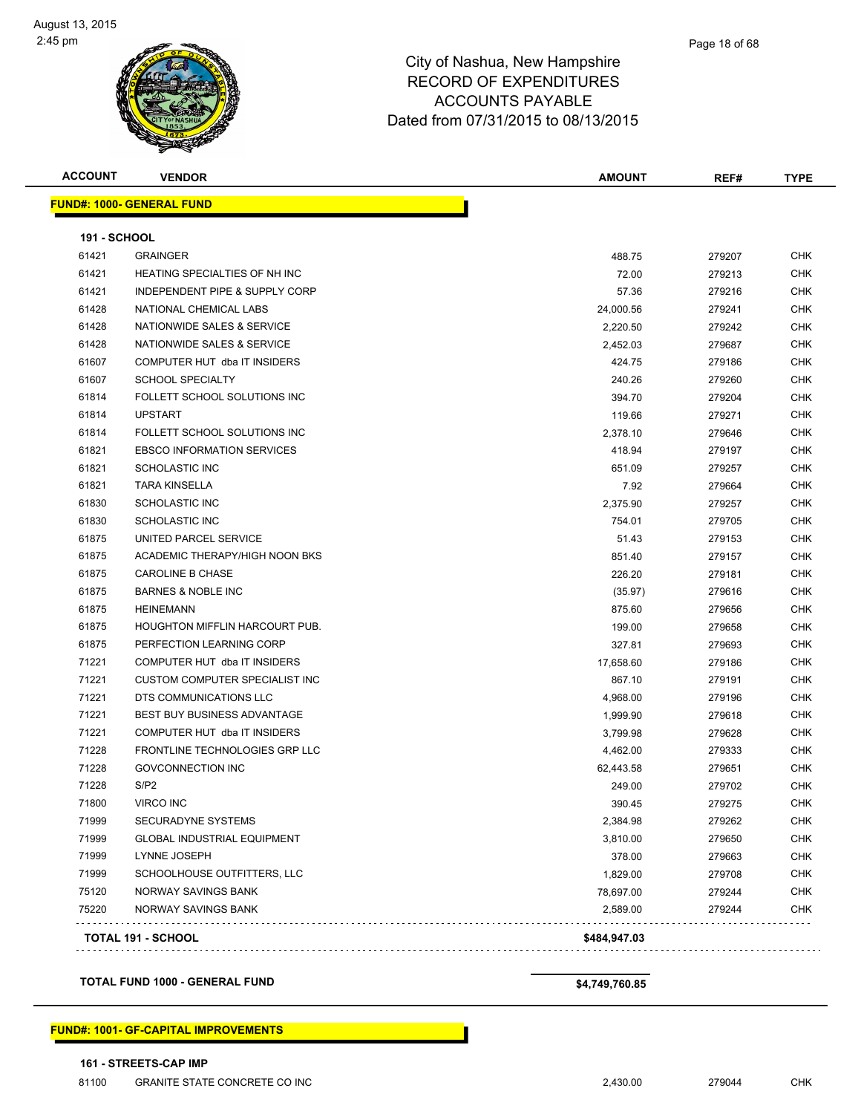#### Page 18 of 68

## City of Nashua, New Hampshire RECORD OF EXPENDITURES ACCOUNTS PAYABLE Dated from 07/31/2015 to 08/13/2015

| <b>ACCOUNT</b>      | <b>VENDOR</b>                         | <b>AMOUNT</b> | REF#   | <b>TYPE</b> |
|---------------------|---------------------------------------|---------------|--------|-------------|
|                     | <b>FUND#: 1000- GENERAL FUND</b>      |               |        |             |
| <b>191 - SCHOOL</b> |                                       |               |        |             |
| 61421               | <b>GRAINGER</b>                       | 488.75        | 279207 | <b>CHK</b>  |
| 61421               | HEATING SPECIALTIES OF NH INC         | 72.00         | 279213 | CHK         |
| 61421               | INDEPENDENT PIPE & SUPPLY CORP        | 57.36         | 279216 | CHK         |
| 61428               | NATIONAL CHEMICAL LABS                | 24,000.56     | 279241 | CHK         |
| 61428               | NATIONWIDE SALES & SERVICE            | 2,220.50      | 279242 | <b>CHK</b>  |
| 61428               | NATIONWIDE SALES & SERVICE            | 2,452.03      | 279687 | CHK         |
| 61607               | COMPUTER HUT dba IT INSIDERS          | 424.75        | 279186 | CHK         |
| 61607               | <b>SCHOOL SPECIALTY</b>               | 240.26        | 279260 | CHK         |
| 61814               | FOLLETT SCHOOL SOLUTIONS INC          | 394.70        | 279204 | <b>CHK</b>  |
| 61814               | <b>UPSTART</b>                        | 119.66        | 279271 | CHK         |
| 61814               | FOLLETT SCHOOL SOLUTIONS INC          | 2,378.10      | 279646 | CHK         |
| 61821               | <b>EBSCO INFORMATION SERVICES</b>     | 418.94        | 279197 | CHK         |
| 61821               | SCHOLASTIC INC                        | 651.09        | 279257 | CHK         |
| 61821               | <b>TARA KINSELLA</b>                  | 7.92          | 279664 | CHK         |
| 61830               | <b>SCHOLASTIC INC</b>                 | 2,375.90      | 279257 | CHK         |
| 61830               | <b>SCHOLASTIC INC</b>                 | 754.01        | 279705 | CHK         |
| 61875               | UNITED PARCEL SERVICE                 | 51.43         | 279153 | CHK         |
| 61875               | ACADEMIC THERAPY/HIGH NOON BKS        | 851.40        | 279157 | CHK         |
| 61875               | <b>CAROLINE B CHASE</b>               | 226.20        | 279181 | <b>CHK</b>  |
| 61875               | <b>BARNES &amp; NOBLE INC</b>         | (35.97)       | 279616 | <b>CHK</b>  |
| 61875               | <b>HEINEMANN</b>                      | 875.60        | 279656 | CHK         |
| 61875               | <b>HOUGHTON MIFFLIN HARCOURT PUB.</b> | 199.00        | 279658 | <b>CHK</b>  |
| 61875               | PERFECTION LEARNING CORP              | 327.81        | 279693 | CHK         |
| 71221               | COMPUTER HUT dba IT INSIDERS          | 17,658.60     | 279186 | CHK         |
| 71221               | CUSTOM COMPUTER SPECIALIST INC        | 867.10        | 279191 | CHK         |
| 71221               | DTS COMMUNICATIONS LLC                | 4,968.00      | 279196 | <b>CHK</b>  |
| 71221               | <b>BEST BUY BUSINESS ADVANTAGE</b>    | 1,999.90      | 279618 | <b>CHK</b>  |
| 71221               | COMPUTER HUT dba IT INSIDERS          | 3,799.98      | 279628 | CHK         |
| 71228               | FRONTLINE TECHNOLOGIES GRP LLC        | 4,462.00      | 279333 | CHK         |
| 71228               | <b>GOVCONNECTION INC</b>              | 62,443.58     | 279651 | <b>CHK</b>  |
| 71228               | S/P2                                  | 249.00        | 279702 | <b>CHK</b>  |
| 71800               | VIRCO INC                             | 390.45        | 279275 | <b>CHK</b>  |
| 71999               | SECURADYNE SYSTEMS                    | 2,384.98      | 279262 | <b>CHK</b>  |
| 71999               | <b>GLOBAL INDUSTRIAL EQUIPMENT</b>    | 3,810.00      | 279650 | <b>CHK</b>  |
| 71999               | LYNNE JOSEPH                          | 378.00        | 279663 | <b>CHK</b>  |
| 71999               | SCHOOLHOUSE OUTFITTERS, LLC           | 1,829.00      | 279708 | <b>CHK</b>  |
| 75120               | NORWAY SAVINGS BANK                   | 78,697.00     | 279244 | <b>CHK</b>  |
| 75220               | NORWAY SAVINGS BANK                   | 2,589.00      | 279244 | <b>CHK</b>  |
|                     | <b>TOTAL 191 - SCHOOL</b>             | \$484,947.03  |        |             |
|                     |                                       |               |        |             |

#### **TOTAL FUND 1000 - GENERAL FUND \$4,749,760.85**

#### **FUND#: 1001- GF-CAPITAL IMPROVEMENTS**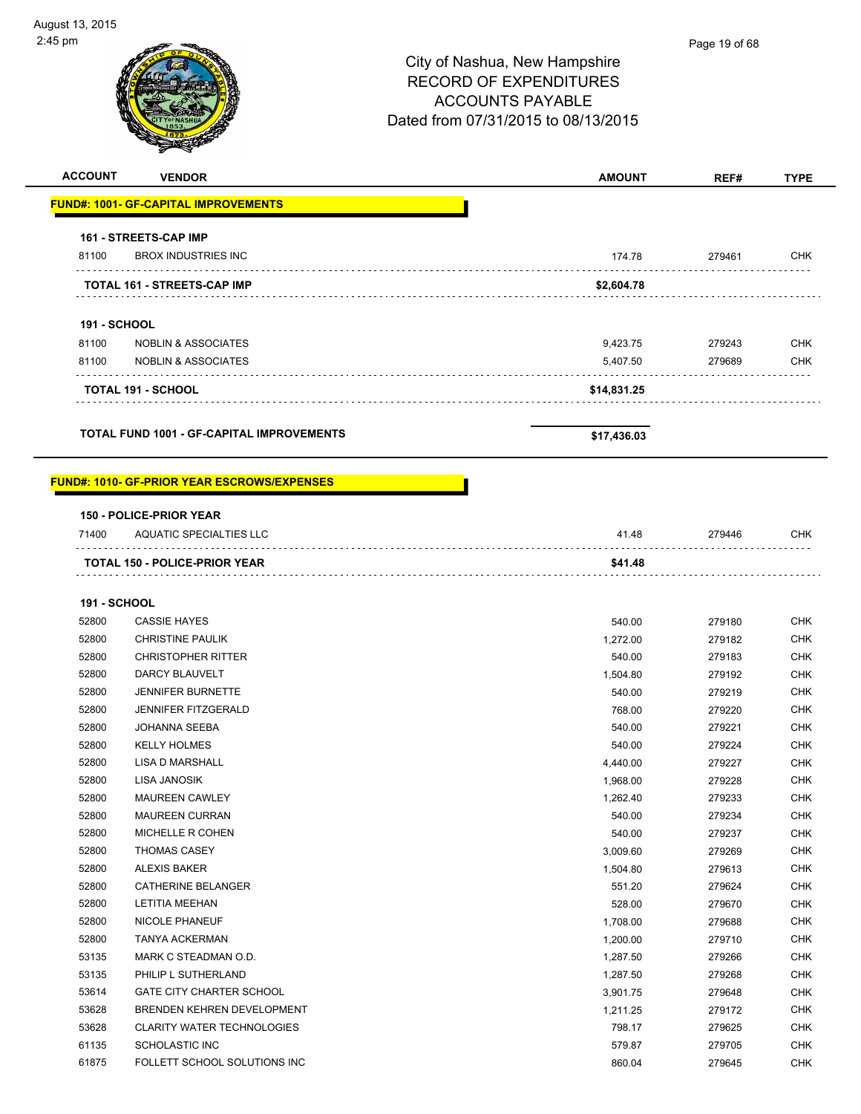| <b>ACCOUNT</b>      | <b>VENDOR</b>                                    | <b>AMOUNT</b> | REF#   | <b>TYPE</b> |
|---------------------|--------------------------------------------------|---------------|--------|-------------|
|                     |                                                  |               |        |             |
|                     | <b>FUND#: 1001- GF-CAPITAL IMPROVEMENTS</b>      |               |        |             |
|                     | <b>161 - STREETS-CAP IMP</b>                     |               |        |             |
| 81100               | <b>BROX INDUSTRIES INC</b>                       | 174.78        | 279461 | <b>CHK</b>  |
|                     | <b>TOTAL 161 - STREETS-CAP IMP</b>               | \$2,604.78    |        |             |
| <b>191 - SCHOOL</b> |                                                  |               |        |             |
| 81100               | <b>NOBLIN &amp; ASSOCIATES</b>                   | 9,423.75      | 279243 | <b>CHK</b>  |
| 81100               | <b>NOBLIN &amp; ASSOCIATES</b>                   | 5,407.50      | 279689 | <b>CHK</b>  |
|                     | <b>TOTAL 191 - SCHOOL</b>                        | \$14,831.25   |        |             |
|                     | <b>TOTAL FUND 1001 - GF-CAPITAL IMPROVEMENTS</b> | \$17,436.03   |        |             |

#### **FUND#: 1010- GF-PRIOR YEAR ESCROWS/EXPENSES**

#### **150 - POLICE-PRIOR YEAR**

| 71400 | AQUATIC SPECIALTIES LLC              | 41.48   | 279446 | СНК |
|-------|--------------------------------------|---------|--------|-----|
|       |                                      |         |        |     |
|       | <b>TOTAL 150 - POLICE-PRIOR YEAR</b> | \$41.48 |        |     |

#### **191 - SCHOOL**

| 52800 | <b>CASSIE HAYES</b>               | 540.00   | 279180 | <b>CHK</b> |
|-------|-----------------------------------|----------|--------|------------|
| 52800 | <b>CHRISTINE PAULIK</b>           | 1,272.00 | 279182 | <b>CHK</b> |
| 52800 | <b>CHRISTOPHER RITTER</b>         | 540.00   | 279183 | <b>CHK</b> |
| 52800 | DARCY BLAUVELT                    | 1,504.80 | 279192 | <b>CHK</b> |
| 52800 | <b>JENNIFER BURNETTE</b>          | 540.00   | 279219 | <b>CHK</b> |
| 52800 | JENNIFER FITZGERALD               | 768.00   | 279220 | <b>CHK</b> |
| 52800 | <b>JOHANNA SEEBA</b>              | 540.00   | 279221 | <b>CHK</b> |
| 52800 | <b>KELLY HOLMES</b>               | 540.00   | 279224 | <b>CHK</b> |
| 52800 | <b>LISA D MARSHALL</b>            | 4,440.00 | 279227 | <b>CHK</b> |
| 52800 | <b>LISA JANOSIK</b>               | 1,968.00 | 279228 | <b>CHK</b> |
| 52800 | <b>MAUREEN CAWLEY</b>             | 1,262.40 | 279233 | <b>CHK</b> |
| 52800 | <b>MAUREEN CURRAN</b>             | 540.00   | 279234 | <b>CHK</b> |
| 52800 | MICHELLE R COHEN                  | 540.00   | 279237 | <b>CHK</b> |
| 52800 | <b>THOMAS CASEY</b>               | 3,009.60 | 279269 | <b>CHK</b> |
| 52800 | <b>ALEXIS BAKER</b>               | 1,504.80 | 279613 | <b>CHK</b> |
| 52800 | CATHERINE BELANGER                | 551.20   | 279624 | <b>CHK</b> |
| 52800 | <b>LETITIA MEEHAN</b>             | 528.00   | 279670 | <b>CHK</b> |
| 52800 | <b>NICOLE PHANEUF</b>             | 1,708.00 | 279688 | <b>CHK</b> |
| 52800 | <b>TANYA ACKERMAN</b>             | 1,200.00 | 279710 | <b>CHK</b> |
| 53135 | MARK C STEADMAN O.D.              | 1,287.50 | 279266 | <b>CHK</b> |
| 53135 | PHILIP L SUTHERLAND               | 1,287.50 | 279268 | <b>CHK</b> |
| 53614 | <b>GATE CITY CHARTER SCHOOL</b>   | 3,901.75 | 279648 | <b>CHK</b> |
| 53628 | BRENDEN KEHREN DEVELOPMENT        | 1,211.25 | 279172 | <b>CHK</b> |
| 53628 | <b>CLARITY WATER TECHNOLOGIES</b> | 798.17   | 279625 | <b>CHK</b> |
| 61135 | <b>SCHOLASTIC INC</b>             | 579.87   | 279705 | <b>CHK</b> |
| 61875 | FOLLETT SCHOOL SOLUTIONS INC      | 860.04   | 279645 | <b>CHK</b> |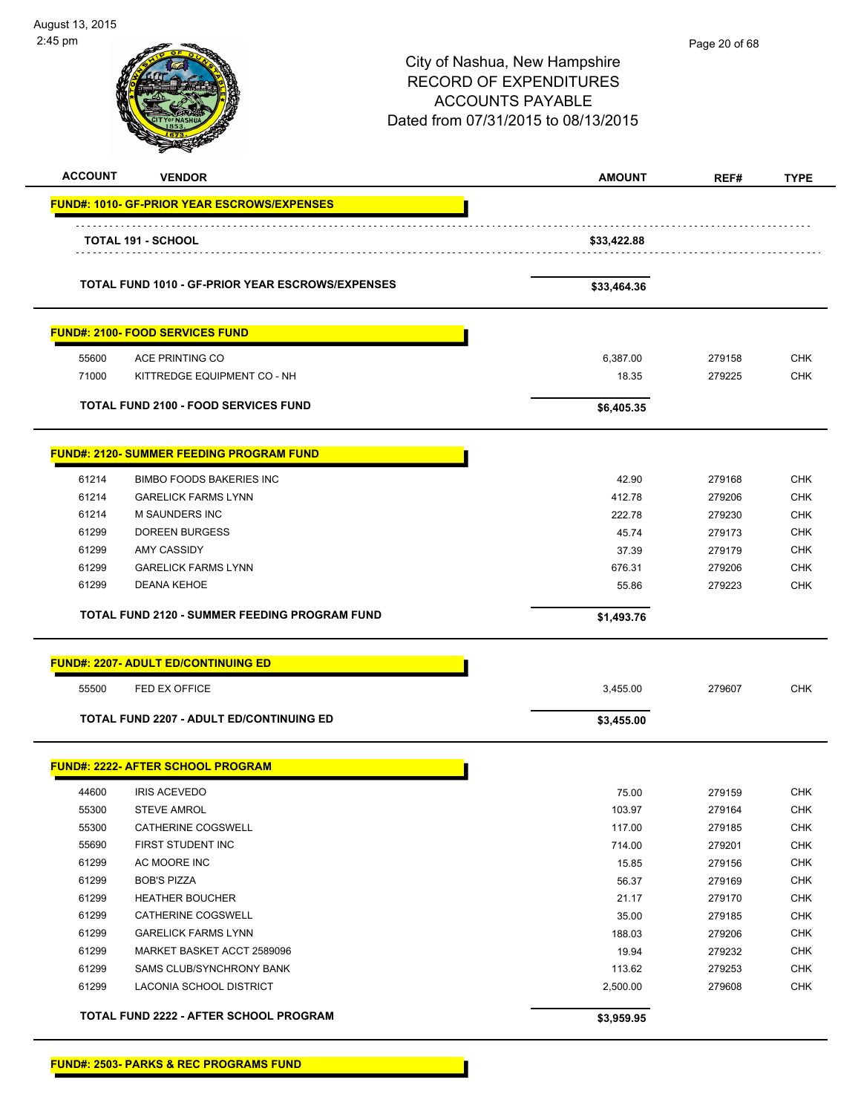| August 13, 2015<br>2:45 pm |                                                     | City of Nashua, New Hampshire<br><b>RECORD OF EXPENDITURES</b><br><b>ACCOUNTS PAYABLE</b><br>Dated from 07/31/2015 to 08/13/2015 | Page 20 of 68 |             |
|----------------------------|-----------------------------------------------------|----------------------------------------------------------------------------------------------------------------------------------|---------------|-------------|
| <b>ACCOUNT</b>             | <b>VENDOR</b>                                       | <b>AMOUNT</b>                                                                                                                    | REF#          | <b>TYPE</b> |
|                            | <u> FUND#: 1010- GF-PRIOR YEAR ESCROWS/EXPENSES</u> |                                                                                                                                  |               |             |
|                            | <b>TOTAL 191 - SCHOOL</b>                           | \$33,422.88                                                                                                                      |               |             |
|                            | TOTAL FUND 1010 - GF-PRIOR YEAR ESCROWS/EXPENSES    | \$33,464.36                                                                                                                      |               |             |
|                            | <b>FUND#: 2100- FOOD SERVICES FUND</b>              |                                                                                                                                  |               |             |
| 55600                      | ACE PRINTING CO                                     | 6,387.00                                                                                                                         | 279158        | <b>CHK</b>  |
| 71000                      | KITTREDGE EQUIPMENT CO - NH                         | 18.35                                                                                                                            | 279225        | <b>CHK</b>  |
|                            | <b>TOTAL FUND 2100 - FOOD SERVICES FUND</b>         | \$6,405.35                                                                                                                       |               |             |
|                            |                                                     |                                                                                                                                  |               |             |
|                            | <b>FUND#: 2120- SUMMER FEEDING PROGRAM FUND</b>     |                                                                                                                                  |               |             |
| 61214                      | <b>BIMBO FOODS BAKERIES INC</b>                     | 42.90                                                                                                                            | 279168        | <b>CHK</b>  |
| 61214                      | <b>GARELICK FARMS LYNN</b>                          | 412.78                                                                                                                           | 279206        | <b>CHK</b>  |
| 61214                      | <b>M SAUNDERS INC</b>                               | 222.78                                                                                                                           | 279230        | <b>CHK</b>  |
| 61299                      | <b>DOREEN BURGESS</b>                               | 45.74                                                                                                                            | 279173        | <b>CHK</b>  |
| 61299                      | <b>AMY CASSIDY</b>                                  | 37.39                                                                                                                            | 279179        | <b>CHK</b>  |
| 61299                      | <b>GARELICK FARMS LYNN</b>                          | 676.31                                                                                                                           | 279206        | <b>CHK</b>  |
| 61299                      | <b>DEANA KEHOE</b>                                  | 55.86                                                                                                                            | 279223        | <b>CHK</b>  |
|                            | TOTAL FUND 2120 - SUMMER FEEDING PROGRAM FUND       | \$1,493.76                                                                                                                       |               |             |
|                            | <b>FUND#: 2207- ADULT ED/CONTINUING ED</b>          |                                                                                                                                  |               |             |
| 55500                      | FED EX OFFICE                                       | 3,455.00                                                                                                                         | 279607        | <b>CHK</b>  |
|                            | <b>TOTAL FUND 2207 - ADULT ED/CONTINUING ED</b>     | \$3,455.00                                                                                                                       |               |             |
|                            | <b>FUND#: 2222- AFTER SCHOOL PROGRAM</b>            |                                                                                                                                  |               |             |
| 44600                      | <b>IRIS ACEVEDO</b>                                 | 75.00                                                                                                                            | 279159        | <b>CHK</b>  |
| 55300                      | <b>STEVE AMROL</b>                                  | 103.97                                                                                                                           | 279164        | <b>CHK</b>  |
| 55300                      | CATHERINE COGSWELL                                  | 117.00                                                                                                                           | 279185        | <b>CHK</b>  |
| 55690                      | FIRST STUDENT INC                                   | 714.00                                                                                                                           | 279201        | <b>CHK</b>  |
| 61299                      | AC MOORE INC                                        | 15.85                                                                                                                            | 279156        | <b>CHK</b>  |
| 61299                      | <b>BOB'S PIZZA</b>                                  | 56.37                                                                                                                            | 279169        | <b>CHK</b>  |
| 61299                      | <b>HEATHER BOUCHER</b>                              | 21.17                                                                                                                            | 279170        | <b>CHK</b>  |
| 61299                      | CATHERINE COGSWELL                                  | 35.00                                                                                                                            | 279185        | <b>CHK</b>  |
| 61299                      | <b>GARELICK FARMS LYNN</b>                          | 188.03                                                                                                                           | 279206        | <b>CHK</b>  |
| 61299                      | MARKET BASKET ACCT 2589096                          | 19.94                                                                                                                            | 279232        | <b>CHK</b>  |
| 61299                      | SAMS CLUB/SYNCHRONY BANK                            | 113.62                                                                                                                           | 279253        | <b>CHK</b>  |
| 61299                      | LACONIA SCHOOL DISTRICT                             | 2,500.00                                                                                                                         | 279608        | <b>CHK</b>  |
|                            | TOTAL FUND 2222 - AFTER SCHOOL PROGRAM              | \$3,959.95                                                                                                                       |               |             |

**FUND#: 2503- PARKS & REC PROGRAMS FUND**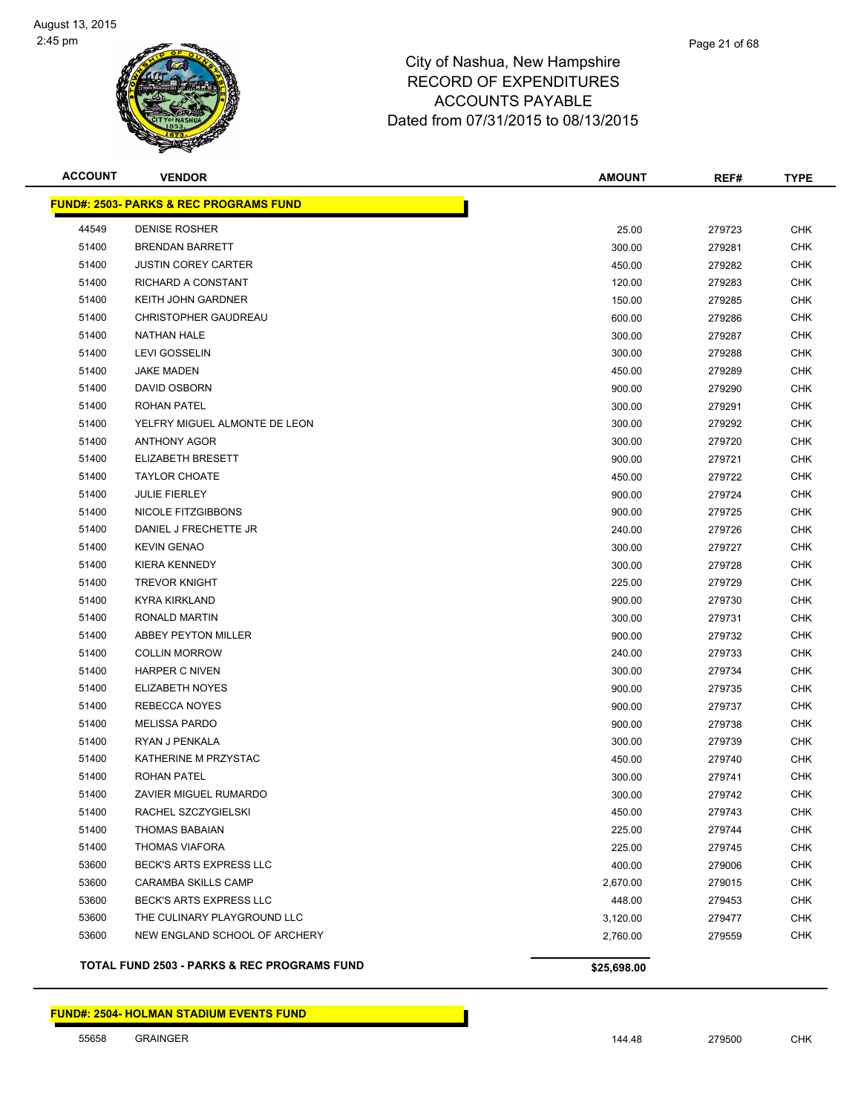

| <b>ACCOUNT</b> | <b>VENDOR</b>                                     | <b>AMOUNT</b> | REF#   | <b>TYPE</b> |
|----------------|---------------------------------------------------|---------------|--------|-------------|
|                | <b>FUND#: 2503- PARKS &amp; REC PROGRAMS FUND</b> |               |        |             |
| 44549          | <b>DENISE ROSHER</b>                              | 25.00         | 279723 | <b>CHK</b>  |
| 51400          | <b>BRENDAN BARRETT</b>                            | 300.00        | 279281 | <b>CHK</b>  |
| 51400          | <b>JUSTIN COREY CARTER</b>                        | 450.00        | 279282 | <b>CHK</b>  |
| 51400          | RICHARD A CONSTANT                                | 120.00        | 279283 | <b>CHK</b>  |
| 51400          | KEITH JOHN GARDNER                                | 150.00        | 279285 | <b>CHK</b>  |
| 51400          | <b>CHRISTOPHER GAUDREAU</b>                       | 600.00        | 279286 | <b>CHK</b>  |
| 51400          | <b>NATHAN HALE</b>                                | 300.00        | 279287 | <b>CHK</b>  |
| 51400          | <b>LEVI GOSSELIN</b>                              | 300.00        | 279288 | <b>CHK</b>  |
| 51400          | <b>JAKE MADEN</b>                                 | 450.00        | 279289 | <b>CHK</b>  |
| 51400          | DAVID OSBORN                                      | 900.00        | 279290 | <b>CHK</b>  |
| 51400          | <b>ROHAN PATEL</b>                                | 300.00        | 279291 | <b>CHK</b>  |
| 51400          | YELFRY MIGUEL ALMONTE DE LEON                     | 300.00        | 279292 | <b>CHK</b>  |
| 51400          | <b>ANTHONY AGOR</b>                               | 300.00        | 279720 | <b>CHK</b>  |
| 51400          | <b>ELIZABETH BRESETT</b>                          | 900.00        | 279721 | <b>CHK</b>  |
| 51400          | <b>TAYLOR CHOATE</b>                              | 450.00        | 279722 | <b>CHK</b>  |
| 51400          | <b>JULIE FIERLEY</b>                              | 900.00        | 279724 | <b>CHK</b>  |
| 51400          | <b>NICOLE FITZGIBBONS</b>                         | 900.00        | 279725 | <b>CHK</b>  |
| 51400          | DANIEL J FRECHETTE JR                             | 240.00        | 279726 | <b>CHK</b>  |
| 51400          | <b>KEVIN GENAO</b>                                | 300.00        | 279727 | <b>CHK</b>  |
| 51400          | <b>KIERA KENNEDY</b>                              | 300.00        | 279728 | <b>CHK</b>  |
| 51400          | <b>TREVOR KNIGHT</b>                              | 225.00        | 279729 | <b>CHK</b>  |
| 51400          | <b>KYRA KIRKLAND</b>                              | 900.00        | 279730 | <b>CHK</b>  |
| 51400          | RONALD MARTIN                                     | 300.00        | 279731 | <b>CHK</b>  |
| 51400          | <b>ABBEY PEYTON MILLER</b>                        | 900.00        | 279732 | <b>CHK</b>  |
| 51400          | <b>COLLIN MORROW</b>                              | 240.00        | 279733 | <b>CHK</b>  |
| 51400          | <b>HARPER C NIVEN</b>                             | 300.00        | 279734 | <b>CHK</b>  |
| 51400          | <b>ELIZABETH NOYES</b>                            | 900.00        | 279735 | <b>CHK</b>  |
| 51400          | REBECCA NOYES                                     | 900.00        | 279737 | <b>CHK</b>  |
| 51400          | <b>MELISSA PARDO</b>                              | 900.00        | 279738 | <b>CHK</b>  |
| 51400          | RYAN J PENKALA                                    | 300.00        | 279739 | <b>CHK</b>  |
| 51400          | KATHERINE M PRZYSTAC                              | 450.00        | 279740 | <b>CHK</b>  |
| 51400          | ROHAN PATEL                                       | 300.00        | 279741 | <b>CHK</b>  |
| 51400          | ZAVIER MIGUEL RUMARDO                             | 300.00        | 279742 | <b>CHK</b>  |
| 51400          | RACHEL SZCZYGIELSKI                               | 450.00        | 279743 | <b>CHK</b>  |
| 51400          | <b>THOMAS BABAIAN</b>                             | 225.00        | 279744 | <b>CHK</b>  |
| 51400          | <b>THOMAS VIAFORA</b>                             | 225.00        | 279745 | <b>CHK</b>  |
| 53600          | BECK'S ARTS EXPRESS LLC                           | 400.00        | 279006 | <b>CHK</b>  |
| 53600          | CARAMBA SKILLS CAMP                               | 2,670.00      | 279015 | <b>CHK</b>  |
| 53600          | BECK'S ARTS EXPRESS LLC                           | 448.00        | 279453 | <b>CHK</b>  |
| 53600          | THE CULINARY PLAYGROUND LLC                       | 3,120.00      | 279477 | <b>CHK</b>  |
| 53600          | NEW ENGLAND SCHOOL OF ARCHERY                     | 2,760.00      | 279559 | <b>CHK</b>  |
|                | TOTAL FUND 2503 - PARKS & REC PROGRAMS FUND       | \$25,698.00   |        |             |

#### **FUND#: 2504- HOLMAN STADIUM EVENTS FUND**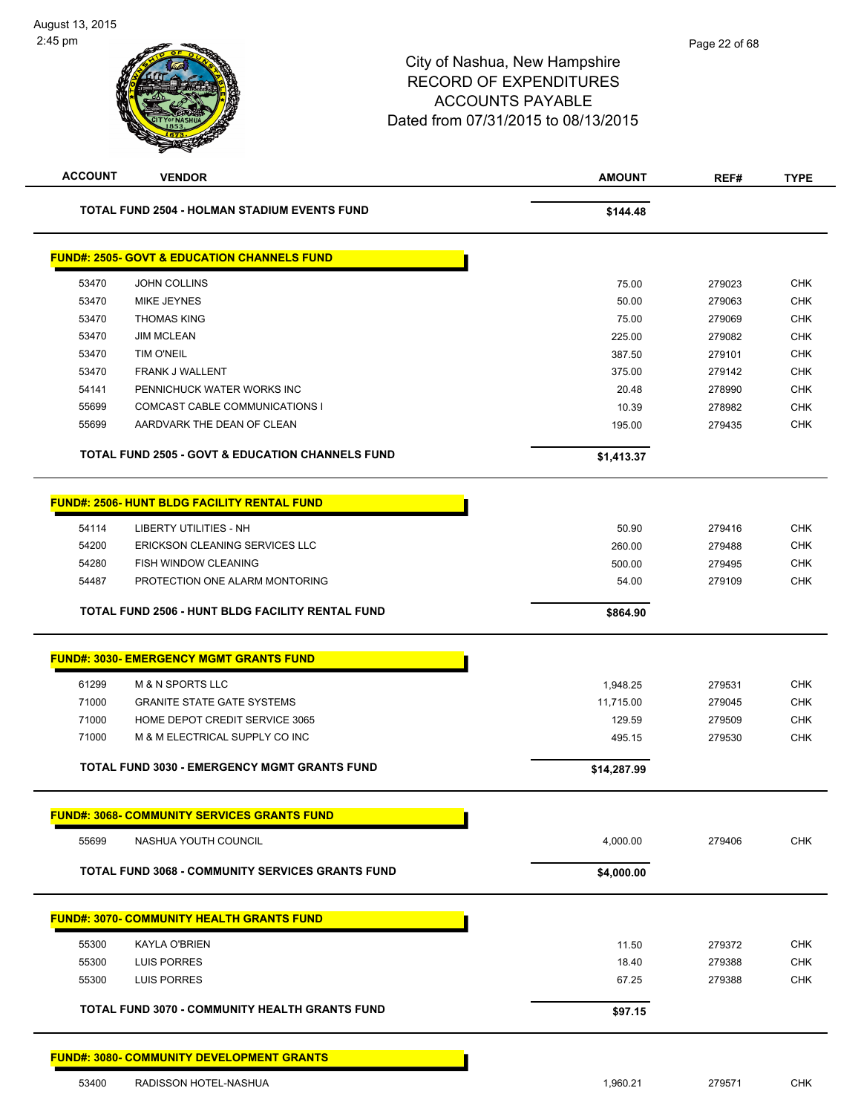| <b>ACCOUNT</b> | <b>VENDOR</b>                                               | <b>AMOUNT</b> | REF#   | <b>TYPE</b> |
|----------------|-------------------------------------------------------------|---------------|--------|-------------|
|                | TOTAL FUND 2504 - HOLMAN STADIUM EVENTS FUND                | \$144.48      |        |             |
|                | <b>FUND#: 2505- GOVT &amp; EDUCATION CHANNELS FUND</b>      |               |        |             |
| 53470          | <b>JOHN COLLINS</b>                                         | 75.00         | 279023 | <b>CHK</b>  |
| 53470          | MIKE JEYNES                                                 | 50.00         | 279063 | <b>CHK</b>  |
| 53470          | <b>THOMAS KING</b>                                          | 75.00         | 279069 | <b>CHK</b>  |
| 53470          | <b>JIM MCLEAN</b>                                           | 225.00        | 279082 | <b>CHK</b>  |
| 53470          | <b>TIM O'NEIL</b>                                           | 387.50        | 279101 | <b>CHK</b>  |
| 53470          | <b>FRANK J WALLENT</b>                                      | 375.00        | 279142 | <b>CHK</b>  |
| 54141          | PENNICHUCK WATER WORKS INC                                  | 20.48         | 278990 | <b>CHK</b>  |
| 55699          | COMCAST CABLE COMMUNICATIONS I                              | 10.39         | 278982 | <b>CHK</b>  |
| 55699          | AARDVARK THE DEAN OF CLEAN                                  | 195.00        | 279435 | <b>CHK</b>  |
|                | <b>TOTAL FUND 2505 - GOVT &amp; EDUCATION CHANNELS FUND</b> | \$1,413.37    |        |             |
|                | <b>FUND#: 2506- HUNT BLDG FACILITY RENTAL FUND</b>          |               |        |             |
| 54114          | <b>LIBERTY UTILITIES - NH</b>                               | 50.90         | 279416 | <b>CHK</b>  |
| 54200          | ERICKSON CLEANING SERVICES LLC                              | 260.00        | 279488 | <b>CHK</b>  |
| 54280          | FISH WINDOW CLEANING                                        | 500.00        | 279495 | <b>CHK</b>  |
| 54487          | PROTECTION ONE ALARM MONTORING                              | 54.00         | 279109 | <b>CHK</b>  |
|                | TOTAL FUND 2506 - HUNT BLDG FACILITY RENTAL FUND            | \$864.90      |        |             |
|                | <b>FUND#: 3030- EMERGENCY MGMT GRANTS FUND</b>              |               |        |             |
| 61299          | <b>M &amp; N SPORTS LLC</b>                                 | 1,948.25      | 279531 | <b>CHK</b>  |
| 71000          | <b>GRANITE STATE GATE SYSTEMS</b>                           | 11,715.00     | 279045 | <b>CHK</b>  |
| 71000          | HOME DEPOT CREDIT SERVICE 3065                              | 129.59        | 279509 | <b>CHK</b>  |
| 71000          | M & M ELECTRICAL SUPPLY CO INC                              | 495.15        | 279530 | <b>CHK</b>  |
|                | TOTAL FUND 3030 - EMERGENCY MGMT GRANTS FUND                | \$14,287.99   |        |             |
|                | <u>FUND#: 3068- COMMUNITY SERVICES GRANTS FUND</u>          |               |        |             |
| 55699          | NASHUA YOUTH COUNCIL                                        | 4,000.00      | 279406 | <b>CHK</b>  |
|                | <b>TOTAL FUND 3068 - COMMUNITY SERVICES GRANTS FUND</b>     | \$4,000.00    |        |             |
|                | <b>FUND#: 3070- COMMUNITY HEALTH GRANTS FUND</b>            |               |        |             |
| 55300          | KAYLA O'BRIEN                                               | 11.50         | 279372 | <b>CHK</b>  |
| 55300          | <b>LUIS PORRES</b>                                          | 18.40         | 279388 | <b>CHK</b>  |
| 55300          | <b>LUIS PORRES</b>                                          | 67.25         | 279388 | <b>CHK</b>  |
|                | TOTAL FUND 3070 - COMMUNITY HEALTH GRANTS FUND              | \$97.15       |        |             |
|                | <b>FUND#: 3080- COMMUNITY DEVELOPMENT GRANTS</b>            |               |        |             |
| 53400          | RADISSON HOTEL-NASHUA                                       | 1,960.21      | 279571 | <b>CHK</b>  |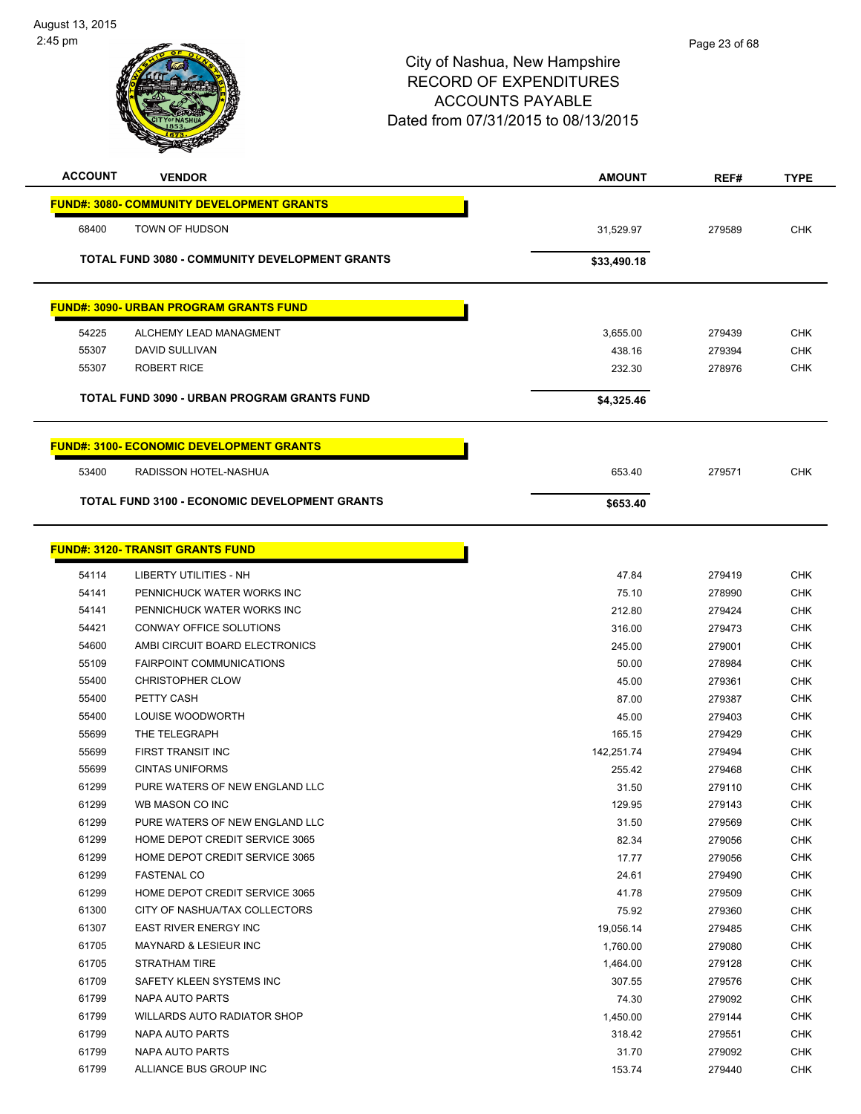

| <b>ACCOUNT</b> | <b>VENDOR</b>                                         | <b>AMOUNT</b> | REF#   | <b>TYPE</b> |
|----------------|-------------------------------------------------------|---------------|--------|-------------|
|                | <b>FUND#: 3080- COMMUNITY DEVELOPMENT GRANTS</b>      |               |        |             |
| 68400          | TOWN OF HUDSON                                        | 31,529.97     | 279589 | <b>CHK</b>  |
|                |                                                       |               |        |             |
|                | <b>TOTAL FUND 3080 - COMMUNITY DEVELOPMENT GRANTS</b> | \$33,490.18   |        |             |
|                | <b>FUND#: 3090- URBAN PROGRAM GRANTS FUND</b>         |               |        |             |
|                |                                                       |               |        |             |
| 54225          | ALCHEMY LEAD MANAGMENT                                | 3,655.00      | 279439 | <b>CHK</b>  |
| 55307          | DAVID SULLIVAN                                        | 438.16        | 279394 | <b>CHK</b>  |
| 55307          | <b>ROBERT RICE</b>                                    | 232.30        | 278976 | <b>CHK</b>  |
|                | TOTAL FUND 3090 - URBAN PROGRAM GRANTS FUND           | \$4,325.46    |        |             |
|                |                                                       |               |        |             |
|                | <b>FUND#: 3100- ECONOMIC DEVELOPMENT GRANTS</b>       |               |        |             |
| 53400          | RADISSON HOTEL-NASHUA                                 | 653.40        | 279571 | <b>CHK</b>  |
|                | <b>TOTAL FUND 3100 - ECONOMIC DEVELOPMENT GRANTS</b>  | \$653.40      |        |             |
|                |                                                       |               |        |             |
|                | <b>FUND#: 3120- TRANSIT GRANTS FUND</b>               |               |        |             |
| 54114          | <b>LIBERTY UTILITIES - NH</b>                         | 47.84         | 279419 | <b>CHK</b>  |
| 54141          | PENNICHUCK WATER WORKS INC                            | 75.10         | 278990 | <b>CHK</b>  |
| 54141          | PENNICHUCK WATER WORKS INC                            | 212.80        | 279424 | <b>CHK</b>  |
| 54421          | CONWAY OFFICE SOLUTIONS                               | 316.00        | 279473 | <b>CHK</b>  |
| 54600          | AMBI CIRCUIT BOARD ELECTRONICS                        | 245.00        | 279001 | <b>CHK</b>  |
| 55109          | <b>FAIRPOINT COMMUNICATIONS</b>                       | 50.00         | 278984 | <b>CHK</b>  |
| 55400          | <b>CHRISTOPHER CLOW</b>                               | 45.00         | 279361 | <b>CHK</b>  |
| 55400          | PETTY CASH                                            | 87.00         | 279387 | <b>CHK</b>  |
| 55400          | LOUISE WOODWORTH                                      | 45.00         | 279403 | <b>CHK</b>  |
| 55699          | THE TELEGRAPH                                         | 165.15        | 279429 | <b>CHK</b>  |
| 55699          | <b>FIRST TRANSIT INC</b>                              | 142,251.74    | 279494 | CHK         |
| 55699          | <b>CINTAS UNIFORMS</b>                                | 255.42        | 279468 | <b>CHK</b>  |
| 61299          | PURE WATERS OF NEW ENGLAND LLC                        | 31.50         | 279110 | <b>CHK</b>  |
| 61299          | WB MASON CO INC                                       | 129.95        | 279143 | <b>CHK</b>  |
| 61299          | PURE WATERS OF NEW ENGLAND LLC                        | 31.50         | 279569 | <b>CHK</b>  |
| 61299          | HOME DEPOT CREDIT SERVICE 3065                        | 82.34         | 279056 | <b>CHK</b>  |
| 61299          | HOME DEPOT CREDIT SERVICE 3065                        | 17.77         | 279056 | <b>CHK</b>  |
| 61299          | <b>FASTENAL CO</b>                                    | 24.61         | 279490 | <b>CHK</b>  |
| 61299          | HOME DEPOT CREDIT SERVICE 3065                        | 41.78         | 279509 | <b>CHK</b>  |
| 61300          | CITY OF NASHUA/TAX COLLECTORS                         | 75.92         | 279360 | <b>CHK</b>  |
| 61307          | <b>EAST RIVER ENERGY INC</b>                          | 19,056.14     | 279485 | <b>CHK</b>  |
| 61705          | MAYNARD & LESIEUR INC                                 | 1,760.00      | 279080 | <b>CHK</b>  |
| 61705          | STRATHAM TIRE                                         | 1,464.00      | 279128 | <b>CHK</b>  |
| 61709          | SAFETY KLEEN SYSTEMS INC                              | 307.55        | 279576 | <b>CHK</b>  |
| 61799          | NAPA AUTO PARTS                                       | 74.30         | 279092 | <b>CHK</b>  |
| 61799          | WILLARDS AUTO RADIATOR SHOP                           | 1,450.00      | 279144 | <b>CHK</b>  |
| 61799          | NAPA AUTO PARTS                                       | 318.42        | 279551 | <b>CHK</b>  |
| 61799          | NAPA AUTO PARTS                                       | 31.70         | 279092 | <b>CHK</b>  |
| 61799          | ALLIANCE BUS GROUP INC                                | 153.74        | 279440 | <b>CHK</b>  |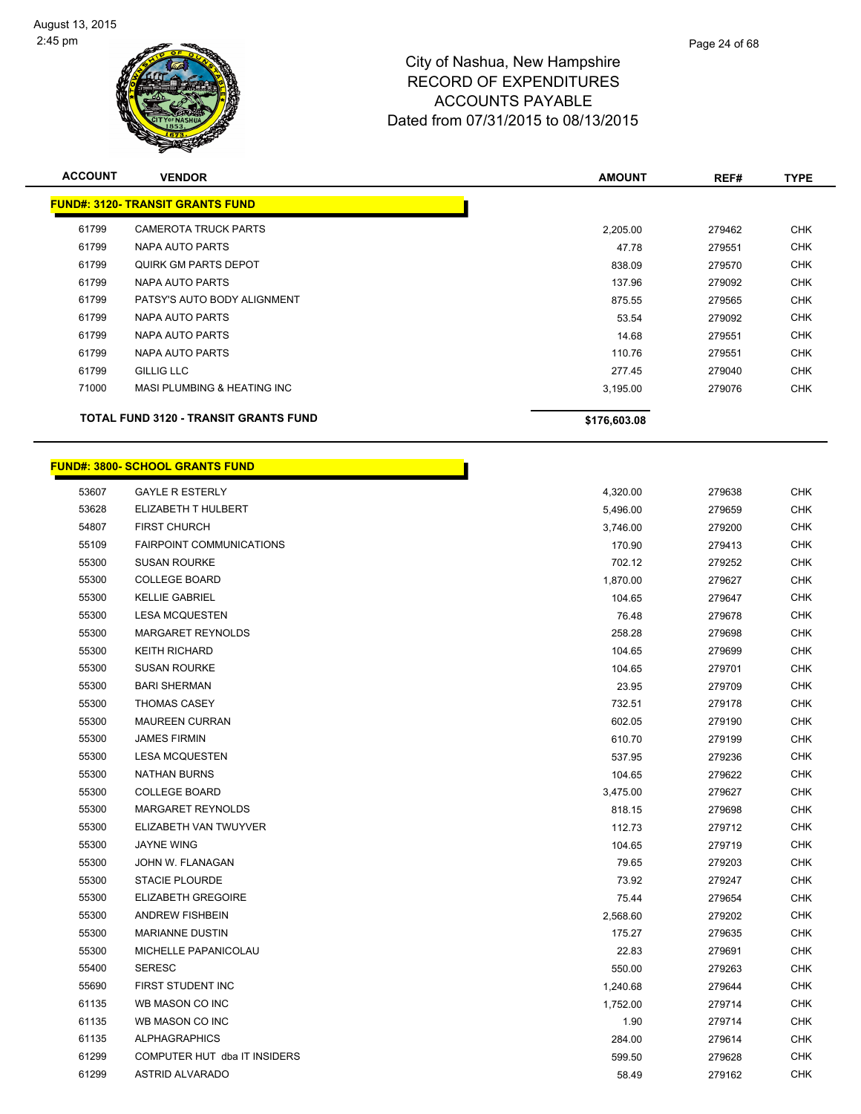

| <b>ACCOUNT</b> | <b>VENDOR</b>                                | <b>AMOUNT</b> | REF#   | <b>TYPE</b> |
|----------------|----------------------------------------------|---------------|--------|-------------|
|                | <b>FUND#: 3120- TRANSIT GRANTS FUND</b>      |               |        |             |
| 61799          | <b>CAMEROTA TRUCK PARTS</b>                  | 2,205.00      | 279462 | <b>CHK</b>  |
| 61799          | NAPA AUTO PARTS                              | 47.78         | 279551 | <b>CHK</b>  |
| 61799          | <b>QUIRK GM PARTS DEPOT</b>                  | 838.09        | 279570 | <b>CHK</b>  |
| 61799          | NAPA AUTO PARTS                              | 137.96        | 279092 | <b>CHK</b>  |
| 61799          | PATSY'S AUTO BODY ALIGNMENT                  | 875.55        | 279565 | <b>CHK</b>  |
| 61799          | NAPA AUTO PARTS                              | 53.54         | 279092 | <b>CHK</b>  |
| 61799          | NAPA AUTO PARTS                              | 14.68         | 279551 | <b>CHK</b>  |
| 61799          | NAPA AUTO PARTS                              | 110.76        | 279551 | <b>CHK</b>  |
| 61799          | <b>GILLIG LLC</b>                            | 277.45        | 279040 | <b>CHK</b>  |
| 71000          | <b>MASI PLUMBING &amp; HEATING INC</b>       | 3,195.00      | 279076 | <b>CHK</b>  |
|                | <b>TOTAL FUND 3120 - TRANSIT GRANTS FUND</b> | \$176,603.08  |        |             |

# **FUND#: 3800- SCHOOL GRANTS FUND**

|       | <u> UND#: 3800- SCHOOL GRANTS FUND</u> |          |          |
|-------|----------------------------------------|----------|----------|
| 53607 | <b>GAYLE R ESTERLY</b>                 |          | 4,320.00 |
| 53628 | ELIZABETH T HULBERT                    |          | 5,496.00 |
| 54807 | <b>FIRST CHURCH</b>                    |          | 3,746.00 |
| 55109 | FAIRPOINT COMMUNICATIONS               |          | 170.90   |
| 55300 | <b>SUSAN ROURKE</b>                    |          | 702.12   |
| 55300 | <b>COLLEGE BOARD</b>                   |          | 1,870.00 |
| 55300 | <b>KELLIE GABRIEL</b>                  |          | 104.65   |
| 55300 | <b>LESA MCQUESTEN</b>                  |          | 76.48    |
| 55300 | MARGARET REYNOLDS                      |          | 258.28   |
| 55300 | <b>KEITH RICHARD</b>                   |          | 104.65   |
| 55300 | <b>SUSAN ROURKE</b>                    |          | 104.65   |
| 55300 | <b>BARI SHERMAN</b>                    |          | 23.95    |
| 55300 | <b>THOMAS CASEY</b>                    |          | 732.51   |
| 55300 | <b>MAUREEN CURRAN</b>                  |          | 602.05   |
| 55300 | <b>JAMES FIRMIN</b>                    |          | 610.70   |
| 55300 | <b>LESA MCQUESTEN</b>                  |          | 537.95   |
| 55300 | <b>NATHAN BURNS</b>                    |          | 104.65   |
| 55300 | <b>COLLEGE BOARD</b>                   |          | 3,475.00 |
| 55300 | MARGARET REYNOLDS                      |          | 818.15   |
| 55300 | ELIZABETH VAN TWUYVER                  |          | 112.73   |
| 55300 | <b>JAYNE WING</b>                      | 104.65   |          |
| 55300 | JOHN W. FLANAGAN                       | 79.65    |          |
| 55300 | <b>STACIE PLOURDE</b>                  | 73.92    |          |
| 55300 | <b>ELIZABETH GREGOIRE</b>              | 75.44    |          |
| 55300 | <b>ANDREW FISHBEIN</b>                 | 2,568.60 |          |
| 55300 | <b>MARIANNE DUSTIN</b>                 | 175.27   |          |
| 55300 | MICHELLE PAPANICOLAU                   | 22.83    |          |
| 55400 | <b>SERESC</b>                          | 550.00   |          |
| 55690 | FIRST STUDENT INC                      | 1,240.68 |          |
| 61135 | WB MASON CO INC                        | 1,752.00 |          |
| 61135 | WB MASON CO INC                        |          | 1.90     |
| 61135 | <b>ALPHAGRAPHICS</b>                   | 284.00   |          |
| 61299 | COMPUTER HUT dba IT INSIDERS           | 599.50   |          |
| 61299 | <b>ASTRID ALVARADO</b>                 | 58.49    |          |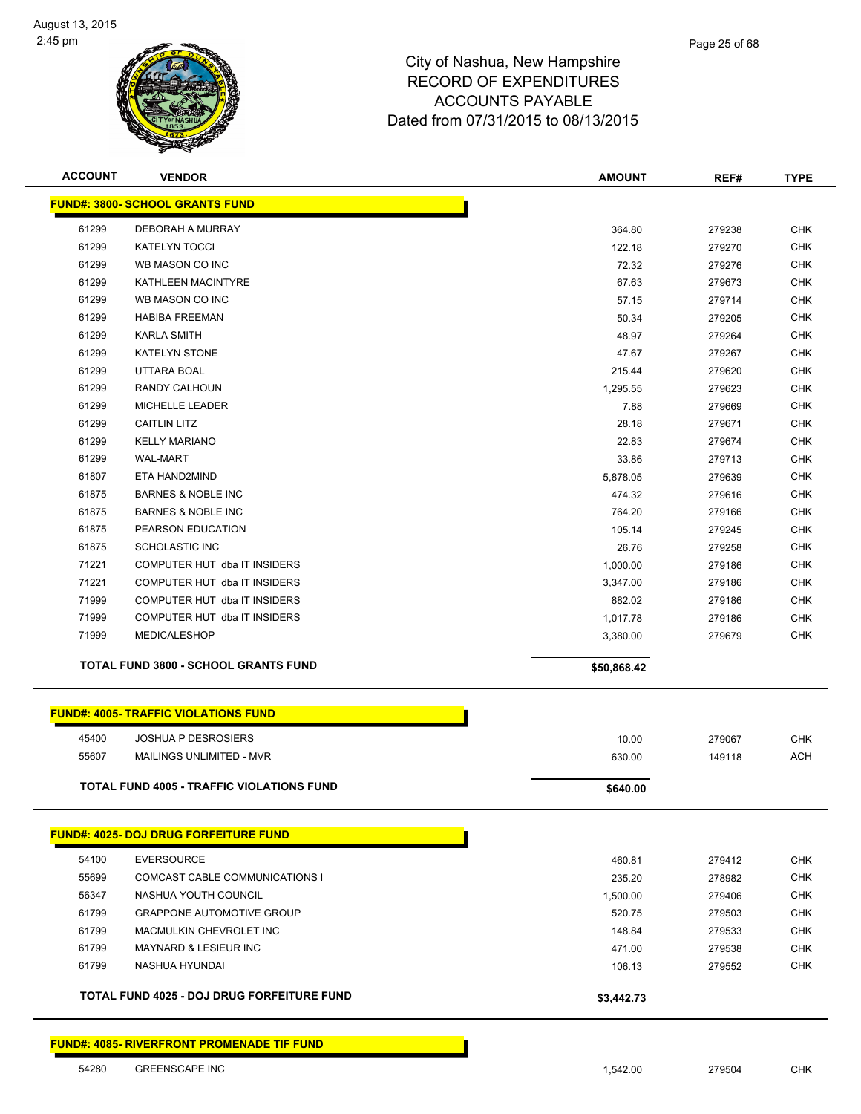

| <b>ACCOUNT</b> | <b>VENDOR</b>                                     | <b>AMOUNT</b> | REF#   | <b>TYPE</b> |
|----------------|---------------------------------------------------|---------------|--------|-------------|
|                | <b>FUND#: 3800- SCHOOL GRANTS FUND</b>            |               |        |             |
| 61299          | DEBORAH A MURRAY                                  | 364.80        | 279238 | <b>CHK</b>  |
| 61299          | <b>KATELYN TOCCI</b>                              | 122.18        | 279270 | <b>CHK</b>  |
| 61299          | WB MASON CO INC                                   | 72.32         | 279276 | <b>CHK</b>  |
| 61299          | KATHLEEN MACINTYRE                                | 67.63         | 279673 | <b>CHK</b>  |
| 61299          | WB MASON CO INC                                   | 57.15         | 279714 | <b>CHK</b>  |
| 61299          | <b>HABIBA FREEMAN</b>                             | 50.34         | 279205 | <b>CHK</b>  |
| 61299          | <b>KARLA SMITH</b>                                | 48.97         | 279264 | <b>CHK</b>  |
| 61299          | <b>KATELYN STONE</b>                              | 47.67         | 279267 | <b>CHK</b>  |
| 61299          | <b>UTTARA BOAL</b>                                | 215.44        | 279620 | <b>CHK</b>  |
| 61299          | RANDY CALHOUN                                     | 1,295.55      | 279623 | <b>CHK</b>  |
| 61299          | MICHELLE LEADER                                   | 7.88          | 279669 | <b>CHK</b>  |
| 61299          | <b>CAITLIN LITZ</b>                               | 28.18         | 279671 | <b>CHK</b>  |
| 61299          | <b>KELLY MARIANO</b>                              | 22.83         | 279674 | <b>CHK</b>  |
| 61299          | <b>WAL-MART</b>                                   | 33.86         | 279713 | <b>CHK</b>  |
| 61807          | ETA HAND2MIND                                     | 5,878.05      | 279639 | <b>CHK</b>  |
| 61875          | <b>BARNES &amp; NOBLE INC</b>                     | 474.32        | 279616 | <b>CHK</b>  |
| 61875          | <b>BARNES &amp; NOBLE INC</b>                     | 764.20        | 279166 | <b>CHK</b>  |
| 61875          | PEARSON EDUCATION                                 | 105.14        | 279245 | <b>CHK</b>  |
| 61875          | SCHOLASTIC INC                                    | 26.76         | 279258 | <b>CHK</b>  |
| 71221          | COMPUTER HUT dba IT INSIDERS                      | 1,000.00      | 279186 | <b>CHK</b>  |
| 71221          | COMPUTER HUT dba IT INSIDERS                      | 3,347.00      | 279186 | <b>CHK</b>  |
| 71999          | COMPUTER HUT dba IT INSIDERS                      | 882.02        | 279186 | <b>CHK</b>  |
| 71999          | COMPUTER HUT dba IT INSIDERS                      | 1,017.78      | 279186 | <b>CHK</b>  |
| 71999          | <b>MEDICALESHOP</b>                               | 3,380.00      | 279679 | <b>CHK</b>  |
|                | <b>TOTAL FUND 3800 - SCHOOL GRANTS FUND</b>       | \$50,868.42   |        |             |
|                | <b>FUND#: 4005- TRAFFIC VIOLATIONS FUND</b>       |               |        |             |
| 45400          | <b>JOSHUA P DESROSIERS</b>                        | 10.00         | 279067 | <b>CHK</b>  |
| 55607          | MAILINGS UNLIMITED - MVR                          | 630.00        | 149118 | <b>ACH</b>  |
|                |                                                   |               |        |             |
|                | <b>TOTAL FUND 4005 - TRAFFIC VIOLATIONS FUND</b>  | \$640.00      |        |             |
|                | <u> FUND#: 4025- DOJ DRUG FORFEITURE FUND</u>     |               |        |             |
| 54100          | <b>EVERSOURCE</b>                                 | 460.81        | 279412 | <b>CHK</b>  |
| 55699          | COMCAST CABLE COMMUNICATIONS I                    | 235.20        | 278982 | <b>CHK</b>  |
| 56347          | NASHUA YOUTH COUNCIL                              | 1,500.00      | 279406 | <b>CHK</b>  |
| 61799          | <b>GRAPPONE AUTOMOTIVE GROUP</b>                  | 520.75        | 279503 | <b>CHK</b>  |
| 61799          | MACMULKIN CHEVROLET INC                           | 148.84        | 279533 | <b>CHK</b>  |
| 61799          | <b>MAYNARD &amp; LESIEUR INC</b>                  | 471.00        | 279538 | <b>CHK</b>  |
| 61799          | NASHUA HYUNDAI                                    | 106.13        | 279552 | <b>CHK</b>  |
|                | <b>TOTAL FUND 4025 - DOJ DRUG FORFEITURE FUND</b> | \$3,442.73    |        |             |
|                |                                                   |               |        |             |

**FUND#: 4085- RIVERFRONT PROMENADE TIF FUND**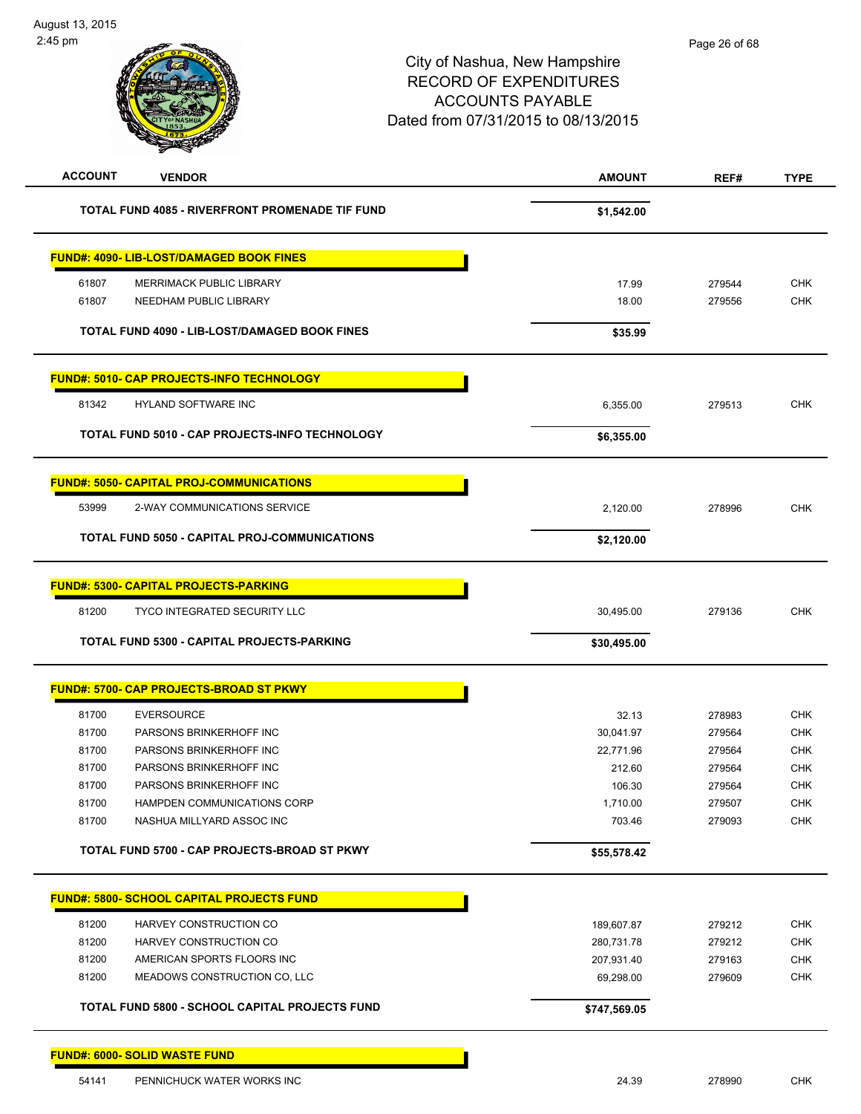| <b>ACCOUNT</b> | <b>VENDOR</b>                                         | <b>AMOUNT</b> | REF#             | <b>TYPE</b> |
|----------------|-------------------------------------------------------|---------------|------------------|-------------|
|                | TOTAL FUND 4085 - RIVERFRONT PROMENADE TIF FUND       | \$1,542.00    |                  |             |
|                | <b>FUND#: 4090- LIB-LOST/DAMAGED BOOK FINES</b>       |               |                  |             |
| 61807          | <b>MERRIMACK PUBLIC LIBRARY</b>                       | 17.99         | 279544           | <b>CHK</b>  |
| 61807          | NEEDHAM PUBLIC LIBRARY                                | 18.00         | 279556           | <b>CHK</b>  |
|                | TOTAL FUND 4090 - LIB-LOST/DAMAGED BOOK FINES         | \$35.99       |                  |             |
|                | <u> FUND#: 5010- CAP PROJECTS-INFO TECHNOLOGY</u>     |               |                  |             |
| 81342          | <b>HYLAND SOFTWARE INC</b>                            | 6,355.00      | 279513           | <b>CHK</b>  |
|                | <b>TOTAL FUND 5010 - CAP PROJECTS-INFO TECHNOLOGY</b> | \$6,355.00    |                  |             |
|                | <b>FUND#: 5050- CAPITAL PROJ-COMMUNICATIONS</b>       |               |                  |             |
| 53999          | 2-WAY COMMUNICATIONS SERVICE                          | 2,120.00      | 278996           | <b>CHK</b>  |
|                | TOTAL FUND 5050 - CAPITAL PROJ-COMMUNICATIONS         | \$2,120.00    |                  |             |
|                | <b>FUND#: 5300- CAPITAL PROJECTS-PARKING</b>          |               |                  |             |
| 81200          | <b>TYCO INTEGRATED SECURITY LLC</b>                   | 30,495.00     | 279136           | <b>CHK</b>  |
|                | TOTAL FUND 5300 - CAPITAL PROJECTS-PARKING            | \$30,495.00   |                  |             |
|                | <b>FUND#: 5700- CAP PROJECTS-BROAD ST PKWY</b>        |               |                  |             |
| 81700          | <b>EVERSOURCE</b>                                     | 32.13         |                  | <b>CHK</b>  |
| 81700          | PARSONS BRINKERHOFF INC                               | 30,041.97     | 278983<br>279564 | <b>CHK</b>  |
| 81700          | PARSONS BRINKERHOFF INC                               | 22.771.96     | 279564           | <b>CHK</b>  |
| 81700          | PARSONS BRINKERHOFF INC                               | 212.60        | 279564           | <b>CHK</b>  |
| 81700          | PARSONS BRINKERHOFF INC                               | 106.30        | 279564           | <b>CHK</b>  |
| 81700          | HAMPDEN COMMUNICATIONS CORP                           | 1,710.00      | 279507           | CHK         |
| 81700          | NASHUA MILLYARD ASSOC INC                             | 703.46        | 279093           | <b>CHK</b>  |
|                | TOTAL FUND 5700 - CAP PROJECTS-BROAD ST PKWY          | \$55,578.42   |                  |             |
|                | <b>FUND#: 5800- SCHOOL CAPITAL PROJECTS FUND</b>      |               |                  |             |
| 81200          | HARVEY CONSTRUCTION CO                                | 189,607.87    | 279212           | CHK         |
| 81200          | HARVEY CONSTRUCTION CO                                | 280,731.78    | 279212           | <b>CHK</b>  |
| 81200          | AMERICAN SPORTS FLOORS INC                            | 207,931.40    | 279163           | <b>CHK</b>  |
| 81200          | MEADOWS CONSTRUCTION CO, LLC                          | 69,298.00     | 279609           | CHK         |
|                | TOTAL FUND 5800 - SCHOOL CAPITAL PROJECTS FUND        | \$747,569.05  |                  |             |
|                | <b>FUND#: 6000- SOLID WASTE FUND</b>                  |               |                  |             |
| 54141          | PENNICHUCK WATER WORKS INC                            | 24.39         | 278990           | <b>CHK</b>  |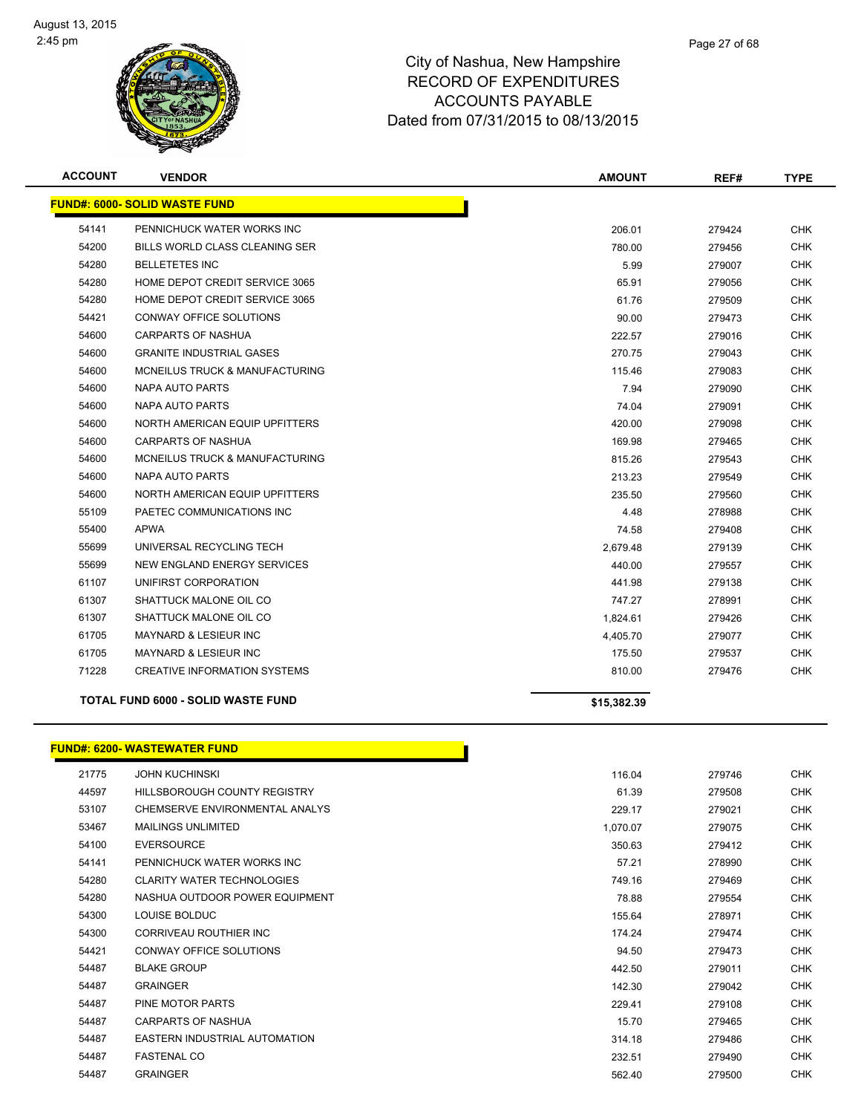

| <b>ACCOUNT</b> | <b>VENDOR</b>                             | <b>AMOUNT</b> | REF#   | <b>TYPE</b> |
|----------------|-------------------------------------------|---------------|--------|-------------|
|                | <b>FUND#: 6000- SOLID WASTE FUND</b>      |               |        |             |
| 54141          | PENNICHUCK WATER WORKS INC                | 206.01        | 279424 | <b>CHK</b>  |
| 54200          | BILLS WORLD CLASS CLEANING SER            | 780.00        | 279456 | <b>CHK</b>  |
| 54280          | <b>BELLETETES INC</b>                     | 5.99          | 279007 | <b>CHK</b>  |
| 54280          | HOME DEPOT CREDIT SERVICE 3065            | 65.91         | 279056 | <b>CHK</b>  |
| 54280          | HOME DEPOT CREDIT SERVICE 3065            | 61.76         | 279509 | <b>CHK</b>  |
| 54421          | CONWAY OFFICE SOLUTIONS                   | 90.00         | 279473 | <b>CHK</b>  |
| 54600          | <b>CARPARTS OF NASHUA</b>                 | 222.57        | 279016 | <b>CHK</b>  |
| 54600          | <b>GRANITE INDUSTRIAL GASES</b>           | 270.75        | 279043 | <b>CHK</b>  |
| 54600          | MCNEILUS TRUCK & MANUFACTURING            | 115.46        | 279083 | <b>CHK</b>  |
| 54600          | NAPA AUTO PARTS                           | 7.94          | 279090 | <b>CHK</b>  |
| 54600          | <b>NAPA AUTO PARTS</b>                    | 74.04         | 279091 | <b>CHK</b>  |
| 54600          | NORTH AMERICAN EQUIP UPFITTERS            | 420.00        | 279098 | <b>CHK</b>  |
| 54600          | <b>CARPARTS OF NASHUA</b>                 | 169.98        | 279465 | <b>CHK</b>  |
| 54600          | MCNEILUS TRUCK & MANUFACTURING            | 815.26        | 279543 | <b>CHK</b>  |
| 54600          | <b>NAPA AUTO PARTS</b>                    | 213.23        | 279549 | <b>CHK</b>  |
| 54600          | NORTH AMERICAN EQUIP UPFITTERS            | 235.50        | 279560 | <b>CHK</b>  |
| 55109          | PAETEC COMMUNICATIONS INC                 | 4.48          | 278988 | <b>CHK</b>  |
| 55400          | <b>APWA</b>                               | 74.58         | 279408 | <b>CHK</b>  |
| 55699          | UNIVERSAL RECYCLING TECH                  | 2,679.48      | 279139 | <b>CHK</b>  |
| 55699          | NEW ENGLAND ENERGY SERVICES               | 440.00        | 279557 | <b>CHK</b>  |
| 61107          | UNIFIRST CORPORATION                      | 441.98        | 279138 | <b>CHK</b>  |
| 61307          | SHATTUCK MALONE OIL CO                    | 747.27        | 278991 | <b>CHK</b>  |
| 61307          | SHATTUCK MALONE OIL CO                    | 1,824.61      | 279426 | <b>CHK</b>  |
| 61705          | <b>MAYNARD &amp; LESIEUR INC</b>          | 4,405.70      | 279077 | <b>CHK</b>  |
| 61705          | MAYNARD & LESIEUR INC                     | 175.50        | 279537 | <b>CHK</b>  |
| 71228          | <b>CREATIVE INFORMATION SYSTEMS</b>       | 810.00        | 279476 | <b>CHK</b>  |
|                | <b>TOTAL FUND 6000 - SOLID WASTE FUND</b> | \$15,382.39   |        |             |

#### **FUND#: 6200- WASTEWATER FUND**

| 21775 | <b>JOHN KUCHINSKI</b>             | 116.04   | 279746 | <b>CHK</b> |
|-------|-----------------------------------|----------|--------|------------|
| 44597 | HILLSBOROUGH COUNTY REGISTRY      | 61.39    | 279508 | <b>CHK</b> |
| 53107 | CHEMSERVE ENVIRONMENTAL ANALYS    | 229.17   | 279021 | <b>CHK</b> |
| 53467 | <b>MAILINGS UNLIMITED</b>         | 1,070.07 | 279075 | <b>CHK</b> |
| 54100 | <b>EVERSOURCE</b>                 | 350.63   | 279412 | <b>CHK</b> |
| 54141 | PENNICHUCK WATER WORKS INC        | 57.21    | 278990 | <b>CHK</b> |
| 54280 | <b>CLARITY WATER TECHNOLOGIES</b> | 749.16   | 279469 | <b>CHK</b> |
| 54280 | NASHUA OUTDOOR POWER EQUIPMENT    | 78.88    | 279554 | <b>CHK</b> |
| 54300 | LOUISE BOLDUC                     | 155.64   | 278971 | <b>CHK</b> |
| 54300 | CORRIVEAU ROUTHIER INC            | 174.24   | 279474 | <b>CHK</b> |
| 54421 | CONWAY OFFICE SOLUTIONS           | 94.50    | 279473 | <b>CHK</b> |
| 54487 | <b>BLAKE GROUP</b>                | 442.50   | 279011 | <b>CHK</b> |
| 54487 | <b>GRAINGER</b>                   | 142.30   | 279042 | <b>CHK</b> |
| 54487 | PINE MOTOR PARTS                  | 229.41   | 279108 | <b>CHK</b> |
| 54487 | <b>CARPARTS OF NASHUA</b>         | 15.70    | 279465 | <b>CHK</b> |
| 54487 | EASTERN INDUSTRIAL AUTOMATION     | 314.18   | 279486 | <b>CHK</b> |
| 54487 | <b>FASTENAL CO</b>                | 232.51   | 279490 | <b>CHK</b> |
| 54487 | <b>GRAINGER</b>                   | 562.40   | 279500 | <b>CHK</b> |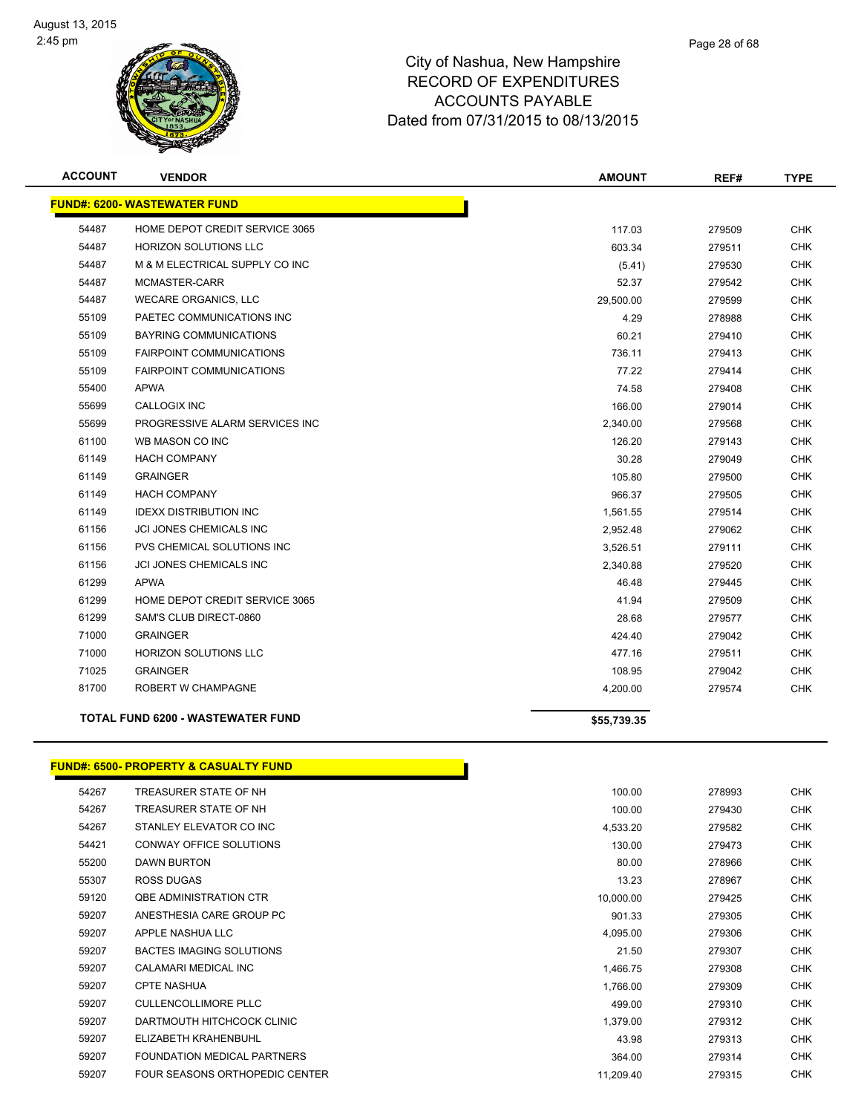

| <b>ACCOUNT</b> | <b>VENDOR</b>                            | <b>AMOUNT</b> | REF#   | <b>TYPE</b> |
|----------------|------------------------------------------|---------------|--------|-------------|
|                | <b>FUND#: 6200- WASTEWATER FUND</b>      |               |        |             |
| 54487          | HOME DEPOT CREDIT SERVICE 3065           | 117.03        | 279509 | <b>CHK</b>  |
| 54487          | <b>HORIZON SOLUTIONS LLC</b>             | 603.34        | 279511 | <b>CHK</b>  |
| 54487          | M & M ELECTRICAL SUPPLY CO INC           | (5.41)        | 279530 | <b>CHK</b>  |
| 54487          | MCMASTER-CARR                            | 52.37         | 279542 | <b>CHK</b>  |
| 54487          | <b>WECARE ORGANICS, LLC</b>              | 29,500.00     | 279599 | <b>CHK</b>  |
| 55109          | PAETEC COMMUNICATIONS INC                | 4.29          | 278988 | <b>CHK</b>  |
| 55109          | <b>BAYRING COMMUNICATIONS</b>            | 60.21         | 279410 | <b>CHK</b>  |
| 55109          | <b>FAIRPOINT COMMUNICATIONS</b>          | 736.11        | 279413 | <b>CHK</b>  |
| 55109          | <b>FAIRPOINT COMMUNICATIONS</b>          | 77.22         | 279414 | <b>CHK</b>  |
| 55400          | <b>APWA</b>                              | 74.58         | 279408 | <b>CHK</b>  |
| 55699          | <b>CALLOGIX INC</b>                      | 166.00        | 279014 | <b>CHK</b>  |
| 55699          | PROGRESSIVE ALARM SERVICES INC           | 2,340.00      | 279568 | <b>CHK</b>  |
| 61100          | WB MASON CO INC                          | 126.20        | 279143 | <b>CHK</b>  |
| 61149          | <b>HACH COMPANY</b>                      | 30.28         | 279049 | <b>CHK</b>  |
| 61149          | <b>GRAINGER</b>                          | 105.80        | 279500 | <b>CHK</b>  |
| 61149          | <b>HACH COMPANY</b>                      | 966.37        | 279505 | <b>CHK</b>  |
| 61149          | <b>IDEXX DISTRIBUTION INC</b>            | 1,561.55      | 279514 | <b>CHK</b>  |
| 61156          | <b>JCI JONES CHEMICALS INC</b>           | 2,952.48      | 279062 | <b>CHK</b>  |
| 61156          | PVS CHEMICAL SOLUTIONS INC               | 3,526.51      | 279111 | <b>CHK</b>  |
| 61156          | JCI JONES CHEMICALS INC                  | 2,340.88      | 279520 | <b>CHK</b>  |
| 61299          | <b>APWA</b>                              | 46.48         | 279445 | <b>CHK</b>  |
| 61299          | HOME DEPOT CREDIT SERVICE 3065           | 41.94         | 279509 | <b>CHK</b>  |
| 61299          | SAM'S CLUB DIRECT-0860                   | 28.68         | 279577 | <b>CHK</b>  |
| 71000          | <b>GRAINGER</b>                          | 424.40        | 279042 | <b>CHK</b>  |
| 71000          | <b>HORIZON SOLUTIONS LLC</b>             | 477.16        | 279511 | <b>CHK</b>  |
| 71025          | <b>GRAINGER</b>                          | 108.95        | 279042 | <b>CHK</b>  |
| 81700          | ROBERT W CHAMPAGNE                       | 4,200.00      | 279574 | <b>CHK</b>  |
|                | <b>TOTAL FUND 6200 - WASTEWATER FUND</b> | \$55,739.35   |        |             |

# **FUND#: 6500- PROPERTY & CASUALTY FUND**

| 54267 | TREASURER STATE OF NH           | 100.00    | 278993 | <b>CHK</b> |
|-------|---------------------------------|-----------|--------|------------|
| 54267 | TREASURER STATE OF NH           | 100.00    | 279430 | <b>CHK</b> |
| 54267 | STANLEY ELEVATOR CO INC         | 4,533.20  | 279582 | CHK        |
| 54421 | CONWAY OFFICE SOLUTIONS         | 130.00    | 279473 | <b>CHK</b> |
| 55200 | DAWN BURTON                     | 80.00     | 278966 | <b>CHK</b> |
| 55307 | ROSS DUGAS                      | 13.23     | 278967 | <b>CHK</b> |
| 59120 | <b>QBE ADMINISTRATION CTR</b>   | 10,000.00 | 279425 | <b>CHK</b> |
| 59207 | ANESTHESIA CARE GROUP PC        | 901.33    | 279305 | <b>CHK</b> |
| 59207 | APPLE NASHUA LLC                | 4,095.00  | 279306 | <b>CHK</b> |
| 59207 | <b>BACTES IMAGING SOLUTIONS</b> | 21.50     | 279307 | <b>CHK</b> |
| 59207 | CALAMARI MEDICAL INC            | 1,466.75  | 279308 | <b>CHK</b> |
| 59207 | <b>CPTE NASHUA</b>              | 1,766.00  | 279309 | <b>CHK</b> |
| 59207 | <b>CULLENCOLLIMORE PLLC</b>     | 499.00    | 279310 | <b>CHK</b> |
| 59207 | DARTMOUTH HITCHCOCK CLINIC      | 1,379.00  | 279312 | <b>CHK</b> |
| 59207 | ELIZABETH KRAHENBUHL            | 43.98     | 279313 | <b>CHK</b> |
| 59207 | FOUNDATION MEDICAL PARTNERS     | 364.00    | 279314 | <b>CHK</b> |
| 59207 | FOUR SEASONS ORTHOPEDIC CENTER  | 11,209.40 | 279315 | <b>CHK</b> |

Г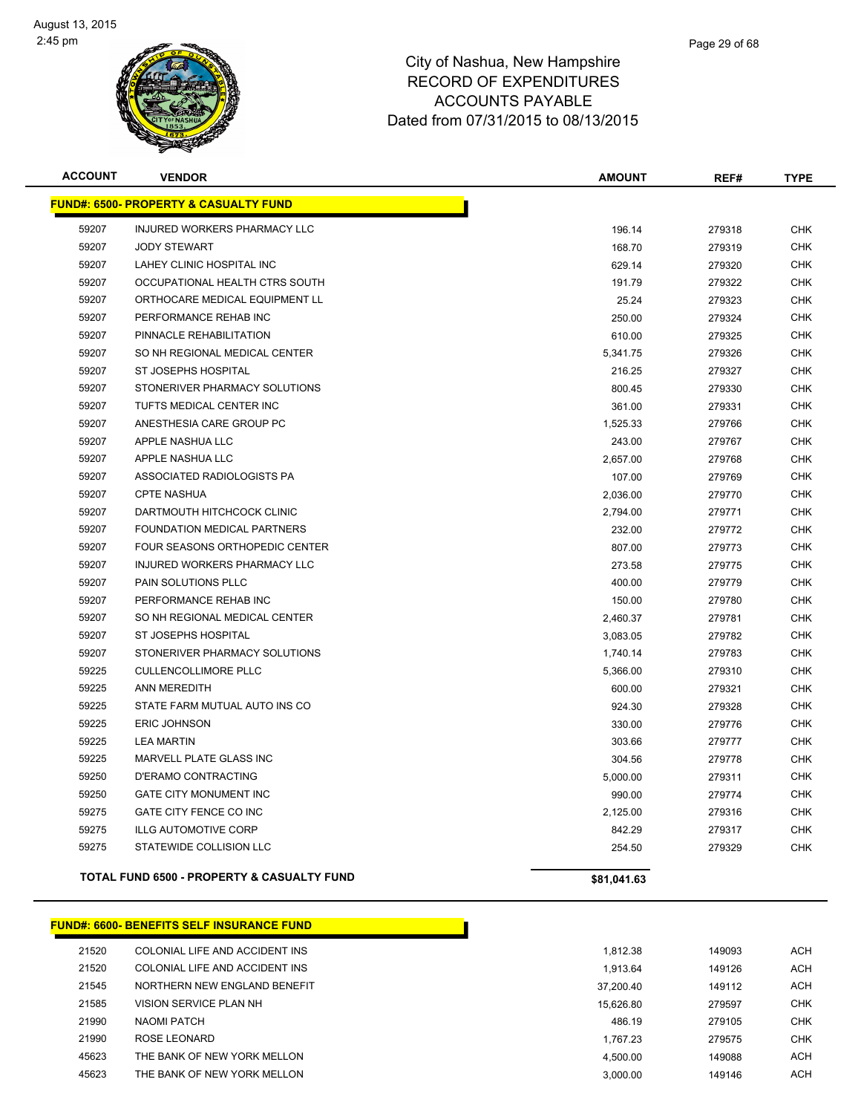

| <b>ACCOUNT</b> | <b>VENDOR</b>                                         | <b>AMOUNT</b> | REF#   | <b>TYPE</b> |
|----------------|-------------------------------------------------------|---------------|--------|-------------|
|                | <b>FUND#: 6500- PROPERTY &amp; CASUALTY FUND</b>      |               |        |             |
| 59207          | INJURED WORKERS PHARMACY LLC                          | 196.14        | 279318 | <b>CHK</b>  |
| 59207          | <b>JODY STEWART</b>                                   | 168.70        | 279319 | <b>CHK</b>  |
| 59207          | LAHEY CLINIC HOSPITAL INC                             | 629.14        | 279320 | <b>CHK</b>  |
| 59207          | OCCUPATIONAL HEALTH CTRS SOUTH                        | 191.79        | 279322 | <b>CHK</b>  |
| 59207          | ORTHOCARE MEDICAL EQUIPMENT LL                        | 25.24         | 279323 | <b>CHK</b>  |
| 59207          | PERFORMANCE REHAB INC                                 | 250.00        | 279324 | <b>CHK</b>  |
| 59207          | PINNACLE REHABILITATION                               | 610.00        | 279325 | <b>CHK</b>  |
| 59207          | SO NH REGIONAL MEDICAL CENTER                         | 5,341.75      | 279326 | <b>CHK</b>  |
| 59207          | <b>ST JOSEPHS HOSPITAL</b>                            | 216.25        | 279327 | <b>CHK</b>  |
| 59207          | STONERIVER PHARMACY SOLUTIONS                         | 800.45        | 279330 | <b>CHK</b>  |
| 59207          | TUFTS MEDICAL CENTER INC                              | 361.00        | 279331 | <b>CHK</b>  |
| 59207          | ANESTHESIA CARE GROUP PC                              | 1,525.33      | 279766 | <b>CHK</b>  |
| 59207          | APPLE NASHUA LLC                                      | 243.00        | 279767 | <b>CHK</b>  |
| 59207          | APPLE NASHUA LLC                                      | 2,657.00      | 279768 | <b>CHK</b>  |
| 59207          | ASSOCIATED RADIOLOGISTS PA                            | 107.00        | 279769 | <b>CHK</b>  |
| 59207          | <b>CPTE NASHUA</b>                                    | 2,036.00      | 279770 | <b>CHK</b>  |
| 59207          | DARTMOUTH HITCHCOCK CLINIC                            | 2,794.00      | 279771 | <b>CHK</b>  |
| 59207          | FOUNDATION MEDICAL PARTNERS                           | 232.00        | 279772 | <b>CHK</b>  |
| 59207          | FOUR SEASONS ORTHOPEDIC CENTER                        | 807.00        | 279773 | <b>CHK</b>  |
| 59207          | INJURED WORKERS PHARMACY LLC                          | 273.58        | 279775 | <b>CHK</b>  |
| 59207          | PAIN SOLUTIONS PLLC                                   | 400.00        | 279779 | <b>CHK</b>  |
| 59207          | PERFORMANCE REHAB INC                                 | 150.00        | 279780 | <b>CHK</b>  |
| 59207          | SO NH REGIONAL MEDICAL CENTER                         | 2,460.37      | 279781 | <b>CHK</b>  |
| 59207          | <b>ST JOSEPHS HOSPITAL</b>                            | 3,083.05      | 279782 | <b>CHK</b>  |
| 59207          | STONERIVER PHARMACY SOLUTIONS                         | 1,740.14      | 279783 | <b>CHK</b>  |
| 59225          | <b>CULLENCOLLIMORE PLLC</b>                           | 5,366.00      | 279310 | <b>CHK</b>  |
| 59225          | <b>ANN MEREDITH</b>                                   | 600.00        | 279321 | CHK         |
| 59225          | STATE FARM MUTUAL AUTO INS CO                         | 924.30        | 279328 | <b>CHK</b>  |
| 59225          | <b>ERIC JOHNSON</b>                                   | 330.00        | 279776 | <b>CHK</b>  |
| 59225          | <b>LEA MARTIN</b>                                     | 303.66        | 279777 | <b>CHK</b>  |
| 59225          | MARVELL PLATE GLASS INC                               | 304.56        | 279778 | <b>CHK</b>  |
| 59250          | <b>D'ERAMO CONTRACTING</b>                            | 5,000.00      | 279311 | <b>CHK</b>  |
| 59250          | GATE CITY MONUMENT INC                                | 990.00        | 279774 | <b>CHK</b>  |
| 59275          | GATE CITY FENCE CO INC                                | 2,125.00      | 279316 | CHK         |
| 59275          | <b>ILLG AUTOMOTIVE CORP</b>                           | 842.29        | 279317 | <b>CHK</b>  |
| 59275          | STATEWIDE COLLISION LLC                               | 254.50        | 279329 | <b>CHK</b>  |
|                | <b>TOTAL FUND 6500 - PROPERTY &amp; CASUALTY FUND</b> | \$81,041.63   |        |             |

#### **FUND#: 6600- BENEFITS SELF INSURANCE FUND**

| 21520 | COLONIAL LIFE AND ACCIDENT INS | 1,812.38  | 149093 | <b>ACH</b> |
|-------|--------------------------------|-----------|--------|------------|
| 21520 | COLONIAL LIFE AND ACCIDENT INS | 1.913.64  | 149126 | <b>ACH</b> |
| 21545 | NORTHERN NEW ENGLAND BENEFIT   | 37.200.40 | 149112 | <b>ACH</b> |
| 21585 | VISION SERVICE PLAN NH         | 15.626.80 | 279597 | <b>CHK</b> |
| 21990 | NAOMI PATCH                    | 486.19    | 279105 | <b>CHK</b> |
| 21990 | ROSE LEONARD                   | 1.767.23  | 279575 | <b>CHK</b> |
| 45623 | THE BANK OF NEW YORK MELLON    | 4.500.00  | 149088 | <b>ACH</b> |
| 45623 | THE BANK OF NEW YORK MELLON    | 3.000.00  | 149146 | <b>ACH</b> |
|       |                                |           |        |            |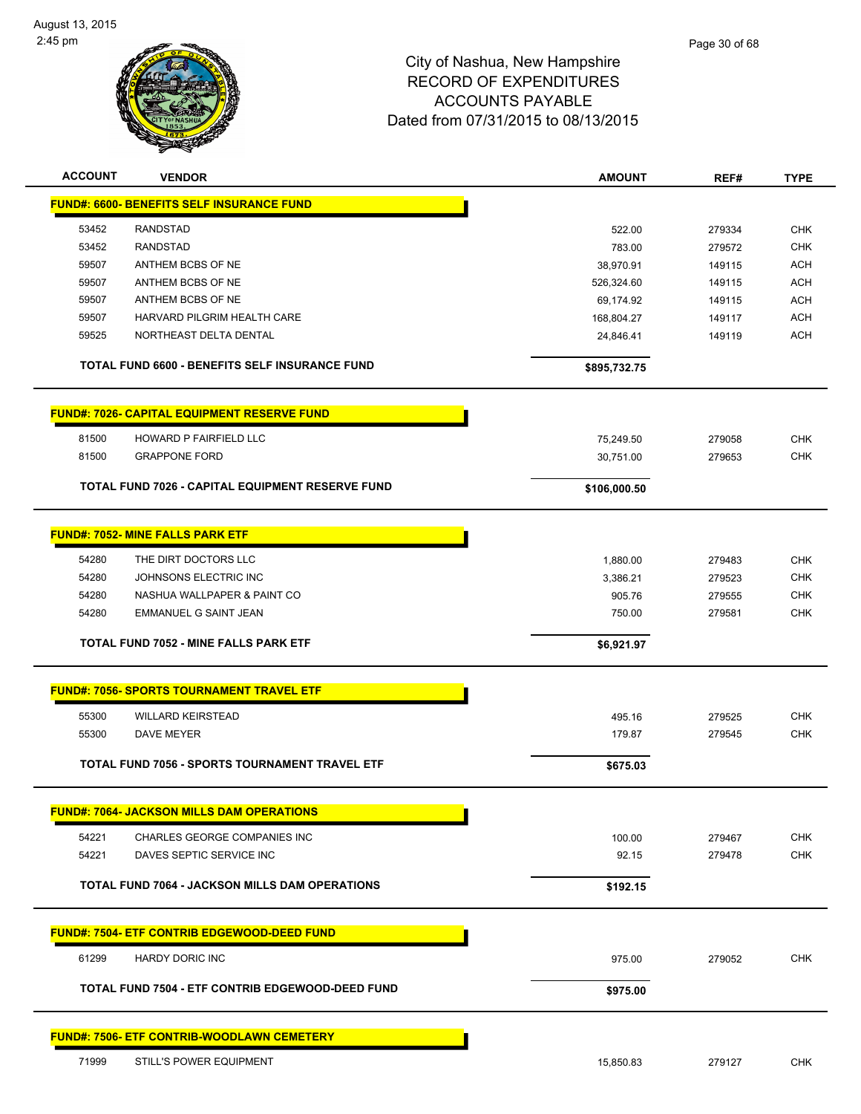

| <b>ACCOUNT</b> | <b>VENDOR</b>                                                   | <b>AMOUNT</b> | REF#   | <b>TYPE</b>              |
|----------------|-----------------------------------------------------------------|---------------|--------|--------------------------|
|                | <b>FUND#: 6600- BENEFITS SELF INSURANCE FUND</b>                |               |        |                          |
| 53452          | <b>RANDSTAD</b>                                                 | 522.00        | 279334 | <b>CHK</b>               |
| 53452          | <b>RANDSTAD</b>                                                 | 783.00        | 279572 | <b>CHK</b>               |
| 59507          | ANTHEM BCBS OF NE                                               | 38,970.91     | 149115 | <b>ACH</b>               |
| 59507          | ANTHEM BCBS OF NE                                               | 526,324.60    | 149115 | <b>ACH</b>               |
| 59507          | ANTHEM BCBS OF NE                                               | 69,174.92     | 149115 | <b>ACH</b>               |
| 59507          | HARVARD PILGRIM HEALTH CARE                                     | 168,804.27    | 149117 | <b>ACH</b>               |
| 59525          | NORTHEAST DELTA DENTAL                                          | 24,846.41     | 149119 | <b>ACH</b>               |
|                | <b>TOTAL FUND 6600 - BENEFITS SELF INSURANCE FUND</b>           | \$895,732.75  |        |                          |
|                | <b>FUND#: 7026- CAPITAL EQUIPMENT RESERVE FUND</b>              |               |        |                          |
|                |                                                                 |               |        |                          |
| 81500          | HOWARD P FAIRFIELD LLC                                          | 75,249.50     | 279058 | <b>CHK</b>               |
| 81500          | <b>GRAPPONE FORD</b>                                            | 30,751.00     | 279653 | <b>CHK</b>               |
|                | TOTAL FUND 7026 - CAPITAL EQUIPMENT RESERVE FUND                | \$106,000.50  |        |                          |
|                | <b>FUND#: 7052- MINE FALLS PARK ETF</b>                         |               |        |                          |
| 54280          | THE DIRT DOCTORS LLC                                            | 1,880.00      | 279483 | <b>CHK</b>               |
| 54280          | JOHNSONS ELECTRIC INC                                           | 3,386.21      | 279523 | <b>CHK</b>               |
| 54280          | NASHUA WALLPAPER & PAINT CO                                     | 905.76        | 279555 | <b>CHK</b>               |
| 54280          | EMMANUEL G SAINT JEAN                                           | 750.00        | 279581 | CHK                      |
|                |                                                                 |               |        |                          |
|                | TOTAL FUND 7052 - MINE FALLS PARK ETF                           | \$6,921.97    |        |                          |
|                | <b>FUND#: 7056- SPORTS TOURNAMENT TRAVEL ETF</b>                |               |        |                          |
| 55300          | <b>WILLARD KEIRSTEAD</b>                                        | 495.16        | 279525 | <b>CHK</b>               |
| 55300          | DAVE MEYER                                                      | 179.87        | 279545 | <b>CHK</b>               |
|                | <b>TOTAL FUND 7056 - SPORTS TOURNAMENT TRAVEL ETF</b>           | \$675.03      |        |                          |
|                | <b>FUND#: 7064- JACKSON MILLS DAM OPERATIONS</b>                |               |        |                          |
|                |                                                                 |               |        |                          |
| 54221<br>54221 | <b>CHARLES GEORGE COMPANIES INC</b><br>DAVES SEPTIC SERVICE INC | 100.00        | 279467 | <b>CHK</b><br><b>CHK</b> |
|                |                                                                 | 92.15         | 279478 |                          |
|                | <b>TOTAL FUND 7064 - JACKSON MILLS DAM OPERATIONS</b>           | \$192.15      |        |                          |
|                | <b>FUND#: 7504- ETF CONTRIB EDGEWOOD-DEED FUND</b>              |               |        |                          |
| 61299          | <b>HARDY DORIC INC</b>                                          | 975.00        | 279052 | <b>CHK</b>               |
|                | TOTAL FUND 7504 - ETF CONTRIB EDGEWOOD-DEED FUND                | \$975.00      |        |                          |
|                | <b>FUND#: 7506- ETF CONTRIB-WOODLAWN CEMETERY</b>               |               |        |                          |
| 71999          | <b>STILL'S POWER EQUIPMENT</b>                                  | 15,850.83     | 279127 | <b>CHK</b>               |
|                |                                                                 |               |        |                          |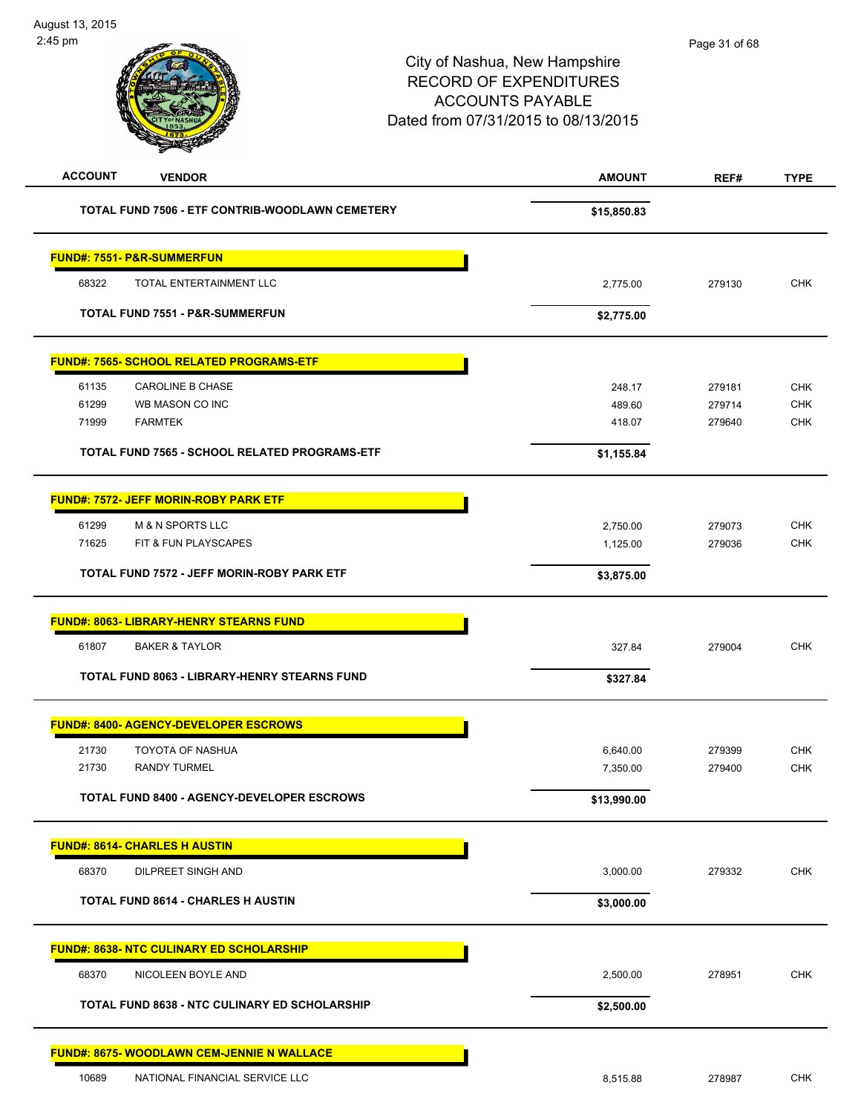| <b>ACCOUNT</b><br><b>VENDOR</b>                      | <b>AMOUNT</b> | REF#   | <b>TYPE</b> |
|------------------------------------------------------|---------------|--------|-------------|
| TOTAL FUND 7506 - ETF CONTRIB-WOODLAWN CEMETERY      | \$15,850.83   |        |             |
| <b>FUND#: 7551- P&amp;R-SUMMERFUN</b>                |               |        |             |
| TOTAL ENTERTAINMENT LLC<br>68322                     | 2,775.00      | 279130 | <b>CHK</b>  |
| <b>TOTAL FUND 7551 - P&amp;R-SUMMERFUN</b>           | \$2,775.00    |        |             |
| <b>FUND#: 7565- SCHOOL RELATED PROGRAMS-ETF</b>      |               |        |             |
| 61135<br><b>CAROLINE B CHASE</b>                     | 248.17        | 279181 | <b>CHK</b>  |
| 61299<br>WB MASON CO INC                             | 489.60        | 279714 | <b>CHK</b>  |
| <b>FARMTEK</b><br>71999                              | 418.07        | 279640 | <b>CHK</b>  |
| TOTAL FUND 7565 - SCHOOL RELATED PROGRAMS-ETF        | \$1,155.84    |        |             |
| <b>FUND#: 7572- JEFF MORIN-ROBY PARK ETF</b>         |               |        |             |
| 61299<br><b>M &amp; N SPORTS LLC</b>                 | 2,750.00      | 279073 | <b>CHK</b>  |
| 71625<br>FIT & FUN PLAYSCAPES                        | 1,125.00      | 279036 | <b>CHK</b>  |
| <b>TOTAL FUND 7572 - JEFF MORIN-ROBY PARK ETF</b>    | \$3,875.00    |        |             |
| <b>FUND#: 8063- LIBRARY-HENRY STEARNS FUND</b>       |               |        |             |
| 61807<br><b>BAKER &amp; TAYLOR</b>                   | 327.84        | 279004 | <b>CHK</b>  |
| <b>TOTAL FUND 8063 - LIBRARY-HENRY STEARNS FUND</b>  | \$327.84      |        |             |
| <b>FUND#: 8400- AGENCY-DEVELOPER ESCROWS</b>         |               |        |             |
| 21730<br>TOYOTA OF NASHUA                            | 6,640.00      | 279399 | <b>CHK</b>  |
| <b>RANDY TURMEL</b><br>21730                         | 7,350.00      | 279400 | <b>CHK</b>  |
| TOTAL FUND 8400 - AGENCY-DEVELOPER ESCROWS           | \$13,990.00   |        |             |
| <b>FUND#: 8614- CHARLES H AUSTIN</b>                 |               |        |             |
| 68370<br><b>DILPREET SINGH AND</b>                   | 3,000.00      | 279332 | CHK         |
| <b>TOTAL FUND 8614 - CHARLES H AUSTIN</b>            | \$3,000.00    |        |             |
| <b>FUND#: 8638- NTC CULINARY ED SCHOLARSHIP</b>      |               |        |             |
| 68370<br>NICOLEEN BOYLE AND                          | 2,500.00      | 278951 | <b>CHK</b>  |
| <b>TOTAL FUND 8638 - NTC CULINARY ED SCHOLARSHIP</b> | \$2,500.00    |        |             |
| <b>FUND#: 8675- WOODLAWN CEM-JENNIE N WALLACE</b>    |               |        |             |
| 10689<br>NATIONAL FINANCIAL SERVICE LLC              | 8,515.88      | 278987 | CHK         |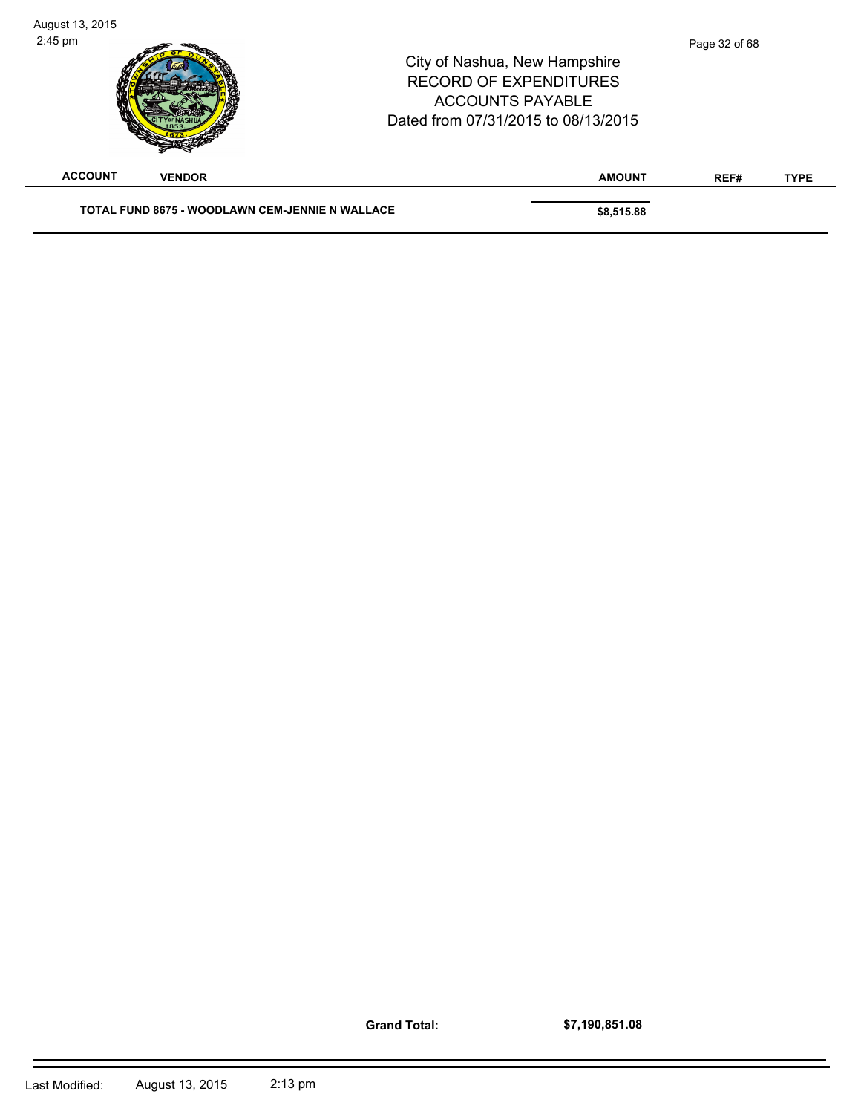|                                 | <b>ACCOUNTS PAYABLE</b><br>Dated from 07/31/2015 to 08/13/2015 |      |             |
|---------------------------------|----------------------------------------------------------------|------|-------------|
| <b>ACCOUNT</b><br><b>VENDOR</b> | <b>AMOUNT</b>                                                  | REF# | <b>TYPE</b> |

**Grand Total:**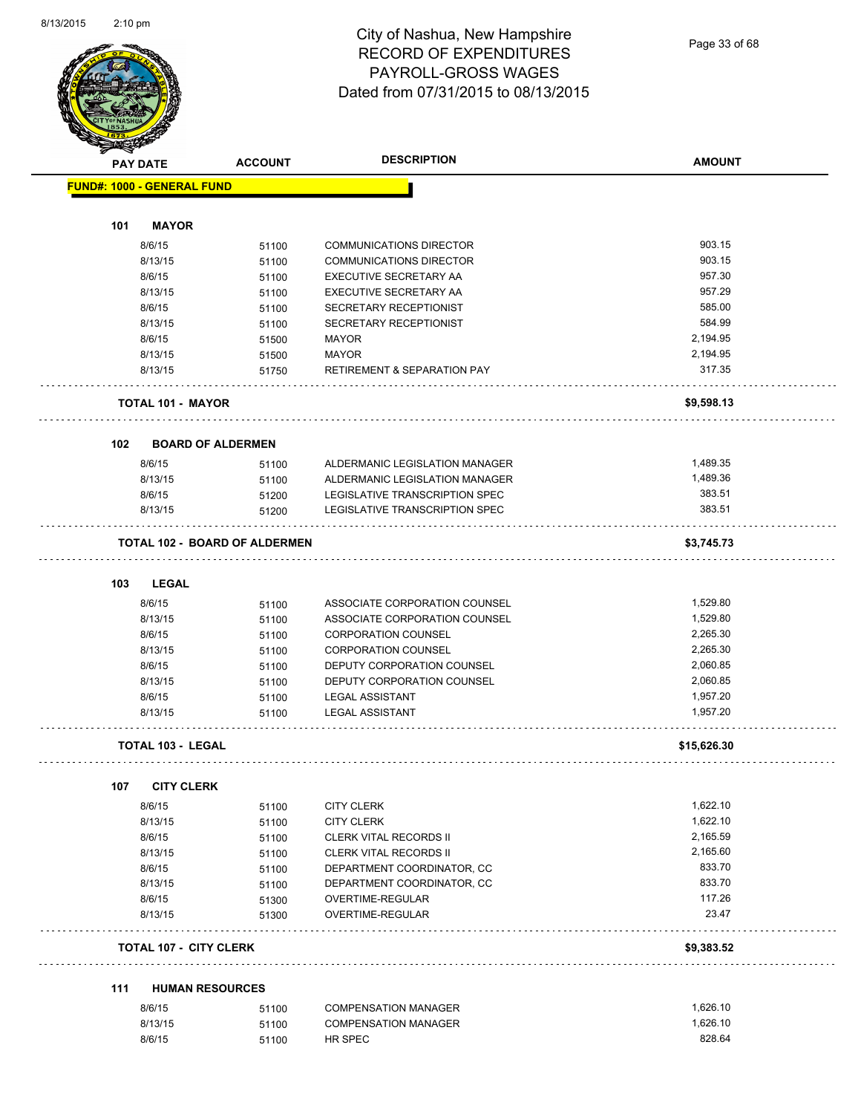Page 33 of 68

| <b>PAY DATE</b> |                                   | <b>ACCOUNT</b>                       | <b>DESCRIPTION</b>                     | <b>AMOUNT</b>   |
|-----------------|-----------------------------------|--------------------------------------|----------------------------------------|-----------------|
|                 | <b>FUND#: 1000 - GENERAL FUND</b> |                                      |                                        |                 |
|                 |                                   |                                      |                                        |                 |
| 101             | <b>MAYOR</b>                      |                                      |                                        |                 |
|                 | 8/6/15                            | 51100                                | <b>COMMUNICATIONS DIRECTOR</b>         | 903.15          |
|                 | 8/13/15                           | 51100                                | <b>COMMUNICATIONS DIRECTOR</b>         | 903.15          |
|                 | 8/6/15                            | 51100                                | EXECUTIVE SECRETARY AA                 | 957.30          |
|                 | 8/13/15                           | 51100                                | EXECUTIVE SECRETARY AA                 | 957.29          |
|                 | 8/6/15                            | 51100                                | SECRETARY RECEPTIONIST                 | 585.00          |
|                 | 8/13/15                           | 51100                                | SECRETARY RECEPTIONIST                 | 584.99          |
|                 | 8/6/15                            | 51500                                | <b>MAYOR</b>                           | 2,194.95        |
|                 | 8/13/15                           | 51500                                | <b>MAYOR</b>                           | 2,194.95        |
|                 | 8/13/15                           | 51750                                | <b>RETIREMENT &amp; SEPARATION PAY</b> | 317.35          |
|                 |                                   |                                      |                                        |                 |
|                 | <b>TOTAL 101 - MAYOR</b>          |                                      |                                        | \$9,598.13      |
|                 |                                   |                                      |                                        |                 |
| 102             |                                   | <b>BOARD OF ALDERMEN</b>             |                                        |                 |
|                 | 8/6/15                            | 51100                                | ALDERMANIC LEGISLATION MANAGER         | 1,489.35        |
|                 | 8/13/15                           | 51100                                | ALDERMANIC LEGISLATION MANAGER         | 1,489.36        |
|                 | 8/6/15                            | 51200                                | LEGISLATIVE TRANSCRIPTION SPEC         | 383.51          |
|                 | 8/13/15                           | 51200                                | LEGISLATIVE TRANSCRIPTION SPEC         | 383.51          |
|                 |                                   | <b>TOTAL 102 - BOARD OF ALDERMEN</b> |                                        | \$3,745.73      |
|                 |                                   |                                      |                                        |                 |
| 103             | <b>LEGAL</b>                      |                                      |                                        |                 |
|                 | 8/6/15                            | 51100                                | ASSOCIATE CORPORATION COUNSEL          | 1,529.80        |
|                 | 8/13/15                           | 51100                                | ASSOCIATE CORPORATION COUNSEL          | 1,529.80        |
|                 | 8/6/15                            | 51100                                | <b>CORPORATION COUNSEL</b>             | 2,265.30        |
|                 | 8/13/15                           | 51100                                | <b>CORPORATION COUNSEL</b>             | 2,265.30        |
|                 | 8/6/15                            | 51100                                | DEPUTY CORPORATION COUNSEL             | 2,060.85        |
|                 | 8/13/15                           | 51100                                | DEPUTY CORPORATION COUNSEL             | 2,060.85        |
|                 | 8/6/15                            |                                      | <b>LEGAL ASSISTANT</b>                 | 1,957.20        |
|                 | 8/13/15                           | 51100<br>51100                       | <b>LEGAL ASSISTANT</b>                 | 1,957.20        |
|                 |                                   |                                      |                                        |                 |
|                 | <b>TOTAL 103 - LEGAL</b>          |                                      |                                        | \$15,626.30     |
| 107             | <b>CITY CLERK</b>                 |                                      |                                        |                 |
|                 | 8/6/15                            | 51100                                | <b>CITY CLERK</b>                      | 1,622.10        |
|                 | 8/13/15                           |                                      | <b>CITY CLERK</b>                      | 1,622.10        |
|                 | 8/6/15                            | 51100                                |                                        | 2,165.59        |
|                 |                                   | 51100                                | <b>CLERK VITAL RECORDS II</b>          | 2,165.60        |
|                 | 8/13/15                           | 51100                                | <b>CLERK VITAL RECORDS II</b>          | 833.70          |
|                 | 8/6/15                            | 51100                                | DEPARTMENT COORDINATOR, CC             |                 |
|                 | 8/13/15                           | 51100                                | DEPARTMENT COORDINATOR, CC             | 833.70          |
|                 | 8/6/15<br>8/13/15                 | 51300                                | OVERTIME-REGULAR<br>OVERTIME-REGULAR   | 117.26<br>23.47 |
|                 |                                   | 51300                                |                                        |                 |
|                 |                                   | <b>TOTAL 107 - CITY CLERK</b>        |                                        | \$9,383.52      |
| 111             |                                   | <b>HUMAN RESOURCES</b>               |                                        |                 |
|                 | 8/6/15                            | 51100                                | <b>COMPENSATION MANAGER</b>            | 1,626.10        |
|                 | 8/13/15                           | 51100                                | <b>COMPENSATION MANAGER</b>            | 1,626.10        |
|                 | 8/6/15                            | 51100                                | HR SPEC                                | 828.64          |
|                 |                                   |                                      |                                        |                 |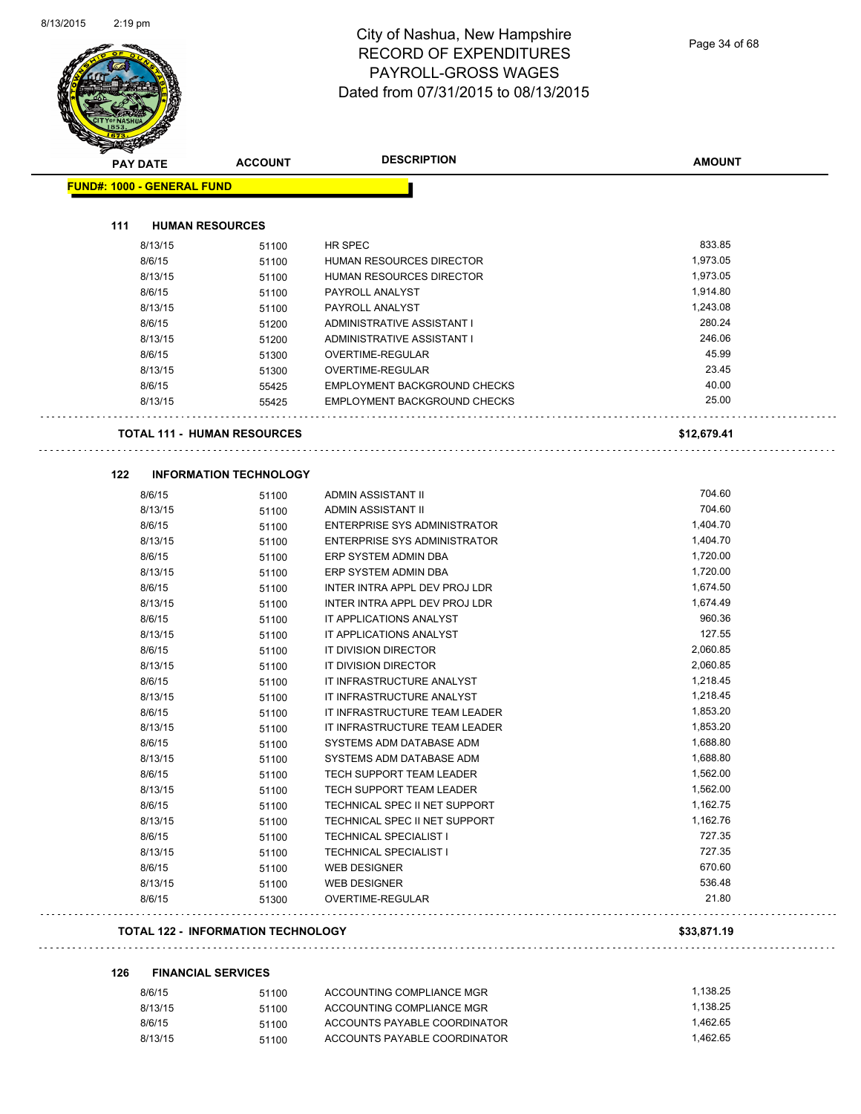| <b>PAY DATE</b>                   | <b>ACCOUNT</b>                            | <b>DESCRIPTION</b>                       | <b>AMOUNT</b> |
|-----------------------------------|-------------------------------------------|------------------------------------------|---------------|
| <b>FUND#: 1000 - GENERAL FUND</b> |                                           |                                          |               |
|                                   |                                           |                                          |               |
| 111                               | <b>HUMAN RESOURCES</b>                    |                                          |               |
|                                   | 8/13/15<br>51100                          | HR SPEC                                  | 833.85        |
| 8/6/15                            | 51100                                     | HUMAN RESOURCES DIRECTOR                 | 1,973.05      |
|                                   | 8/13/15<br>51100                          | HUMAN RESOURCES DIRECTOR                 | 1,973.05      |
| 8/6/15                            | 51100                                     | PAYROLL ANALYST                          | 1,914.80      |
|                                   | 8/13/15<br>51100                          | PAYROLL ANALYST                          | 1,243.08      |
| 8/6/15                            | 51200                                     | ADMINISTRATIVE ASSISTANT I               | 280.24        |
|                                   | 8/13/15<br>51200                          | ADMINISTRATIVE ASSISTANT I               | 246.06        |
| 8/6/15                            | 51300                                     | OVERTIME-REGULAR                         | 45.99         |
|                                   | 8/13/15<br>51300                          | OVERTIME-REGULAR                         | 23.45         |
| 8/6/15                            | 55425                                     | EMPLOYMENT BACKGROUND CHECKS             | 40.00         |
|                                   | 8/13/15<br>55425                          | <b>EMPLOYMENT BACKGROUND CHECKS</b>      | 25.00         |
|                                   | <b>TOTAL 111 - HUMAN RESOURCES</b>        |                                          | \$12,679.41   |
|                                   |                                           |                                          |               |
| 122                               | <b>INFORMATION TECHNOLOGY</b>             |                                          | 704.60        |
| 8/6/15                            | 51100<br>8/13/15                          | ADMIN ASSISTANT II<br>ADMIN ASSISTANT II | 704.60        |
| 8/6/15                            | 51100                                     | <b>ENTERPRISE SYS ADMINISTRATOR</b>      | 1,404.70      |
|                                   | 51100<br>8/13/15                          | ENTERPRISE SYS ADMINISTRATOR             | 1,404.70      |
| 8/6/15                            | 51100                                     | ERP SYSTEM ADMIN DBA                     | 1,720.00      |
|                                   | 51100<br>8/13/15                          | ERP SYSTEM ADMIN DBA                     | 1,720.00      |
| 8/6/15                            | 51100                                     | INTER INTRA APPL DEV PROJ LDR            | 1,674.50      |
|                                   | 51100<br>8/13/15                          | INTER INTRA APPL DEV PROJ LDR            | 1,674.49      |
| 8/6/15                            | 51100<br>51100                            | IT APPLICATIONS ANALYST                  | 960.36        |
|                                   | 8/13/15<br>51100                          | IT APPLICATIONS ANALYST                  | 127.55        |
| 8/6/15                            | 51100                                     | IT DIVISION DIRECTOR                     | 2,060.85      |
|                                   | 8/13/15<br>51100                          | IT DIVISION DIRECTOR                     | 2,060.85      |
| 8/6/15                            | 51100                                     | IT INFRASTRUCTURE ANALYST                | 1,218.45      |
|                                   | 8/13/15<br>51100                          | IT INFRASTRUCTURE ANALYST                | 1,218.45      |
| 8/6/15                            | 51100                                     | IT INFRASTRUCTURE TEAM LEADER            | 1,853.20      |
|                                   | 8/13/15<br>51100                          | IT INFRASTRUCTURE TEAM LEADER            | 1,853.20      |
| 8/6/15                            | 51100                                     | SYSTEMS ADM DATABASE ADM                 | 1,688.80      |
|                                   | 8/13/15<br>51100                          | SYSTEMS ADM DATABASE ADM                 | 1,688.80      |
| 8/6/15                            | 51100                                     | TECH SUPPORT TEAM LEADER                 | 1,562.00      |
|                                   | 8/13/15<br>51100                          | TECH SUPPORT TEAM LEADER                 | 1,562.00      |
| 8/6/15                            | 51100                                     | TECHNICAL SPEC II NET SUPPORT            | 1,162.75      |
|                                   | 8/13/15<br>51100                          | TECHNICAL SPEC II NET SUPPORT            | 1,162.76      |
| 8/6/15                            | 51100                                     | <b>TECHNICAL SPECIALIST I</b>            | 727.35        |
|                                   | 8/13/15<br>51100                          | TECHNICAL SPECIALIST I                   | 727.35        |
| 8/6/15                            | 51100                                     | WEB DESIGNER                             | 670.60        |
|                                   | 8/13/15<br>51100                          | WEB DESIGNER                             | 536.48        |
| 8/6/15                            | 51300                                     | OVERTIME-REGULAR                         | 21.80         |
|                                   | <b>TOTAL 122 - INFORMATION TECHNOLOGY</b> |                                          | \$33,871.19   |
| 126                               | <b>FINANCIAL SERVICES</b>                 |                                          |               |
| 8/6/15                            | 51100                                     | ACCOUNTING COMPLIANCE MGR                | 1,138.25      |
|                                   | 8/13/15<br>51100                          | ACCOUNTING COMPLIANCE MGR                | 1,138.25      |
| 8/6/15                            | 51100                                     | ACCOUNTS PAYABLE COORDINATOR             | 1,462.65      |
|                                   | 8/13/15<br>51100                          | ACCOUNTS PAYABLE COORDINATOR             | 1,462.65      |
|                                   |                                           |                                          |               |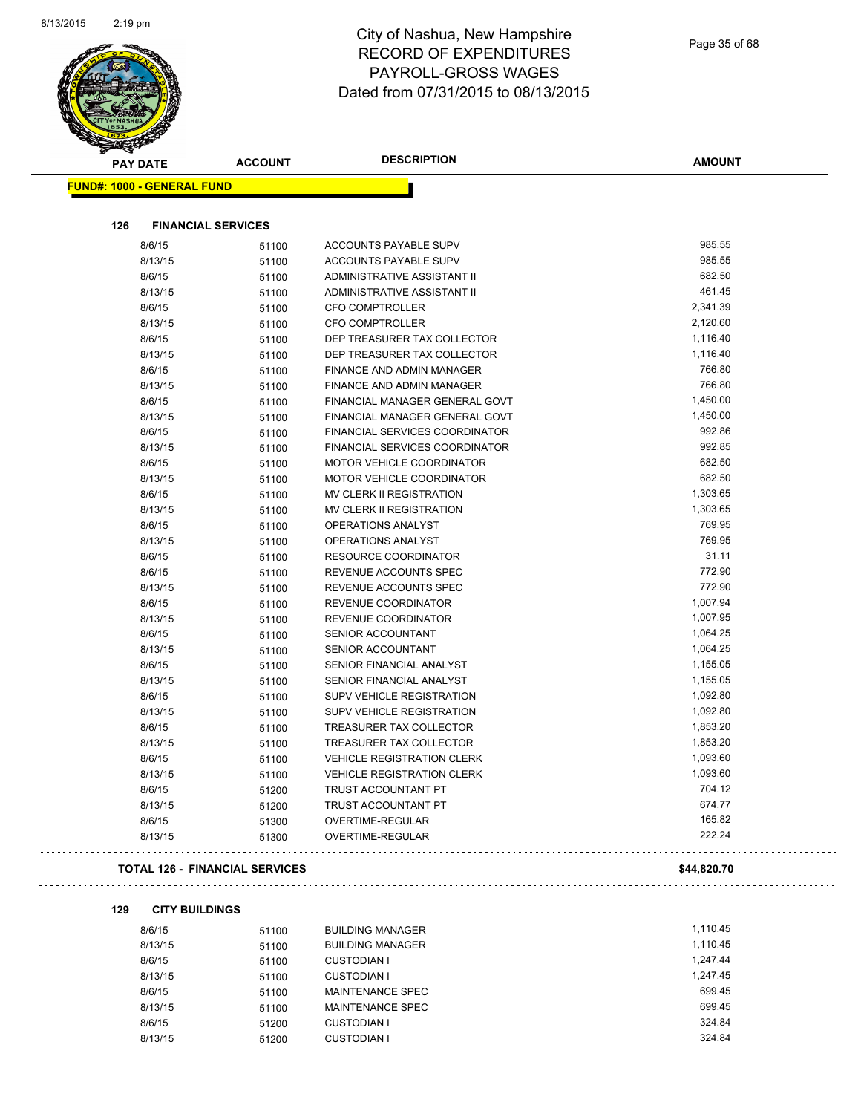

| <b>PAY DATE</b>                   | <b>ACCOUNT</b>                        | <b>DESCRIPTION</b>                | <b>AMOUNT</b> |  |
|-----------------------------------|---------------------------------------|-----------------------------------|---------------|--|
| <b>FUND#: 1000 - GENERAL FUND</b> |                                       |                                   |               |  |
| 126                               | <b>FINANCIAL SERVICES</b>             |                                   |               |  |
| 8/6/15                            | 51100                                 | ACCOUNTS PAYABLE SUPV             | 985.55        |  |
| 8/13/15                           | 51100                                 | ACCOUNTS PAYABLE SUPV             | 985.55        |  |
| 8/6/15                            | 51100                                 | ADMINISTRATIVE ASSISTANT II       | 682.50        |  |
| 8/13/15                           | 51100                                 | ADMINISTRATIVE ASSISTANT II       | 461.45        |  |
| 8/6/15                            | 51100                                 | <b>CFO COMPTROLLER</b>            | 2,341.39      |  |
| 8/13/15                           | 51100                                 | <b>CFO COMPTROLLER</b>            | 2,120.60      |  |
| 8/6/15                            | 51100                                 | DEP TREASURER TAX COLLECTOR       | 1,116.40      |  |
| 8/13/15                           | 51100                                 | DEP TREASURER TAX COLLECTOR       | 1,116.40      |  |
| 8/6/15                            | 51100                                 | FINANCE AND ADMIN MANAGER         | 766.80        |  |
| 8/13/15                           | 51100                                 | FINANCE AND ADMIN MANAGER         | 766.80        |  |
| 8/6/15                            | 51100                                 | FINANCIAL MANAGER GENERAL GOVT    | 1,450.00      |  |
| 8/13/15                           | 51100                                 | FINANCIAL MANAGER GENERAL GOVT    | 1,450.00      |  |
| 8/6/15                            | 51100                                 | FINANCIAL SERVICES COORDINATOR    | 992.86        |  |
| 8/13/15                           | 51100                                 | FINANCIAL SERVICES COORDINATOR    | 992.85        |  |
| 8/6/15                            | 51100                                 | <b>MOTOR VEHICLE COORDINATOR</b>  | 682.50        |  |
| 8/13/15                           | 51100                                 | MOTOR VEHICLE COORDINATOR         | 682.50        |  |
| 8/6/15                            | 51100                                 | MV CLERK II REGISTRATION          | 1,303.65      |  |
| 8/13/15                           | 51100                                 | <b>MV CLERK II REGISTRATION</b>   | 1,303.65      |  |
| 8/6/15                            | 51100                                 | OPERATIONS ANALYST                | 769.95        |  |
| 8/13/15                           | 51100                                 | OPERATIONS ANALYST                | 769.95        |  |
| 8/6/15                            | 51100                                 | <b>RESOURCE COORDINATOR</b>       | 31.11         |  |
| 8/6/15                            | 51100                                 | REVENUE ACCOUNTS SPEC             | 772.90        |  |
| 8/13/15                           | 51100                                 | REVENUE ACCOUNTS SPEC             | 772.90        |  |
| 8/6/15                            | 51100                                 | REVENUE COORDINATOR               | 1,007.94      |  |
| 8/13/15                           | 51100                                 | REVENUE COORDINATOR               | 1,007.95      |  |
| 8/6/15                            | 51100                                 | SENIOR ACCOUNTANT                 | 1,064.25      |  |
| 8/13/15                           | 51100                                 | SENIOR ACCOUNTANT                 | 1,064.25      |  |
| 8/6/15                            | 51100                                 | SENIOR FINANCIAL ANALYST          | 1,155.05      |  |
| 8/13/15                           | 51100                                 | SENIOR FINANCIAL ANALYST          | 1,155.05      |  |
| 8/6/15                            | 51100                                 | SUPV VEHICLE REGISTRATION         | 1,092.80      |  |
| 8/13/15                           | 51100                                 | SUPV VEHICLE REGISTRATION         | 1,092.80      |  |
| 8/6/15                            | 51100                                 | TREASURER TAX COLLECTOR           | 1,853.20      |  |
| 8/13/15                           | 51100                                 | TREASURER TAX COLLECTOR           | 1,853.20      |  |
| 8/6/15                            | 51100                                 | <b>VEHICLE REGISTRATION CLERK</b> | 1,093.60      |  |
| 8/13/15                           | 51100                                 | VEHICLE REGISTRATION CLERK        | 1,093.60      |  |
| 8/6/15                            | 51200                                 | TRUST ACCOUNTANT PT               | 704.12        |  |
| 8/13/15                           | 51200                                 | TRUST ACCOUNTANT PT               | 674.77        |  |
| 8/6/15                            | 51300                                 | OVERTIME-REGULAR                  | 165.82        |  |
| 8/13/15                           | 51300                                 | OVERTIME-REGULAR                  | 222.24        |  |
|                                   | <b>TOTAL 126 - FINANCIAL SERVICES</b> |                                   | \$44,820.70   |  |

#### **129 CITY BUILDINGS**

| 8/6/15  | 51100 | <b>BUILDING MANAGER</b> | 1.110.45 |
|---------|-------|-------------------------|----------|
| 8/13/15 | 51100 | <b>BUILDING MANAGER</b> | 1.110.45 |
| 8/6/15  | 51100 | CUSTODIAN I             | 1.247.44 |
| 8/13/15 | 51100 | <b>CUSTODIAN I</b>      | 1.247.45 |
| 8/6/15  | 51100 | MAINTENANCE SPEC        | 699.45   |
| 8/13/15 | 51100 | MAINTENANCE SPEC        | 699.45   |
| 8/6/15  | 51200 | <b>CUSTODIAN I</b>      | 324.84   |
| 8/13/15 | 51200 | <b>CUSTODIAN I</b>      | 324.84   |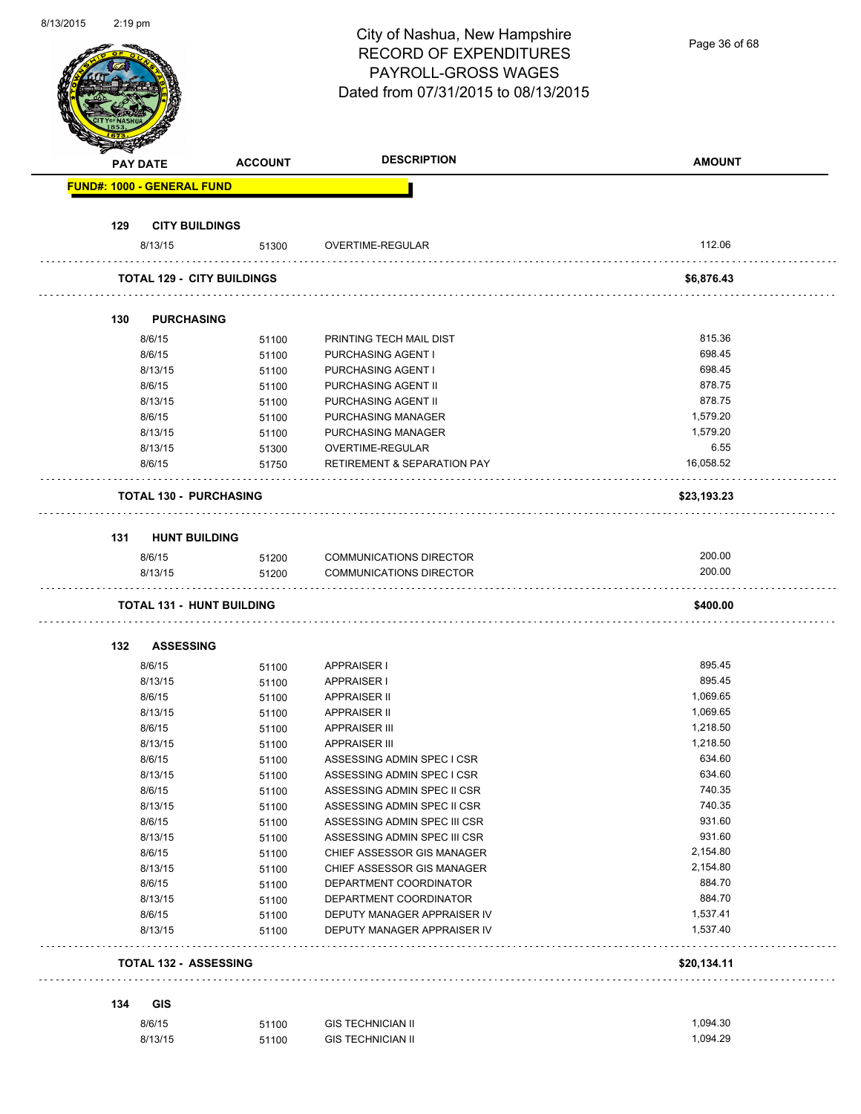| 8/13/2015 | $2:19$ pm |                               |                                   | City of Nashua, New Hampshire<br><b>RECORD OF EXPENDITURES</b><br>PAYROLL-GROSS WAGES<br>Dated from 07/31/2015 to 08/13/2015 | Page 36 of 68    |
|-----------|-----------|-------------------------------|-----------------------------------|------------------------------------------------------------------------------------------------------------------------------|------------------|
|           |           | <b>PAY DATE</b>               | <b>ACCOUNT</b>                    | <b>DESCRIPTION</b>                                                                                                           | <b>AMOUNT</b>    |
|           |           | FUND#: 1000 - GENERAL FUND    |                                   |                                                                                                                              |                  |
|           |           |                               |                                   |                                                                                                                              |                  |
|           | 129       | <b>CITY BUILDINGS</b>         |                                   |                                                                                                                              |                  |
|           |           | 8/13/15                       | 51300                             | OVERTIME-REGULAR                                                                                                             | 112.06           |
|           |           |                               | <b>TOTAL 129 - CITY BUILDINGS</b> |                                                                                                                              | \$6,876.43       |
|           |           |                               |                                   |                                                                                                                              |                  |
|           | 130       | <b>PURCHASING</b>             |                                   |                                                                                                                              |                  |
|           |           | 8/6/15                        | 51100                             | PRINTING TECH MAIL DIST                                                                                                      | 815.36           |
|           |           | 8/6/15                        | 51100                             | <b>PURCHASING AGENT I</b>                                                                                                    | 698.45           |
|           |           | 8/13/15                       | 51100                             | PURCHASING AGENT I                                                                                                           | 698.45           |
|           |           | 8/6/15                        | 51100                             | PURCHASING AGENT II                                                                                                          | 878.75           |
|           |           | 8/13/15                       | 51100                             | PURCHASING AGENT II                                                                                                          | 878.75           |
|           |           | 8/6/15                        | 51100                             | <b>PURCHASING MANAGER</b>                                                                                                    | 1,579.20         |
|           |           | 8/13/15                       | 51100                             | PURCHASING MANAGER                                                                                                           | 1,579.20         |
|           |           | 8/13/15                       | 51300                             | OVERTIME-REGULAR                                                                                                             | 6.55             |
|           |           | 8/6/15                        | 51750                             | <b>RETIREMENT &amp; SEPARATION PAY</b>                                                                                       | 16,058.52        |
|           |           | <b>TOTAL 130 - PURCHASING</b> |                                   |                                                                                                                              | \$23,193.23      |
|           |           |                               |                                   |                                                                                                                              |                  |
|           | 131       | <b>HUNT BUILDING</b>          |                                   |                                                                                                                              |                  |
|           |           | 8/6/15                        | 51200                             | COMMUNICATIONS DIRECTOR                                                                                                      | 200.00           |
|           |           | 8/13/15                       | 51200                             | <b>COMMUNICATIONS DIRECTOR</b>                                                                                               | 200.00           |
|           |           |                               | <b>TOTAL 131 - HUNT BUILDING</b>  |                                                                                                                              | \$400.00         |
|           |           |                               |                                   |                                                                                                                              |                  |
|           | 132       | <b>ASSESSING</b>              |                                   |                                                                                                                              |                  |
|           |           | 8/6/15                        | 51100                             | <b>APPRAISER I</b>                                                                                                           | 895.45           |
|           |           | 8/13/15                       | 51100                             | <b>APPRAISER I</b>                                                                                                           | 895.45           |
|           |           | 8/6/15                        | 51100                             | <b>APPRAISER II</b>                                                                                                          | 1,069.65         |
|           |           | 8/13/15                       | 51100                             | <b>APPRAISER II</b>                                                                                                          | 1,069.65         |
|           |           | 8/6/15                        | 51100                             | <b>APPRAISER III</b>                                                                                                         | 1,218.50         |
|           |           | 8/13/15                       | 51100                             | <b>APPRAISER III</b>                                                                                                         | 1,218.50         |
|           |           | 8/6/15                        | 51100                             | ASSESSING ADMIN SPEC I CSR                                                                                                   | 634.60           |
|           |           | 8/13/15                       | 51100                             | ASSESSING ADMIN SPEC I CSR                                                                                                   | 634.60<br>740.35 |
|           |           | 8/6/15                        | 51100                             | ASSESSING ADMIN SPEC II CSR                                                                                                  | 740.35           |
|           |           | 8/13/15<br>8/6/15             | 51100                             | ASSESSING ADMIN SPEC II CSR                                                                                                  | 931.60           |
|           |           | 8/13/15                       | 51100                             | ASSESSING ADMIN SPEC III CSR<br>ASSESSING ADMIN SPEC III CSR                                                                 | 931.60           |
|           |           | 8/6/15                        | 51100                             | CHIEF ASSESSOR GIS MANAGER                                                                                                   | 2,154.80         |
|           |           | 8/13/15                       | 51100<br>51100                    | CHIEF ASSESSOR GIS MANAGER                                                                                                   | 2,154.80         |
|           |           | 8/6/15                        | 51100                             | DEPARTMENT COORDINATOR                                                                                                       | 884.70           |
|           |           | 8/13/15                       | 51100                             | DEPARTMENT COORDINATOR                                                                                                       | 884.70           |
|           |           | 8/6/15                        | 51100                             | DEPUTY MANAGER APPRAISER IV                                                                                                  | 1,537.41         |
|           |           | 8/13/15                       | 51100                             | DEPUTY MANAGER APPRAISER IV                                                                                                  | 1,537.40         |
|           |           | <b>TOTAL 132 - ASSESSING</b>  |                                   |                                                                                                                              | \$20,134.11      |
|           |           |                               |                                   |                                                                                                                              |                  |
|           | 134       | <b>GIS</b>                    |                                   |                                                                                                                              |                  |
|           |           | 8/6/15                        | 51100                             | <b>GIS TECHNICIAN II</b>                                                                                                     | 1,094.30         |
|           |           | 8/13/15                       | 51100                             | <b>GIS TECHNICIAN II</b>                                                                                                     | 1,094.29         |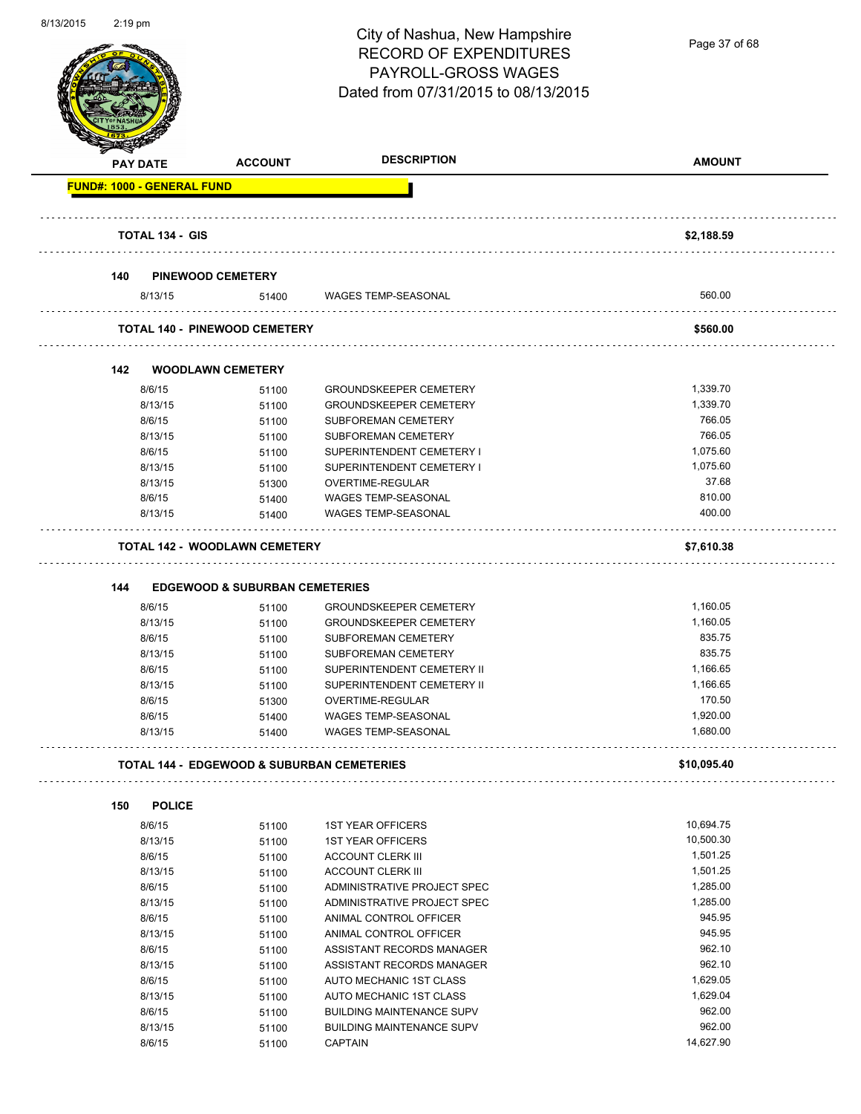

Page 37 of 68

| $\blacktriangleleft$ .<br><b>PAY DATE</b> | <b>ACCOUNT</b>                                        | <b>DESCRIPTION</b>               | <b>AMOUNT</b> |
|-------------------------------------------|-------------------------------------------------------|----------------------------------|---------------|
| <b>FUND#: 1000 - GENERAL FUND</b>         |                                                       |                                  |               |
| <b>TOTAL 134 - GIS</b>                    |                                                       |                                  | \$2,188.59    |
| 140                                       | <b>PINEWOOD CEMETERY</b>                              |                                  |               |
| 8/13/15                                   | 51400                                                 | WAGES TEMP-SEASONAL              | 560.00        |
|                                           | <b>TOTAL 140 - PINEWOOD CEMETERY</b>                  |                                  | \$560.00      |
| 142                                       | <b>WOODLAWN CEMETERY</b>                              |                                  |               |
| 8/6/15                                    | 51100                                                 | <b>GROUNDSKEEPER CEMETERY</b>    | 1,339.70      |
| 8/13/15                                   | 51100                                                 | <b>GROUNDSKEEPER CEMETERY</b>    | 1,339.70      |
| 8/6/15                                    | 51100                                                 | SUBFOREMAN CEMETERY              | 766.05        |
| 8/13/15                                   | 51100                                                 | <b>SUBFOREMAN CEMETERY</b>       | 766.05        |
| 8/6/15                                    | 51100                                                 | SUPERINTENDENT CEMETERY I        | 1,075.60      |
| 8/13/15                                   | 51100                                                 | SUPERINTENDENT CEMETERY I        | 1,075.60      |
| 8/13/15                                   | 51300                                                 | OVERTIME-REGULAR                 | 37.68         |
| 8/6/15                                    | 51400                                                 | <b>WAGES TEMP-SEASONAL</b>       | 810.00        |
| 8/13/15                                   | 51400                                                 | <b>WAGES TEMP-SEASONAL</b>       | 400.00        |
|                                           | <b>TOTAL 142 - WOODLAWN CEMETERY</b>                  |                                  | \$7,610.38    |
|                                           |                                                       |                                  |               |
| 144                                       | <b>EDGEWOOD &amp; SUBURBAN CEMETERIES</b>             |                                  |               |
| 8/6/15                                    | 51100                                                 | <b>GROUNDSKEEPER CEMETERY</b>    | 1,160.05      |
| 8/13/15                                   | 51100                                                 | <b>GROUNDSKEEPER CEMETERY</b>    | 1,160.05      |
| 8/6/15                                    | 51100                                                 | <b>SUBFOREMAN CEMETERY</b>       | 835.75        |
| 8/13/15                                   | 51100                                                 | SUBFOREMAN CEMETERY              | 835.75        |
| 8/6/15                                    | 51100                                                 | SUPERINTENDENT CEMETERY II       | 1,166.65      |
| 8/13/15                                   | 51100                                                 | SUPERINTENDENT CEMETERY II       | 1,166.65      |
| 8/6/15                                    | 51300                                                 | OVERTIME-REGULAR                 | 170.50        |
| 8/6/15                                    | 51400                                                 | WAGES TEMP-SEASONAL              | 1,920.00      |
| 8/13/15                                   | 51400                                                 | <b>WAGES TEMP-SEASONAL</b>       | 1,680.00      |
|                                           | <b>TOTAL 144 - EDGEWOOD &amp; SUBURBAN CEMETERIES</b> |                                  | \$10,095.40   |
| 150<br><b>POLICE</b>                      |                                                       |                                  |               |
| 8/6/15                                    | 51100                                                 | <b>1ST YEAR OFFICERS</b>         | 10,694.75     |
| 8/13/15                                   | 51100                                                 | <b>1ST YEAR OFFICERS</b>         | 10,500.30     |
| 8/6/15                                    | 51100                                                 | <b>ACCOUNT CLERK III</b>         | 1,501.25      |
| 8/13/15                                   | 51100                                                 | <b>ACCOUNT CLERK III</b>         | 1,501.25      |
| 8/6/15                                    | 51100                                                 | ADMINISTRATIVE PROJECT SPEC      | 1,285.00      |
| 8/13/15                                   | 51100                                                 | ADMINISTRATIVE PROJECT SPEC      | 1,285.00      |
| 8/6/15                                    | 51100                                                 | ANIMAL CONTROL OFFICER           | 945.95        |
| 8/13/15                                   | 51100                                                 | ANIMAL CONTROL OFFICER           | 945.95        |
| 8/6/15                                    | 51100                                                 | ASSISTANT RECORDS MANAGER        | 962.10        |
| 8/13/15                                   | 51100                                                 | ASSISTANT RECORDS MANAGER        | 962.10        |
| 8/6/15                                    | 51100                                                 | AUTO MECHANIC 1ST CLASS          | 1,629.05      |
| 8/13/15                                   | 51100                                                 | AUTO MECHANIC 1ST CLASS          | 1,629.04      |
| 8/6/15                                    | 51100                                                 | <b>BUILDING MAINTENANCE SUPV</b> | 962.00        |
| 8/13/15                                   | 51100                                                 | <b>BUILDING MAINTENANCE SUPV</b> | 962.00        |
| 8/6/15                                    | 51100                                                 | <b>CAPTAIN</b>                   | 14,627.90     |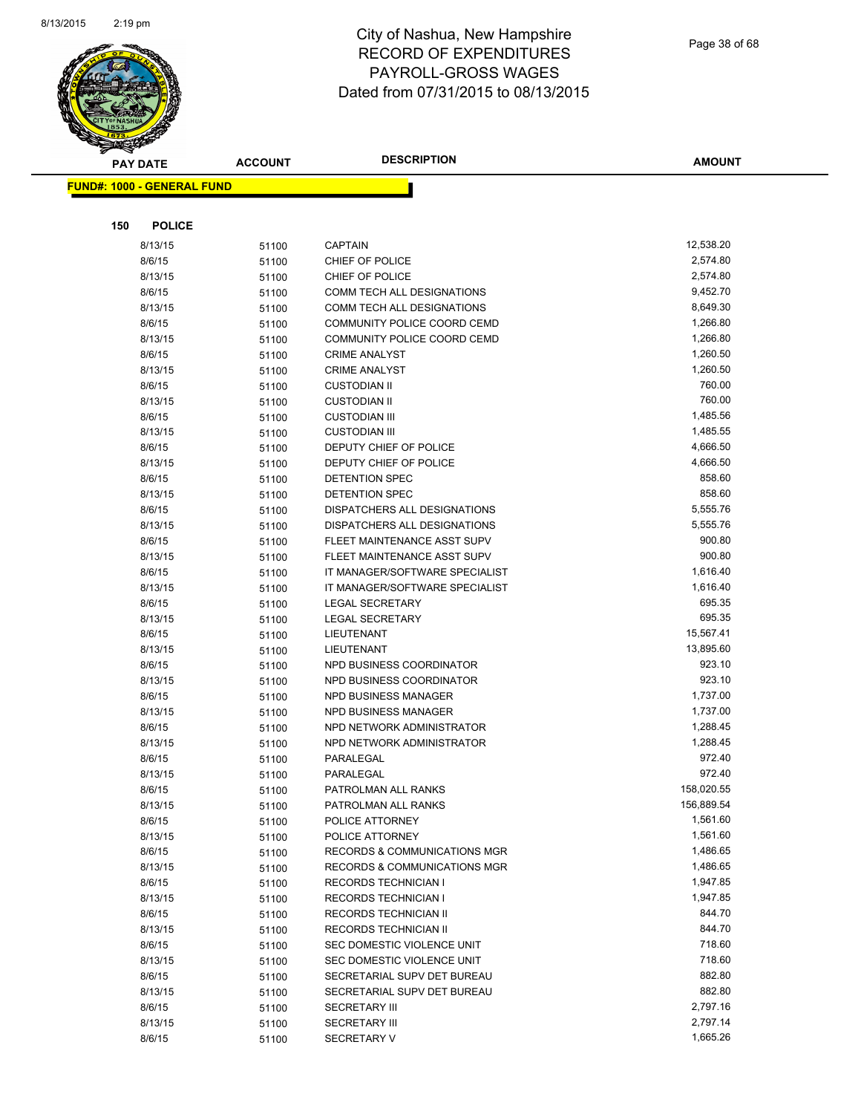

| <b>PAY DATE</b>                   | <b>ACCOUNT</b> | <b>DESCRIPTION</b>                                         | <b>AMOUNT</b>        |
|-----------------------------------|----------------|------------------------------------------------------------|----------------------|
| <b>FUND#: 1000 - GENERAL FUND</b> |                |                                                            |                      |
|                                   |                |                                                            |                      |
| <b>POLICE</b><br>150              |                |                                                            |                      |
| 8/13/15                           | 51100          | <b>CAPTAIN</b>                                             | 12,538.20            |
| 8/6/15                            | 51100          | CHIEF OF POLICE                                            | 2,574.80             |
| 8/13/15                           | 51100          | CHIEF OF POLICE                                            | 2,574.80             |
| 8/6/15                            | 51100          | COMM TECH ALL DESIGNATIONS                                 | 9,452.70             |
| 8/13/15                           | 51100          | COMM TECH ALL DESIGNATIONS                                 | 8,649.30             |
| 8/6/15                            | 51100          | COMMUNITY POLICE COORD CEMD                                | 1,266.80             |
| 8/13/15                           | 51100          | COMMUNITY POLICE COORD CEMD                                | 1,266.80             |
| 8/6/15                            | 51100          | <b>CRIME ANALYST</b>                                       | 1,260.50             |
| 8/13/15                           | 51100          | <b>CRIME ANALYST</b>                                       | 1,260.50             |
| 8/6/15                            | 51100          | <b>CUSTODIAN II</b>                                        | 760.00               |
| 8/13/15                           | 51100          | <b>CUSTODIAN II</b>                                        | 760.00               |
| 8/6/15                            | 51100          | <b>CUSTODIAN III</b>                                       | 1,485.56             |
| 8/13/15                           | 51100          | <b>CUSTODIAN III</b>                                       | 1,485.55             |
| 8/6/15                            | 51100          | DEPUTY CHIEF OF POLICE                                     | 4,666.50             |
| 8/13/15                           | 51100          | DEPUTY CHIEF OF POLICE                                     | 4,666.50             |
| 8/6/15                            | 51100          | <b>DETENTION SPEC</b>                                      | 858.60               |
| 8/13/15                           | 51100          | DETENTION SPEC                                             | 858.60               |
| 8/6/15                            | 51100          | <b>DISPATCHERS ALL DESIGNATIONS</b>                        | 5,555.76             |
| 8/13/15                           | 51100          | DISPATCHERS ALL DESIGNATIONS                               | 5,555.76             |
| 8/6/15                            | 51100          | FLEET MAINTENANCE ASST SUPV                                | 900.80               |
| 8/13/15                           | 51100          | FLEET MAINTENANCE ASST SUPV                                | 900.80               |
| 8/6/15                            | 51100          | IT MANAGER/SOFTWARE SPECIALIST                             | 1,616.40             |
| 8/13/15                           | 51100          | IT MANAGER/SOFTWARE SPECIALIST                             | 1,616.40             |
| 8/6/15                            | 51100          | <b>LEGAL SECRETARY</b>                                     | 695.35               |
| 8/13/15                           | 51100          | <b>LEGAL SECRETARY</b>                                     | 695.35               |
| 8/6/15                            | 51100          | LIEUTENANT                                                 | 15,567.41            |
| 8/13/15                           | 51100          | LIEUTENANT                                                 | 13,895.60            |
| 8/6/15                            | 51100          | NPD BUSINESS COORDINATOR                                   | 923.10               |
| 8/13/15                           | 51100          | NPD BUSINESS COORDINATOR                                   | 923.10               |
| 8/6/15                            | 51100          | <b>NPD BUSINESS MANAGER</b>                                | 1,737.00             |
| 8/13/15                           | 51100          | NPD BUSINESS MANAGER                                       | 1,737.00             |
| 8/6/15                            | 51100          | NPD NETWORK ADMINISTRATOR                                  | 1,288.45             |
| 8/13/15                           | 51100          | NPD NETWORK ADMINISTRATOR                                  | 1,288.45             |
| 8/6/15                            | 51100          | PARALEGAL                                                  | 972.40               |
| 8/13/15                           | 51100          | PARALEGAL                                                  | 972.40               |
| 8/6/15                            | 51100          | PATROLMAN ALL RANKS                                        | 158,020.55           |
| 8/13/15                           | 51100          | PATROLMAN ALL RANKS                                        | 156,889.54           |
| 8/6/15                            | 51100          | POLICE ATTORNEY                                            | 1,561.60<br>1,561.60 |
| 8/13/15<br>8/6/15                 | 51100          | POLICE ATTORNEY<br><b>RECORDS &amp; COMMUNICATIONS MGR</b> | 1,486.65             |
| 8/13/15                           | 51100          | <b>RECORDS &amp; COMMUNICATIONS MGR</b>                    | 1,486.65             |
| 8/6/15                            | 51100<br>51100 | RECORDS TECHNICIAN I                                       | 1,947.85             |
| 8/13/15                           | 51100          | RECORDS TECHNICIAN I                                       | 1,947.85             |
| 8/6/15                            | 51100          | RECORDS TECHNICIAN II                                      | 844.70               |
| 8/13/15                           | 51100          | RECORDS TECHNICIAN II                                      | 844.70               |
| 8/6/15                            | 51100          | SEC DOMESTIC VIOLENCE UNIT                                 | 718.60               |
| 8/13/15                           | 51100          | SEC DOMESTIC VIOLENCE UNIT                                 | 718.60               |
| 8/6/15                            | 51100          | SECRETARIAL SUPV DET BUREAU                                | 882.80               |
| 8/13/15                           | 51100          | SECRETARIAL SUPV DET BUREAU                                | 882.80               |
| 8/6/15                            | 51100          | <b>SECRETARY III</b>                                       | 2,797.16             |
| 8/13/15                           | 51100          | SECRETARY III                                              | 2,797.14             |
| 8/6/15                            | 51100          | SECRETARY V                                                | 1,665.26             |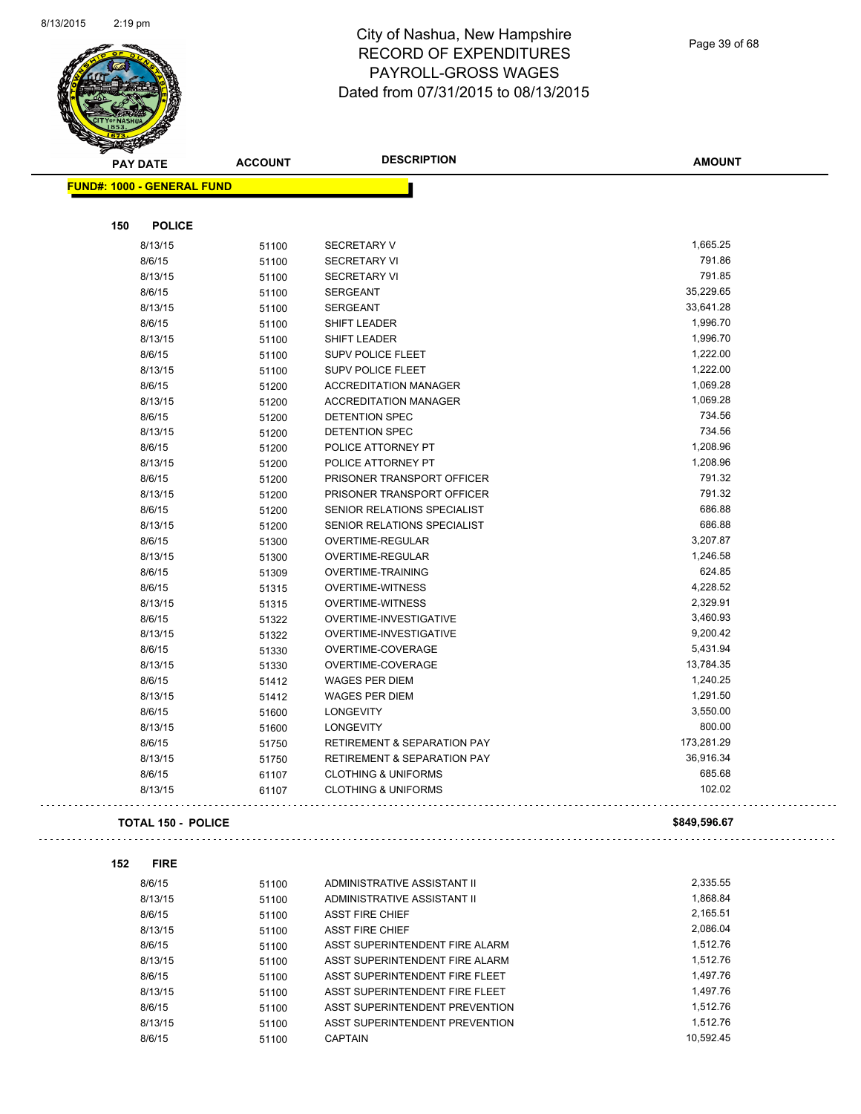

Page 39 of 68

 $\overline{a}$ 

| <b>SACTOR</b>   |                                   |                |                                        |               |
|-----------------|-----------------------------------|----------------|----------------------------------------|---------------|
| <b>PAY DATE</b> |                                   | <b>ACCOUNT</b> | <b>DESCRIPTION</b>                     | <b>AMOUNT</b> |
|                 | <b>FUND#: 1000 - GENERAL FUND</b> |                |                                        |               |
|                 |                                   |                |                                        |               |
| 150             | <b>POLICE</b>                     |                |                                        |               |
|                 | 8/13/15                           | 51100          | <b>SECRETARY V</b>                     | 1,665.25      |
|                 | 8/6/15                            | 51100          | <b>SECRETARY VI</b>                    | 791.86        |
|                 | 8/13/15                           | 51100          | <b>SECRETARY VI</b>                    | 791.85        |
|                 | 8/6/15                            | 51100          | <b>SERGEANT</b>                        | 35,229.65     |
|                 | 8/13/15                           | 51100          | <b>SERGEANT</b>                        | 33,641.28     |
|                 | 8/6/15                            | 51100          | SHIFT LEADER                           | 1,996.70      |
|                 | 8/13/15                           | 51100          | SHIFT LEADER                           | 1,996.70      |
|                 | 8/6/15                            | 51100          | <b>SUPV POLICE FLEET</b>               | 1,222.00      |
|                 | 8/13/15                           | 51100          | <b>SUPV POLICE FLEET</b>               | 1,222.00      |
|                 | 8/6/15                            | 51200          | <b>ACCREDITATION MANAGER</b>           | 1,069.28      |
|                 | 8/13/15                           | 51200          | <b>ACCREDITATION MANAGER</b>           | 1,069.28      |
|                 | 8/6/15                            | 51200          | DETENTION SPEC                         | 734.56        |
|                 | 8/13/15                           | 51200          | <b>DETENTION SPEC</b>                  | 734.56        |
|                 | 8/6/15                            | 51200          | POLICE ATTORNEY PT                     | 1,208.96      |
|                 | 8/13/15                           | 51200          | POLICE ATTORNEY PT                     | 1,208.96      |
|                 | 8/6/15                            | 51200          | PRISONER TRANSPORT OFFICER             | 791.32        |
|                 | 8/13/15                           | 51200          | PRISONER TRANSPORT OFFICER             | 791.32        |
|                 | 8/6/15                            | 51200          | SENIOR RELATIONS SPECIALIST            | 686.88        |
|                 | 8/13/15                           | 51200          | SENIOR RELATIONS SPECIALIST            | 686.88        |
|                 | 8/6/15                            | 51300          | <b>OVERTIME-REGULAR</b>                | 3,207.87      |
|                 | 8/13/15                           | 51300          | OVERTIME-REGULAR                       | 1,246.58      |
|                 | 8/6/15                            | 51309          | OVERTIME-TRAINING                      | 624.85        |
|                 | 8/6/15                            | 51315          | OVERTIME-WITNESS                       | 4,228.52      |
|                 | 8/13/15                           | 51315          | <b>OVERTIME-WITNESS</b>                | 2,329.91      |
|                 | 8/6/15                            | 51322          | OVERTIME-INVESTIGATIVE                 | 3,460.93      |
|                 | 8/13/15                           | 51322          | OVERTIME-INVESTIGATIVE                 | 9,200.42      |
|                 | 8/6/15                            | 51330          | OVERTIME-COVERAGE                      | 5,431.94      |
|                 | 8/13/15                           | 51330          | OVERTIME-COVERAGE                      | 13,784.35     |
|                 | 8/6/15                            | 51412          | WAGES PER DIEM                         | 1,240.25      |
|                 | 8/13/15                           | 51412          | WAGES PER DIEM                         | 1,291.50      |
|                 | 8/6/15                            | 51600          | <b>LONGEVITY</b>                       | 3,550.00      |
|                 | 8/13/15                           | 51600          | LONGEVITY                              | 800.00        |
|                 | 8/6/15                            | 51750          | <b>RETIREMENT &amp; SEPARATION PAY</b> | 173,281.29    |
|                 | 8/13/15                           | 51750          | <b>RETIREMENT &amp; SEPARATION PAY</b> | 36,916.34     |
|                 | 8/6/15                            | 61107          | <b>CLOTHING &amp; UNIFORMS</b>         | 685.68        |
|                 | 8/13/15                           | 61107          | <b>CLOTHING &amp; UNIFORMS</b>         | 102.02        |
|                 |                                   |                |                                        |               |
|                 | <b>TOTAL 150 - POLICE</b>         |                |                                        | \$849,596.67  |
|                 |                                   |                |                                        |               |
| 152             | <b>FIRE</b>                       |                |                                        |               |
|                 | 8/6/15                            | 51100          | ADMINISTRATIVE ASSISTANT II            | 2,335.55      |
|                 | 8/13/15                           |                | ADMINISTRATIVE ASSISTANT II            | 1,868.84      |
|                 | 8/6/15                            | 51100          | <b>ASST FIRE CHIEF</b>                 | 2,165.51      |
|                 | 8/13/15                           | 51100          |                                        | 2,086.04      |
|                 | 8/6/15                            | 51100          | <b>ASST FIRE CHIEF</b>                 | 1,512.76      |
|                 |                                   | 51100          | ASST SUPERINTENDENT FIRE ALARM         | 1,512.76      |
|                 | 8/13/15                           | 51100          | ASST SUPERINTENDENT FIRE ALARM         |               |
|                 | 8/6/15                            | 51100          | ASST SUPERINTENDENT FIRE FLEET         | 1,497.76      |
|                 | 8/13/15                           | 51100          | ASST SUPERINTENDENT FIRE FLEET         | 1,497.76      |
|                 | 8/6/15                            | 51100          | ASST SUPERINTENDENT PREVENTION         | 1,512.76      |
|                 | 8/13/15                           | 51100          | ASST SUPERINTENDENT PREVENTION         | 1,512.76      |
|                 | 8/6/15                            | 51100          | CAPTAIN                                | 10,592.45     |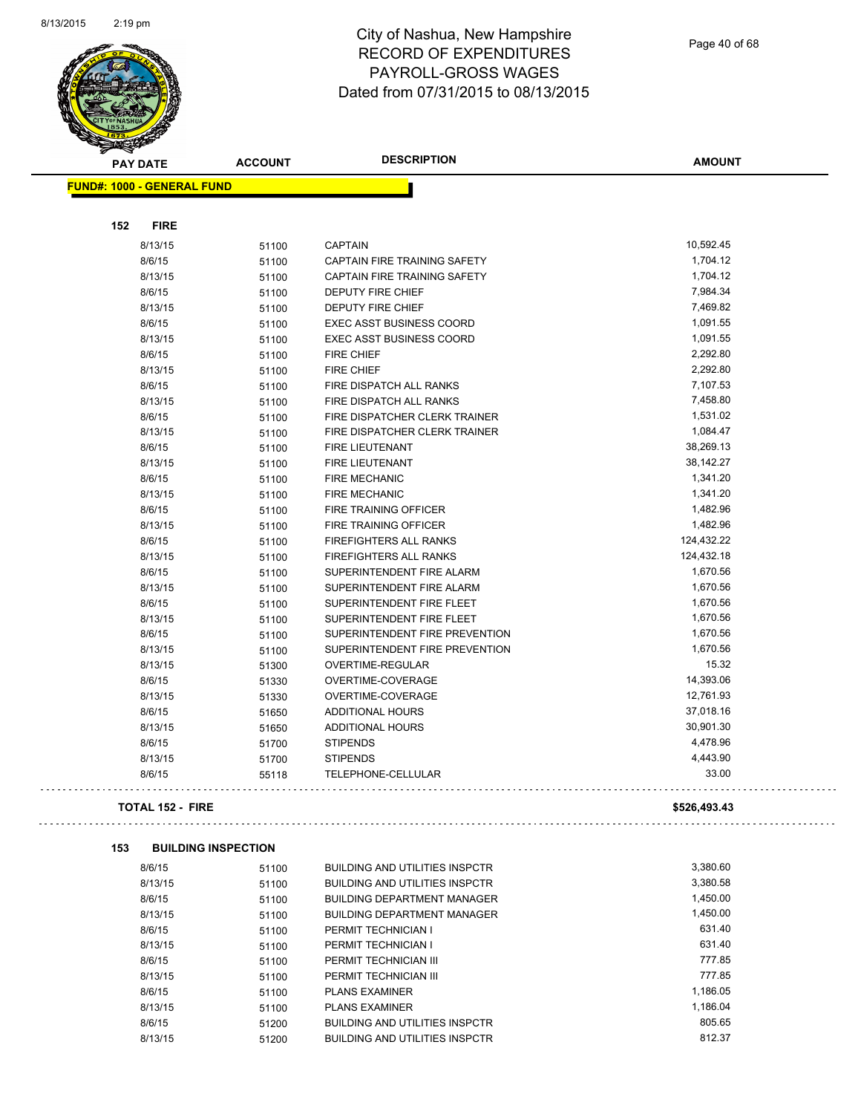

Page 40 of 68

 $\mathbb{Z}^{\mathbb{Z}}$  .

| <b>FUND#: 1000 - GENERAL FUND</b>                         |              |
|-----------------------------------------------------------|--------------|
|                                                           |              |
|                                                           |              |
| <b>FIRE</b><br>152                                        |              |
| 8/13/15<br><b>CAPTAIN</b><br>51100                        | 10,592.45    |
| 8/6/15<br>CAPTAIN FIRE TRAINING SAFETY<br>51100           | 1,704.12     |
| 8/13/15<br>51100<br>CAPTAIN FIRE TRAINING SAFETY          | 1,704.12     |
| 8/6/15<br><b>DEPUTY FIRE CHIEF</b><br>51100               | 7,984.34     |
| 8/13/15<br>51100<br>DEPUTY FIRE CHIEF                     | 7,469.82     |
| 8/6/15<br><b>EXEC ASST BUSINESS COORD</b><br>51100        | 1,091.55     |
| 8/13/15<br><b>EXEC ASST BUSINESS COORD</b><br>51100       | 1,091.55     |
| 8/6/15<br><b>FIRE CHIEF</b><br>51100                      | 2,292.80     |
| 8/13/15<br>51100<br><b>FIRE CHIEF</b>                     | 2,292.80     |
| 8/6/15<br>FIRE DISPATCH ALL RANKS<br>51100                | 7,107.53     |
| 8/13/15<br>FIRE DISPATCH ALL RANKS<br>51100               | 7,458.80     |
| 8/6/15<br>FIRE DISPATCHER CLERK TRAINER<br>51100          | 1,531.02     |
| 8/13/15<br>FIRE DISPATCHER CLERK TRAINER<br>51100         | 1,084.47     |
| 8/6/15<br>51100<br><b>FIRE LIEUTENANT</b>                 | 38,269.13    |
| 8/13/15<br><b>FIRE LIEUTENANT</b><br>51100                | 38,142.27    |
| 8/6/15<br>51100<br><b>FIRE MECHANIC</b>                   | 1,341.20     |
| 8/13/15<br><b>FIRE MECHANIC</b><br>51100                  | 1,341.20     |
| 8/6/15<br>51100<br>FIRE TRAINING OFFICER                  | 1,482.96     |
| 8/13/15<br>FIRE TRAINING OFFICER<br>51100                 | 1,482.96     |
| 8/6/15<br>51100<br><b>FIREFIGHTERS ALL RANKS</b>          | 124,432.22   |
| 8/13/15<br>FIREFIGHTERS ALL RANKS<br>51100                | 124,432.18   |
| 8/6/15<br>51100<br>SUPERINTENDENT FIRE ALARM              | 1,670.56     |
| 8/13/15<br>SUPERINTENDENT FIRE ALARM<br>51100             | 1,670.56     |
| 8/6/15<br>51100<br>SUPERINTENDENT FIRE FLEET              | 1,670.56     |
| 8/13/15<br>SUPERINTENDENT FIRE FLEET<br>51100             | 1,670.56     |
| 8/6/15<br>SUPERINTENDENT FIRE PREVENTION<br>51100         | 1,670.56     |
| 8/13/15<br>SUPERINTENDENT FIRE PREVENTION<br>51100        | 1,670.56     |
| 8/13/15<br>OVERTIME-REGULAR<br>51300                      | 15.32        |
| 8/6/15<br>51330<br>OVERTIME-COVERAGE                      | 14,393.06    |
| 8/13/15<br>OVERTIME-COVERAGE<br>51330                     | 12,761.93    |
| 8/6/15<br><b>ADDITIONAL HOURS</b><br>51650                | 37,018.16    |
| 8/13/15<br>ADDITIONAL HOURS<br>51650                      | 30,901.30    |
| 8/6/15<br>51700<br><b>STIPENDS</b>                        | 4,478.96     |
| 8/13/15<br><b>STIPENDS</b><br>51700                       | 4,443.90     |
| 8/6/15<br>TELEPHONE-CELLULAR<br>55118                     | 33.00        |
| <b>TOTAL 152 - FIRE</b>                                   | \$526,493.43 |
| 153<br><b>BUILDING INSPECTION</b>                         |              |
| 8/6/15<br><b>BUILDING AND UTILITIES INSPCTR</b><br>51100  | 3,380.60     |
| 8/13/15<br><b>BUILDING AND UTILITIES INSPCTR</b><br>51100 | 3,380.58     |
| 8/6/15<br><b>BUILDING DEPARTMENT MANAGER</b><br>51100     | 1,450.00     |
| 8/13/15<br><b>BUILDING DEPARTMENT MANAGER</b><br>51100    | 1,450.00     |
| 8/6/15<br>PERMIT TECHNICIAN I<br>51100                    | 631.40       |
| 8/13/15<br>PERMIT TECHNICIAN I<br>51100                   | 631.40       |
| 8/6/15<br>PERMIT TECHNICIAN III<br>51100                  | 777.85       |
| PERMIT TECHNICIAN III<br>8/13/15<br>51100                 | 777.85       |
| 8/6/15<br>51100<br><b>PLANS EXAMINER</b>                  | 1,186.05     |
| 8/13/15<br><b>PLANS EXAMINER</b><br>51100                 | 1,186.04     |
| 8/6/15<br><b>BUILDING AND UTILITIES INSPCTR</b><br>51200  | 805.65       |
| 8/13/15<br><b>BUILDING AND UTILITIES INSPCTR</b><br>51200 | 812.37       |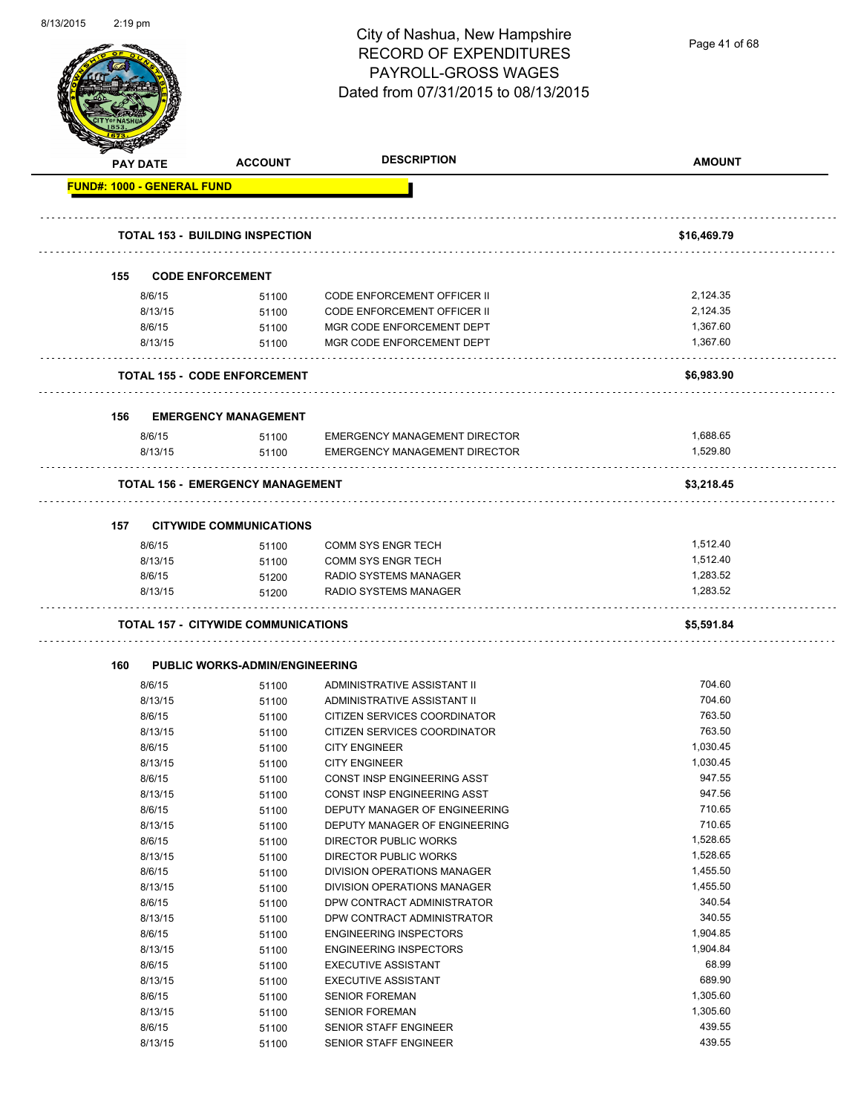| 8/13/2015 | $2:19$ pm |                                   |                                            | City of Nashua, New Hampshire<br><b>RECORD OF EXPENDITURES</b><br><b>PAYROLL-GROSS WAGES</b><br>Dated from 07/31/2015 to 08/13/2015 | Page 41 of 68        |
|-----------|-----------|-----------------------------------|--------------------------------------------|-------------------------------------------------------------------------------------------------------------------------------------|----------------------|
|           |           | <b>PAY DATE</b>                   | <b>ACCOUNT</b>                             | <b>DESCRIPTION</b>                                                                                                                  | <b>AMOUNT</b>        |
|           |           | <b>FUND#: 1000 - GENERAL FUND</b> |                                            |                                                                                                                                     |                      |
|           |           |                                   |                                            |                                                                                                                                     |                      |
|           |           |                                   | <b>TOTAL 153 - BUILDING INSPECTION</b>     |                                                                                                                                     | \$16,469.79          |
|           | 155       |                                   | <b>CODE ENFORCEMENT</b>                    |                                                                                                                                     |                      |
|           |           |                                   |                                            |                                                                                                                                     | 2,124.35             |
|           |           | 8/6/15<br>8/13/15                 | 51100<br>51100                             | <b>CODE ENFORCEMENT OFFICER II</b><br>CODE ENFORCEMENT OFFICER II                                                                   | 2,124.35             |
|           |           | 8/6/15                            | 51100                                      | MGR CODE ENFORCEMENT DEPT                                                                                                           | 1,367.60             |
|           |           | 8/13/15                           | 51100                                      | MGR CODE ENFORCEMENT DEPT                                                                                                           | 1,367.60             |
|           |           |                                   |                                            |                                                                                                                                     |                      |
|           |           |                                   | <b>TOTAL 155 - CODE ENFORCEMENT</b>        |                                                                                                                                     | \$6,983.90           |
|           |           |                                   |                                            |                                                                                                                                     |                      |
|           | 156       |                                   | <b>EMERGENCY MANAGEMENT</b>                |                                                                                                                                     |                      |
|           |           | 8/6/15                            | 51100                                      | <b>EMERGENCY MANAGEMENT DIRECTOR</b>                                                                                                | 1,688.65             |
|           |           | 8/13/15                           | 51100                                      | <b>EMERGENCY MANAGEMENT DIRECTOR</b>                                                                                                | 1,529.80             |
|           |           |                                   | <b>TOTAL 156 - EMERGENCY MANAGEMENT</b>    |                                                                                                                                     | \$3,218.45           |
|           |           |                                   |                                            |                                                                                                                                     |                      |
|           | 157       |                                   | <b>CITYWIDE COMMUNICATIONS</b>             |                                                                                                                                     |                      |
|           |           | 8/6/15                            | 51100                                      | <b>COMM SYS ENGR TECH</b>                                                                                                           | 1,512.40             |
|           |           | 8/13/15                           | 51100                                      | <b>COMM SYS ENGR TECH</b>                                                                                                           | 1,512.40             |
|           |           | 8/6/15                            | 51200                                      | RADIO SYSTEMS MANAGER                                                                                                               | 1,283.52             |
|           |           | 8/13/15                           | 51200                                      | RADIO SYSTEMS MANAGER                                                                                                               | 1,283.52             |
|           |           |                                   | <b>TOTAL 157 - CITYWIDE COMMUNICATIONS</b> |                                                                                                                                     | \$5,591.84           |
|           |           |                                   |                                            |                                                                                                                                     |                      |
|           | 160       |                                   | <b>PUBLIC WORKS-ADMIN/ENGINEERING</b>      |                                                                                                                                     |                      |
|           |           | 8/6/15                            | 51100                                      | ADMINISTRATIVE ASSISTANT II                                                                                                         | 704.60               |
|           |           | 8/13/15                           | 51100                                      | ADMINISTRATIVE ASSISTANT II                                                                                                         | 704.60               |
|           |           | 8/6/15                            | 51100                                      | CITIZEN SERVICES COORDINATOR                                                                                                        | 763.50               |
|           |           | 8/13/15                           | 51100                                      | CITIZEN SERVICES COORDINATOR                                                                                                        | 763.50               |
|           |           | 8/6/15<br>8/13/15                 | 51100                                      | <b>CITY ENGINEER</b><br><b>CITY ENGINEER</b>                                                                                        | 1,030.45<br>1,030.45 |
|           |           | 8/6/15                            | 51100<br>51100                             | CONST INSP ENGINEERING ASST                                                                                                         | 947.55               |
|           |           | 8/13/15                           | 51100                                      | CONST INSP ENGINEERING ASST                                                                                                         | 947.56               |
|           |           | 8/6/15                            | 51100                                      | DEPUTY MANAGER OF ENGINEERING                                                                                                       | 710.65               |
|           |           | 8/13/15                           | 51100                                      | DEPUTY MANAGER OF ENGINEERING                                                                                                       | 710.65               |
|           |           | 8/6/15                            | 51100                                      | DIRECTOR PUBLIC WORKS                                                                                                               | 1,528.65             |
|           |           | 8/13/15                           | 51100                                      | DIRECTOR PUBLIC WORKS                                                                                                               | 1,528.65             |
|           |           | 8/6/15                            | 51100                                      | DIVISION OPERATIONS MANAGER                                                                                                         | 1,455.50             |
|           |           | 8/13/15                           | 51100                                      | DIVISION OPERATIONS MANAGER                                                                                                         | 1,455.50             |
|           |           | 8/6/15                            | 51100                                      | DPW CONTRACT ADMINISTRATOR                                                                                                          | 340.54               |
|           |           | 8/13/15                           | 51100                                      | DPW CONTRACT ADMINISTRATOR                                                                                                          | 340.55               |
|           |           | 8/6/15                            | 51100                                      | <b>ENGINEERING INSPECTORS</b>                                                                                                       | 1,904.85             |
|           |           | 8/13/15                           | 51100                                      | <b>ENGINEERING INSPECTORS</b>                                                                                                       | 1,904.84             |
|           |           | 8/6/15                            | 51100                                      | <b>EXECUTIVE ASSISTANT</b>                                                                                                          | 68.99                |
|           |           | 8/13/15                           | 51100                                      | <b>EXECUTIVE ASSISTANT</b>                                                                                                          | 689.90               |
|           |           | 8/6/15                            | 51100                                      | <b>SENIOR FOREMAN</b>                                                                                                               | 1,305.60             |
|           |           | 8/13/15                           | 51100                                      | <b>SENIOR FOREMAN</b>                                                                                                               | 1,305.60             |
|           |           | 8/6/15                            | 51100                                      | <b>SENIOR STAFF ENGINEER</b>                                                                                                        | 439.55               |
|           |           | 8/13/15                           | 51100                                      | SENIOR STAFF ENGINEER                                                                                                               | 439.55               |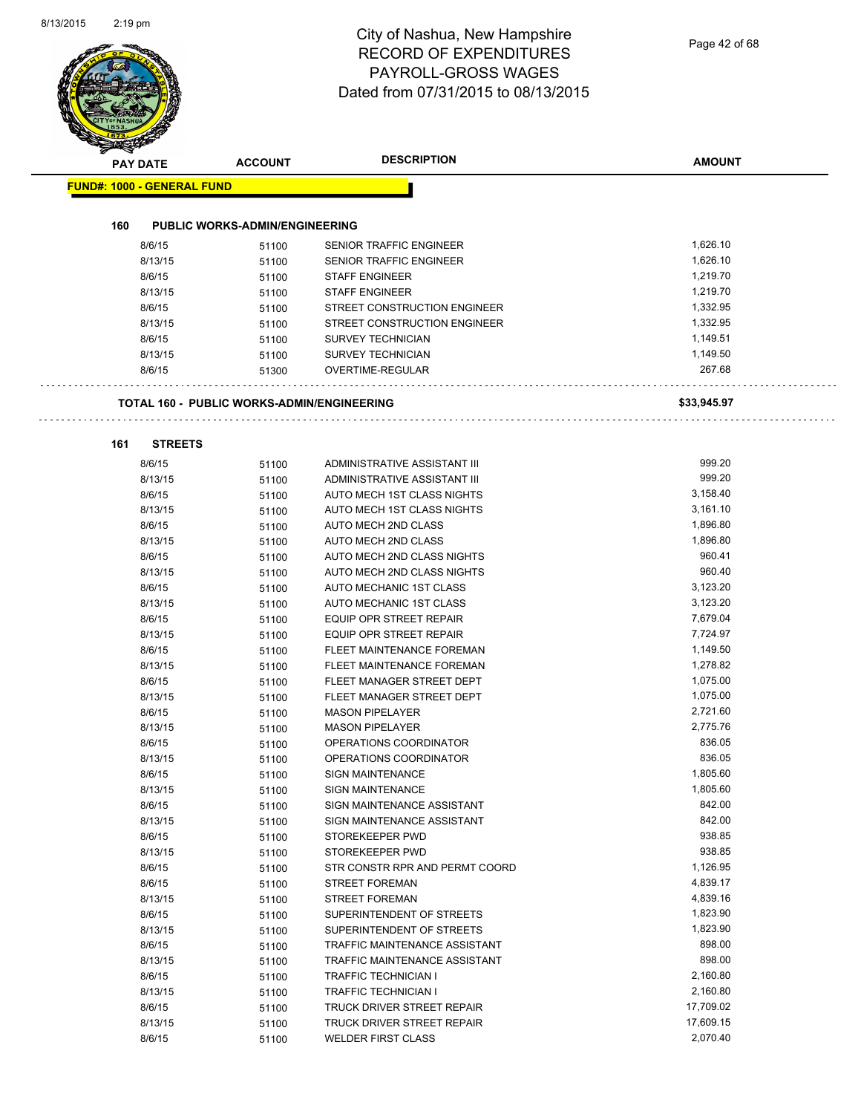| <b>PAY DATE</b>            | <b>ACCOUNT</b>                                    | <b>DESCRIPTION</b>                                       | <b>AMOUNT</b>                                  |  |
|----------------------------|---------------------------------------------------|----------------------------------------------------------|------------------------------------------------|--|
| FUND#: 1000 - GENERAL FUND |                                                   |                                                          |                                                |  |
| 160                        | <b>PUBLIC WORKS-ADMIN/ENGINEERING</b>             |                                                          |                                                |  |
| 8/6/15                     | 51100                                             | SENIOR TRAFFIC ENGINEER                                  | 1,626.10                                       |  |
| 8/13/15                    | 51100                                             | SENIOR TRAFFIC ENGINEER                                  | 1,626.10                                       |  |
| 8/6/15                     | 51100                                             | <b>STAFF ENGINEER</b>                                    | 1,219.70                                       |  |
| 8/13/15                    | 51100                                             | <b>STAFF ENGINEER</b>                                    | 1,219.70                                       |  |
| 8/6/15                     | 51100                                             | STREET CONSTRUCTION ENGINEER                             | 1,332.95                                       |  |
| 8/13/15                    | 51100                                             | STREET CONSTRUCTION ENGINEER                             | 1,332.95                                       |  |
| 8/6/15                     | 51100                                             | <b>SURVEY TECHNICIAN</b>                                 | 1,149.51                                       |  |
| 8/13/15                    | 51100                                             | <b>SURVEY TECHNICIAN</b>                                 | 1,149.50                                       |  |
| 8/6/15                     | 51300                                             | <b>OVERTIME-REGULAR</b>                                  | 267.68                                         |  |
|                            | <b>TOTAL 160 - PUBLIC WORKS-ADMIN/ENGINEERING</b> |                                                          | \$33,945.97                                    |  |
| 161                        | <b>STREETS</b>                                    |                                                          |                                                |  |
| 8/6/15                     | 51100                                             | ADMINISTRATIVE ASSISTANT III                             | 999.20                                         |  |
| 8/13/15                    | 51100                                             | ADMINISTRATIVE ASSISTANT III                             | 999.20                                         |  |
| 8/6/15                     | 51100                                             | AUTO MECH 1ST CLASS NIGHTS                               | 3,158.40                                       |  |
| 8/13/15                    | 51100                                             | AUTO MECH 1ST CLASS NIGHTS                               | 3,161.10                                       |  |
| 8/6/15                     | 51100                                             | AUTO MECH 2ND CLASS                                      | 1,896.80                                       |  |
| 8/13/15                    | 51100                                             | AUTO MECH 2ND CLASS                                      | 1,896.80                                       |  |
| 8/6/15                     | 51100                                             | AUTO MECH 2ND CLASS NIGHTS                               | 960.41                                         |  |
| 8/13/15                    | 51100                                             | AUTO MECH 2ND CLASS NIGHTS                               | 960.40                                         |  |
| 8/6/15                     | 51100                                             | AUTO MECHANIC 1ST CLASS                                  | 3,123.20                                       |  |
| 8/13/15                    | 51100                                             | AUTO MECHANIC 1ST CLASS                                  | 3,123.20                                       |  |
| 8/6/15                     | 51100                                             | EQUIP OPR STREET REPAIR                                  | 7,679.04                                       |  |
| 8/13/15                    | 51100                                             | EQUIP OPR STREET REPAIR                                  | 7,724.97                                       |  |
| 8/6/15                     | 51100                                             | FLEET MAINTENANCE FOREMAN                                | 1,149.50                                       |  |
| 8/13/15                    | 51100                                             | <b>FLEET MAINTENANCE FOREMAN</b>                         | 1,278.82                                       |  |
| 8/6/15                     | 51100                                             | FLEET MANAGER STREET DEPT                                | 1,075.00                                       |  |
| 8/13/15                    | 51100                                             | FLEET MANAGER STREET DEPT                                | 1,075.00                                       |  |
| 8/6/15<br>8/13/15          | 51100                                             | <b>MASON PIPELAYER</b><br><b>MASON PIPELAYER</b>         | 2,721.60<br>2,775.76                           |  |
| 8/6/15                     | 51100                                             | OPERATIONS COORDINATOR                                   | 836.05                                         |  |
| 8/13/15                    | 51100<br>51100                                    | OPERATIONS COORDINATOR                                   | 836.05                                         |  |
| 8/6/15                     | 51100                                             | <b>SIGN MAINTENANCE</b>                                  | 1,805.60                                       |  |
| 8/13/15                    | 51100                                             | <b>SIGN MAINTENANCE</b>                                  | 1,805.60                                       |  |
| 8/6/15                     | 51100                                             | SIGN MAINTENANCE ASSISTANT                               | 842.00                                         |  |
| 8/13/15                    | 51100                                             | SIGN MAINTENANCE ASSISTANT                               | 842.00                                         |  |
| 8/6/15                     | 51100                                             | STOREKEEPER PWD                                          | 938.85                                         |  |
| 8/13/15                    | 51100                                             | STOREKEEPER PWD                                          | 938.85                                         |  |
| 8/6/15                     | 51100                                             | STR CONSTR RPR AND PERMT COORD                           | 1,126.95                                       |  |
| 8/6/15                     | 51100                                             | <b>STREET FOREMAN</b>                                    | 4,839.17                                       |  |
| 8/13/15                    | 51100                                             | <b>STREET FOREMAN</b>                                    | 4,839.16                                       |  |
| 8/6/15                     | 51100                                             | SUPERINTENDENT OF STREETS                                | 1,823.90                                       |  |
| 8/13/15                    | 51100                                             | SUPERINTENDENT OF STREETS                                | 1,823.90                                       |  |
| 8/6/15                     | 51100                                             | TRAFFIC MAINTENANCE ASSISTANT                            | 898.00                                         |  |
| 8/13/15                    | 51100                                             | TRAFFIC MAINTENANCE ASSISTANT                            | 898.00                                         |  |
| 8/6/15                     | 51100                                             | <b>TRAFFIC TECHNICIAN I</b>                              |                                                |  |
| 8/13/15                    | 51100                                             | <b>TRAFFIC TECHNICIAN I</b>                              |                                                |  |
|                            | 51100                                             |                                                          |                                                |  |
| 8/6/15<br>8/13/15          | 51100                                             | TRUCK DRIVER STREET REPAIR<br>TRUCK DRIVER STREET REPAIR | 2,160.80<br>2,160.80<br>17,709.02<br>17,609.15 |  |

8/6/15 51100 WELDER FIRST CLASS 2,070.40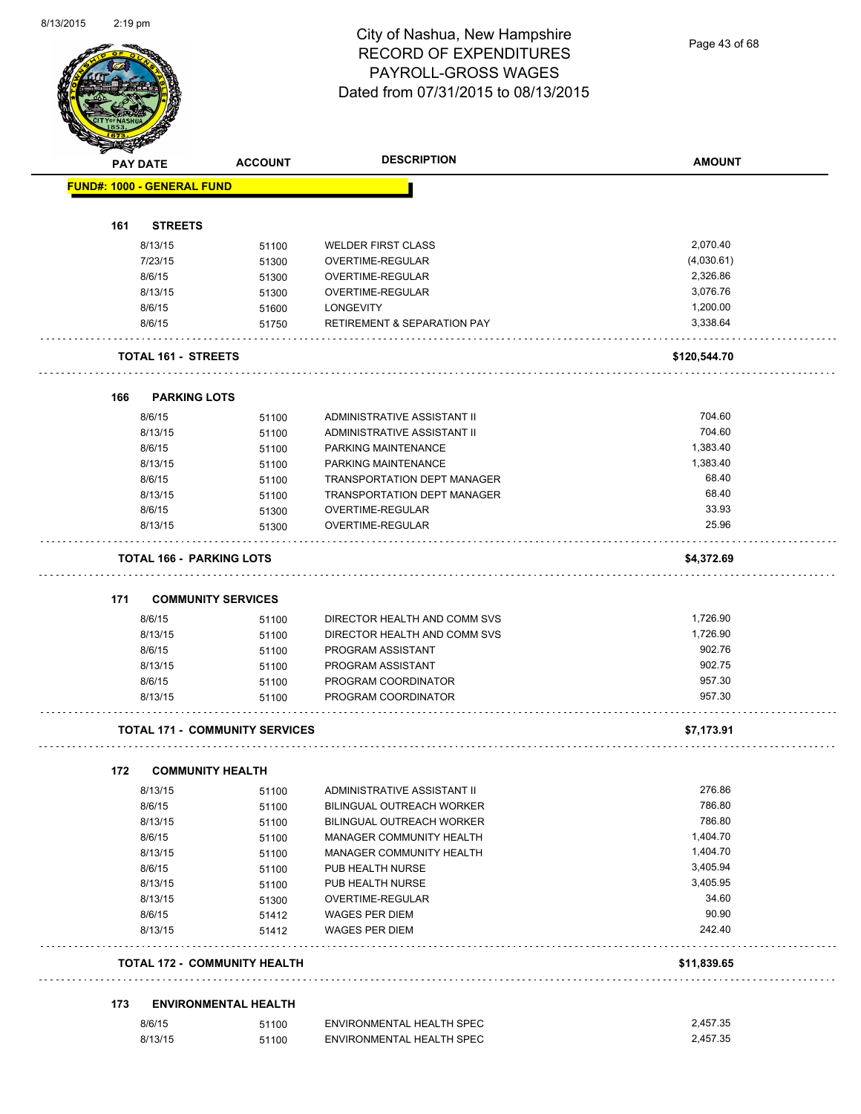Page 43 of 68

| <b>PAY DATE</b> |                                   | <b>ACCOUNT</b>                        | <b>DESCRIPTION</b>                     | <b>AMOUNT</b> |
|-----------------|-----------------------------------|---------------------------------------|----------------------------------------|---------------|
|                 | <b>FUND#: 1000 - GENERAL FUND</b> |                                       |                                        |               |
| 161             | <b>STREETS</b>                    |                                       |                                        |               |
|                 | 8/13/15                           | 51100                                 | <b>WELDER FIRST CLASS</b>              | 2,070.40      |
|                 | 7/23/15                           | 51300                                 | OVERTIME-REGULAR                       | (4,030.61)    |
|                 | 8/6/15                            | 51300                                 | OVERTIME-REGULAR                       | 2,326.86      |
|                 | 8/13/15                           | 51300                                 | OVERTIME-REGULAR                       | 3,076.76      |
|                 | 8/6/15                            | 51600                                 | <b>LONGEVITY</b>                       | 1,200.00      |
|                 | 8/6/15                            | 51750                                 | <b>RETIREMENT &amp; SEPARATION PAY</b> | 3,338.64      |
|                 | <b>TOTAL 161 - STREETS</b>        |                                       |                                        | \$120,544.70  |
|                 |                                   |                                       |                                        |               |
| 166             | <b>PARKING LOTS</b>               |                                       |                                        |               |
|                 | 8/6/15                            | 51100                                 | ADMINISTRATIVE ASSISTANT II            | 704.60        |
|                 | 8/13/15                           | 51100                                 | ADMINISTRATIVE ASSISTANT II            | 704.60        |
|                 | 8/6/15                            | 51100                                 | PARKING MAINTENANCE                    | 1,383.40      |
|                 | 8/13/15                           | 51100                                 | PARKING MAINTENANCE                    | 1,383.40      |
|                 | 8/6/15                            | 51100                                 | <b>TRANSPORTATION DEPT MANAGER</b>     | 68.40         |
|                 | 8/13/15                           | 51100                                 | <b>TRANSPORTATION DEPT MANAGER</b>     | 68.40         |
|                 | 8/6/15                            | 51300                                 | OVERTIME-REGULAR                       | 33.93         |
|                 | 8/13/15                           | 51300                                 | <b>OVERTIME-REGULAR</b>                | 25.96         |
|                 | <b>TOTAL 166 - PARKING LOTS</b>   |                                       |                                        | \$4,372.69    |
| 171             | <b>COMMUNITY SERVICES</b>         |                                       |                                        |               |
|                 | 8/6/15                            | 51100                                 | DIRECTOR HEALTH AND COMM SVS           | 1,726.90      |
|                 | 8/13/15                           | 51100                                 | DIRECTOR HEALTH AND COMM SVS           | 1,726.90      |
|                 | 8/6/15                            | 51100                                 | PROGRAM ASSISTANT                      | 902.76        |
|                 | 8/13/15                           | 51100                                 | PROGRAM ASSISTANT                      | 902.75        |
|                 | 8/6/15                            | 51100                                 | PROGRAM COORDINATOR                    | 957.30        |
|                 | 8/13/15                           | 51100                                 | PROGRAM COORDINATOR                    | 957.30        |
|                 |                                   | <b>TOTAL 171 - COMMUNITY SERVICES</b> |                                        | \$7,173.91    |
|                 |                                   |                                       |                                        |               |
| 172             | <b>COMMUNITY HEALTH</b>           |                                       |                                        |               |
|                 | 8/13/15                           | 51100                                 | ADMINISTRATIVE ASSISTANT II            | 276.86        |
|                 | 8/6/15                            | 51100                                 | BILINGUAL OUTREACH WORKER              | 786.80        |
|                 | 8/13/15                           | 51100                                 | BILINGUAL OUTREACH WORKER              | 786.80        |
|                 | 8/6/15                            | 51100                                 | MANAGER COMMUNITY HEALTH               | 1,404.70      |
|                 | 8/13/15                           | 51100                                 | MANAGER COMMUNITY HEALTH               | 1,404.70      |
|                 | 8/6/15                            | 51100                                 | PUB HEALTH NURSE                       | 3,405.94      |
|                 | 8/13/15                           | 51100                                 | PUB HEALTH NURSE                       | 3,405.95      |
|                 | 8/13/15                           | 51300                                 | OVERTIME-REGULAR                       | 34.60         |
|                 | 8/6/15                            | 51412                                 | <b>WAGES PER DIEM</b>                  | 90.90         |
|                 | 8/13/15                           | 51412                                 | <b>WAGES PER DIEM</b>                  | 242.40        |
|                 |                                   | <b>TOTAL 172 - COMMUNITY HEALTH</b>   |                                        | \$11,839.65   |
| 173             |                                   | <b>ENVIRONMENTAL HEALTH</b>           |                                        |               |
|                 |                                   |                                       |                                        |               |
|                 | 8/6/15                            | 51100                                 | ENVIRONMENTAL HEALTH SPEC              | 2,457.35      |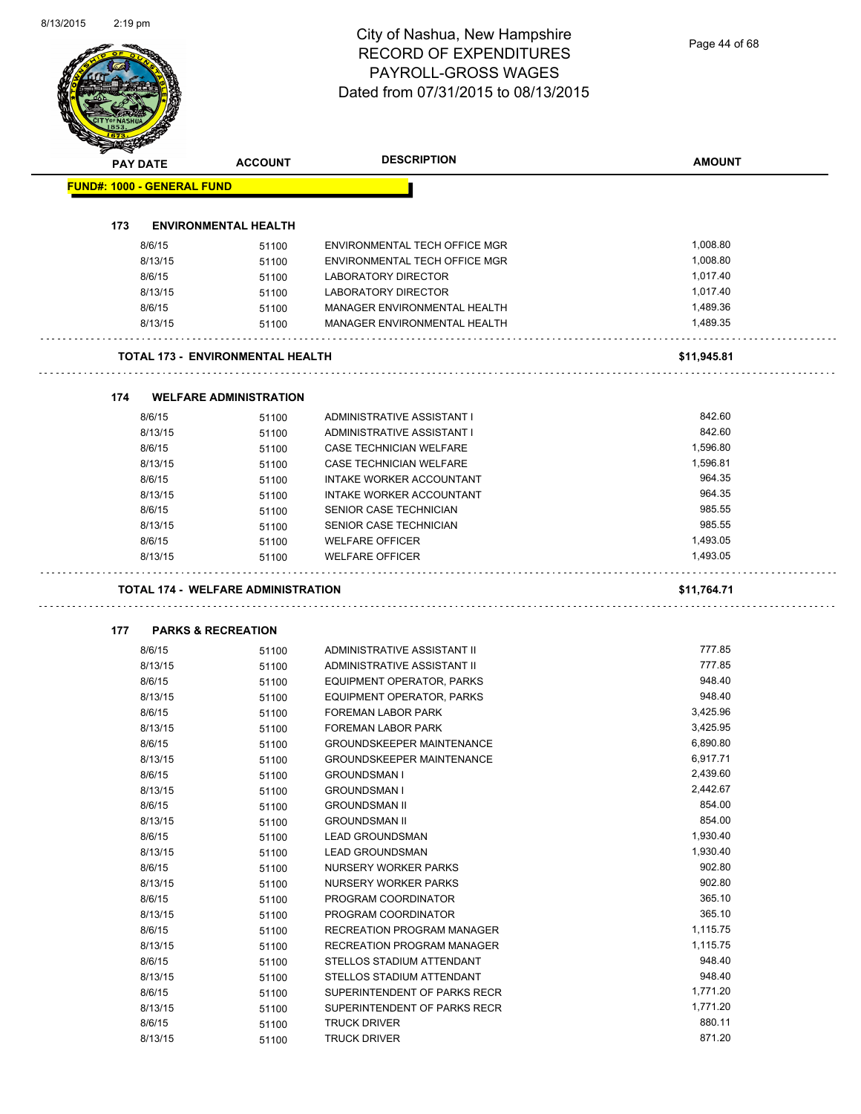# City of Nashua, New Hampshire RECORD OF EXPENDITURES PAYROLL-GROSS WAGES

| Dated from 07/31/2015 to 08/13/2015 |                                           |                                  |               |  |
|-------------------------------------|-------------------------------------------|----------------------------------|---------------|--|
|                                     |                                           |                                  |               |  |
|                                     |                                           | <b>DESCRIPTION</b>               |               |  |
| PAY DATE                            | <b>ACCOUNT</b>                            |                                  | <b>AMOUNT</b> |  |
| <b>FUND#: 1000 - GENERAL FUND</b>   |                                           |                                  |               |  |
| 173                                 | <b>ENVIRONMENTAL HEALTH</b>               |                                  |               |  |
| 8/6/15                              | 51100                                     | ENVIRONMENTAL TECH OFFICE MGR    | 1,008.80      |  |
| 8/13/15                             | 51100                                     | ENVIRONMENTAL TECH OFFICE MGR    | 1,008.80      |  |
| 8/6/15                              | 51100                                     | LABORATORY DIRECTOR              | 1,017.40      |  |
| 8/13/15                             | 51100                                     | LABORATORY DIRECTOR              | 1,017.40      |  |
| 8/6/15                              | 51100                                     | MANAGER ENVIRONMENTAL HEALTH     | 1,489.36      |  |
| 8/13/15                             | 51100                                     | MANAGER ENVIRONMENTAL HEALTH     | 1,489.35      |  |
|                                     | <b>TOTAL 173 - ENVIRONMENTAL HEALTH</b>   |                                  | \$11,945.81   |  |
|                                     |                                           |                                  |               |  |
| 174                                 | <b>WELFARE ADMINISTRATION</b>             |                                  |               |  |
| 8/6/15                              | 51100                                     | ADMINISTRATIVE ASSISTANT I       | 842.60        |  |
| 8/13/15                             | 51100                                     | ADMINISTRATIVE ASSISTANT I       | 842.60        |  |
| 8/6/15                              | 51100                                     | CASE TECHNICIAN WELFARE          | 1,596.80      |  |
| 8/13/15                             | 51100                                     | <b>CASE TECHNICIAN WELFARE</b>   | 1,596.81      |  |
| 8/6/15                              | 51100                                     | <b>INTAKE WORKER ACCOUNTANT</b>  | 964.35        |  |
| 8/13/15                             | 51100                                     | INTAKE WORKER ACCOUNTANT         | 964.35        |  |
| 8/6/15                              | 51100                                     | SENIOR CASE TECHNICIAN           | 985.55        |  |
| 8/13/15                             | 51100                                     | SENIOR CASE TECHNICIAN           | 985.55        |  |
| 8/6/15                              | 51100                                     | <b>WELFARE OFFICER</b>           | 1,493.05      |  |
| 8/13/15                             | 51100                                     | <b>WELFARE OFFICER</b>           | 1,493.05      |  |
|                                     |                                           |                                  |               |  |
|                                     | <b>TOTAL 174 - WELFARE ADMINISTRATION</b> |                                  | \$11,764.71   |  |
| 177                                 | <b>PARKS &amp; RECREATION</b>             |                                  |               |  |
| 8/6/15                              | 51100                                     | ADMINISTRATIVE ASSISTANT II      | 777.85        |  |
| 8/13/15                             | 51100                                     | ADMINISTRATIVE ASSISTANT II      | 777.85        |  |
| 8/6/15                              | 51100                                     | EQUIPMENT OPERATOR, PARKS        | 948.40        |  |
| 8/13/15                             | 51100                                     | <b>EQUIPMENT OPERATOR, PARKS</b> | 948.40        |  |
| 8/6/15                              | 51100                                     | FOREMAN LABOR PARK               | 3,425.96      |  |
| 8/13/15                             | 51100                                     | FOREMAN LABOR PARK               | 3,425.95      |  |
| 8/6/15                              | 51100                                     | <b>GROUNDSKEEPER MAINTENANCE</b> | 6,890.80      |  |
| 8/13/15                             | 51100                                     | <b>GROUNDSKEEPER MAINTENANCE</b> | 6,917.71      |  |
| 8/6/15                              | 51100                                     | <b>GROUNDSMAN I</b>              | 2,439.60      |  |
| 8/13/15                             | 51100                                     | <b>GROUNDSMAN I</b>              | 2,442.67      |  |
| 8/6/15                              | 51100                                     | <b>GROUNDSMAN II</b>             | 854.00        |  |
| 8/13/15                             | 51100                                     | <b>GROUNDSMAN II</b>             | 854.00        |  |
| 8/6/15                              | 51100                                     | <b>LEAD GROUNDSMAN</b>           | 1,930.40      |  |
| 8/13/15                             | 51100                                     | <b>LEAD GROUNDSMAN</b>           | 1,930.40      |  |
| 8/6/15                              | 51100                                     | NURSERY WORKER PARKS             | 902.80        |  |
| 8/13/15                             | 51100                                     | NURSERY WORKER PARKS             | 902.80        |  |
| 8/6/15                              | 51100                                     | PROGRAM COORDINATOR              | 365.10        |  |
| 8/13/15                             | 51100                                     | PROGRAM COORDINATOR              | 365.10        |  |
| 8/6/15                              | 51100                                     | RECREATION PROGRAM MANAGER       | 1,115.75      |  |
| 8/13/15                             | 51100                                     | RECREATION PROGRAM MANAGER       | 1,115.75      |  |
| 8/6/15                              | 51100                                     | STELLOS STADIUM ATTENDANT        | 948.40        |  |
| 8/13/15                             | 51100                                     | STELLOS STADIUM ATTENDANT        | 948.40        |  |
| 8/6/15                              |                                           | SUPERINTENDENT OF PARKS RECR     | 1,771.20      |  |
|                                     | 51100                                     |                                  | 1,771.20      |  |
| 8/13/15                             | 51100                                     | SUPERINTENDENT OF PARKS RECR     | 880.11        |  |
| 8/6/15                              | 51100                                     | <b>TRUCK DRIVER</b>              | 871.20        |  |
|                                     | 8/13/15<br>51100                          | <b>TRUCK DRIVER</b>              |               |  |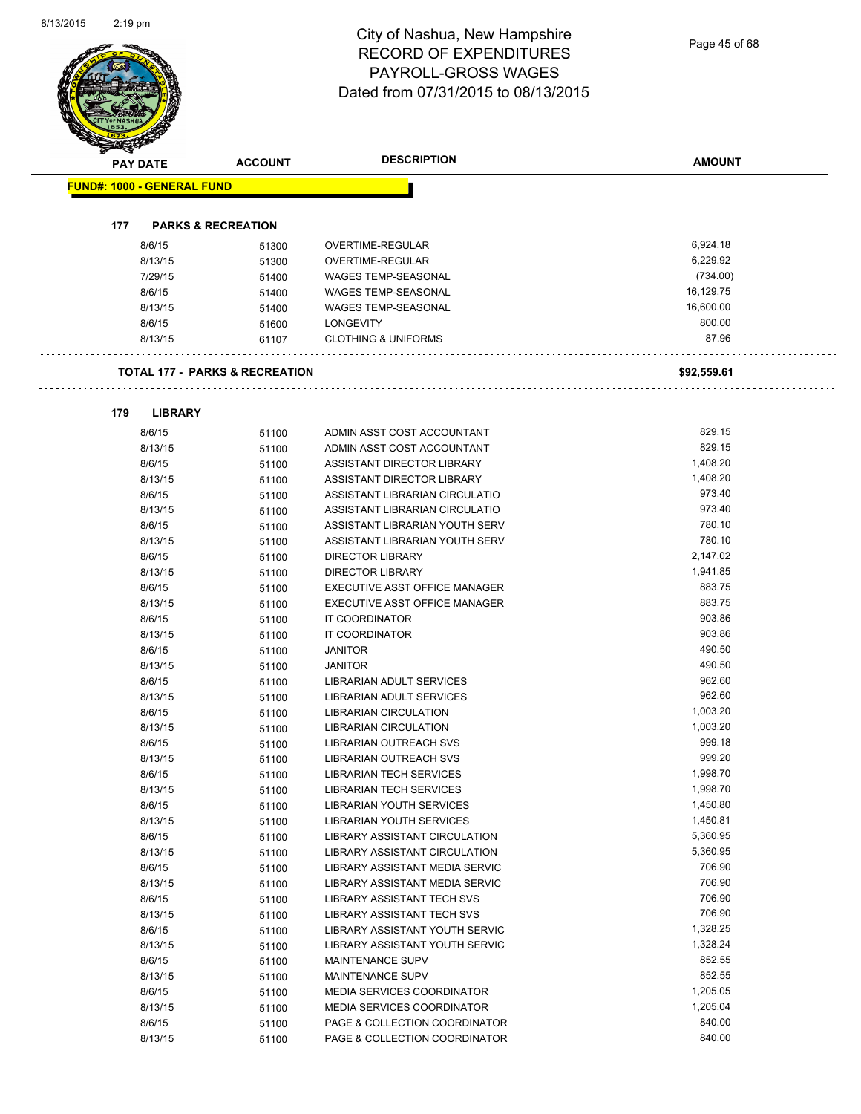Page 45 of 68

| <b>PAY DATE</b>                   | <b>ACCOUNT</b>                            | <b>DESCRIPTION</b>                | <b>AMOUNT</b>      |
|-----------------------------------|-------------------------------------------|-----------------------------------|--------------------|
| <b>FUND#: 1000 - GENERAL FUND</b> |                                           |                                   |                    |
| 177                               | <b>PARKS &amp; RECREATION</b>             |                                   |                    |
| 8/6/15                            | 51300                                     | OVERTIME-REGULAR                  | 6,924.18           |
| 8/13/15                           | 51300                                     | OVERTIME-REGULAR                  | 6,229.92           |
| 7/29/15                           | 51400                                     | <b>WAGES TEMP-SEASONAL</b>        | (734.00)           |
| 8/6/15                            | 51400                                     | <b>WAGES TEMP-SEASONAL</b>        | 16,129.75          |
| 8/13/15                           | 51400                                     | <b>WAGES TEMP-SEASONAL</b>        | 16,600.00          |
| 8/6/15                            | 51600                                     | <b>LONGEVITY</b>                  | 800.00             |
| 8/13/15                           | 61107                                     | <b>CLOTHING &amp; UNIFORMS</b>    | 87.96              |
|                                   | <b>TOTAL 177 - PARKS &amp; RECREATION</b> |                                   | \$92,559.61        |
|                                   |                                           |                                   |                    |
| 179<br><b>LIBRARY</b>             |                                           |                                   |                    |
| 8/6/15                            | 51100                                     | ADMIN ASST COST ACCOUNTANT        | 829.15             |
| 8/13/15                           | 51100                                     | ADMIN ASST COST ACCOUNTANT        | 829.15             |
| 8/6/15                            | 51100                                     | ASSISTANT DIRECTOR LIBRARY        | 1,408.20           |
| 8/13/15                           | 51100                                     | ASSISTANT DIRECTOR LIBRARY        | 1,408.20           |
| 8/6/15                            | 51100                                     | ASSISTANT LIBRARIAN CIRCULATIO    | 973.40             |
| 8/13/15                           | 51100                                     | ASSISTANT LIBRARIAN CIRCULATIO    | 973.40             |
| 8/6/15                            | 51100                                     | ASSISTANT LIBRARIAN YOUTH SERV    | 780.10             |
| 8/13/15                           | 51100                                     | ASSISTANT LIBRARIAN YOUTH SERV    | 780.10<br>2,147.02 |
| 8/6/15                            | 51100                                     | <b>DIRECTOR LIBRARY</b>           |                    |
| 8/13/15                           | 51100                                     | <b>DIRECTOR LIBRARY</b>           | 1,941.85<br>883.75 |
| 8/6/15                            | 51100                                     | EXECUTIVE ASST OFFICE MANAGER     | 883.75             |
| 8/13/15                           | 51100                                     | EXECUTIVE ASST OFFICE MANAGER     | 903.86             |
| 8/6/15<br>8/13/15                 | 51100                                     | IT COORDINATOR<br>IT COORDINATOR  | 903.86             |
| 8/6/15                            | 51100<br>51100                            | <b>JANITOR</b>                    | 490.50             |
| 8/13/15                           |                                           | <b>JANITOR</b>                    | 490.50             |
| 8/6/15                            | 51100<br>51100                            | LIBRARIAN ADULT SERVICES          | 962.60             |
| 8/13/15                           | 51100                                     | <b>LIBRARIAN ADULT SERVICES</b>   | 962.60             |
| 8/6/15                            | 51100                                     | <b>LIBRARIAN CIRCULATION</b>      | 1,003.20           |
| 8/13/15                           | 51100                                     | LIBRARIAN CIRCULATION             | 1,003.20           |
| 8/6/15                            | 51100                                     | LIBRARIAN OUTREACH SVS            | 999.18             |
| 8/13/15                           | 51100                                     | <b>LIBRARIAN OUTREACH SVS</b>     | 999.20             |
| 8/6/15                            | 51100                                     | LIBRARIAN TECH SERVICES           | 1,998.70           |
| 8/13/15                           | 51100                                     | <b>LIBRARIAN TECH SERVICES</b>    | 1,998.70           |
| 8/6/15                            | 51100                                     | LIBRARIAN YOUTH SERVICES          | 1,450.80           |
| 8/13/15                           | 51100                                     | LIBRARIAN YOUTH SERVICES          | 1,450.81           |
| 8/6/15                            | 51100                                     | LIBRARY ASSISTANT CIRCULATION     | 5,360.95           |
| 8/13/15                           | 51100                                     | LIBRARY ASSISTANT CIRCULATION     | 5,360.95           |
| 8/6/15                            | 51100                                     | LIBRARY ASSISTANT MEDIA SERVIC    | 706.90             |
| 8/13/15                           | 51100                                     | LIBRARY ASSISTANT MEDIA SERVIC    | 706.90             |
| 8/6/15                            | 51100                                     | LIBRARY ASSISTANT TECH SVS        | 706.90             |
| 8/13/15                           | 51100                                     | LIBRARY ASSISTANT TECH SVS        | 706.90             |
| 8/6/15                            | 51100                                     | LIBRARY ASSISTANT YOUTH SERVIC    | 1,328.25           |
| 8/13/15                           | 51100                                     | LIBRARY ASSISTANT YOUTH SERVIC    | 1,328.24           |
| 8/6/15                            | 51100                                     | <b>MAINTENANCE SUPV</b>           | 852.55             |
| 8/13/15                           | 51100                                     | MAINTENANCE SUPV                  | 852.55             |
| 8/6/15                            | 51100                                     | <b>MEDIA SERVICES COORDINATOR</b> | 1,205.05           |
| 8/13/15                           | 51100                                     | MEDIA SERVICES COORDINATOR        | 1,205.04           |
| 8/6/15                            | 51100                                     | PAGE & COLLECTION COORDINATOR     | 840.00             |

8/13/15 51100 PAGE & COLLECTION COORDINATOR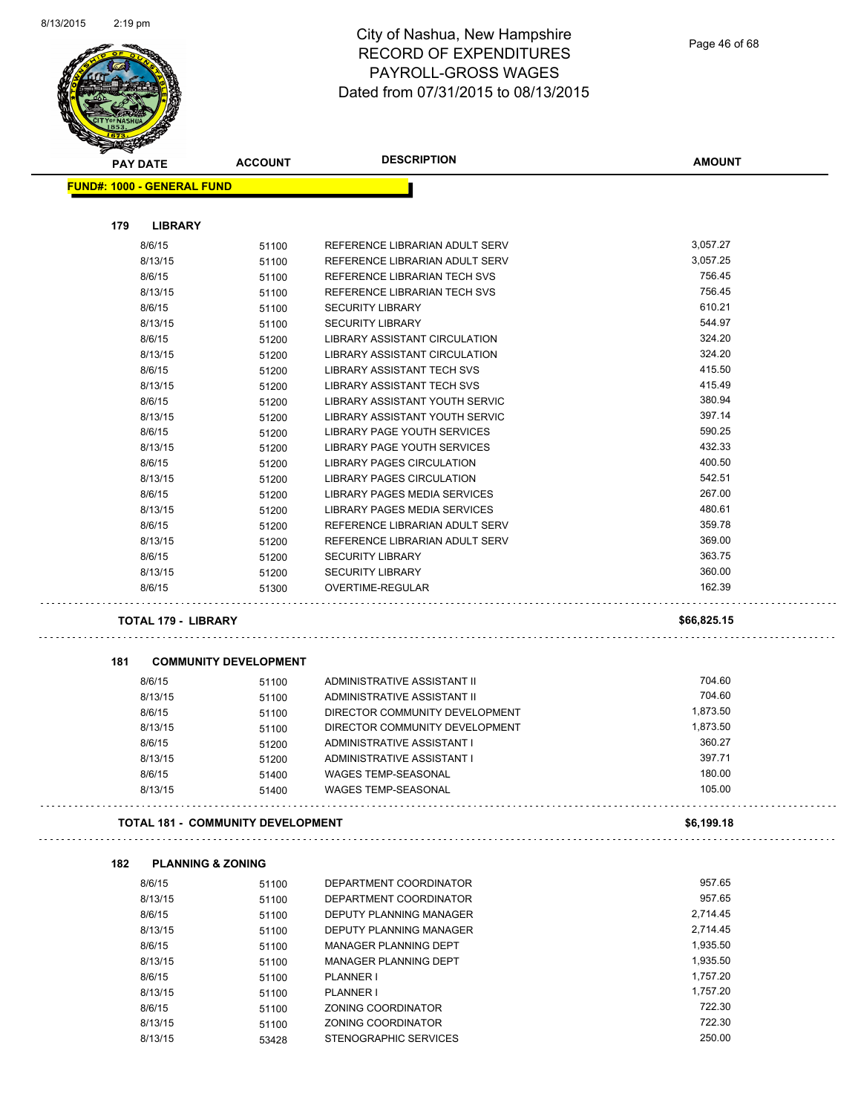

| <b>PAY DATE</b>                   | <b>ACCOUNT</b>                           | <b>DESCRIPTION</b>                                                   | <b>AMOUNT</b> |
|-----------------------------------|------------------------------------------|----------------------------------------------------------------------|---------------|
| <b>FUND#: 1000 - GENERAL FUND</b> |                                          |                                                                      |               |
| 179<br><b>LIBRARY</b>             |                                          |                                                                      |               |
| 8/6/15                            | 51100                                    | REFERENCE LIBRARIAN ADULT SERV                                       | 3,057.27      |
| 8/13/15                           | 51100                                    | REFERENCE LIBRARIAN ADULT SERV                                       | 3,057.25      |
| 8/6/15                            | 51100                                    | REFERENCE LIBRARIAN TECH SVS                                         | 756.45        |
| 8/13/15                           | 51100                                    | REFERENCE LIBRARIAN TECH SVS                                         | 756.45        |
| 8/6/15                            | 51100                                    | <b>SECURITY LIBRARY</b>                                              | 610.21        |
| 8/13/15                           | 51100                                    | <b>SECURITY LIBRARY</b>                                              | 544.97        |
| 8/6/15                            | 51200                                    | LIBRARY ASSISTANT CIRCULATION                                        | 324.20        |
| 8/13/15                           | 51200                                    | LIBRARY ASSISTANT CIRCULATION                                        | 324.20        |
| 8/6/15                            | 51200                                    | LIBRARY ASSISTANT TECH SVS                                           | 415.50        |
| 8/13/15                           |                                          | LIBRARY ASSISTANT TECH SVS                                           | 415.49        |
| 8/6/15                            | 51200                                    | LIBRARY ASSISTANT YOUTH SERVIC                                       | 380.94        |
|                                   | 51200                                    |                                                                      | 397.14        |
| 8/13/15<br>8/6/15                 | 51200                                    | LIBRARY ASSISTANT YOUTH SERVIC<br><b>LIBRARY PAGE YOUTH SERVICES</b> | 590.25        |
| 8/13/15                           | 51200                                    | <b>LIBRARY PAGE YOUTH SERVICES</b>                                   | 432.33        |
|                                   | 51200                                    | <b>LIBRARY PAGES CIRCULATION</b>                                     | 400.50        |
| 8/6/15                            | 51200                                    |                                                                      | 542.51        |
| 8/13/15                           | 51200                                    | LIBRARY PAGES CIRCULATION                                            |               |
| 8/6/15                            | 51200                                    | LIBRARY PAGES MEDIA SERVICES                                         | 267.00        |
| 8/13/15                           | 51200                                    | LIBRARY PAGES MEDIA SERVICES                                         | 480.61        |
| 8/6/15                            | 51200                                    | REFERENCE LIBRARIAN ADULT SERV                                       | 359.78        |
| 8/13/15                           | 51200                                    | REFERENCE LIBRARIAN ADULT SERV                                       | 369.00        |
| 8/6/15                            | 51200                                    | <b>SECURITY LIBRARY</b>                                              | 363.75        |
| 8/13/15                           | 51200                                    | <b>SECURITY LIBRARY</b>                                              | 360.00        |
| 8/6/15                            | 51300                                    | OVERTIME-REGULAR                                                     | 162.39        |
| <b>TOTAL 179 - LIBRARY</b>        |                                          |                                                                      | \$66,825.15   |
|                                   |                                          |                                                                      |               |
| 181                               | <b>COMMUNITY DEVELOPMENT</b>             |                                                                      |               |
| 8/6/15                            | 51100                                    | ADMINISTRATIVE ASSISTANT II                                          | 704.60        |
| 8/13/15                           | 51100                                    | ADMINISTRATIVE ASSISTANT II                                          | 704.60        |
| 8/6/15                            | 51100                                    | DIRECTOR COMMUNITY DEVELOPMENT                                       | 1,873.50      |
| 8/13/15                           | 51100                                    | DIRECTOR COMMUNITY DEVELOPMENT                                       | 1,873.50      |
| 8/6/15                            | 51200                                    | ADMINISTRATIVE ASSISTANT I                                           | 360.27        |
| 8/13/15                           | 51200                                    | ADMINISTRATIVE ASSISTANT I                                           | 397.71        |
| 8/6/15                            | 51400                                    | <b>WAGES TEMP-SEASONAL</b>                                           | 180.00        |
| 8/13/15                           | 51400                                    | <b>WAGES TEMP-SEASONAL</b>                                           | 105.00        |
|                                   | <b>TOTAL 181 - COMMUNITY DEVELOPMENT</b> |                                                                      | \$6,199.18    |
| 182                               | <b>PLANNING &amp; ZONING</b>             |                                                                      |               |
| 8/6/15                            | 51100                                    | DEPARTMENT COORDINATOR                                               | 957.65        |
| 8/13/15                           | 51100                                    | DEPARTMENT COORDINATOR                                               | 957.65        |
| 8/6/15                            | 51100                                    | DEPUTY PLANNING MANAGER                                              | 2,714.45      |
| 8/13/15                           | 51100                                    | <b>DEPUTY PLANNING MANAGER</b>                                       | 2,714.45      |
| 8/6/15                            |                                          | <b>MANAGER PLANNING DEPT</b>                                         | 1,935.50      |
| 8/13/15                           | 51100                                    | MANAGER PLANNING DEPT                                                | 1,935.50      |
| 8/6/15                            | 51100                                    |                                                                      | 1,757.20      |
|                                   | 51100                                    | PLANNER I                                                            |               |
| 8/13/15                           | 51100                                    | <b>PLANNER I</b>                                                     | 1,757.20      |
| 8/6/15                            | 51100                                    | ZONING COORDINATOR                                                   | 722.30        |
| 8/13/15                           | 51100                                    | ZONING COORDINATOR                                                   | 722.30        |
| 8/13/15                           | 53428                                    | STENOGRAPHIC SERVICES                                                | 250.00        |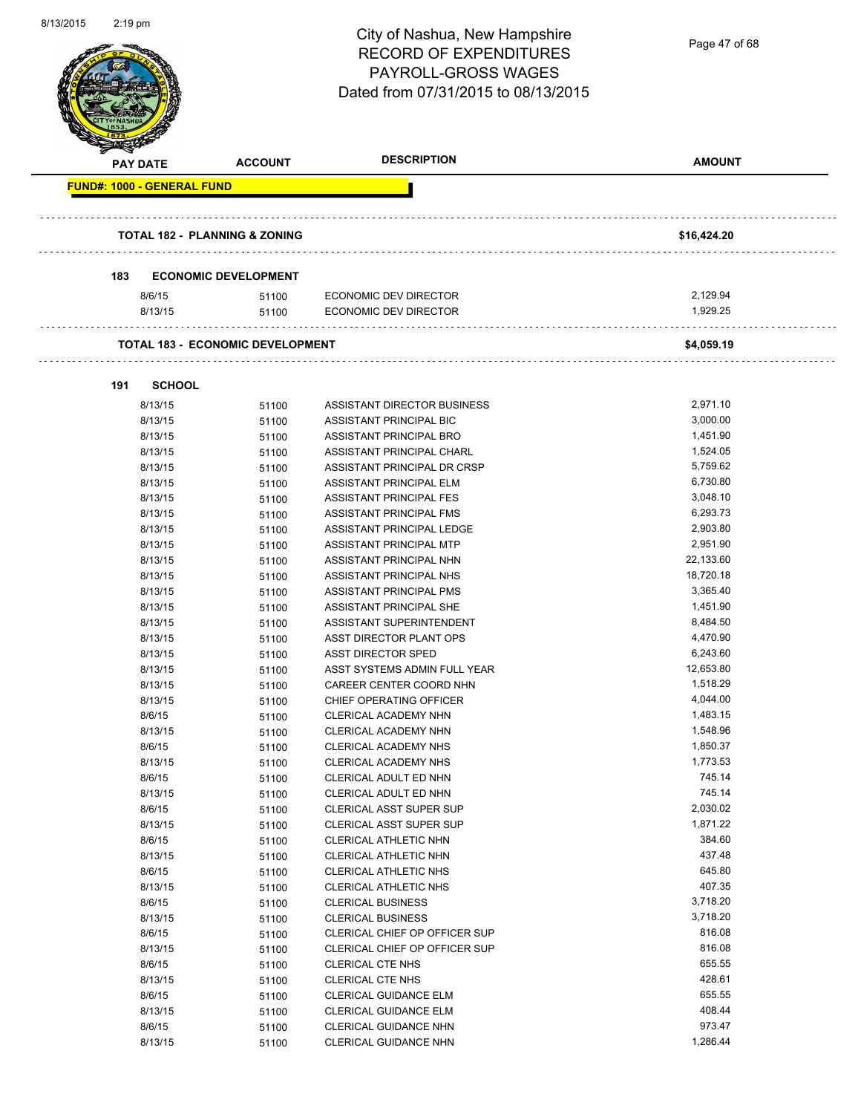| <b>DESCRIPTION</b><br><b>AMOUNT</b><br><b>ACCOUNT</b><br><b>PAY DATE</b><br><b>FUND#: 1000 - GENERAL FUND</b><br><b>TOTAL 182 - PLANNING &amp; ZONING</b><br>\$16,424.20<br><b>ECONOMIC DEVELOPMENT</b><br>183<br>2,129.94<br>8/6/15<br>ECONOMIC DEV DIRECTOR<br>51100<br>1,929.25<br>8/13/15<br><b>ECONOMIC DEV DIRECTOR</b><br>51100<br><b>TOTAL 183 - ECONOMIC DEVELOPMENT</b><br>\$4,059.19<br><b>SCHOOL</b><br>191<br>2,971.10<br>8/13/15<br>ASSISTANT DIRECTOR BUSINESS<br>51100<br>3,000.00<br>8/13/15<br>51100<br>ASSISTANT PRINCIPAL BIC<br>1,451.90<br>8/13/15<br>ASSISTANT PRINCIPAL BRO<br>51100<br>8/13/15<br>1,524.05<br>ASSISTANT PRINCIPAL CHARL<br>51100<br>5,759.62<br>8/13/15<br>ASSISTANT PRINCIPAL DR CRSP<br>51100<br>8/13/15<br>ASSISTANT PRINCIPAL ELM<br>6,730.80<br>51100<br>3,048.10<br>ASSISTANT PRINCIPAL FES<br>8/13/15<br>51100<br>8/13/15<br>6,293.73<br>ASSISTANT PRINCIPAL FMS<br>51100<br>2,903.80<br>8/13/15<br>51100<br>ASSISTANT PRINCIPAL LEDGE<br>2,951.90<br>8/13/15<br>ASSISTANT PRINCIPAL MTP<br>51100<br>22,133.60<br>8/13/15<br>ASSISTANT PRINCIPAL NHN<br>51100<br>18,720.18<br>8/13/15<br>ASSISTANT PRINCIPAL NHS<br>51100<br>8/13/15<br>ASSISTANT PRINCIPAL PMS<br>3,365.40<br>51100<br>1,451.90<br>ASSISTANT PRINCIPAL SHE<br>8/13/15<br>51100<br>8,484.50<br>8/13/15<br>ASSISTANT SUPERINTENDENT<br>51100<br>4,470.90<br>8/13/15<br>ASST DIRECTOR PLANT OPS<br>51100<br>ASST DIRECTOR SPED<br>6,243.60<br>8/13/15<br>51100<br>12,653.80<br>8/13/15<br>ASST SYSTEMS ADMIN FULL YEAR<br>51100<br>8/13/15<br>1,518.29<br>51100<br>CAREER CENTER COORD NHN<br>4,044.00<br>8/13/15<br>51100<br>CHIEF OPERATING OFFICER<br>1,483.15<br>8/6/15<br>CLERICAL ACADEMY NHN<br>51100<br>1,548.96<br>8/13/15<br>51100<br>CLERICAL ACADEMY NHN<br>8/6/15<br>1,850.37<br>CLERICAL ACADEMY NHS<br>51100<br>1,773.53<br>8/13/15<br>51100<br>CLERICAL ACADEMY NHS<br>745.14<br>8/6/15<br>CLERICAL ADULT ED NHN<br>51100<br>745.14<br>8/13/15<br>51100<br>CLERICAL ADULT ED NHN<br>2,030.02<br>8/6/15<br>CLERICAL ASST SUPER SUP<br>51100<br>1,871.22<br>8/13/15<br>51100<br>CLERICAL ASST SUPER SUP<br>384.60<br>8/6/15<br>CLERICAL ATHLETIC NHN<br>51100<br>437.48<br>8/13/15<br>CLERICAL ATHLETIC NHN<br>51100<br>645.80<br>8/6/15<br>CLERICAL ATHLETIC NHS<br>51100<br>407.35<br>8/13/15<br>CLERICAL ATHLETIC NHS<br>51100<br>3,718.20<br>8/6/15<br>51100<br><b>CLERICAL BUSINESS</b><br>8/13/15<br>3,718.20<br><b>CLERICAL BUSINESS</b><br>51100<br>816.08<br>8/6/15<br>CLERICAL CHIEF OP OFFICER SUP<br>51100<br>816.08<br>8/13/15<br>CLERICAL CHIEF OP OFFICER SUP<br>51100<br>655.55<br>8/6/15<br>51100<br>CLERICAL CTE NHS<br>428.61<br>8/13/15<br>51100<br>CLERICAL CTE NHS<br>655.55<br>8/6/15<br>51100<br><b>CLERICAL GUIDANCE ELM</b><br>408.44<br>8/13/15<br><b>CLERICAL GUIDANCE ELM</b><br>51100<br>973.47<br>8/6/15<br>51100<br>CLERICAL GUIDANCE NHN<br>1,286.44<br>8/13/15<br>CLERICAL GUIDANCE NHN<br>51100 | <b>01 1 JIZU 1 U</b> | $2.19 \mu$ III | City of Nashua, New Hampshire<br><b>RECORD OF EXPENDITURES</b><br>PAYROLL-GROSS WAGES<br>Dated from 07/31/2015 to 08/13/2015 | Page 47 of 68 |
|----------------------------------------------------------------------------------------------------------------------------------------------------------------------------------------------------------------------------------------------------------------------------------------------------------------------------------------------------------------------------------------------------------------------------------------------------------------------------------------------------------------------------------------------------------------------------------------------------------------------------------------------------------------------------------------------------------------------------------------------------------------------------------------------------------------------------------------------------------------------------------------------------------------------------------------------------------------------------------------------------------------------------------------------------------------------------------------------------------------------------------------------------------------------------------------------------------------------------------------------------------------------------------------------------------------------------------------------------------------------------------------------------------------------------------------------------------------------------------------------------------------------------------------------------------------------------------------------------------------------------------------------------------------------------------------------------------------------------------------------------------------------------------------------------------------------------------------------------------------------------------------------------------------------------------------------------------------------------------------------------------------------------------------------------------------------------------------------------------------------------------------------------------------------------------------------------------------------------------------------------------------------------------------------------------------------------------------------------------------------------------------------------------------------------------------------------------------------------------------------------------------------------------------------------------------------------------------------------------------------------------------------------------------------------------------------------------------------------------------------------------------------------------------------------------------------------------------------------------------------------------------------------------------------------------------------------------------|----------------------|----------------|------------------------------------------------------------------------------------------------------------------------------|---------------|
|                                                                                                                                                                                                                                                                                                                                                                                                                                                                                                                                                                                                                                                                                                                                                                                                                                                                                                                                                                                                                                                                                                                                                                                                                                                                                                                                                                                                                                                                                                                                                                                                                                                                                                                                                                                                                                                                                                                                                                                                                                                                                                                                                                                                                                                                                                                                                                                                                                                                                                                                                                                                                                                                                                                                                                                                                                                                                                                                                                |                      |                |                                                                                                                              |               |
|                                                                                                                                                                                                                                                                                                                                                                                                                                                                                                                                                                                                                                                                                                                                                                                                                                                                                                                                                                                                                                                                                                                                                                                                                                                                                                                                                                                                                                                                                                                                                                                                                                                                                                                                                                                                                                                                                                                                                                                                                                                                                                                                                                                                                                                                                                                                                                                                                                                                                                                                                                                                                                                                                                                                                                                                                                                                                                                                                                |                      |                |                                                                                                                              |               |
|                                                                                                                                                                                                                                                                                                                                                                                                                                                                                                                                                                                                                                                                                                                                                                                                                                                                                                                                                                                                                                                                                                                                                                                                                                                                                                                                                                                                                                                                                                                                                                                                                                                                                                                                                                                                                                                                                                                                                                                                                                                                                                                                                                                                                                                                                                                                                                                                                                                                                                                                                                                                                                                                                                                                                                                                                                                                                                                                                                |                      |                |                                                                                                                              |               |
|                                                                                                                                                                                                                                                                                                                                                                                                                                                                                                                                                                                                                                                                                                                                                                                                                                                                                                                                                                                                                                                                                                                                                                                                                                                                                                                                                                                                                                                                                                                                                                                                                                                                                                                                                                                                                                                                                                                                                                                                                                                                                                                                                                                                                                                                                                                                                                                                                                                                                                                                                                                                                                                                                                                                                                                                                                                                                                                                                                |                      |                |                                                                                                                              |               |
|                                                                                                                                                                                                                                                                                                                                                                                                                                                                                                                                                                                                                                                                                                                                                                                                                                                                                                                                                                                                                                                                                                                                                                                                                                                                                                                                                                                                                                                                                                                                                                                                                                                                                                                                                                                                                                                                                                                                                                                                                                                                                                                                                                                                                                                                                                                                                                                                                                                                                                                                                                                                                                                                                                                                                                                                                                                                                                                                                                |                      |                |                                                                                                                              |               |
|                                                                                                                                                                                                                                                                                                                                                                                                                                                                                                                                                                                                                                                                                                                                                                                                                                                                                                                                                                                                                                                                                                                                                                                                                                                                                                                                                                                                                                                                                                                                                                                                                                                                                                                                                                                                                                                                                                                                                                                                                                                                                                                                                                                                                                                                                                                                                                                                                                                                                                                                                                                                                                                                                                                                                                                                                                                                                                                                                                |                      |                |                                                                                                                              |               |
|                                                                                                                                                                                                                                                                                                                                                                                                                                                                                                                                                                                                                                                                                                                                                                                                                                                                                                                                                                                                                                                                                                                                                                                                                                                                                                                                                                                                                                                                                                                                                                                                                                                                                                                                                                                                                                                                                                                                                                                                                                                                                                                                                                                                                                                                                                                                                                                                                                                                                                                                                                                                                                                                                                                                                                                                                                                                                                                                                                |                      |                |                                                                                                                              |               |
|                                                                                                                                                                                                                                                                                                                                                                                                                                                                                                                                                                                                                                                                                                                                                                                                                                                                                                                                                                                                                                                                                                                                                                                                                                                                                                                                                                                                                                                                                                                                                                                                                                                                                                                                                                                                                                                                                                                                                                                                                                                                                                                                                                                                                                                                                                                                                                                                                                                                                                                                                                                                                                                                                                                                                                                                                                                                                                                                                                |                      |                |                                                                                                                              |               |
|                                                                                                                                                                                                                                                                                                                                                                                                                                                                                                                                                                                                                                                                                                                                                                                                                                                                                                                                                                                                                                                                                                                                                                                                                                                                                                                                                                                                                                                                                                                                                                                                                                                                                                                                                                                                                                                                                                                                                                                                                                                                                                                                                                                                                                                                                                                                                                                                                                                                                                                                                                                                                                                                                                                                                                                                                                                                                                                                                                |                      |                |                                                                                                                              |               |
|                                                                                                                                                                                                                                                                                                                                                                                                                                                                                                                                                                                                                                                                                                                                                                                                                                                                                                                                                                                                                                                                                                                                                                                                                                                                                                                                                                                                                                                                                                                                                                                                                                                                                                                                                                                                                                                                                                                                                                                                                                                                                                                                                                                                                                                                                                                                                                                                                                                                                                                                                                                                                                                                                                                                                                                                                                                                                                                                                                |                      |                |                                                                                                                              |               |
|                                                                                                                                                                                                                                                                                                                                                                                                                                                                                                                                                                                                                                                                                                                                                                                                                                                                                                                                                                                                                                                                                                                                                                                                                                                                                                                                                                                                                                                                                                                                                                                                                                                                                                                                                                                                                                                                                                                                                                                                                                                                                                                                                                                                                                                                                                                                                                                                                                                                                                                                                                                                                                                                                                                                                                                                                                                                                                                                                                |                      |                |                                                                                                                              |               |
|                                                                                                                                                                                                                                                                                                                                                                                                                                                                                                                                                                                                                                                                                                                                                                                                                                                                                                                                                                                                                                                                                                                                                                                                                                                                                                                                                                                                                                                                                                                                                                                                                                                                                                                                                                                                                                                                                                                                                                                                                                                                                                                                                                                                                                                                                                                                                                                                                                                                                                                                                                                                                                                                                                                                                                                                                                                                                                                                                                |                      |                |                                                                                                                              |               |
|                                                                                                                                                                                                                                                                                                                                                                                                                                                                                                                                                                                                                                                                                                                                                                                                                                                                                                                                                                                                                                                                                                                                                                                                                                                                                                                                                                                                                                                                                                                                                                                                                                                                                                                                                                                                                                                                                                                                                                                                                                                                                                                                                                                                                                                                                                                                                                                                                                                                                                                                                                                                                                                                                                                                                                                                                                                                                                                                                                |                      |                |                                                                                                                              |               |
|                                                                                                                                                                                                                                                                                                                                                                                                                                                                                                                                                                                                                                                                                                                                                                                                                                                                                                                                                                                                                                                                                                                                                                                                                                                                                                                                                                                                                                                                                                                                                                                                                                                                                                                                                                                                                                                                                                                                                                                                                                                                                                                                                                                                                                                                                                                                                                                                                                                                                                                                                                                                                                                                                                                                                                                                                                                                                                                                                                |                      |                |                                                                                                                              |               |
|                                                                                                                                                                                                                                                                                                                                                                                                                                                                                                                                                                                                                                                                                                                                                                                                                                                                                                                                                                                                                                                                                                                                                                                                                                                                                                                                                                                                                                                                                                                                                                                                                                                                                                                                                                                                                                                                                                                                                                                                                                                                                                                                                                                                                                                                                                                                                                                                                                                                                                                                                                                                                                                                                                                                                                                                                                                                                                                                                                |                      |                |                                                                                                                              |               |
|                                                                                                                                                                                                                                                                                                                                                                                                                                                                                                                                                                                                                                                                                                                                                                                                                                                                                                                                                                                                                                                                                                                                                                                                                                                                                                                                                                                                                                                                                                                                                                                                                                                                                                                                                                                                                                                                                                                                                                                                                                                                                                                                                                                                                                                                                                                                                                                                                                                                                                                                                                                                                                                                                                                                                                                                                                                                                                                                                                |                      |                |                                                                                                                              |               |
|                                                                                                                                                                                                                                                                                                                                                                                                                                                                                                                                                                                                                                                                                                                                                                                                                                                                                                                                                                                                                                                                                                                                                                                                                                                                                                                                                                                                                                                                                                                                                                                                                                                                                                                                                                                                                                                                                                                                                                                                                                                                                                                                                                                                                                                                                                                                                                                                                                                                                                                                                                                                                                                                                                                                                                                                                                                                                                                                                                |                      |                |                                                                                                                              |               |
|                                                                                                                                                                                                                                                                                                                                                                                                                                                                                                                                                                                                                                                                                                                                                                                                                                                                                                                                                                                                                                                                                                                                                                                                                                                                                                                                                                                                                                                                                                                                                                                                                                                                                                                                                                                                                                                                                                                                                                                                                                                                                                                                                                                                                                                                                                                                                                                                                                                                                                                                                                                                                                                                                                                                                                                                                                                                                                                                                                |                      |                |                                                                                                                              |               |
|                                                                                                                                                                                                                                                                                                                                                                                                                                                                                                                                                                                                                                                                                                                                                                                                                                                                                                                                                                                                                                                                                                                                                                                                                                                                                                                                                                                                                                                                                                                                                                                                                                                                                                                                                                                                                                                                                                                                                                                                                                                                                                                                                                                                                                                                                                                                                                                                                                                                                                                                                                                                                                                                                                                                                                                                                                                                                                                                                                |                      |                |                                                                                                                              |               |
|                                                                                                                                                                                                                                                                                                                                                                                                                                                                                                                                                                                                                                                                                                                                                                                                                                                                                                                                                                                                                                                                                                                                                                                                                                                                                                                                                                                                                                                                                                                                                                                                                                                                                                                                                                                                                                                                                                                                                                                                                                                                                                                                                                                                                                                                                                                                                                                                                                                                                                                                                                                                                                                                                                                                                                                                                                                                                                                                                                |                      |                |                                                                                                                              |               |
|                                                                                                                                                                                                                                                                                                                                                                                                                                                                                                                                                                                                                                                                                                                                                                                                                                                                                                                                                                                                                                                                                                                                                                                                                                                                                                                                                                                                                                                                                                                                                                                                                                                                                                                                                                                                                                                                                                                                                                                                                                                                                                                                                                                                                                                                                                                                                                                                                                                                                                                                                                                                                                                                                                                                                                                                                                                                                                                                                                |                      |                |                                                                                                                              |               |
|                                                                                                                                                                                                                                                                                                                                                                                                                                                                                                                                                                                                                                                                                                                                                                                                                                                                                                                                                                                                                                                                                                                                                                                                                                                                                                                                                                                                                                                                                                                                                                                                                                                                                                                                                                                                                                                                                                                                                                                                                                                                                                                                                                                                                                                                                                                                                                                                                                                                                                                                                                                                                                                                                                                                                                                                                                                                                                                                                                |                      |                |                                                                                                                              |               |
|                                                                                                                                                                                                                                                                                                                                                                                                                                                                                                                                                                                                                                                                                                                                                                                                                                                                                                                                                                                                                                                                                                                                                                                                                                                                                                                                                                                                                                                                                                                                                                                                                                                                                                                                                                                                                                                                                                                                                                                                                                                                                                                                                                                                                                                                                                                                                                                                                                                                                                                                                                                                                                                                                                                                                                                                                                                                                                                                                                |                      |                |                                                                                                                              |               |
|                                                                                                                                                                                                                                                                                                                                                                                                                                                                                                                                                                                                                                                                                                                                                                                                                                                                                                                                                                                                                                                                                                                                                                                                                                                                                                                                                                                                                                                                                                                                                                                                                                                                                                                                                                                                                                                                                                                                                                                                                                                                                                                                                                                                                                                                                                                                                                                                                                                                                                                                                                                                                                                                                                                                                                                                                                                                                                                                                                |                      |                |                                                                                                                              |               |
|                                                                                                                                                                                                                                                                                                                                                                                                                                                                                                                                                                                                                                                                                                                                                                                                                                                                                                                                                                                                                                                                                                                                                                                                                                                                                                                                                                                                                                                                                                                                                                                                                                                                                                                                                                                                                                                                                                                                                                                                                                                                                                                                                                                                                                                                                                                                                                                                                                                                                                                                                                                                                                                                                                                                                                                                                                                                                                                                                                |                      |                |                                                                                                                              |               |
|                                                                                                                                                                                                                                                                                                                                                                                                                                                                                                                                                                                                                                                                                                                                                                                                                                                                                                                                                                                                                                                                                                                                                                                                                                                                                                                                                                                                                                                                                                                                                                                                                                                                                                                                                                                                                                                                                                                                                                                                                                                                                                                                                                                                                                                                                                                                                                                                                                                                                                                                                                                                                                                                                                                                                                                                                                                                                                                                                                |                      |                |                                                                                                                              |               |
|                                                                                                                                                                                                                                                                                                                                                                                                                                                                                                                                                                                                                                                                                                                                                                                                                                                                                                                                                                                                                                                                                                                                                                                                                                                                                                                                                                                                                                                                                                                                                                                                                                                                                                                                                                                                                                                                                                                                                                                                                                                                                                                                                                                                                                                                                                                                                                                                                                                                                                                                                                                                                                                                                                                                                                                                                                                                                                                                                                |                      |                |                                                                                                                              |               |
|                                                                                                                                                                                                                                                                                                                                                                                                                                                                                                                                                                                                                                                                                                                                                                                                                                                                                                                                                                                                                                                                                                                                                                                                                                                                                                                                                                                                                                                                                                                                                                                                                                                                                                                                                                                                                                                                                                                                                                                                                                                                                                                                                                                                                                                                                                                                                                                                                                                                                                                                                                                                                                                                                                                                                                                                                                                                                                                                                                |                      |                |                                                                                                                              |               |
|                                                                                                                                                                                                                                                                                                                                                                                                                                                                                                                                                                                                                                                                                                                                                                                                                                                                                                                                                                                                                                                                                                                                                                                                                                                                                                                                                                                                                                                                                                                                                                                                                                                                                                                                                                                                                                                                                                                                                                                                                                                                                                                                                                                                                                                                                                                                                                                                                                                                                                                                                                                                                                                                                                                                                                                                                                                                                                                                                                |                      |                |                                                                                                                              |               |
|                                                                                                                                                                                                                                                                                                                                                                                                                                                                                                                                                                                                                                                                                                                                                                                                                                                                                                                                                                                                                                                                                                                                                                                                                                                                                                                                                                                                                                                                                                                                                                                                                                                                                                                                                                                                                                                                                                                                                                                                                                                                                                                                                                                                                                                                                                                                                                                                                                                                                                                                                                                                                                                                                                                                                                                                                                                                                                                                                                |                      |                |                                                                                                                              |               |
|                                                                                                                                                                                                                                                                                                                                                                                                                                                                                                                                                                                                                                                                                                                                                                                                                                                                                                                                                                                                                                                                                                                                                                                                                                                                                                                                                                                                                                                                                                                                                                                                                                                                                                                                                                                                                                                                                                                                                                                                                                                                                                                                                                                                                                                                                                                                                                                                                                                                                                                                                                                                                                                                                                                                                                                                                                                                                                                                                                |                      |                |                                                                                                                              |               |
|                                                                                                                                                                                                                                                                                                                                                                                                                                                                                                                                                                                                                                                                                                                                                                                                                                                                                                                                                                                                                                                                                                                                                                                                                                                                                                                                                                                                                                                                                                                                                                                                                                                                                                                                                                                                                                                                                                                                                                                                                                                                                                                                                                                                                                                                                                                                                                                                                                                                                                                                                                                                                                                                                                                                                                                                                                                                                                                                                                |                      |                |                                                                                                                              |               |
|                                                                                                                                                                                                                                                                                                                                                                                                                                                                                                                                                                                                                                                                                                                                                                                                                                                                                                                                                                                                                                                                                                                                                                                                                                                                                                                                                                                                                                                                                                                                                                                                                                                                                                                                                                                                                                                                                                                                                                                                                                                                                                                                                                                                                                                                                                                                                                                                                                                                                                                                                                                                                                                                                                                                                                                                                                                                                                                                                                |                      |                |                                                                                                                              |               |
|                                                                                                                                                                                                                                                                                                                                                                                                                                                                                                                                                                                                                                                                                                                                                                                                                                                                                                                                                                                                                                                                                                                                                                                                                                                                                                                                                                                                                                                                                                                                                                                                                                                                                                                                                                                                                                                                                                                                                                                                                                                                                                                                                                                                                                                                                                                                                                                                                                                                                                                                                                                                                                                                                                                                                                                                                                                                                                                                                                |                      |                |                                                                                                                              |               |
|                                                                                                                                                                                                                                                                                                                                                                                                                                                                                                                                                                                                                                                                                                                                                                                                                                                                                                                                                                                                                                                                                                                                                                                                                                                                                                                                                                                                                                                                                                                                                                                                                                                                                                                                                                                                                                                                                                                                                                                                                                                                                                                                                                                                                                                                                                                                                                                                                                                                                                                                                                                                                                                                                                                                                                                                                                                                                                                                                                |                      |                |                                                                                                                              |               |
|                                                                                                                                                                                                                                                                                                                                                                                                                                                                                                                                                                                                                                                                                                                                                                                                                                                                                                                                                                                                                                                                                                                                                                                                                                                                                                                                                                                                                                                                                                                                                                                                                                                                                                                                                                                                                                                                                                                                                                                                                                                                                                                                                                                                                                                                                                                                                                                                                                                                                                                                                                                                                                                                                                                                                                                                                                                                                                                                                                |                      |                |                                                                                                                              |               |
|                                                                                                                                                                                                                                                                                                                                                                                                                                                                                                                                                                                                                                                                                                                                                                                                                                                                                                                                                                                                                                                                                                                                                                                                                                                                                                                                                                                                                                                                                                                                                                                                                                                                                                                                                                                                                                                                                                                                                                                                                                                                                                                                                                                                                                                                                                                                                                                                                                                                                                                                                                                                                                                                                                                                                                                                                                                                                                                                                                |                      |                |                                                                                                                              |               |
|                                                                                                                                                                                                                                                                                                                                                                                                                                                                                                                                                                                                                                                                                                                                                                                                                                                                                                                                                                                                                                                                                                                                                                                                                                                                                                                                                                                                                                                                                                                                                                                                                                                                                                                                                                                                                                                                                                                                                                                                                                                                                                                                                                                                                                                                                                                                                                                                                                                                                                                                                                                                                                                                                                                                                                                                                                                                                                                                                                |                      |                |                                                                                                                              |               |
|                                                                                                                                                                                                                                                                                                                                                                                                                                                                                                                                                                                                                                                                                                                                                                                                                                                                                                                                                                                                                                                                                                                                                                                                                                                                                                                                                                                                                                                                                                                                                                                                                                                                                                                                                                                                                                                                                                                                                                                                                                                                                                                                                                                                                                                                                                                                                                                                                                                                                                                                                                                                                                                                                                                                                                                                                                                                                                                                                                |                      |                |                                                                                                                              |               |
|                                                                                                                                                                                                                                                                                                                                                                                                                                                                                                                                                                                                                                                                                                                                                                                                                                                                                                                                                                                                                                                                                                                                                                                                                                                                                                                                                                                                                                                                                                                                                                                                                                                                                                                                                                                                                                                                                                                                                                                                                                                                                                                                                                                                                                                                                                                                                                                                                                                                                                                                                                                                                                                                                                                                                                                                                                                                                                                                                                |                      |                |                                                                                                                              |               |
|                                                                                                                                                                                                                                                                                                                                                                                                                                                                                                                                                                                                                                                                                                                                                                                                                                                                                                                                                                                                                                                                                                                                                                                                                                                                                                                                                                                                                                                                                                                                                                                                                                                                                                                                                                                                                                                                                                                                                                                                                                                                                                                                                                                                                                                                                                                                                                                                                                                                                                                                                                                                                                                                                                                                                                                                                                                                                                                                                                |                      |                |                                                                                                                              |               |
|                                                                                                                                                                                                                                                                                                                                                                                                                                                                                                                                                                                                                                                                                                                                                                                                                                                                                                                                                                                                                                                                                                                                                                                                                                                                                                                                                                                                                                                                                                                                                                                                                                                                                                                                                                                                                                                                                                                                                                                                                                                                                                                                                                                                                                                                                                                                                                                                                                                                                                                                                                                                                                                                                                                                                                                                                                                                                                                                                                |                      |                |                                                                                                                              |               |
|                                                                                                                                                                                                                                                                                                                                                                                                                                                                                                                                                                                                                                                                                                                                                                                                                                                                                                                                                                                                                                                                                                                                                                                                                                                                                                                                                                                                                                                                                                                                                                                                                                                                                                                                                                                                                                                                                                                                                                                                                                                                                                                                                                                                                                                                                                                                                                                                                                                                                                                                                                                                                                                                                                                                                                                                                                                                                                                                                                |                      |                |                                                                                                                              |               |
|                                                                                                                                                                                                                                                                                                                                                                                                                                                                                                                                                                                                                                                                                                                                                                                                                                                                                                                                                                                                                                                                                                                                                                                                                                                                                                                                                                                                                                                                                                                                                                                                                                                                                                                                                                                                                                                                                                                                                                                                                                                                                                                                                                                                                                                                                                                                                                                                                                                                                                                                                                                                                                                                                                                                                                                                                                                                                                                                                                |                      |                |                                                                                                                              |               |
|                                                                                                                                                                                                                                                                                                                                                                                                                                                                                                                                                                                                                                                                                                                                                                                                                                                                                                                                                                                                                                                                                                                                                                                                                                                                                                                                                                                                                                                                                                                                                                                                                                                                                                                                                                                                                                                                                                                                                                                                                                                                                                                                                                                                                                                                                                                                                                                                                                                                                                                                                                                                                                                                                                                                                                                                                                                                                                                                                                |                      |                |                                                                                                                              |               |
|                                                                                                                                                                                                                                                                                                                                                                                                                                                                                                                                                                                                                                                                                                                                                                                                                                                                                                                                                                                                                                                                                                                                                                                                                                                                                                                                                                                                                                                                                                                                                                                                                                                                                                                                                                                                                                                                                                                                                                                                                                                                                                                                                                                                                                                                                                                                                                                                                                                                                                                                                                                                                                                                                                                                                                                                                                                                                                                                                                |                      |                |                                                                                                                              |               |
|                                                                                                                                                                                                                                                                                                                                                                                                                                                                                                                                                                                                                                                                                                                                                                                                                                                                                                                                                                                                                                                                                                                                                                                                                                                                                                                                                                                                                                                                                                                                                                                                                                                                                                                                                                                                                                                                                                                                                                                                                                                                                                                                                                                                                                                                                                                                                                                                                                                                                                                                                                                                                                                                                                                                                                                                                                                                                                                                                                |                      |                |                                                                                                                              |               |
|                                                                                                                                                                                                                                                                                                                                                                                                                                                                                                                                                                                                                                                                                                                                                                                                                                                                                                                                                                                                                                                                                                                                                                                                                                                                                                                                                                                                                                                                                                                                                                                                                                                                                                                                                                                                                                                                                                                                                                                                                                                                                                                                                                                                                                                                                                                                                                                                                                                                                                                                                                                                                                                                                                                                                                                                                                                                                                                                                                |                      |                |                                                                                                                              |               |
|                                                                                                                                                                                                                                                                                                                                                                                                                                                                                                                                                                                                                                                                                                                                                                                                                                                                                                                                                                                                                                                                                                                                                                                                                                                                                                                                                                                                                                                                                                                                                                                                                                                                                                                                                                                                                                                                                                                                                                                                                                                                                                                                                                                                                                                                                                                                                                                                                                                                                                                                                                                                                                                                                                                                                                                                                                                                                                                                                                |                      |                |                                                                                                                              |               |
|                                                                                                                                                                                                                                                                                                                                                                                                                                                                                                                                                                                                                                                                                                                                                                                                                                                                                                                                                                                                                                                                                                                                                                                                                                                                                                                                                                                                                                                                                                                                                                                                                                                                                                                                                                                                                                                                                                                                                                                                                                                                                                                                                                                                                                                                                                                                                                                                                                                                                                                                                                                                                                                                                                                                                                                                                                                                                                                                                                |                      |                |                                                                                                                              |               |
|                                                                                                                                                                                                                                                                                                                                                                                                                                                                                                                                                                                                                                                                                                                                                                                                                                                                                                                                                                                                                                                                                                                                                                                                                                                                                                                                                                                                                                                                                                                                                                                                                                                                                                                                                                                                                                                                                                                                                                                                                                                                                                                                                                                                                                                                                                                                                                                                                                                                                                                                                                                                                                                                                                                                                                                                                                                                                                                                                                |                      |                |                                                                                                                              |               |
|                                                                                                                                                                                                                                                                                                                                                                                                                                                                                                                                                                                                                                                                                                                                                                                                                                                                                                                                                                                                                                                                                                                                                                                                                                                                                                                                                                                                                                                                                                                                                                                                                                                                                                                                                                                                                                                                                                                                                                                                                                                                                                                                                                                                                                                                                                                                                                                                                                                                                                                                                                                                                                                                                                                                                                                                                                                                                                                                                                |                      |                |                                                                                                                              |               |

8/13/2015 2:19 pm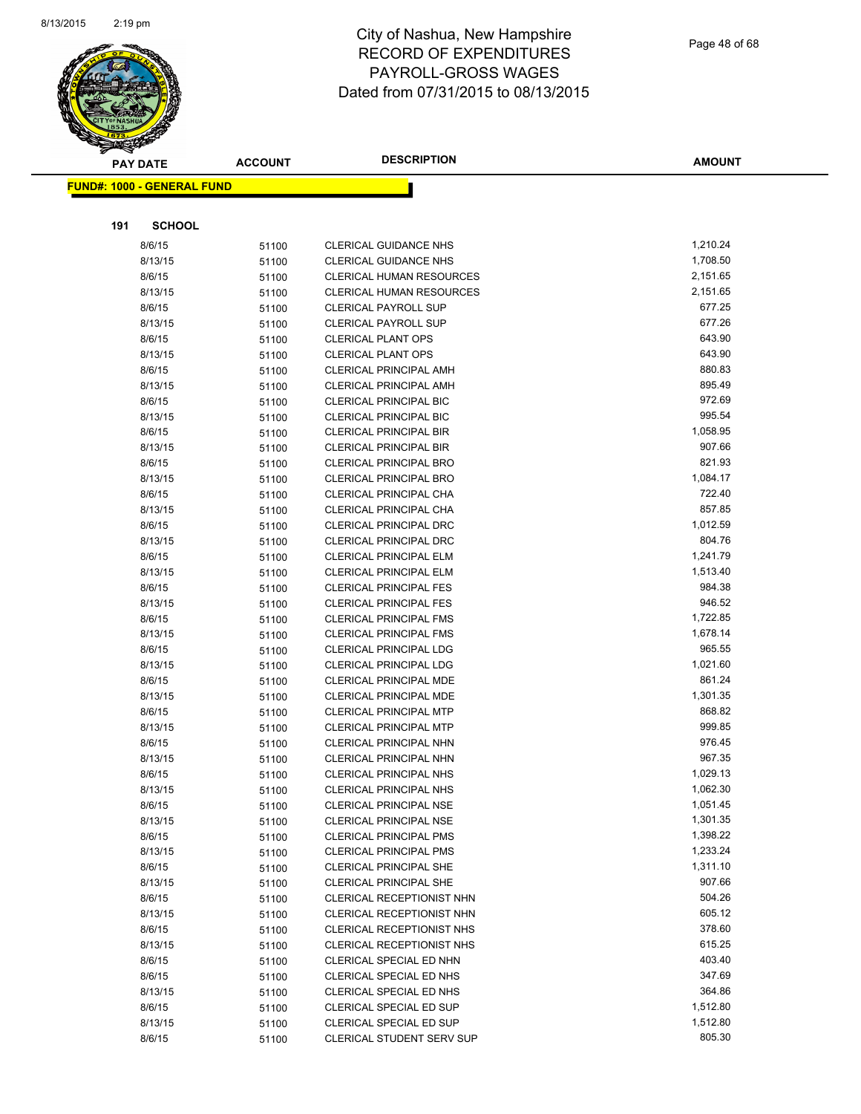

|     | <b>PAY DATE</b>                    | <b>ACCOUNT</b> | <b>DESCRIPTION</b>                                             | <b>AMOUNT</b>    |
|-----|------------------------------------|----------------|----------------------------------------------------------------|------------------|
|     | <u> FUND#: 1000 - GENERAL FUND</u> |                |                                                                |                  |
|     |                                    |                |                                                                |                  |
|     |                                    |                |                                                                |                  |
| 191 | <b>SCHOOL</b>                      |                |                                                                |                  |
|     | 8/6/15                             | 51100          | <b>CLERICAL GUIDANCE NHS</b>                                   | 1,210.24         |
|     | 8/13/15                            | 51100          | <b>CLERICAL GUIDANCE NHS</b>                                   | 1,708.50         |
|     | 8/6/15                             | 51100          | <b>CLERICAL HUMAN RESOURCES</b>                                | 2,151.65         |
|     | 8/13/15                            | 51100          | CLERICAL HUMAN RESOURCES                                       | 2,151.65         |
|     | 8/6/15                             | 51100          | <b>CLERICAL PAYROLL SUP</b>                                    | 677.25           |
|     | 8/13/15                            | 51100          | <b>CLERICAL PAYROLL SUP</b>                                    | 677.26           |
|     | 8/6/15                             | 51100          | <b>CLERICAL PLANT OPS</b>                                      | 643.90           |
|     | 8/13/15                            | 51100          | <b>CLERICAL PLANT OPS</b>                                      | 643.90           |
|     | 8/6/15                             | 51100          | <b>CLERICAL PRINCIPAL AMH</b>                                  | 880.83           |
|     | 8/13/15                            | 51100          | <b>CLERICAL PRINCIPAL AMH</b>                                  | 895.49           |
|     | 8/6/15                             | 51100          | <b>CLERICAL PRINCIPAL BIC</b>                                  | 972.69           |
|     | 8/13/15                            | 51100          | <b>CLERICAL PRINCIPAL BIC</b>                                  | 995.54           |
|     | 8/6/15                             | 51100          | <b>CLERICAL PRINCIPAL BIR</b>                                  | 1,058.95         |
|     | 8/13/15                            | 51100          | <b>CLERICAL PRINCIPAL BIR</b>                                  | 907.66           |
|     | 8/6/15                             | 51100          | <b>CLERICAL PRINCIPAL BRO</b>                                  | 821.93           |
|     | 8/13/15                            | 51100          | <b>CLERICAL PRINCIPAL BRO</b>                                  | 1,084.17         |
|     | 8/6/15                             | 51100          | CLERICAL PRINCIPAL CHA                                         | 722.40<br>857.85 |
|     | 8/13/15                            | 51100          | CLERICAL PRINCIPAL CHA                                         | 1,012.59         |
|     | 8/6/15                             | 51100          | <b>CLERICAL PRINCIPAL DRC</b>                                  | 804.76           |
|     | 8/13/15<br>8/6/15                  | 51100          | <b>CLERICAL PRINCIPAL DRC</b><br><b>CLERICAL PRINCIPAL ELM</b> | 1,241.79         |
|     | 8/13/15                            | 51100          |                                                                | 1,513.40         |
|     | 8/6/15                             | 51100          | <b>CLERICAL PRINCIPAL ELM</b><br><b>CLERICAL PRINCIPAL FES</b> | 984.38           |
|     | 8/13/15                            | 51100<br>51100 | <b>CLERICAL PRINCIPAL FES</b>                                  | 946.52           |
|     | 8/6/15                             |                | <b>CLERICAL PRINCIPAL FMS</b>                                  | 1,722.85         |
|     | 8/13/15                            | 51100<br>51100 | <b>CLERICAL PRINCIPAL FMS</b>                                  | 1,678.14         |
|     | 8/6/15                             | 51100          | <b>CLERICAL PRINCIPAL LDG</b>                                  | 965.55           |
|     | 8/13/15                            | 51100          | <b>CLERICAL PRINCIPAL LDG</b>                                  | 1,021.60         |
|     | 8/6/15                             | 51100          | CLERICAL PRINCIPAL MDE                                         | 861.24           |
|     | 8/13/15                            | 51100          | CLERICAL PRINCIPAL MDE                                         | 1,301.35         |
|     | 8/6/15                             | 51100          | <b>CLERICAL PRINCIPAL MTP</b>                                  | 868.82           |
|     | 8/13/15                            | 51100          | <b>CLERICAL PRINCIPAL MTP</b>                                  | 999.85           |
|     | 8/6/15                             | 51100          | <b>CLERICAL PRINCIPAL NHN</b>                                  | 976.45           |
|     | 8/13/15                            | 51100          | <b>CLERICAL PRINCIPAL NHN</b>                                  | 967.35           |
|     | 8/6/15                             | 51100          | <b>CLERICAL PRINCIPAL NHS</b>                                  | 1,029.13         |
|     | 8/13/15                            | 51100          | CLERICAL PRINCIPAL NHS                                         | 1,062.30         |
|     | 8/6/15                             | 51100          | <b>CLERICAL PRINCIPAL NSE</b>                                  | 1,051.45         |
|     | 8/13/15                            | 51100          | <b>CLERICAL PRINCIPAL NSE</b>                                  | 1,301.35         |
|     | 8/6/15                             | 51100          | <b>CLERICAL PRINCIPAL PMS</b>                                  | 1,398.22         |
|     | 8/13/15                            | 51100          | <b>CLERICAL PRINCIPAL PMS</b>                                  | 1,233.24         |
|     | 8/6/15                             | 51100          | <b>CLERICAL PRINCIPAL SHE</b>                                  | 1,311.10         |
|     | 8/13/15                            | 51100          | <b>CLERICAL PRINCIPAL SHE</b>                                  | 907.66           |
|     | 8/6/15                             | 51100          | CLERICAL RECEPTIONIST NHN                                      | 504.26           |
|     | 8/13/15                            | 51100          | <b>CLERICAL RECEPTIONIST NHN</b>                               | 605.12           |
|     | 8/6/15                             | 51100          | CLERICAL RECEPTIONIST NHS                                      | 378.60           |
|     | 8/13/15                            | 51100          | <b>CLERICAL RECEPTIONIST NHS</b>                               | 615.25           |
|     | 8/6/15                             | 51100          | CLERICAL SPECIAL ED NHN                                        | 403.40           |
|     | 8/6/15                             | 51100          | CLERICAL SPECIAL ED NHS                                        | 347.69           |
|     | 8/13/15                            | 51100          | CLERICAL SPECIAL ED NHS                                        | 364.86           |
|     | 8/6/15                             | 51100          | CLERICAL SPECIAL ED SUP                                        | 1,512.80         |
|     | 8/13/15                            | 51100          | CLERICAL SPECIAL ED SUP                                        | 1,512.80         |
|     | 8/6/15                             | 51100          | CLERICAL STUDENT SERV SUP                                      | 805.30           |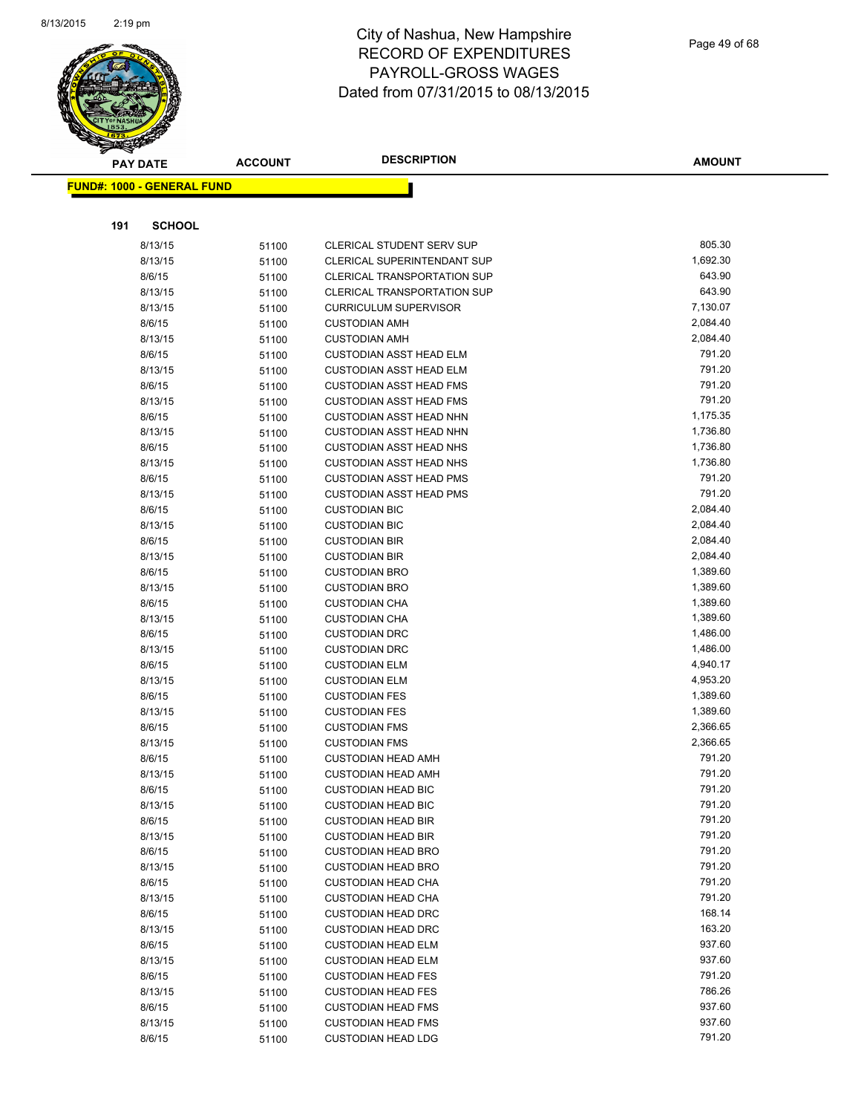

|     | <b>PAY DATE</b>                   | <b>ACCOUNT</b> | <b>DESCRIPTION</b>                                                       | <b>AMOUNT</b>    |
|-----|-----------------------------------|----------------|--------------------------------------------------------------------------|------------------|
|     | <b>FUND#: 1000 - GENERAL FUND</b> |                |                                                                          |                  |
|     |                                   |                |                                                                          |                  |
| 191 | <b>SCHOOL</b>                     |                |                                                                          |                  |
|     |                                   |                |                                                                          | 805.30           |
|     | 8/13/15<br>8/13/15                | 51100          | CLERICAL STUDENT SERV SUP<br>CLERICAL SUPERINTENDANT SUP                 | 1,692.30         |
|     |                                   | 51100          |                                                                          | 643.90           |
|     | 8/6/15<br>8/13/15                 | 51100          | <b>CLERICAL TRANSPORTATION SUP</b><br><b>CLERICAL TRANSPORTATION SUP</b> | 643.90           |
|     | 8/13/15                           | 51100          | <b>CURRICULUM SUPERVISOR</b>                                             | 7,130.07         |
|     | 8/6/15                            | 51100          | <b>CUSTODIAN AMH</b>                                                     | 2,084.40         |
|     | 8/13/15                           | 51100<br>51100 | <b>CUSTODIAN AMH</b>                                                     | 2,084.40         |
|     | 8/6/15                            | 51100          | <b>CUSTODIAN ASST HEAD ELM</b>                                           | 791.20           |
|     | 8/13/15                           | 51100          | <b>CUSTODIAN ASST HEAD ELM</b>                                           | 791.20           |
|     | 8/6/15                            | 51100          | <b>CUSTODIAN ASST HEAD FMS</b>                                           | 791.20           |
|     | 8/13/15                           | 51100          | <b>CUSTODIAN ASST HEAD FMS</b>                                           | 791.20           |
|     | 8/6/15                            | 51100          | <b>CUSTODIAN ASST HEAD NHN</b>                                           | 1,175.35         |
|     | 8/13/15                           | 51100          | <b>CUSTODIAN ASST HEAD NHN</b>                                           | 1,736.80         |
|     | 8/6/15                            | 51100          | <b>CUSTODIAN ASST HEAD NHS</b>                                           | 1,736.80         |
|     | 8/13/15                           | 51100          | <b>CUSTODIAN ASST HEAD NHS</b>                                           | 1,736.80         |
|     | 8/6/15                            | 51100          | <b>CUSTODIAN ASST HEAD PMS</b>                                           | 791.20           |
|     | 8/13/15                           | 51100          | <b>CUSTODIAN ASST HEAD PMS</b>                                           | 791.20           |
|     | 8/6/15                            | 51100          | <b>CUSTODIAN BIC</b>                                                     | 2,084.40         |
|     | 8/13/15                           | 51100          | <b>CUSTODIAN BIC</b>                                                     | 2,084.40         |
|     | 8/6/15                            | 51100          | <b>CUSTODIAN BIR</b>                                                     | 2,084.40         |
|     | 8/13/15                           | 51100          | <b>CUSTODIAN BIR</b>                                                     | 2,084.40         |
|     | 8/6/15                            | 51100          | <b>CUSTODIAN BRO</b>                                                     | 1,389.60         |
|     | 8/13/15                           | 51100          | <b>CUSTODIAN BRO</b>                                                     | 1,389.60         |
|     | 8/6/15                            | 51100          | <b>CUSTODIAN CHA</b>                                                     | 1,389.60         |
|     | 8/13/15                           | 51100          | <b>CUSTODIAN CHA</b>                                                     | 1,389.60         |
|     | 8/6/15                            | 51100          | <b>CUSTODIAN DRC</b>                                                     | 1,486.00         |
|     | 8/13/15                           | 51100          | <b>CUSTODIAN DRC</b>                                                     | 1,486.00         |
|     | 8/6/15                            | 51100          | <b>CUSTODIAN ELM</b>                                                     | 4,940.17         |
|     | 8/13/15                           | 51100          | <b>CUSTODIAN ELM</b>                                                     | 4,953.20         |
|     | 8/6/15                            | 51100          | <b>CUSTODIAN FES</b>                                                     | 1,389.60         |
|     | 8/13/15                           | 51100          | <b>CUSTODIAN FES</b>                                                     | 1,389.60         |
|     | 8/6/15                            | 51100          | <b>CUSTODIAN FMS</b>                                                     | 2,366.65         |
|     | 8/13/15                           | 51100          | <b>CUSTODIAN FMS</b>                                                     | 2,366.65         |
|     | 8/6/15                            | 51100          | <b>CUSTODIAN HEAD AMH</b>                                                | 791.20           |
|     | 8/13/15                           | 51100          | <b>CUSTODIAN HEAD AMH</b>                                                | 791.20           |
|     | 8/6/15                            | 51100          | <b>CUSTODIAN HEAD BIC</b>                                                | 791.20           |
|     | 8/13/15                           | 51100          | <b>CUSTODIAN HEAD BIC</b>                                                | 791.20           |
|     | 8/6/15                            | 51100          | <b>CUSTODIAN HEAD BIR</b>                                                | 791.20           |
|     | 8/13/15                           | 51100          | <b>CUSTODIAN HEAD BIR</b>                                                | 791.20           |
|     | 8/6/15                            | 51100          | <b>CUSTODIAN HEAD BRO</b>                                                | 791.20           |
|     | 8/13/15                           | 51100          | <b>CUSTODIAN HEAD BRO</b>                                                | 791.20           |
|     | 8/6/15                            | 51100          | <b>CUSTODIAN HEAD CHA</b>                                                | 791.20           |
|     | 8/13/15                           | 51100          | <b>CUSTODIAN HEAD CHA</b>                                                | 791.20           |
|     | 8/6/15                            | 51100          | <b>CUSTODIAN HEAD DRC</b>                                                | 168.14           |
|     | 8/13/15                           | 51100          | <b>CUSTODIAN HEAD DRC</b>                                                | 163.20           |
|     | 8/6/15                            | 51100          | <b>CUSTODIAN HEAD ELM</b>                                                | 937.60           |
|     | 8/13/15                           | 51100          | <b>CUSTODIAN HEAD ELM</b>                                                | 937.60           |
|     | 8/6/15                            | 51100          | <b>CUSTODIAN HEAD FES</b>                                                | 791.20           |
|     | 8/13/15                           | 51100          | <b>CUSTODIAN HEAD FES</b>                                                | 786.26<br>937.60 |
|     | 8/6/15                            | 51100          | <b>CUSTODIAN HEAD FMS</b><br><b>CUSTODIAN HEAD FMS</b>                   | 937.60           |
|     | 8/13/15                           | 51100          |                                                                          | 791.20           |
|     | 8/6/15                            | 51100          | <b>CUSTODIAN HEAD LDG</b>                                                |                  |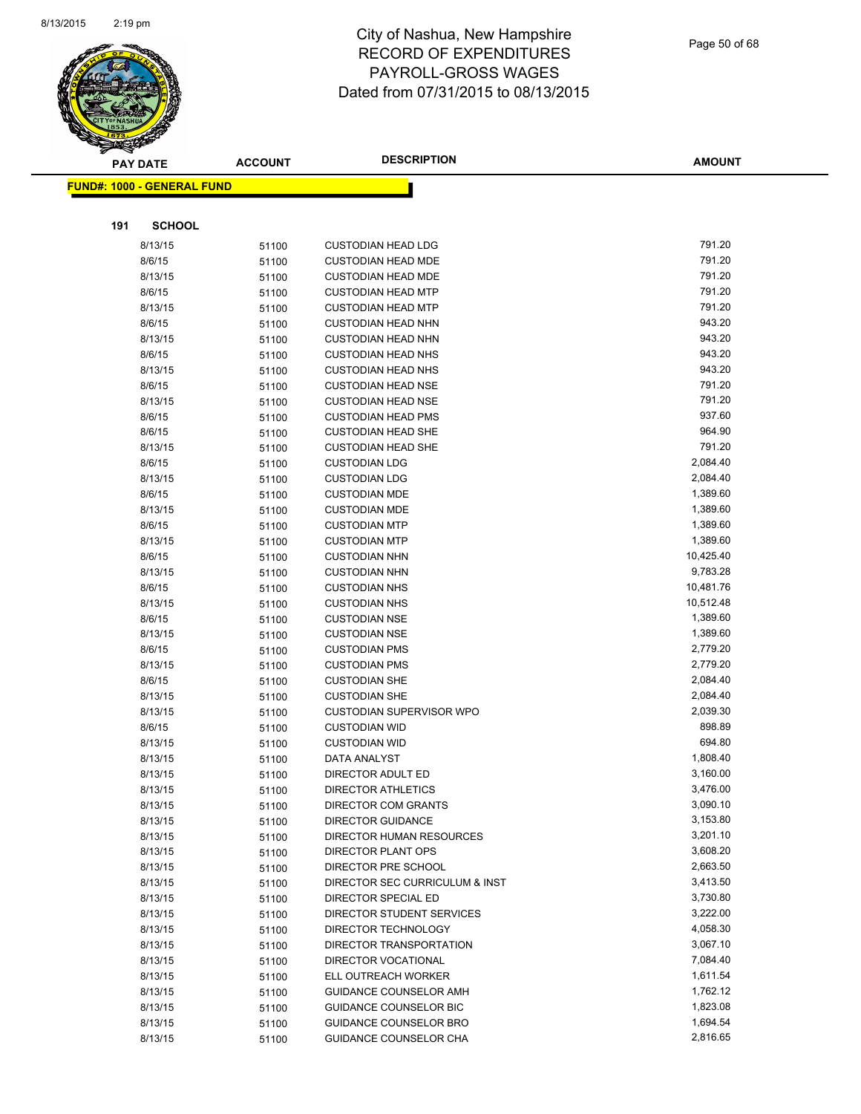

|     | <b>PAY DATE</b>                   | <b>ACCOUNT</b> | <b>DESCRIPTION</b>                           | <b>AMOUNT</b>         |
|-----|-----------------------------------|----------------|----------------------------------------------|-----------------------|
|     | <b>FUND#: 1000 - GENERAL FUND</b> |                |                                              |                       |
|     |                                   |                |                                              |                       |
|     |                                   |                |                                              |                       |
| 191 | <b>SCHOOL</b>                     |                |                                              |                       |
|     | 8/13/15                           | 51100          | <b>CUSTODIAN HEAD LDG</b>                    | 791.20                |
|     | 8/6/15                            | 51100          | <b>CUSTODIAN HEAD MDE</b>                    | 791.20                |
|     | 8/13/15                           | 51100          | <b>CUSTODIAN HEAD MDE</b>                    | 791.20                |
|     | 8/6/15                            | 51100          | <b>CUSTODIAN HEAD MTP</b>                    | 791.20                |
|     | 8/13/15                           | 51100          | <b>CUSTODIAN HEAD MTP</b>                    | 791.20                |
|     | 8/6/15                            | 51100          | <b>CUSTODIAN HEAD NHN</b>                    | 943.20                |
|     | 8/13/15                           | 51100          | <b>CUSTODIAN HEAD NHN</b>                    | 943.20                |
|     | 8/6/15                            | 51100          | <b>CUSTODIAN HEAD NHS</b>                    | 943.20                |
|     | 8/13/15                           | 51100          | <b>CUSTODIAN HEAD NHS</b>                    | 943.20                |
|     | 8/6/15                            | 51100          | <b>CUSTODIAN HEAD NSE</b>                    | 791.20                |
|     | 8/13/15                           | 51100          | <b>CUSTODIAN HEAD NSE</b>                    | 791.20                |
|     | 8/6/15                            | 51100          | <b>CUSTODIAN HEAD PMS</b>                    | 937.60                |
|     | 8/6/15                            | 51100          | <b>CUSTODIAN HEAD SHE</b>                    | 964.90                |
|     | 8/13/15                           | 51100          | <b>CUSTODIAN HEAD SHE</b>                    | 791.20                |
|     | 8/6/15                            | 51100          | <b>CUSTODIAN LDG</b>                         | 2,084.40              |
|     | 8/13/15                           | 51100          | <b>CUSTODIAN LDG</b>                         | 2,084.40              |
|     | 8/6/15                            | 51100          | <b>CUSTODIAN MDE</b>                         | 1,389.60              |
|     | 8/13/15                           | 51100          | <b>CUSTODIAN MDE</b>                         | 1,389.60              |
|     | 8/6/15                            | 51100          | <b>CUSTODIAN MTP</b>                         | 1,389.60              |
|     | 8/13/15                           | 51100          | <b>CUSTODIAN MTP</b>                         | 1,389.60              |
|     | 8/6/15                            | 51100          | <b>CUSTODIAN NHN</b>                         | 10,425.40             |
|     | 8/13/15                           | 51100          | <b>CUSTODIAN NHN</b>                         | 9,783.28              |
|     | 8/6/15                            | 51100          | <b>CUSTODIAN NHS</b>                         | 10,481.76             |
|     | 8/13/15                           | 51100          | <b>CUSTODIAN NHS</b>                         | 10,512.48<br>1,389.60 |
|     | 8/6/15<br>8/13/15                 | 51100          | <b>CUSTODIAN NSE</b>                         | 1,389.60              |
|     | 8/6/15                            | 51100          | <b>CUSTODIAN NSE</b>                         | 2,779.20              |
|     | 8/13/15                           | 51100          | <b>CUSTODIAN PMS</b><br><b>CUSTODIAN PMS</b> | 2,779.20              |
|     | 8/6/15                            | 51100<br>51100 | <b>CUSTODIAN SHE</b>                         | 2,084.40              |
|     | 8/13/15                           | 51100          | <b>CUSTODIAN SHE</b>                         | 2,084.40              |
|     | 8/13/15                           | 51100          | CUSTODIAN SUPERVISOR WPO                     | 2,039.30              |
|     | 8/6/15                            | 51100          | <b>CUSTODIAN WID</b>                         | 898.89                |
|     | 8/13/15                           | 51100          | <b>CUSTODIAN WID</b>                         | 694.80                |
|     | 8/13/15                           | 51100          | DATA ANALYST                                 | 1,808.40              |
|     | 8/13/15                           | 51100          | DIRECTOR ADULT ED                            | 3,160.00              |
|     | 8/13/15                           | 51100          | DIRECTOR ATHLETICS                           | 3,476.00              |
|     | 8/13/15                           | 51100          | <b>DIRECTOR COM GRANTS</b>                   | 3,090.10              |
|     | 8/13/15                           | 51100          | <b>DIRECTOR GUIDANCE</b>                     | 3,153.80              |
|     | 8/13/15                           | 51100          | DIRECTOR HUMAN RESOURCES                     | 3,201.10              |
|     | 8/13/15                           | 51100          | DIRECTOR PLANT OPS                           | 3,608.20              |
|     | 8/13/15                           | 51100          | DIRECTOR PRE SCHOOL                          | 2,663.50              |
|     | 8/13/15                           | 51100          | DIRECTOR SEC CURRICULUM & INST               | 3,413.50              |
|     | 8/13/15                           | 51100          | DIRECTOR SPECIAL ED                          | 3,730.80              |
|     | 8/13/15                           | 51100          | DIRECTOR STUDENT SERVICES                    | 3,222.00              |
|     | 8/13/15                           | 51100          | DIRECTOR TECHNOLOGY                          | 4,058.30              |
|     | 8/13/15                           | 51100          | DIRECTOR TRANSPORTATION                      | 3,067.10              |
|     | 8/13/15                           | 51100          | DIRECTOR VOCATIONAL                          | 7,084.40              |
|     | 8/13/15                           | 51100          | ELL OUTREACH WORKER                          | 1,611.54              |
|     | 8/13/15                           | 51100          | GUIDANCE COUNSELOR AMH                       | 1,762.12              |
|     | 8/13/15                           | 51100          | GUIDANCE COUNSELOR BIC                       | 1,823.08              |
|     | 8/13/15                           | 51100          | GUIDANCE COUNSELOR BRO                       | 1,694.54              |
|     | 8/13/15                           | 51100          | GUIDANCE COUNSELOR CHA                       | 2,816.65              |
|     |                                   |                |                                              |                       |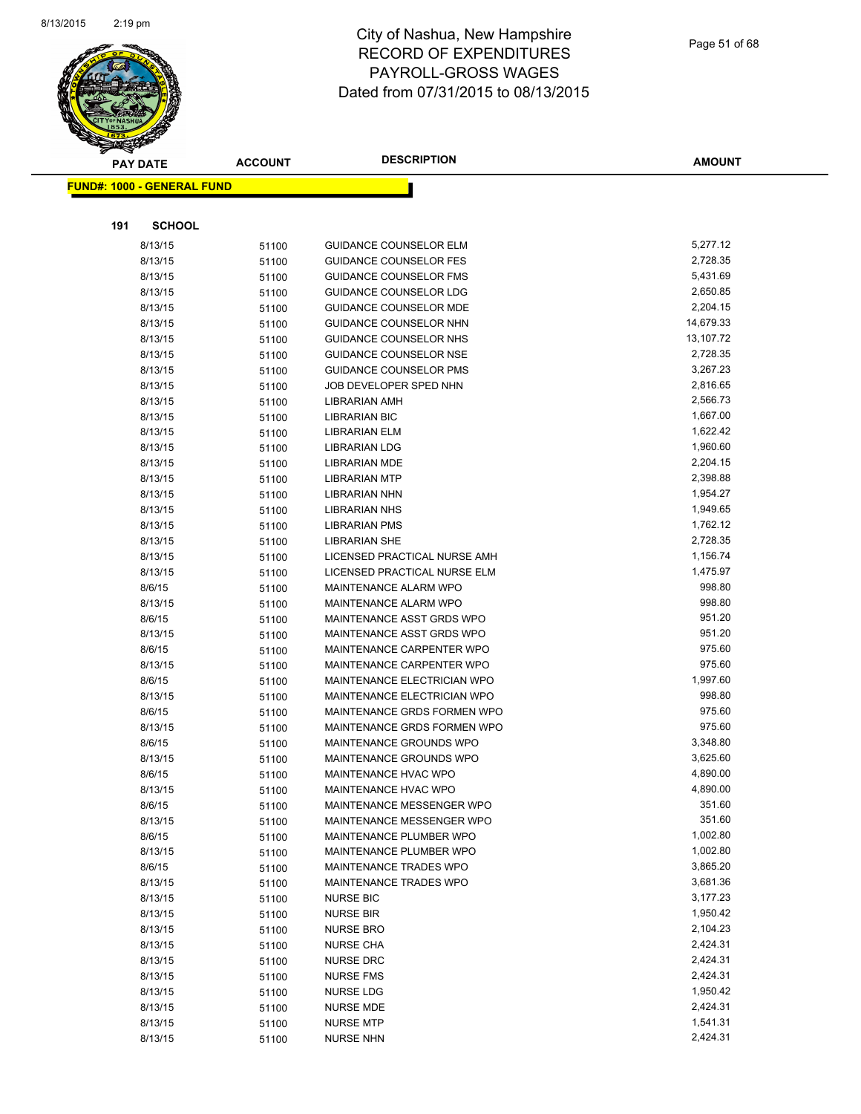

|     | <b>PAY DATE</b>                   | <b>ACCOUNT</b> | <b>DESCRIPTION</b>                                    | <b>AMOUNT</b>        |
|-----|-----------------------------------|----------------|-------------------------------------------------------|----------------------|
|     | <b>FUND#: 1000 - GENERAL FUND</b> |                |                                                       |                      |
|     |                                   |                |                                                       |                      |
|     |                                   |                |                                                       |                      |
| 191 | <b>SCHOOL</b>                     |                |                                                       |                      |
|     | 8/13/15                           | 51100          | <b>GUIDANCE COUNSELOR ELM</b>                         | 5,277.12             |
|     | 8/13/15                           | 51100          | <b>GUIDANCE COUNSELOR FES</b>                         | 2,728.35             |
|     | 8/13/15                           | 51100          | <b>GUIDANCE COUNSELOR FMS</b>                         | 5,431.69             |
|     | 8/13/15                           | 51100          | <b>GUIDANCE COUNSELOR LDG</b>                         | 2,650.85             |
|     | 8/13/15                           | 51100          | <b>GUIDANCE COUNSELOR MDE</b>                         | 2,204.15             |
|     | 8/13/15                           | 51100          | GUIDANCE COUNSELOR NHN                                | 14,679.33            |
|     | 8/13/15                           | 51100          | <b>GUIDANCE COUNSELOR NHS</b>                         | 13,107.72            |
|     | 8/13/15                           | 51100          | GUIDANCE COUNSELOR NSE                                | 2,728.35             |
|     | 8/13/15                           | 51100          | <b>GUIDANCE COUNSELOR PMS</b>                         | 3,267.23             |
|     | 8/13/15                           | 51100          | JOB DEVELOPER SPED NHN                                | 2,816.65             |
|     | 8/13/15                           | 51100          | LIBRARIAN AMH                                         | 2,566.73             |
|     | 8/13/15                           | 51100          | <b>LIBRARIAN BIC</b>                                  | 1,667.00             |
|     | 8/13/15                           | 51100          | <b>LIBRARIAN ELM</b>                                  | 1,622.42             |
|     | 8/13/15                           | 51100          | <b>LIBRARIAN LDG</b>                                  | 1,960.60             |
|     | 8/13/15                           | 51100          | <b>LIBRARIAN MDE</b>                                  | 2,204.15             |
|     | 8/13/15                           | 51100          | <b>LIBRARIAN MTP</b>                                  | 2,398.88             |
|     | 8/13/15                           | 51100          | LIBRARIAN NHN                                         | 1,954.27             |
|     | 8/13/15                           | 51100          | <b>LIBRARIAN NHS</b>                                  | 1,949.65             |
|     | 8/13/15                           | 51100          | <b>LIBRARIAN PMS</b>                                  | 1,762.12             |
|     | 8/13/15                           | 51100          | <b>LIBRARIAN SHE</b><br>LICENSED PRACTICAL NURSE AMH  | 2,728.35             |
|     | 8/13/15                           | 51100          |                                                       | 1,156.74<br>1,475.97 |
|     | 8/13/15                           | 51100          | LICENSED PRACTICAL NURSE ELM<br>MAINTENANCE ALARM WPO | 998.80               |
|     | 8/6/15                            | 51100          | MAINTENANCE ALARM WPO                                 | 998.80               |
|     | 8/13/15<br>8/6/15                 | 51100          | MAINTENANCE ASST GRDS WPO                             | 951.20               |
|     | 8/13/15                           | 51100          | MAINTENANCE ASST GRDS WPO                             | 951.20               |
|     | 8/6/15                            | 51100<br>51100 | MAINTENANCE CARPENTER WPO                             | 975.60               |
|     | 8/13/15                           | 51100          | MAINTENANCE CARPENTER WPO                             | 975.60               |
|     | 8/6/15                            | 51100          | MAINTENANCE ELECTRICIAN WPO                           | 1,997.60             |
|     | 8/13/15                           | 51100          | <b>MAINTENANCE ELECTRICIAN WPO</b>                    | 998.80               |
|     | 8/6/15                            | 51100          | MAINTENANCE GRDS FORMEN WPO                           | 975.60               |
|     | 8/13/15                           | 51100          | MAINTENANCE GRDS FORMEN WPO                           | 975.60               |
|     | 8/6/15                            | 51100          | MAINTENANCE GROUNDS WPO                               | 3,348.80             |
|     | 8/13/15                           | 51100          | MAINTENANCE GROUNDS WPO                               | 3,625.60             |
|     | 8/6/15                            | 51100          | MAINTENANCE HVAC WPO                                  | 4,890.00             |
|     | 8/13/15                           | 51100          | MAINTENANCE HVAC WPO                                  | 4,890.00             |
|     | 8/6/15                            | 51100          | MAINTENANCE MESSENGER WPO                             | 351.60               |
|     | 8/13/15                           | 51100          | MAINTENANCE MESSENGER WPO                             | 351.60               |
|     | 8/6/15                            | 51100          | MAINTENANCE PLUMBER WPO                               | 1,002.80             |
|     | 8/13/15                           | 51100          | MAINTENANCE PLUMBER WPO                               | 1,002.80             |
|     | 8/6/15                            | 51100          | MAINTENANCE TRADES WPO                                | 3,865.20             |
|     | 8/13/15                           | 51100          | MAINTENANCE TRADES WPO                                | 3,681.36             |
|     | 8/13/15                           | 51100          | <b>NURSE BIC</b>                                      | 3,177.23             |
|     | 8/13/15                           | 51100          | <b>NURSE BIR</b>                                      | 1,950.42             |
|     | 8/13/15                           | 51100          | <b>NURSE BRO</b>                                      | 2,104.23             |
|     | 8/13/15                           | 51100          | <b>NURSE CHA</b>                                      | 2,424.31             |
|     | 8/13/15                           | 51100          | <b>NURSE DRC</b>                                      | 2,424.31             |
|     | 8/13/15                           | 51100          | <b>NURSE FMS</b>                                      | 2,424.31             |
|     | 8/13/15                           | 51100          | <b>NURSE LDG</b>                                      | 1,950.42             |
|     | 8/13/15                           | 51100          | <b>NURSE MDE</b>                                      | 2,424.31             |
|     | 8/13/15                           | 51100          | <b>NURSE MTP</b>                                      | 1,541.31             |
|     | 8/13/15                           | 51100          | <b>NURSE NHN</b>                                      | 2,424.31             |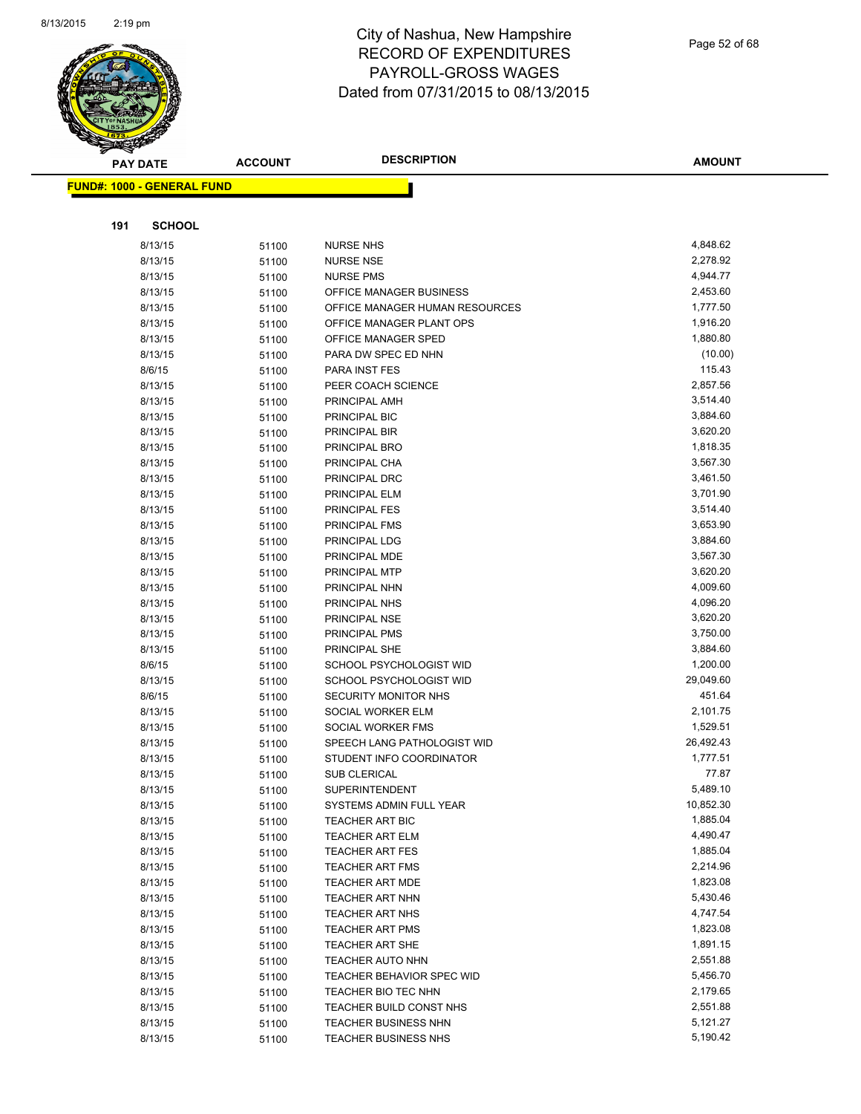

| <b>PAY DATE</b>                   | <b>ACCOUNT</b> | <b>DESCRIPTION</b>             | <b>AMOUNT</b> |
|-----------------------------------|----------------|--------------------------------|---------------|
| <b>FUND#: 1000 - GENERAL FUND</b> |                |                                |               |
|                                   |                |                                |               |
|                                   |                |                                |               |
| 191<br><b>SCHOOL</b>              |                |                                |               |
| 8/13/15                           | 51100          | <b>NURSE NHS</b>               | 4,848.62      |
| 8/13/15                           | 51100          | <b>NURSE NSE</b>               | 2,278.92      |
| 8/13/15                           | 51100          | <b>NURSE PMS</b>               | 4,944.77      |
| 8/13/15                           | 51100          | OFFICE MANAGER BUSINESS        | 2,453.60      |
| 8/13/15                           | 51100          | OFFICE MANAGER HUMAN RESOURCES | 1,777.50      |
| 8/13/15                           | 51100          | OFFICE MANAGER PLANT OPS       | 1,916.20      |
| 8/13/15                           | 51100          | OFFICE MANAGER SPED            | 1,880.80      |
| 8/13/15                           | 51100          | PARA DW SPEC ED NHN            | (10.00)       |
| 8/6/15                            | 51100          | PARA INST FES                  | 115.43        |
| 8/13/15                           | 51100          | PEER COACH SCIENCE             | 2,857.56      |
| 8/13/15                           | 51100          | PRINCIPAL AMH                  | 3,514.40      |
| 8/13/15                           | 51100          | PRINCIPAL BIC                  | 3,884.60      |
| 8/13/15                           | 51100          | PRINCIPAL BIR                  | 3,620.20      |
| 8/13/15                           | 51100          | PRINCIPAL BRO                  | 1,818.35      |
| 8/13/15                           | 51100          | PRINCIPAL CHA                  | 3,567.30      |
| 8/13/15                           | 51100          | PRINCIPAL DRC                  | 3,461.50      |
| 8/13/15                           | 51100          | PRINCIPAL ELM                  | 3,701.90      |
| 8/13/15                           | 51100          | PRINCIPAL FES                  | 3,514.40      |
| 8/13/15                           | 51100          | PRINCIPAL FMS                  | 3,653.90      |
| 8/13/15                           | 51100          | PRINCIPAL LDG                  | 3,884.60      |
| 8/13/15                           | 51100          | PRINCIPAL MDE                  | 3,567.30      |
| 8/13/15                           | 51100          | PRINCIPAL MTP                  | 3,620.20      |
| 8/13/15                           | 51100          | PRINCIPAL NHN                  | 4,009.60      |
| 8/13/15                           | 51100          | PRINCIPAL NHS                  | 4,096.20      |
| 8/13/15                           | 51100          | PRINCIPAL NSE                  | 3,620.20      |
| 8/13/15                           | 51100          | PRINCIPAL PMS                  | 3,750.00      |
| 8/13/15                           | 51100          | PRINCIPAL SHE                  | 3,884.60      |
| 8/6/15                            | 51100          | SCHOOL PSYCHOLOGIST WID        | 1,200.00      |
| 8/13/15                           | 51100          | SCHOOL PSYCHOLOGIST WID        | 29,049.60     |
| 8/6/15                            | 51100          | SECURITY MONITOR NHS           | 451.64        |
| 8/13/15                           | 51100          | SOCIAL WORKER ELM              | 2,101.75      |
| 8/13/15                           | 51100          | SOCIAL WORKER FMS              | 1,529.51      |
| 8/13/15                           | 51100          | SPEECH LANG PATHOLOGIST WID    | 26,492.43     |
| 8/13/15                           | 51100          | STUDENT INFO COORDINATOR       | 1,777.51      |
| 8/13/15                           | 51100          | <b>SUB CLERICAL</b>            | 77.87         |
| 8/13/15                           | 51100          | SUPERINTENDENT                 | 5,489.10      |
| 8/13/15                           | 51100          | SYSTEMS ADMIN FULL YEAR        | 10,852.30     |
| 8/13/15                           | 51100          | <b>TEACHER ART BIC</b>         | 1,885.04      |
| 8/13/15                           | 51100          | <b>TEACHER ART ELM</b>         | 4,490.47      |
| 8/13/15                           | 51100          | <b>TEACHER ART FES</b>         | 1,885.04      |
| 8/13/15                           | 51100          | <b>TEACHER ART FMS</b>         | 2,214.96      |
| 8/13/15                           | 51100          | <b>TEACHER ART MDE</b>         | 1,823.08      |
| 8/13/15                           | 51100          | TEACHER ART NHN                | 5,430.46      |
| 8/13/15                           | 51100          | TEACHER ART NHS                | 4,747.54      |
| 8/13/15                           | 51100          | <b>TEACHER ART PMS</b>         | 1,823.08      |
| 8/13/15                           | 51100          | TEACHER ART SHE                | 1,891.15      |
| 8/13/15                           | 51100          | <b>TEACHER AUTO NHN</b>        | 2,551.88      |
| 8/13/15                           | 51100          | TEACHER BEHAVIOR SPEC WID      | 5,456.70      |
| 8/13/15                           | 51100          | TEACHER BIO TEC NHN            | 2,179.65      |
| 8/13/15                           | 51100          | TEACHER BUILD CONST NHS        | 2,551.88      |
| 8/13/15                           | 51100          | <b>TEACHER BUSINESS NHN</b>    | 5,121.27      |
| 8/13/15                           | 51100          | TEACHER BUSINESS NHS           | 5,190.42      |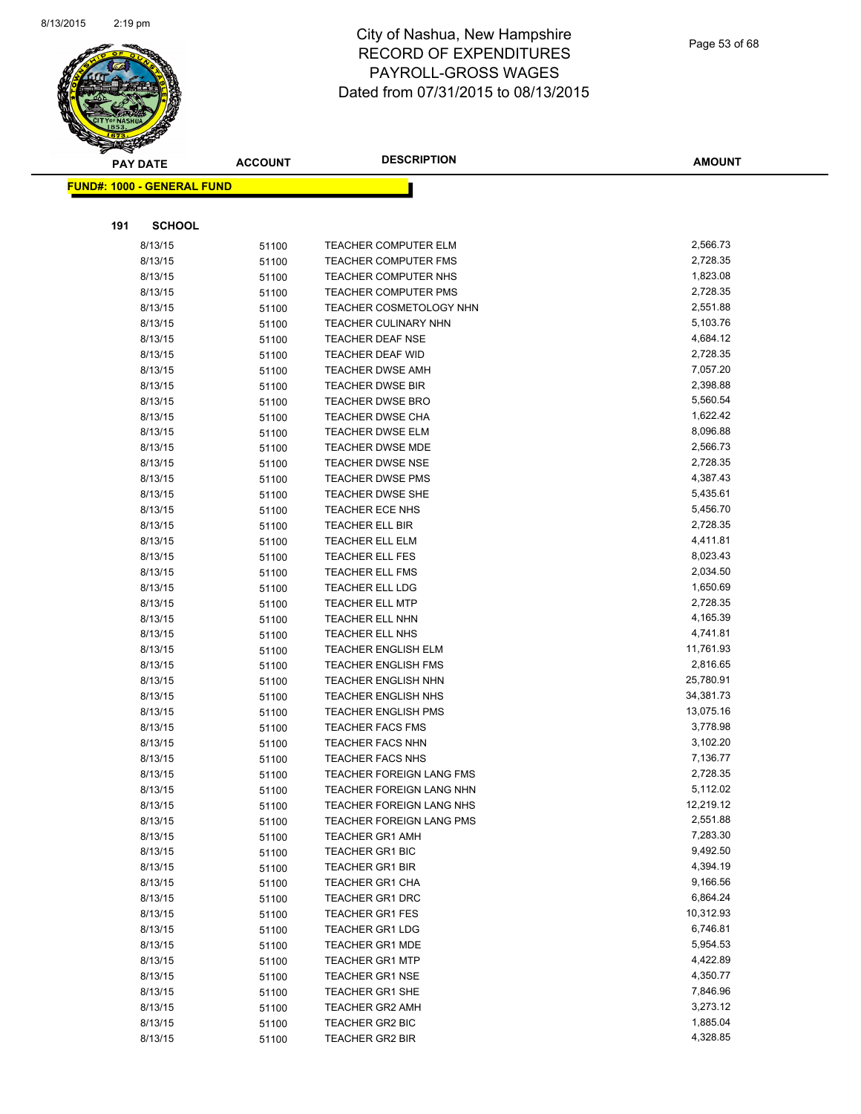

|     | <b>PAY DATE</b>                    | <b>ACCOUNT</b> | <b>DESCRIPTION</b>                               | <b>AMOUNT</b>        |
|-----|------------------------------------|----------------|--------------------------------------------------|----------------------|
|     | <u> FUND#: 1000 - GENERAL FUND</u> |                |                                                  |                      |
|     |                                    |                |                                                  |                      |
|     |                                    |                |                                                  |                      |
| 191 | <b>SCHOOL</b>                      |                |                                                  |                      |
|     | 8/13/15                            | 51100          | <b>TEACHER COMPUTER ELM</b>                      | 2,566.73             |
|     | 8/13/15                            | 51100          | <b>TEACHER COMPUTER FMS</b>                      | 2,728.35             |
|     | 8/13/15                            | 51100          | <b>TEACHER COMPUTER NHS</b>                      | 1,823.08             |
|     | 8/13/15                            | 51100          | TEACHER COMPUTER PMS                             | 2,728.35             |
|     | 8/13/15                            | 51100          | TEACHER COSMETOLOGY NHN                          | 2,551.88             |
|     | 8/13/15                            | 51100          | <b>TEACHER CULINARY NHN</b>                      | 5,103.76             |
|     | 8/13/15                            | 51100          | <b>TEACHER DEAF NSE</b>                          | 4,684.12             |
|     | 8/13/15                            | 51100          | <b>TEACHER DEAF WID</b>                          | 2,728.35             |
|     | 8/13/15                            | 51100          | <b>TEACHER DWSE AMH</b>                          | 7,057.20             |
|     | 8/13/15                            | 51100          | <b>TEACHER DWSE BIR</b>                          | 2,398.88             |
|     | 8/13/15                            | 51100          | <b>TEACHER DWSE BRO</b>                          | 5,560.54             |
|     | 8/13/15                            | 51100          | <b>TEACHER DWSE CHA</b>                          | 1,622.42             |
|     | 8/13/15                            | 51100          | <b>TEACHER DWSE ELM</b>                          | 8,096.88             |
|     | 8/13/15                            | 51100          | <b>TEACHER DWSE MDE</b>                          | 2,566.73             |
|     | 8/13/15                            | 51100          | <b>TEACHER DWSE NSE</b>                          | 2,728.35             |
|     | 8/13/15                            | 51100          | <b>TEACHER DWSE PMS</b>                          | 4,387.43             |
|     | 8/13/15                            | 51100          | TEACHER DWSE SHE                                 | 5,435.61             |
|     | 8/13/15                            | 51100          | TEACHER ECE NHS                                  | 5,456.70             |
|     | 8/13/15                            | 51100          | <b>TEACHER ELL BIR</b>                           | 2,728.35             |
|     | 8/13/15                            | 51100          | TEACHER ELL ELM                                  | 4,411.81             |
|     | 8/13/15                            | 51100          | <b>TEACHER ELL FES</b><br><b>TEACHER ELL FMS</b> | 8,023.43<br>2,034.50 |
|     | 8/13/15<br>8/13/15                 | 51100          |                                                  | 1,650.69             |
|     | 8/13/15                            | 51100          | <b>TEACHER ELL LDG</b><br><b>TEACHER ELL MTP</b> | 2,728.35             |
|     | 8/13/15                            | 51100          | <b>TEACHER ELL NHN</b>                           | 4,165.39             |
|     | 8/13/15                            | 51100          | <b>TEACHER ELL NHS</b>                           | 4,741.81             |
|     | 8/13/15                            | 51100          | <b>TEACHER ENGLISH ELM</b>                       | 11,761.93            |
|     | 8/13/15                            | 51100          | <b>TEACHER ENGLISH FMS</b>                       | 2,816.65             |
|     | 8/13/15                            | 51100<br>51100 | <b>TEACHER ENGLISH NHN</b>                       | 25,780.91            |
|     | 8/13/15                            | 51100          | <b>TEACHER ENGLISH NHS</b>                       | 34,381.73            |
|     | 8/13/15                            | 51100          | <b>TEACHER ENGLISH PMS</b>                       | 13,075.16            |
|     | 8/13/15                            | 51100          | <b>TEACHER FACS FMS</b>                          | 3,778.98             |
|     | 8/13/15                            | 51100          | <b>TEACHER FACS NHN</b>                          | 3,102.20             |
|     | 8/13/15                            | 51100          | <b>TEACHER FACS NHS</b>                          | 7,136.77             |
|     | 8/13/15                            | 51100          | <b>TEACHER FOREIGN LANG FMS</b>                  | 2,728.35             |
|     | 8/13/15                            | 51100          | TEACHER FOREIGN LANG NHN                         | 5,112.02             |
|     | 8/13/15                            | 51100          | TEACHER FOREIGN LANG NHS                         | 12,219.12            |
|     | 8/13/15                            | 51100          | <b>TEACHER FOREIGN LANG PMS</b>                  | 2,551.88             |
|     | 8/13/15                            | 51100          | <b>TEACHER GR1 AMH</b>                           | 7,283.30             |
|     | 8/13/15                            | 51100          | <b>TEACHER GR1 BIC</b>                           | 9,492.50             |
|     | 8/13/15                            | 51100          | <b>TEACHER GR1 BIR</b>                           | 4,394.19             |
|     | 8/13/15                            | 51100          | <b>TEACHER GR1 CHA</b>                           | 9,166.56             |
|     | 8/13/15                            | 51100          | <b>TEACHER GR1 DRC</b>                           | 6,864.24             |
|     | 8/13/15                            | 51100          | <b>TEACHER GR1 FES</b>                           | 10,312.93            |
|     | 8/13/15                            | 51100          | <b>TEACHER GR1 LDG</b>                           | 6,746.81             |
|     | 8/13/15                            | 51100          | <b>TEACHER GR1 MDE</b>                           | 5,954.53             |
|     | 8/13/15                            | 51100          | <b>TEACHER GR1 MTP</b>                           | 4,422.89             |
|     | 8/13/15                            | 51100          | <b>TEACHER GR1 NSE</b>                           | 4,350.77             |
|     | 8/13/15                            | 51100          | <b>TEACHER GR1 SHE</b>                           | 7,846.96             |
|     | 8/13/15                            | 51100          | <b>TEACHER GR2 AMH</b>                           | 3,273.12             |
|     | 8/13/15                            | 51100          | TEACHER GR2 BIC                                  | 1,885.04             |
|     | 8/13/15                            | 51100          | <b>TEACHER GR2 BIR</b>                           | 4,328.85             |
|     |                                    |                |                                                  |                      |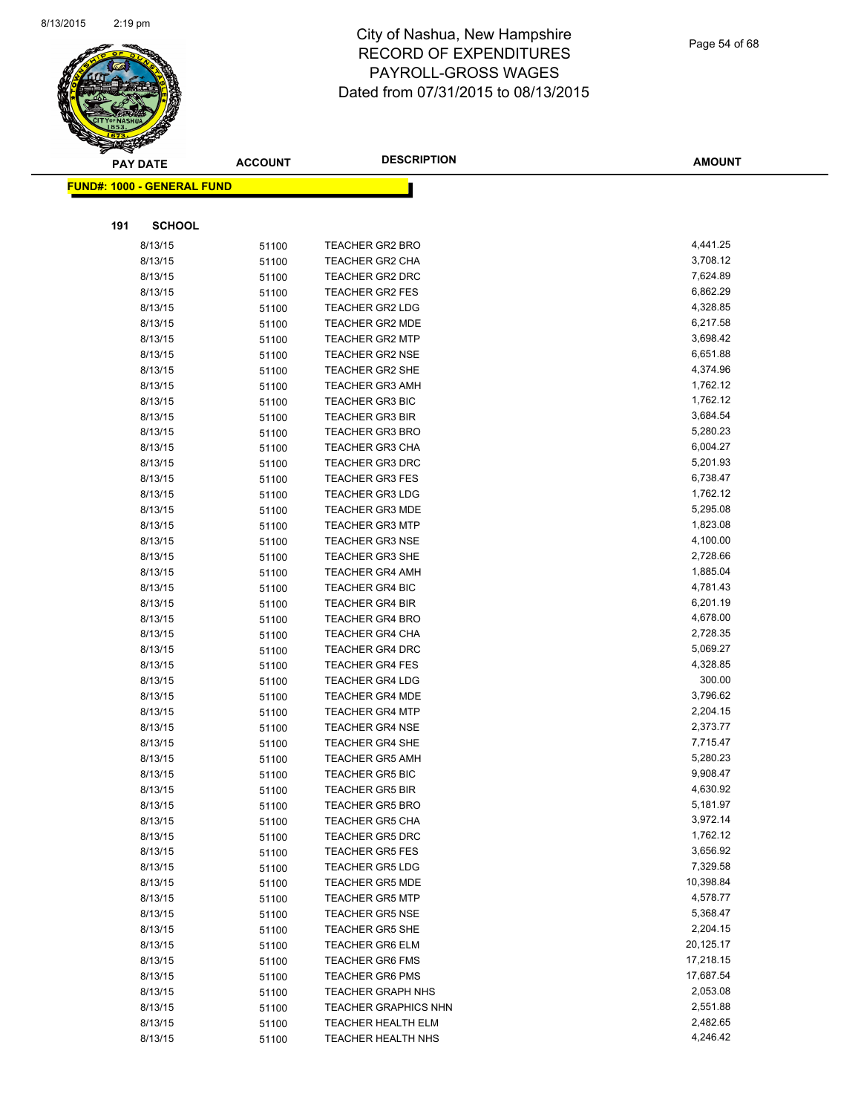

|     | <b>PAY DATE</b>                    | <b>ACCOUNT</b> | <b>DESCRIPTION</b>                               | <b>AMOUNT</b>        |
|-----|------------------------------------|----------------|--------------------------------------------------|----------------------|
|     | <u> FUND#: 1000 - GENERAL FUND</u> |                |                                                  |                      |
|     |                                    |                |                                                  |                      |
|     |                                    |                |                                                  |                      |
| 191 | <b>SCHOOL</b>                      |                |                                                  |                      |
|     | 8/13/15                            | 51100          | <b>TEACHER GR2 BRO</b>                           | 4,441.25             |
|     | 8/13/15                            | 51100          | <b>TEACHER GR2 CHA</b>                           | 3,708.12             |
|     | 8/13/15                            | 51100          | <b>TEACHER GR2 DRC</b>                           | 7,624.89             |
|     | 8/13/15                            | 51100          | <b>TEACHER GR2 FES</b>                           | 6,862.29             |
|     | 8/13/15                            | 51100          | TEACHER GR2 LDG                                  | 4,328.85             |
|     | 8/13/15                            | 51100          | <b>TEACHER GR2 MDE</b>                           | 6,217.58             |
|     | 8/13/15                            | 51100          | <b>TEACHER GR2 MTP</b>                           | 3,698.42             |
|     | 8/13/15                            | 51100          | <b>TEACHER GR2 NSE</b>                           | 6,651.88             |
|     | 8/13/15                            | 51100          | <b>TEACHER GR2 SHE</b>                           | 4,374.96             |
|     | 8/13/15                            | 51100          | <b>TEACHER GR3 AMH</b>                           | 1,762.12             |
|     | 8/13/15                            | 51100          | <b>TEACHER GR3 BIC</b>                           | 1,762.12             |
|     | 8/13/15                            | 51100          | <b>TEACHER GR3 BIR</b>                           | 3,684.54             |
|     | 8/13/15                            | 51100          | <b>TEACHER GR3 BRO</b>                           | 5,280.23             |
|     | 8/13/15                            | 51100          | <b>TEACHER GR3 CHA</b>                           | 6,004.27             |
|     | 8/13/15                            | 51100          | <b>TEACHER GR3 DRC</b>                           | 5,201.93             |
|     | 8/13/15                            | 51100          | <b>TEACHER GR3 FES</b>                           | 6,738.47             |
|     | 8/13/15                            | 51100          | <b>TEACHER GR3 LDG</b>                           | 1,762.12             |
|     | 8/13/15                            | 51100          | <b>TEACHER GR3 MDE</b>                           | 5,295.08             |
|     | 8/13/15                            | 51100          | <b>TEACHER GR3 MTP</b>                           | 1,823.08             |
|     | 8/13/15<br>8/13/15                 | 51100          | <b>TEACHER GR3 NSE</b><br><b>TEACHER GR3 SHE</b> | 4,100.00             |
|     |                                    | 51100          |                                                  | 2,728.66<br>1,885.04 |
|     | 8/13/15<br>8/13/15                 | 51100          | <b>TEACHER GR4 AMH</b><br>TEACHER GR4 BIC        | 4,781.43             |
|     | 8/13/15                            | 51100          | <b>TEACHER GR4 BIR</b>                           | 6,201.19             |
|     | 8/13/15                            | 51100          | <b>TEACHER GR4 BRO</b>                           | 4,678.00             |
|     | 8/13/15                            | 51100<br>51100 | <b>TEACHER GR4 CHA</b>                           | 2,728.35             |
|     | 8/13/15                            | 51100          | <b>TEACHER GR4 DRC</b>                           | 5,069.27             |
|     | 8/13/15                            | 51100          | <b>TEACHER GR4 FES</b>                           | 4,328.85             |
|     | 8/13/15                            | 51100          | <b>TEACHER GR4 LDG</b>                           | 300.00               |
|     | 8/13/15                            | 51100          | <b>TEACHER GR4 MDE</b>                           | 3,796.62             |
|     | 8/13/15                            | 51100          | <b>TEACHER GR4 MTP</b>                           | 2,204.15             |
|     | 8/13/15                            | 51100          | <b>TEACHER GR4 NSE</b>                           | 2,373.77             |
|     | 8/13/15                            | 51100          | <b>TEACHER GR4 SHE</b>                           | 7,715.47             |
|     | 8/13/15                            | 51100          | <b>TEACHER GR5 AMH</b>                           | 5,280.23             |
|     | 8/13/15                            | 51100          | <b>TEACHER GR5 BIC</b>                           | 9,908.47             |
|     | 8/13/15                            | 51100          | <b>TEACHER GR5 BIR</b>                           | 4,630.92             |
|     | 8/13/15                            | 51100          | <b>TEACHER GR5 BRO</b>                           | 5,181.97             |
|     | 8/13/15                            | 51100          | <b>TEACHER GR5 CHA</b>                           | 3,972.14             |
|     | 8/13/15                            | 51100          | <b>TEACHER GR5 DRC</b>                           | 1,762.12             |
|     | 8/13/15                            | 51100          | <b>TEACHER GR5 FES</b>                           | 3,656.92             |
|     | 8/13/15                            | 51100          | <b>TEACHER GR5 LDG</b>                           | 7,329.58             |
|     | 8/13/15                            | 51100          | <b>TEACHER GR5 MDE</b>                           | 10,398.84            |
|     | 8/13/15                            | 51100          | <b>TEACHER GR5 MTP</b>                           | 4,578.77             |
|     | 8/13/15                            | 51100          | <b>TEACHER GR5 NSE</b>                           | 5,368.47             |
|     | 8/13/15                            | 51100          | <b>TEACHER GR5 SHE</b>                           | 2,204.15             |
|     | 8/13/15                            | 51100          | <b>TEACHER GR6 ELM</b>                           | 20,125.17            |
|     | 8/13/15                            | 51100          | <b>TEACHER GR6 FMS</b>                           | 17,218.15            |
|     | 8/13/15                            | 51100          | <b>TEACHER GR6 PMS</b>                           | 17,687.54            |
|     | 8/13/15                            | 51100          | <b>TEACHER GRAPH NHS</b>                         | 2,053.08             |
|     | 8/13/15                            | 51100          | <b>TEACHER GRAPHICS NHN</b>                      | 2,551.88             |
|     | 8/13/15                            | 51100          | <b>TEACHER HEALTH ELM</b>                        | 2,482.65             |
|     | 8/13/15                            | 51100          | TEACHER HEALTH NHS                               | 4,246.42             |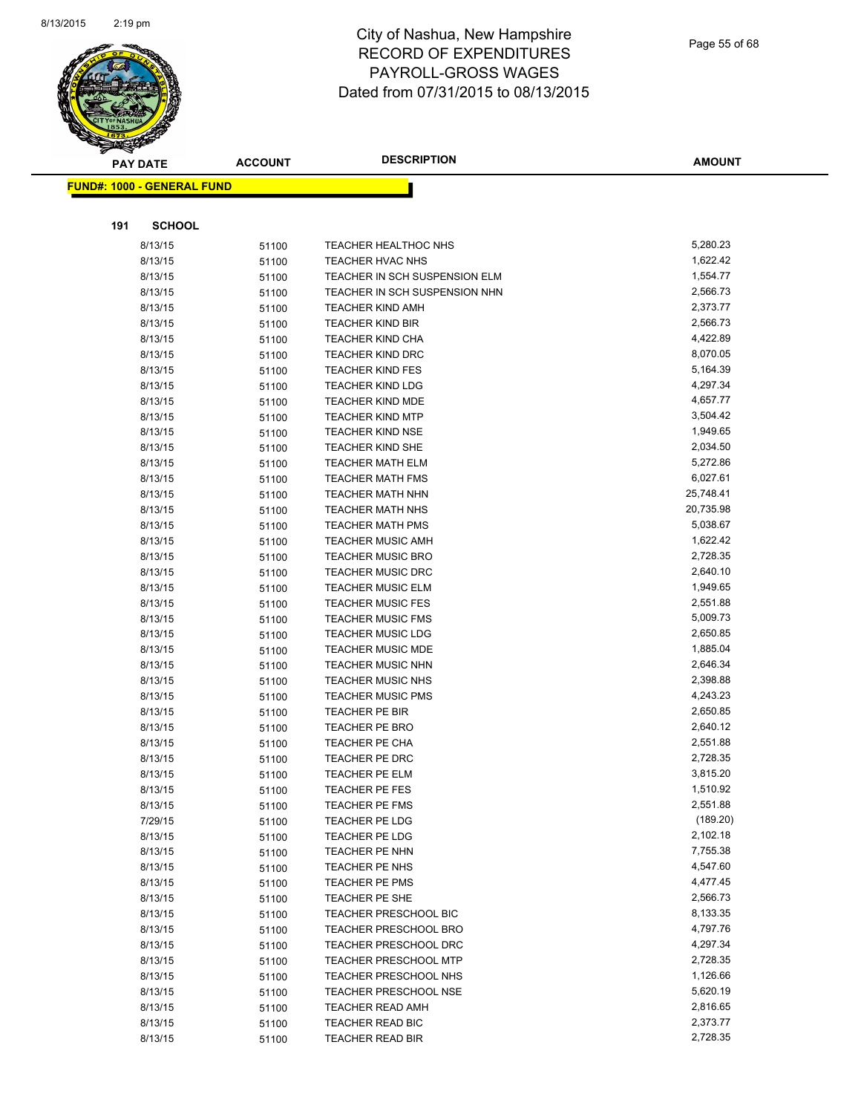

|     | <b>PAY DATE</b>                   | <b>ACCOUNT</b> | <b>DESCRIPTION</b>                                   | <b>AMOUNT</b>        |
|-----|-----------------------------------|----------------|------------------------------------------------------|----------------------|
|     | <b>FUND#: 1000 - GENERAL FUND</b> |                |                                                      |                      |
|     |                                   |                |                                                      |                      |
|     |                                   |                |                                                      |                      |
| 191 | <b>SCHOOL</b>                     |                |                                                      |                      |
|     | 8/13/15                           | 51100          | <b>TEACHER HEALTHOC NHS</b>                          | 5,280.23             |
|     | 8/13/15                           | 51100          | TEACHER HVAC NHS                                     | 1,622.42             |
|     | 8/13/15                           | 51100          | TEACHER IN SCH SUSPENSION ELM                        | 1,554.77             |
|     | 8/13/15                           | 51100          | TEACHER IN SCH SUSPENSION NHN                        | 2,566.73             |
|     | 8/13/15                           | 51100          | <b>TEACHER KIND AMH</b>                              | 2,373.77             |
|     | 8/13/15                           | 51100          | <b>TEACHER KIND BIR</b>                              | 2,566.73             |
|     | 8/13/15                           | 51100          | <b>TEACHER KIND CHA</b>                              | 4,422.89             |
|     | 8/13/15                           | 51100          | <b>TEACHER KIND DRC</b>                              | 8,070.05             |
|     | 8/13/15                           | 51100          | <b>TEACHER KIND FES</b>                              | 5,164.39             |
|     | 8/13/15                           | 51100          | <b>TEACHER KIND LDG</b>                              | 4,297.34             |
|     | 8/13/15                           | 51100          | <b>TEACHER KIND MDE</b>                              | 4,657.77             |
|     | 8/13/15                           | 51100          | <b>TEACHER KIND MTP</b>                              | 3,504.42             |
|     | 8/13/15                           | 51100          | <b>TEACHER KIND NSE</b>                              | 1,949.65             |
|     | 8/13/15                           | 51100          | <b>TEACHER KIND SHE</b>                              | 2,034.50             |
|     | 8/13/15                           | 51100          | <b>TEACHER MATH ELM</b>                              | 5,272.86             |
|     | 8/13/15                           | 51100          | <b>TEACHER MATH FMS</b>                              | 6,027.61             |
|     | 8/13/15                           | 51100          | <b>TEACHER MATH NHN</b>                              | 25,748.41            |
|     | 8/13/15                           | 51100          | <b>TEACHER MATH NHS</b>                              | 20,735.98            |
|     | 8/13/15                           | 51100          | <b>TEACHER MATH PMS</b>                              | 5,038.67             |
|     | 8/13/15                           | 51100          | <b>TEACHER MUSIC AMH</b>                             | 1,622.42             |
|     | 8/13/15                           | 51100          | <b>TEACHER MUSIC BRO</b>                             | 2,728.35             |
|     | 8/13/15                           | 51100          | <b>TEACHER MUSIC DRC</b>                             | 2,640.10             |
|     | 8/13/15                           | 51100          | <b>TEACHER MUSIC ELM</b>                             | 1,949.65             |
|     | 8/13/15                           | 51100          | <b>TEACHER MUSIC FES</b>                             | 2,551.88<br>5,009.73 |
|     | 8/13/15                           | 51100          | <b>TEACHER MUSIC FMS</b>                             | 2,650.85             |
|     | 8/13/15                           | 51100          | <b>TEACHER MUSIC LDG</b>                             | 1,885.04             |
|     | 8/13/15<br>8/13/15                | 51100          | <b>TEACHER MUSIC MDE</b><br><b>TEACHER MUSIC NHN</b> | 2,646.34             |
|     | 8/13/15                           | 51100          | <b>TEACHER MUSIC NHS</b>                             | 2,398.88             |
|     | 8/13/15                           | 51100          | <b>TEACHER MUSIC PMS</b>                             | 4,243.23             |
|     | 8/13/15                           | 51100          | TEACHER PE BIR                                       | 2,650.85             |
|     | 8/13/15                           | 51100          | TEACHER PE BRO                                       | 2,640.12             |
|     | 8/13/15                           | 51100          | <b>TEACHER PE CHA</b>                                | 2,551.88             |
|     | 8/13/15                           | 51100          | TEACHER PE DRC                                       | 2,728.35             |
|     | 8/13/15                           | 51100<br>51100 | TEACHER PE ELM                                       | 3,815.20             |
|     | 8/13/15                           |                | TEACHER PE FES                                       | 1,510.92             |
|     | 8/13/15                           | 51100<br>51100 | TEACHER PE FMS                                       | 2,551.88             |
|     | 7/29/15                           | 51100          | TEACHER PE LDG                                       | (189.20)             |
|     | 8/13/15                           | 51100          | TEACHER PE LDG                                       | 2,102.18             |
|     | 8/13/15                           | 51100          | TEACHER PE NHN                                       | 7,755.38             |
|     | 8/13/15                           | 51100          | TEACHER PE NHS                                       | 4,547.60             |
|     | 8/13/15                           | 51100          | TEACHER PE PMS                                       | 4,477.45             |
|     | 8/13/15                           | 51100          | TEACHER PE SHE                                       | 2,566.73             |
|     | 8/13/15                           | 51100          | TEACHER PRESCHOOL BIC                                | 8,133.35             |
|     | 8/13/15                           | 51100          | <b>TEACHER PRESCHOOL BRO</b>                         | 4,797.76             |
|     | 8/13/15                           | 51100          | <b>TEACHER PRESCHOOL DRC</b>                         | 4,297.34             |
|     | 8/13/15                           | 51100          | <b>TEACHER PRESCHOOL MTP</b>                         | 2,728.35             |
|     | 8/13/15                           | 51100          | TEACHER PRESCHOOL NHS                                | 1,126.66             |
|     | 8/13/15                           | 51100          | <b>TEACHER PRESCHOOL NSE</b>                         | 5,620.19             |
|     | 8/13/15                           | 51100          | <b>TEACHER READ AMH</b>                              | 2,816.65             |
|     | 8/13/15                           | 51100          | TEACHER READ BIC                                     | 2,373.77             |
|     | 8/13/15                           | 51100          | <b>TEACHER READ BIR</b>                              | 2,728.35             |
|     |                                   |                |                                                      |                      |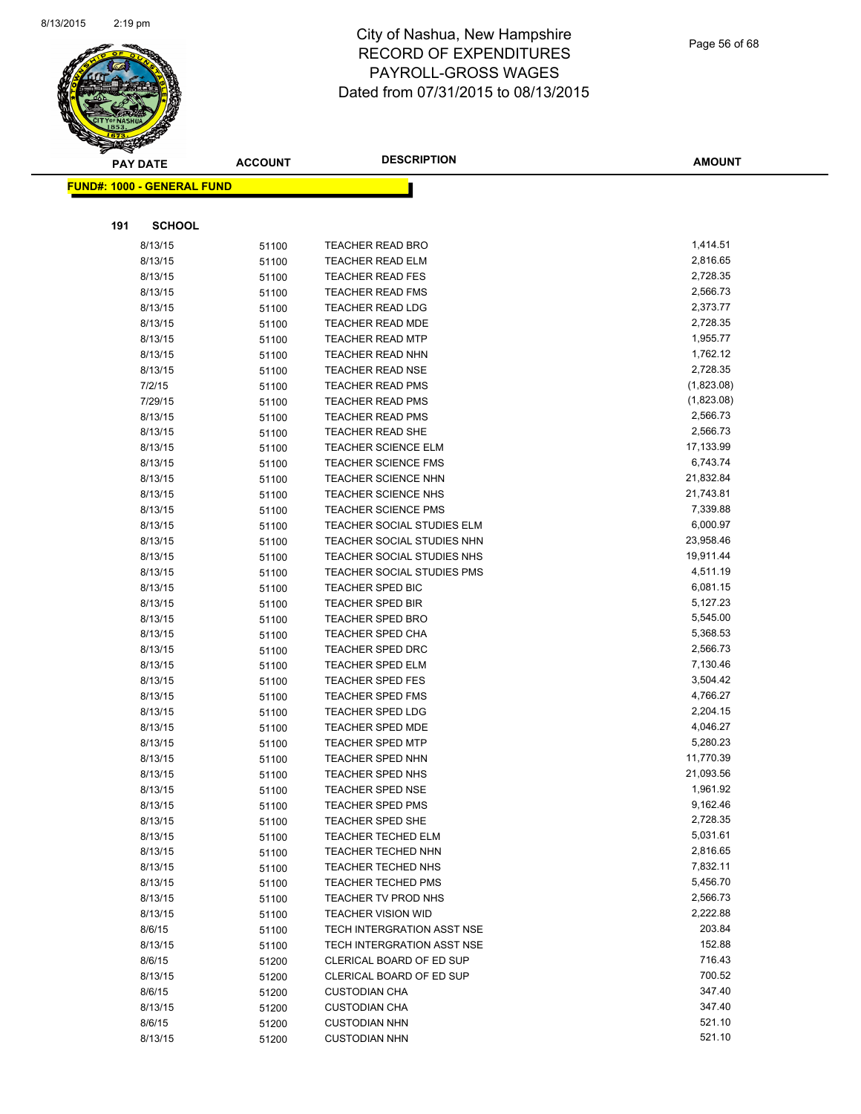

| <b>PAY DATE</b>                   |                    | <b>ACCOUNT</b> | <b>DESCRIPTION</b>                          | <b>AMOUNT</b>        |
|-----------------------------------|--------------------|----------------|---------------------------------------------|----------------------|
| <b>FUND#: 1000 - GENERAL FUND</b> |                    |                |                                             |                      |
|                                   |                    |                |                                             |                      |
| 191                               | <b>SCHOOL</b>      |                |                                             |                      |
|                                   | 8/13/15            | 51100          | <b>TEACHER READ BRO</b>                     | 1,414.51             |
|                                   | 8/13/15            | 51100          | <b>TEACHER READ ELM</b>                     | 2,816.65             |
|                                   | 8/13/15            | 51100          | <b>TEACHER READ FES</b>                     | 2,728.35             |
|                                   | 8/13/15            | 51100          | <b>TEACHER READ FMS</b>                     | 2,566.73             |
|                                   | 8/13/15            | 51100          | <b>TEACHER READ LDG</b>                     | 2,373.77             |
|                                   | 8/13/15            | 51100          | <b>TEACHER READ MDE</b>                     | 2,728.35             |
|                                   | 8/13/15            | 51100          | <b>TEACHER READ MTP</b>                     | 1,955.77             |
|                                   | 8/13/15            | 51100          | <b>TEACHER READ NHN</b>                     | 1,762.12             |
|                                   | 8/13/15            | 51100          | TEACHER READ NSE                            | 2,728.35             |
|                                   | 7/2/15             | 51100          | <b>TEACHER READ PMS</b>                     | (1,823.08)           |
|                                   | 7/29/15            | 51100          | <b>TEACHER READ PMS</b>                     | (1,823.08)           |
|                                   | 8/13/15            | 51100          | <b>TEACHER READ PMS</b>                     | 2,566.73             |
|                                   | 8/13/15            | 51100          | <b>TEACHER READ SHE</b>                     | 2,566.73             |
|                                   | 8/13/15            | 51100          | <b>TEACHER SCIENCE ELM</b>                  | 17,133.99            |
|                                   | 8/13/15            | 51100          | <b>TEACHER SCIENCE FMS</b>                  | 6,743.74             |
|                                   | 8/13/15            | 51100          | <b>TEACHER SCIENCE NHN</b>                  | 21,832.84            |
|                                   | 8/13/15            | 51100          | <b>TEACHER SCIENCE NHS</b>                  | 21,743.81            |
|                                   | 8/13/15            | 51100          | <b>TEACHER SCIENCE PMS</b>                  | 7,339.88             |
|                                   | 8/13/15            | 51100          | TEACHER SOCIAL STUDIES ELM                  | 6,000.97             |
|                                   | 8/13/15            | 51100          | TEACHER SOCIAL STUDIES NHN                  | 23,958.46            |
|                                   | 8/13/15            | 51100          | TEACHER SOCIAL STUDIES NHS                  | 19,911.44            |
|                                   | 8/13/15            | 51100          | <b>TEACHER SOCIAL STUDIES PMS</b>           | 4,511.19             |
|                                   | 8/13/15            | 51100          | TEACHER SPED BIC                            | 6,081.15             |
|                                   | 8/13/15            | 51100          | <b>TEACHER SPED BIR</b>                     | 5,127.23             |
|                                   | 8/13/15            | 51100          | <b>TEACHER SPED BRO</b>                     | 5,545.00             |
|                                   | 8/13/15            | 51100          | <b>TEACHER SPED CHA</b>                     | 5,368.53             |
|                                   | 8/13/15            | 51100          | <b>TEACHER SPED DRC</b>                     | 2,566.73             |
|                                   | 8/13/15            | 51100          | <b>TEACHER SPED ELM</b>                     | 7,130.46             |
|                                   | 8/13/15            | 51100          | <b>TEACHER SPED FES</b>                     | 3,504.42             |
|                                   | 8/13/15            | 51100          | <b>TEACHER SPED FMS</b>                     | 4,766.27<br>2,204.15 |
|                                   | 8/13/15<br>8/13/15 | 51100          | TEACHER SPED LDG<br><b>TEACHER SPED MDE</b> | 4,046.27             |
|                                   | 8/13/15            | 51100<br>51100 | <b>TEACHER SPED MTP</b>                     | 5,280.23             |
|                                   | 8/13/15            | 51100          | <b>TEACHER SPED NHN</b>                     | 11,770.39            |
|                                   | 8/13/15            | 51100          | <b>TEACHER SPED NHS</b>                     | 21,093.56            |
|                                   | 8/13/15            | 51100          | <b>TEACHER SPED NSE</b>                     | 1,961.92             |
|                                   | 8/13/15            | 51100          | <b>TEACHER SPED PMS</b>                     | 9,162.46             |
|                                   | 8/13/15            | 51100          | TEACHER SPED SHE                            | 2,728.35             |
|                                   | 8/13/15            | 51100          | <b>TEACHER TECHED ELM</b>                   | 5,031.61             |
|                                   | 8/13/15            | 51100          | <b>TEACHER TECHED NHN</b>                   | 2,816.65             |
|                                   | 8/13/15            | 51100          | TEACHER TECHED NHS                          | 7,832.11             |
|                                   | 8/13/15            | 51100          | <b>TEACHER TECHED PMS</b>                   | 5,456.70             |
|                                   | 8/13/15            | 51100          | TEACHER TV PROD NHS                         | 2,566.73             |
|                                   | 8/13/15            | 51100          | <b>TEACHER VISION WID</b>                   | 2,222.88             |
|                                   | 8/6/15             | 51100          | TECH INTERGRATION ASST NSE                  | 203.84               |
|                                   | 8/13/15            | 51100          | TECH INTERGRATION ASST NSE                  | 152.88               |
|                                   | 8/6/15             | 51200          | CLERICAL BOARD OF ED SUP                    | 716.43               |
|                                   | 8/13/15            | 51200          | CLERICAL BOARD OF ED SUP                    | 700.52               |
|                                   | 8/6/15             | 51200          | <b>CUSTODIAN CHA</b>                        | 347.40               |
|                                   | 8/13/15            | 51200          | <b>CUSTODIAN CHA</b>                        | 347.40               |
|                                   | 8/6/15             | 51200          | <b>CUSTODIAN NHN</b>                        | 521.10               |
|                                   | 8/13/15            | 51200          | <b>CUSTODIAN NHN</b>                        | 521.10               |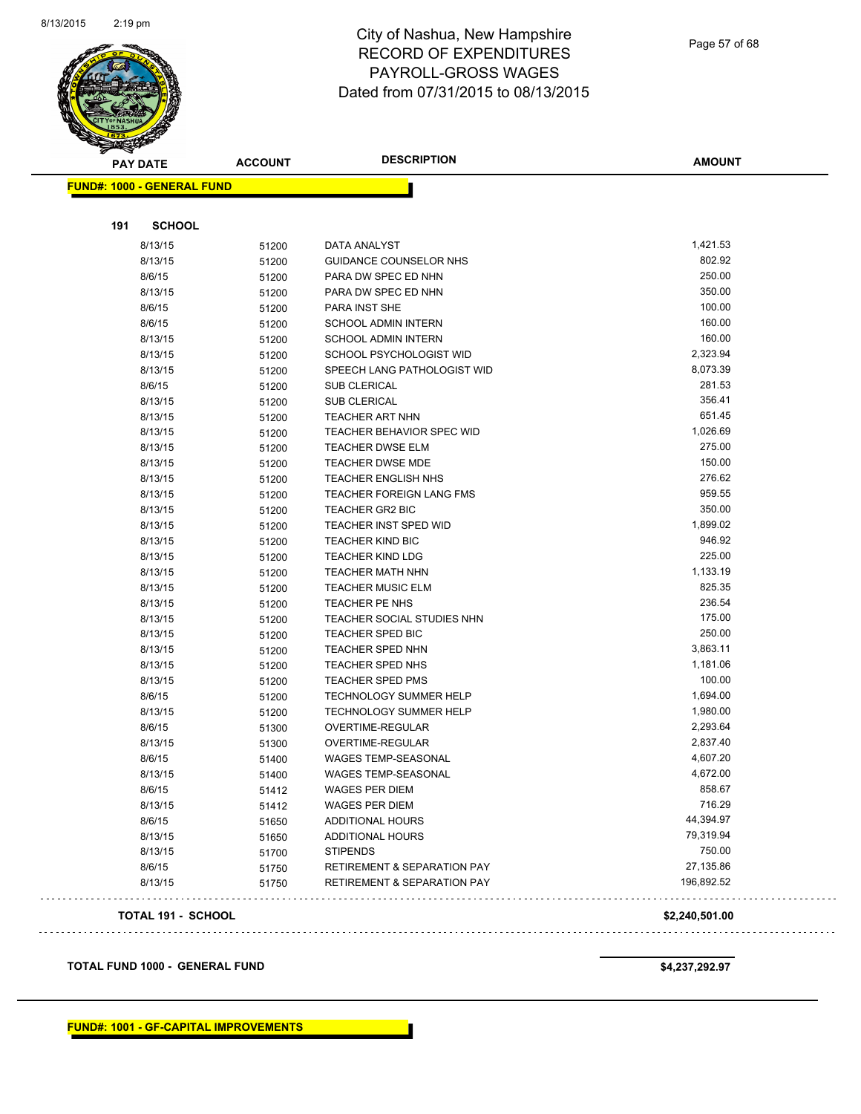

| <b>FUND#: 1000 - GENERAL FUND</b><br>191<br><b>SCHOOL</b><br>1,421.53<br>8/13/15<br>DATA ANALYST<br>51200<br>802.92<br>8/13/15<br>GUIDANCE COUNSELOR NHS<br>51200<br>250.00<br>8/6/15<br>PARA DW SPEC ED NHN<br>51200<br>350.00<br>8/13/15<br>PARA DW SPEC ED NHN<br>51200<br>100.00<br>8/6/15<br>51200<br>PARA INST SHE<br>8/6/15<br>160.00<br><b>SCHOOL ADMIN INTERN</b><br>51200<br>160.00<br>8/13/15<br>51200<br><b>SCHOOL ADMIN INTERN</b><br>2,323.94<br>8/13/15<br>SCHOOL PSYCHOLOGIST WID<br>51200<br>8,073.39<br>8/13/15<br>51200<br>SPEECH LANG PATHOLOGIST WID<br>281.53<br>8/6/15<br><b>SUB CLERICAL</b><br>51200<br>356.41<br>8/13/15<br><b>SUB CLERICAL</b><br>51200<br>651.45<br>8/13/15<br><b>TEACHER ART NHN</b><br>51200<br>1,026.69<br>8/13/15<br>TEACHER BEHAVIOR SPEC WID<br>51200<br>275.00<br>8/13/15<br><b>TEACHER DWSE ELM</b><br>51200<br>8/13/15<br>TEACHER DWSE MDE<br>150.00<br>51200<br>276.62<br>8/13/15<br>TEACHER ENGLISH NHS<br>51200<br>959.55<br>8/13/15<br><b>TEACHER FOREIGN LANG FMS</b><br>51200<br>350.00<br>8/13/15<br>51200<br>TEACHER GR2 BIC<br>1,899.02<br>8/13/15<br><b>TEACHER INST SPED WID</b><br>51200<br>946.92<br>8/13/15<br><b>TEACHER KIND BIC</b><br>51200<br>225.00<br>8/13/15<br><b>TEACHER KIND LDG</b><br>51200<br>1,133.19<br>8/13/15<br>51200<br>TEACHER MATH NHN<br>825.35<br>8/13/15<br><b>TEACHER MUSIC ELM</b><br>51200<br>236.54<br>8/13/15<br>51200<br><b>TEACHER PE NHS</b><br>175.00<br>8/13/15<br>TEACHER SOCIAL STUDIES NHN<br>51200<br>250.00<br>8/13/15<br>TEACHER SPED BIC<br>51200<br>3,863.11<br>8/13/15<br>TEACHER SPED NHN<br>51200<br>8/13/15<br>TEACHER SPED NHS<br>1,181.06<br>51200<br>100.00<br>8/13/15<br>51200<br><b>TEACHER SPED PMS</b><br>8/6/15<br>1,694.00<br><b>TECHNOLOGY SUMMER HELP</b><br>51200<br>1,980.00<br>8/13/15<br>51200<br><b>TECHNOLOGY SUMMER HELP</b><br>2,293.64<br>8/6/15<br>OVERTIME-REGULAR<br>51300<br>2,837.40<br>8/13/15<br><b>OVERTIME-REGULAR</b><br>51300<br>4,607.20<br>8/6/15<br><b>WAGES TEMP-SEASONAL</b><br>51400<br>4,672.00<br>WAGES TEMP-SEASONAL<br>8/13/15<br>51400<br>858.67<br>8/6/15<br>WAGES PER DIEM<br>51412<br>716.29<br>8/13/15<br><b>WAGES PER DIEM</b><br>51412<br>44,394.97<br>8/6/15<br>ADDITIONAL HOURS<br>51650<br>79,319.94<br>8/13/15<br>51650<br>ADDITIONAL HOURS<br>750.00<br>8/13/15<br><b>STIPENDS</b><br>51700<br>8/6/15<br>27,135.86<br><b>RETIREMENT &amp; SEPARATION PAY</b><br>51750<br>196,892.52<br>8/13/15<br><b>RETIREMENT &amp; SEPARATION PAY</b><br>51750<br><b>TOTAL 191 - SCHOOL</b><br>\$2,240,501.00 | <b>PAY DATE</b> |  | <b>ACCOUNT</b> | <b>DESCRIPTION</b> | <b>AMOUNT</b> |  |
|-------------------------------------------------------------------------------------------------------------------------------------------------------------------------------------------------------------------------------------------------------------------------------------------------------------------------------------------------------------------------------------------------------------------------------------------------------------------------------------------------------------------------------------------------------------------------------------------------------------------------------------------------------------------------------------------------------------------------------------------------------------------------------------------------------------------------------------------------------------------------------------------------------------------------------------------------------------------------------------------------------------------------------------------------------------------------------------------------------------------------------------------------------------------------------------------------------------------------------------------------------------------------------------------------------------------------------------------------------------------------------------------------------------------------------------------------------------------------------------------------------------------------------------------------------------------------------------------------------------------------------------------------------------------------------------------------------------------------------------------------------------------------------------------------------------------------------------------------------------------------------------------------------------------------------------------------------------------------------------------------------------------------------------------------------------------------------------------------------------------------------------------------------------------------------------------------------------------------------------------------------------------------------------------------------------------------------------------------------------------------------------------------------------------------------------------------------------------------------------------------------------------------------------------------------------------------|-----------------|--|----------------|--------------------|---------------|--|
|                                                                                                                                                                                                                                                                                                                                                                                                                                                                                                                                                                                                                                                                                                                                                                                                                                                                                                                                                                                                                                                                                                                                                                                                                                                                                                                                                                                                                                                                                                                                                                                                                                                                                                                                                                                                                                                                                                                                                                                                                                                                                                                                                                                                                                                                                                                                                                                                                                                                                                                                                                         |                 |  |                |                    |               |  |
|                                                                                                                                                                                                                                                                                                                                                                                                                                                                                                                                                                                                                                                                                                                                                                                                                                                                                                                                                                                                                                                                                                                                                                                                                                                                                                                                                                                                                                                                                                                                                                                                                                                                                                                                                                                                                                                                                                                                                                                                                                                                                                                                                                                                                                                                                                                                                                                                                                                                                                                                                                         |                 |  |                |                    |               |  |
|                                                                                                                                                                                                                                                                                                                                                                                                                                                                                                                                                                                                                                                                                                                                                                                                                                                                                                                                                                                                                                                                                                                                                                                                                                                                                                                                                                                                                                                                                                                                                                                                                                                                                                                                                                                                                                                                                                                                                                                                                                                                                                                                                                                                                                                                                                                                                                                                                                                                                                                                                                         |                 |  |                |                    |               |  |
|                                                                                                                                                                                                                                                                                                                                                                                                                                                                                                                                                                                                                                                                                                                                                                                                                                                                                                                                                                                                                                                                                                                                                                                                                                                                                                                                                                                                                                                                                                                                                                                                                                                                                                                                                                                                                                                                                                                                                                                                                                                                                                                                                                                                                                                                                                                                                                                                                                                                                                                                                                         |                 |  |                |                    |               |  |
|                                                                                                                                                                                                                                                                                                                                                                                                                                                                                                                                                                                                                                                                                                                                                                                                                                                                                                                                                                                                                                                                                                                                                                                                                                                                                                                                                                                                                                                                                                                                                                                                                                                                                                                                                                                                                                                                                                                                                                                                                                                                                                                                                                                                                                                                                                                                                                                                                                                                                                                                                                         |                 |  |                |                    |               |  |
|                                                                                                                                                                                                                                                                                                                                                                                                                                                                                                                                                                                                                                                                                                                                                                                                                                                                                                                                                                                                                                                                                                                                                                                                                                                                                                                                                                                                                                                                                                                                                                                                                                                                                                                                                                                                                                                                                                                                                                                                                                                                                                                                                                                                                                                                                                                                                                                                                                                                                                                                                                         |                 |  |                |                    |               |  |
|                                                                                                                                                                                                                                                                                                                                                                                                                                                                                                                                                                                                                                                                                                                                                                                                                                                                                                                                                                                                                                                                                                                                                                                                                                                                                                                                                                                                                                                                                                                                                                                                                                                                                                                                                                                                                                                                                                                                                                                                                                                                                                                                                                                                                                                                                                                                                                                                                                                                                                                                                                         |                 |  |                |                    |               |  |
|                                                                                                                                                                                                                                                                                                                                                                                                                                                                                                                                                                                                                                                                                                                                                                                                                                                                                                                                                                                                                                                                                                                                                                                                                                                                                                                                                                                                                                                                                                                                                                                                                                                                                                                                                                                                                                                                                                                                                                                                                                                                                                                                                                                                                                                                                                                                                                                                                                                                                                                                                                         |                 |  |                |                    |               |  |
|                                                                                                                                                                                                                                                                                                                                                                                                                                                                                                                                                                                                                                                                                                                                                                                                                                                                                                                                                                                                                                                                                                                                                                                                                                                                                                                                                                                                                                                                                                                                                                                                                                                                                                                                                                                                                                                                                                                                                                                                                                                                                                                                                                                                                                                                                                                                                                                                                                                                                                                                                                         |                 |  |                |                    |               |  |
|                                                                                                                                                                                                                                                                                                                                                                                                                                                                                                                                                                                                                                                                                                                                                                                                                                                                                                                                                                                                                                                                                                                                                                                                                                                                                                                                                                                                                                                                                                                                                                                                                                                                                                                                                                                                                                                                                                                                                                                                                                                                                                                                                                                                                                                                                                                                                                                                                                                                                                                                                                         |                 |  |                |                    |               |  |
|                                                                                                                                                                                                                                                                                                                                                                                                                                                                                                                                                                                                                                                                                                                                                                                                                                                                                                                                                                                                                                                                                                                                                                                                                                                                                                                                                                                                                                                                                                                                                                                                                                                                                                                                                                                                                                                                                                                                                                                                                                                                                                                                                                                                                                                                                                                                                                                                                                                                                                                                                                         |                 |  |                |                    |               |  |
|                                                                                                                                                                                                                                                                                                                                                                                                                                                                                                                                                                                                                                                                                                                                                                                                                                                                                                                                                                                                                                                                                                                                                                                                                                                                                                                                                                                                                                                                                                                                                                                                                                                                                                                                                                                                                                                                                                                                                                                                                                                                                                                                                                                                                                                                                                                                                                                                                                                                                                                                                                         |                 |  |                |                    |               |  |
|                                                                                                                                                                                                                                                                                                                                                                                                                                                                                                                                                                                                                                                                                                                                                                                                                                                                                                                                                                                                                                                                                                                                                                                                                                                                                                                                                                                                                                                                                                                                                                                                                                                                                                                                                                                                                                                                                                                                                                                                                                                                                                                                                                                                                                                                                                                                                                                                                                                                                                                                                                         |                 |  |                |                    |               |  |
|                                                                                                                                                                                                                                                                                                                                                                                                                                                                                                                                                                                                                                                                                                                                                                                                                                                                                                                                                                                                                                                                                                                                                                                                                                                                                                                                                                                                                                                                                                                                                                                                                                                                                                                                                                                                                                                                                                                                                                                                                                                                                                                                                                                                                                                                                                                                                                                                                                                                                                                                                                         |                 |  |                |                    |               |  |
|                                                                                                                                                                                                                                                                                                                                                                                                                                                                                                                                                                                                                                                                                                                                                                                                                                                                                                                                                                                                                                                                                                                                                                                                                                                                                                                                                                                                                                                                                                                                                                                                                                                                                                                                                                                                                                                                                                                                                                                                                                                                                                                                                                                                                                                                                                                                                                                                                                                                                                                                                                         |                 |  |                |                    |               |  |
|                                                                                                                                                                                                                                                                                                                                                                                                                                                                                                                                                                                                                                                                                                                                                                                                                                                                                                                                                                                                                                                                                                                                                                                                                                                                                                                                                                                                                                                                                                                                                                                                                                                                                                                                                                                                                                                                                                                                                                                                                                                                                                                                                                                                                                                                                                                                                                                                                                                                                                                                                                         |                 |  |                |                    |               |  |
|                                                                                                                                                                                                                                                                                                                                                                                                                                                                                                                                                                                                                                                                                                                                                                                                                                                                                                                                                                                                                                                                                                                                                                                                                                                                                                                                                                                                                                                                                                                                                                                                                                                                                                                                                                                                                                                                                                                                                                                                                                                                                                                                                                                                                                                                                                                                                                                                                                                                                                                                                                         |                 |  |                |                    |               |  |
|                                                                                                                                                                                                                                                                                                                                                                                                                                                                                                                                                                                                                                                                                                                                                                                                                                                                                                                                                                                                                                                                                                                                                                                                                                                                                                                                                                                                                                                                                                                                                                                                                                                                                                                                                                                                                                                                                                                                                                                                                                                                                                                                                                                                                                                                                                                                                                                                                                                                                                                                                                         |                 |  |                |                    |               |  |
|                                                                                                                                                                                                                                                                                                                                                                                                                                                                                                                                                                                                                                                                                                                                                                                                                                                                                                                                                                                                                                                                                                                                                                                                                                                                                                                                                                                                                                                                                                                                                                                                                                                                                                                                                                                                                                                                                                                                                                                                                                                                                                                                                                                                                                                                                                                                                                                                                                                                                                                                                                         |                 |  |                |                    |               |  |
|                                                                                                                                                                                                                                                                                                                                                                                                                                                                                                                                                                                                                                                                                                                                                                                                                                                                                                                                                                                                                                                                                                                                                                                                                                                                                                                                                                                                                                                                                                                                                                                                                                                                                                                                                                                                                                                                                                                                                                                                                                                                                                                                                                                                                                                                                                                                                                                                                                                                                                                                                                         |                 |  |                |                    |               |  |
|                                                                                                                                                                                                                                                                                                                                                                                                                                                                                                                                                                                                                                                                                                                                                                                                                                                                                                                                                                                                                                                                                                                                                                                                                                                                                                                                                                                                                                                                                                                                                                                                                                                                                                                                                                                                                                                                                                                                                                                                                                                                                                                                                                                                                                                                                                                                                                                                                                                                                                                                                                         |                 |  |                |                    |               |  |
|                                                                                                                                                                                                                                                                                                                                                                                                                                                                                                                                                                                                                                                                                                                                                                                                                                                                                                                                                                                                                                                                                                                                                                                                                                                                                                                                                                                                                                                                                                                                                                                                                                                                                                                                                                                                                                                                                                                                                                                                                                                                                                                                                                                                                                                                                                                                                                                                                                                                                                                                                                         |                 |  |                |                    |               |  |
|                                                                                                                                                                                                                                                                                                                                                                                                                                                                                                                                                                                                                                                                                                                                                                                                                                                                                                                                                                                                                                                                                                                                                                                                                                                                                                                                                                                                                                                                                                                                                                                                                                                                                                                                                                                                                                                                                                                                                                                                                                                                                                                                                                                                                                                                                                                                                                                                                                                                                                                                                                         |                 |  |                |                    |               |  |
|                                                                                                                                                                                                                                                                                                                                                                                                                                                                                                                                                                                                                                                                                                                                                                                                                                                                                                                                                                                                                                                                                                                                                                                                                                                                                                                                                                                                                                                                                                                                                                                                                                                                                                                                                                                                                                                                                                                                                                                                                                                                                                                                                                                                                                                                                                                                                                                                                                                                                                                                                                         |                 |  |                |                    |               |  |
|                                                                                                                                                                                                                                                                                                                                                                                                                                                                                                                                                                                                                                                                                                                                                                                                                                                                                                                                                                                                                                                                                                                                                                                                                                                                                                                                                                                                                                                                                                                                                                                                                                                                                                                                                                                                                                                                                                                                                                                                                                                                                                                                                                                                                                                                                                                                                                                                                                                                                                                                                                         |                 |  |                |                    |               |  |
|                                                                                                                                                                                                                                                                                                                                                                                                                                                                                                                                                                                                                                                                                                                                                                                                                                                                                                                                                                                                                                                                                                                                                                                                                                                                                                                                                                                                                                                                                                                                                                                                                                                                                                                                                                                                                                                                                                                                                                                                                                                                                                                                                                                                                                                                                                                                                                                                                                                                                                                                                                         |                 |  |                |                    |               |  |
|                                                                                                                                                                                                                                                                                                                                                                                                                                                                                                                                                                                                                                                                                                                                                                                                                                                                                                                                                                                                                                                                                                                                                                                                                                                                                                                                                                                                                                                                                                                                                                                                                                                                                                                                                                                                                                                                                                                                                                                                                                                                                                                                                                                                                                                                                                                                                                                                                                                                                                                                                                         |                 |  |                |                    |               |  |
|                                                                                                                                                                                                                                                                                                                                                                                                                                                                                                                                                                                                                                                                                                                                                                                                                                                                                                                                                                                                                                                                                                                                                                                                                                                                                                                                                                                                                                                                                                                                                                                                                                                                                                                                                                                                                                                                                                                                                                                                                                                                                                                                                                                                                                                                                                                                                                                                                                                                                                                                                                         |                 |  |                |                    |               |  |
|                                                                                                                                                                                                                                                                                                                                                                                                                                                                                                                                                                                                                                                                                                                                                                                                                                                                                                                                                                                                                                                                                                                                                                                                                                                                                                                                                                                                                                                                                                                                                                                                                                                                                                                                                                                                                                                                                                                                                                                                                                                                                                                                                                                                                                                                                                                                                                                                                                                                                                                                                                         |                 |  |                |                    |               |  |
|                                                                                                                                                                                                                                                                                                                                                                                                                                                                                                                                                                                                                                                                                                                                                                                                                                                                                                                                                                                                                                                                                                                                                                                                                                                                                                                                                                                                                                                                                                                                                                                                                                                                                                                                                                                                                                                                                                                                                                                                                                                                                                                                                                                                                                                                                                                                                                                                                                                                                                                                                                         |                 |  |                |                    |               |  |
|                                                                                                                                                                                                                                                                                                                                                                                                                                                                                                                                                                                                                                                                                                                                                                                                                                                                                                                                                                                                                                                                                                                                                                                                                                                                                                                                                                                                                                                                                                                                                                                                                                                                                                                                                                                                                                                                                                                                                                                                                                                                                                                                                                                                                                                                                                                                                                                                                                                                                                                                                                         |                 |  |                |                    |               |  |
|                                                                                                                                                                                                                                                                                                                                                                                                                                                                                                                                                                                                                                                                                                                                                                                                                                                                                                                                                                                                                                                                                                                                                                                                                                                                                                                                                                                                                                                                                                                                                                                                                                                                                                                                                                                                                                                                                                                                                                                                                                                                                                                                                                                                                                                                                                                                                                                                                                                                                                                                                                         |                 |  |                |                    |               |  |
|                                                                                                                                                                                                                                                                                                                                                                                                                                                                                                                                                                                                                                                                                                                                                                                                                                                                                                                                                                                                                                                                                                                                                                                                                                                                                                                                                                                                                                                                                                                                                                                                                                                                                                                                                                                                                                                                                                                                                                                                                                                                                                                                                                                                                                                                                                                                                                                                                                                                                                                                                                         |                 |  |                |                    |               |  |
|                                                                                                                                                                                                                                                                                                                                                                                                                                                                                                                                                                                                                                                                                                                                                                                                                                                                                                                                                                                                                                                                                                                                                                                                                                                                                                                                                                                                                                                                                                                                                                                                                                                                                                                                                                                                                                                                                                                                                                                                                                                                                                                                                                                                                                                                                                                                                                                                                                                                                                                                                                         |                 |  |                |                    |               |  |
|                                                                                                                                                                                                                                                                                                                                                                                                                                                                                                                                                                                                                                                                                                                                                                                                                                                                                                                                                                                                                                                                                                                                                                                                                                                                                                                                                                                                                                                                                                                                                                                                                                                                                                                                                                                                                                                                                                                                                                                                                                                                                                                                                                                                                                                                                                                                                                                                                                                                                                                                                                         |                 |  |                |                    |               |  |
|                                                                                                                                                                                                                                                                                                                                                                                                                                                                                                                                                                                                                                                                                                                                                                                                                                                                                                                                                                                                                                                                                                                                                                                                                                                                                                                                                                                                                                                                                                                                                                                                                                                                                                                                                                                                                                                                                                                                                                                                                                                                                                                                                                                                                                                                                                                                                                                                                                                                                                                                                                         |                 |  |                |                    |               |  |
|                                                                                                                                                                                                                                                                                                                                                                                                                                                                                                                                                                                                                                                                                                                                                                                                                                                                                                                                                                                                                                                                                                                                                                                                                                                                                                                                                                                                                                                                                                                                                                                                                                                                                                                                                                                                                                                                                                                                                                                                                                                                                                                                                                                                                                                                                                                                                                                                                                                                                                                                                                         |                 |  |                |                    |               |  |
|                                                                                                                                                                                                                                                                                                                                                                                                                                                                                                                                                                                                                                                                                                                                                                                                                                                                                                                                                                                                                                                                                                                                                                                                                                                                                                                                                                                                                                                                                                                                                                                                                                                                                                                                                                                                                                                                                                                                                                                                                                                                                                                                                                                                                                                                                                                                                                                                                                                                                                                                                                         |                 |  |                |                    |               |  |
|                                                                                                                                                                                                                                                                                                                                                                                                                                                                                                                                                                                                                                                                                                                                                                                                                                                                                                                                                                                                                                                                                                                                                                                                                                                                                                                                                                                                                                                                                                                                                                                                                                                                                                                                                                                                                                                                                                                                                                                                                                                                                                                                                                                                                                                                                                                                                                                                                                                                                                                                                                         |                 |  |                |                    |               |  |
|                                                                                                                                                                                                                                                                                                                                                                                                                                                                                                                                                                                                                                                                                                                                                                                                                                                                                                                                                                                                                                                                                                                                                                                                                                                                                                                                                                                                                                                                                                                                                                                                                                                                                                                                                                                                                                                                                                                                                                                                                                                                                                                                                                                                                                                                                                                                                                                                                                                                                                                                                                         |                 |  |                |                    |               |  |
|                                                                                                                                                                                                                                                                                                                                                                                                                                                                                                                                                                                                                                                                                                                                                                                                                                                                                                                                                                                                                                                                                                                                                                                                                                                                                                                                                                                                                                                                                                                                                                                                                                                                                                                                                                                                                                                                                                                                                                                                                                                                                                                                                                                                                                                                                                                                                                                                                                                                                                                                                                         |                 |  |                |                    |               |  |
|                                                                                                                                                                                                                                                                                                                                                                                                                                                                                                                                                                                                                                                                                                                                                                                                                                                                                                                                                                                                                                                                                                                                                                                                                                                                                                                                                                                                                                                                                                                                                                                                                                                                                                                                                                                                                                                                                                                                                                                                                                                                                                                                                                                                                                                                                                                                                                                                                                                                                                                                                                         |                 |  |                |                    |               |  |
|                                                                                                                                                                                                                                                                                                                                                                                                                                                                                                                                                                                                                                                                                                                                                                                                                                                                                                                                                                                                                                                                                                                                                                                                                                                                                                                                                                                                                                                                                                                                                                                                                                                                                                                                                                                                                                                                                                                                                                                                                                                                                                                                                                                                                                                                                                                                                                                                                                                                                                                                                                         |                 |  |                |                    |               |  |
|                                                                                                                                                                                                                                                                                                                                                                                                                                                                                                                                                                                                                                                                                                                                                                                                                                                                                                                                                                                                                                                                                                                                                                                                                                                                                                                                                                                                                                                                                                                                                                                                                                                                                                                                                                                                                                                                                                                                                                                                                                                                                                                                                                                                                                                                                                                                                                                                                                                                                                                                                                         |                 |  |                |                    |               |  |
|                                                                                                                                                                                                                                                                                                                                                                                                                                                                                                                                                                                                                                                                                                                                                                                                                                                                                                                                                                                                                                                                                                                                                                                                                                                                                                                                                                                                                                                                                                                                                                                                                                                                                                                                                                                                                                                                                                                                                                                                                                                                                                                                                                                                                                                                                                                                                                                                                                                                                                                                                                         |                 |  |                |                    |               |  |
|                                                                                                                                                                                                                                                                                                                                                                                                                                                                                                                                                                                                                                                                                                                                                                                                                                                                                                                                                                                                                                                                                                                                                                                                                                                                                                                                                                                                                                                                                                                                                                                                                                                                                                                                                                                                                                                                                                                                                                                                                                                                                                                                                                                                                                                                                                                                                                                                                                                                                                                                                                         |                 |  |                |                    |               |  |

**TOTAL FUND 1000 - GENERAL FUND \$4,237,292.97**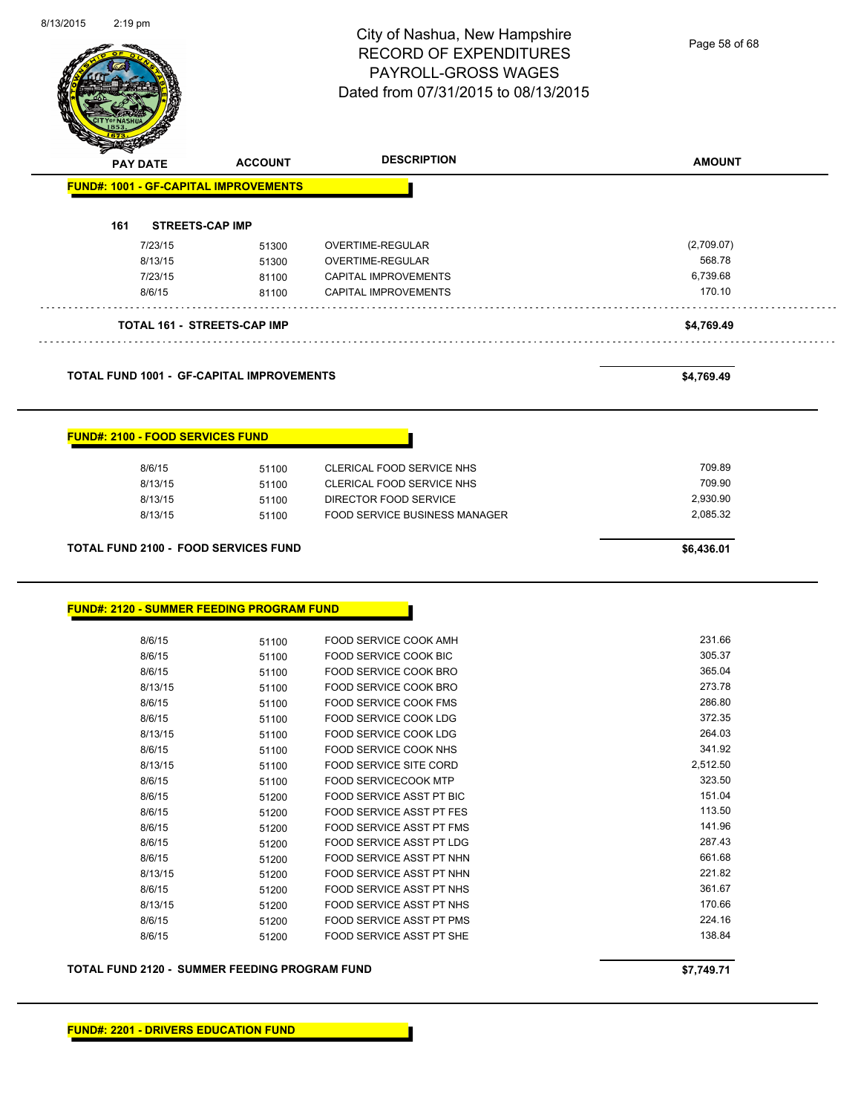| <b>PAY DATE</b><br><b>FUND#: 1001 - GF-CAPITAL IMPROVEMENTS</b><br>161<br><b>STREETS-CAP IMP</b><br>7/23/15<br>8/13/15<br>7/23/15<br>8/6/15<br>TOTAL 161 - STREETS-CAP IMP<br><b>TOTAL FUND 1001 - GF-CAPITAL IMPROVEMENTS</b><br><b>FUND#: 2100 - FOOD SERVICES FUND</b><br>8/6/15<br>8/13/15<br>8/13/15<br>8/13/15<br><b>TOTAL FUND 2100 - FOOD SERVICES FUND</b> | <b>ACCOUNT</b><br>51300<br>51300<br>81100<br>81100<br>51100<br>51100<br>51100<br>51100 | PAYROLL-GROSS WAGES<br>Dated from 07/31/2015 to 08/13/2015<br><b>DESCRIPTION</b><br>OVERTIME-REGULAR<br>OVERTIME-REGULAR<br>CAPITAL IMPROVEMENTS<br><b>CAPITAL IMPROVEMENTS</b><br>CLERICAL FOOD SERVICE NHS<br>CLERICAL FOOD SERVICE NHS<br>DIRECTOR FOOD SERVICE<br>FOOD SERVICE BUSINESS MANAGER | <b>AMOUNT</b><br>(2,709.07)<br>568.78<br>6,739.68<br>170.10<br>\$4,769.49<br>\$4,769.49<br>709.89<br>709.90<br>2,930.90 |
|---------------------------------------------------------------------------------------------------------------------------------------------------------------------------------------------------------------------------------------------------------------------------------------------------------------------------------------------------------------------|----------------------------------------------------------------------------------------|-----------------------------------------------------------------------------------------------------------------------------------------------------------------------------------------------------------------------------------------------------------------------------------------------------|-------------------------------------------------------------------------------------------------------------------------|
|                                                                                                                                                                                                                                                                                                                                                                     |                                                                                        |                                                                                                                                                                                                                                                                                                     |                                                                                                                         |
|                                                                                                                                                                                                                                                                                                                                                                     |                                                                                        |                                                                                                                                                                                                                                                                                                     |                                                                                                                         |
|                                                                                                                                                                                                                                                                                                                                                                     |                                                                                        |                                                                                                                                                                                                                                                                                                     |                                                                                                                         |
|                                                                                                                                                                                                                                                                                                                                                                     |                                                                                        |                                                                                                                                                                                                                                                                                                     |                                                                                                                         |
|                                                                                                                                                                                                                                                                                                                                                                     |                                                                                        |                                                                                                                                                                                                                                                                                                     |                                                                                                                         |
|                                                                                                                                                                                                                                                                                                                                                                     |                                                                                        |                                                                                                                                                                                                                                                                                                     |                                                                                                                         |
|                                                                                                                                                                                                                                                                                                                                                                     |                                                                                        |                                                                                                                                                                                                                                                                                                     |                                                                                                                         |
|                                                                                                                                                                                                                                                                                                                                                                     |                                                                                        |                                                                                                                                                                                                                                                                                                     |                                                                                                                         |
|                                                                                                                                                                                                                                                                                                                                                                     |                                                                                        |                                                                                                                                                                                                                                                                                                     |                                                                                                                         |
|                                                                                                                                                                                                                                                                                                                                                                     |                                                                                        |                                                                                                                                                                                                                                                                                                     |                                                                                                                         |
|                                                                                                                                                                                                                                                                                                                                                                     |                                                                                        |                                                                                                                                                                                                                                                                                                     |                                                                                                                         |
|                                                                                                                                                                                                                                                                                                                                                                     |                                                                                        |                                                                                                                                                                                                                                                                                                     |                                                                                                                         |
|                                                                                                                                                                                                                                                                                                                                                                     |                                                                                        |                                                                                                                                                                                                                                                                                                     |                                                                                                                         |
|                                                                                                                                                                                                                                                                                                                                                                     |                                                                                        |                                                                                                                                                                                                                                                                                                     |                                                                                                                         |
|                                                                                                                                                                                                                                                                                                                                                                     |                                                                                        |                                                                                                                                                                                                                                                                                                     |                                                                                                                         |
|                                                                                                                                                                                                                                                                                                                                                                     |                                                                                        |                                                                                                                                                                                                                                                                                                     |                                                                                                                         |
|                                                                                                                                                                                                                                                                                                                                                                     |                                                                                        |                                                                                                                                                                                                                                                                                                     |                                                                                                                         |
|                                                                                                                                                                                                                                                                                                                                                                     |                                                                                        |                                                                                                                                                                                                                                                                                                     |                                                                                                                         |
|                                                                                                                                                                                                                                                                                                                                                                     |                                                                                        |                                                                                                                                                                                                                                                                                                     | 2,085.32                                                                                                                |
|                                                                                                                                                                                                                                                                                                                                                                     |                                                                                        |                                                                                                                                                                                                                                                                                                     | \$6,436.01                                                                                                              |
|                                                                                                                                                                                                                                                                                                                                                                     |                                                                                        |                                                                                                                                                                                                                                                                                                     |                                                                                                                         |
| <b>FUND#: 2120 - SUMMER FEEDING PROGRAM FUND</b>                                                                                                                                                                                                                                                                                                                    |                                                                                        |                                                                                                                                                                                                                                                                                                     |                                                                                                                         |
| 8/6/15                                                                                                                                                                                                                                                                                                                                                              | 51100                                                                                  | FOOD SERVICE COOK AMH                                                                                                                                                                                                                                                                               | 231.66                                                                                                                  |
| 8/6/15                                                                                                                                                                                                                                                                                                                                                              | 51100                                                                                  | FOOD SERVICE COOK BIC                                                                                                                                                                                                                                                                               | 305.37                                                                                                                  |
| 8/6/15                                                                                                                                                                                                                                                                                                                                                              | 51100                                                                                  | FOOD SERVICE COOK BRO                                                                                                                                                                                                                                                                               | 365.04                                                                                                                  |
| 8/13/15                                                                                                                                                                                                                                                                                                                                                             | 51100                                                                                  | FOOD SERVICE COOK BRO                                                                                                                                                                                                                                                                               | 273.78                                                                                                                  |
| 8/6/15                                                                                                                                                                                                                                                                                                                                                              | 51100                                                                                  | FOOD SERVICE COOK FMS                                                                                                                                                                                                                                                                               | 286.80                                                                                                                  |
| 8/6/15                                                                                                                                                                                                                                                                                                                                                              | 51100                                                                                  | FOOD SERVICE COOK LDG                                                                                                                                                                                                                                                                               | 372.35                                                                                                                  |
| 8/13/15                                                                                                                                                                                                                                                                                                                                                             | 51100                                                                                  | FOOD SERVICE COOK LDG                                                                                                                                                                                                                                                                               | 264.03                                                                                                                  |
| 8/6/15                                                                                                                                                                                                                                                                                                                                                              | 51100                                                                                  | FOOD SERVICE COOK NHS                                                                                                                                                                                                                                                                               | 341.92                                                                                                                  |
| 8/13/15                                                                                                                                                                                                                                                                                                                                                             | 51100                                                                                  | FOOD SERVICE SITE CORD                                                                                                                                                                                                                                                                              | 2,512.50                                                                                                                |
| 8/6/15                                                                                                                                                                                                                                                                                                                                                              | 51100                                                                                  | <b>FOOD SERVICECOOK MTP</b>                                                                                                                                                                                                                                                                         | 323.50                                                                                                                  |
| 8/6/15                                                                                                                                                                                                                                                                                                                                                              | 51200                                                                                  | FOOD SERVICE ASST PT BIC                                                                                                                                                                                                                                                                            | 151.04                                                                                                                  |
| 8/6/15                                                                                                                                                                                                                                                                                                                                                              | 51200                                                                                  | FOOD SERVICE ASST PT FES                                                                                                                                                                                                                                                                            | 113.50                                                                                                                  |
| 8/6/15                                                                                                                                                                                                                                                                                                                                                              | 51200                                                                                  | FOOD SERVICE ASST PT FMS                                                                                                                                                                                                                                                                            | 141.96                                                                                                                  |
| 8/6/15                                                                                                                                                                                                                                                                                                                                                              | 51200                                                                                  | FOOD SERVICE ASST PT LDG                                                                                                                                                                                                                                                                            | 287.43                                                                                                                  |
| 8/6/15                                                                                                                                                                                                                                                                                                                                                              | 51200                                                                                  | FOOD SERVICE ASST PT NHN                                                                                                                                                                                                                                                                            | 661.68                                                                                                                  |
| 8/13/15                                                                                                                                                                                                                                                                                                                                                             | 51200                                                                                  | FOOD SERVICE ASST PT NHN                                                                                                                                                                                                                                                                            | 221.82                                                                                                                  |
| 8/6/15                                                                                                                                                                                                                                                                                                                                                              | 51200                                                                                  | FOOD SERVICE ASST PT NHS                                                                                                                                                                                                                                                                            | 361.67                                                                                                                  |
| 8/13/15                                                                                                                                                                                                                                                                                                                                                             | 51200                                                                                  | FOOD SERVICE ASST PT NHS                                                                                                                                                                                                                                                                            | 170.66                                                                                                                  |
|                                                                                                                                                                                                                                                                                                                                                                     |                                                                                        | FOOD SERVICE ASST PT PMS                                                                                                                                                                                                                                                                            | 224.16                                                                                                                  |
|                                                                                                                                                                                                                                                                                                                                                                     |                                                                                        |                                                                                                                                                                                                                                                                                                     |                                                                                                                         |
| 8/6/15<br>8/6/15                                                                                                                                                                                                                                                                                                                                                    | 51200<br>51200                                                                         | FOOD SERVICE ASST PT SHE                                                                                                                                                                                                                                                                            | 138.84                                                                                                                  |

8/13/2015 2:19 pm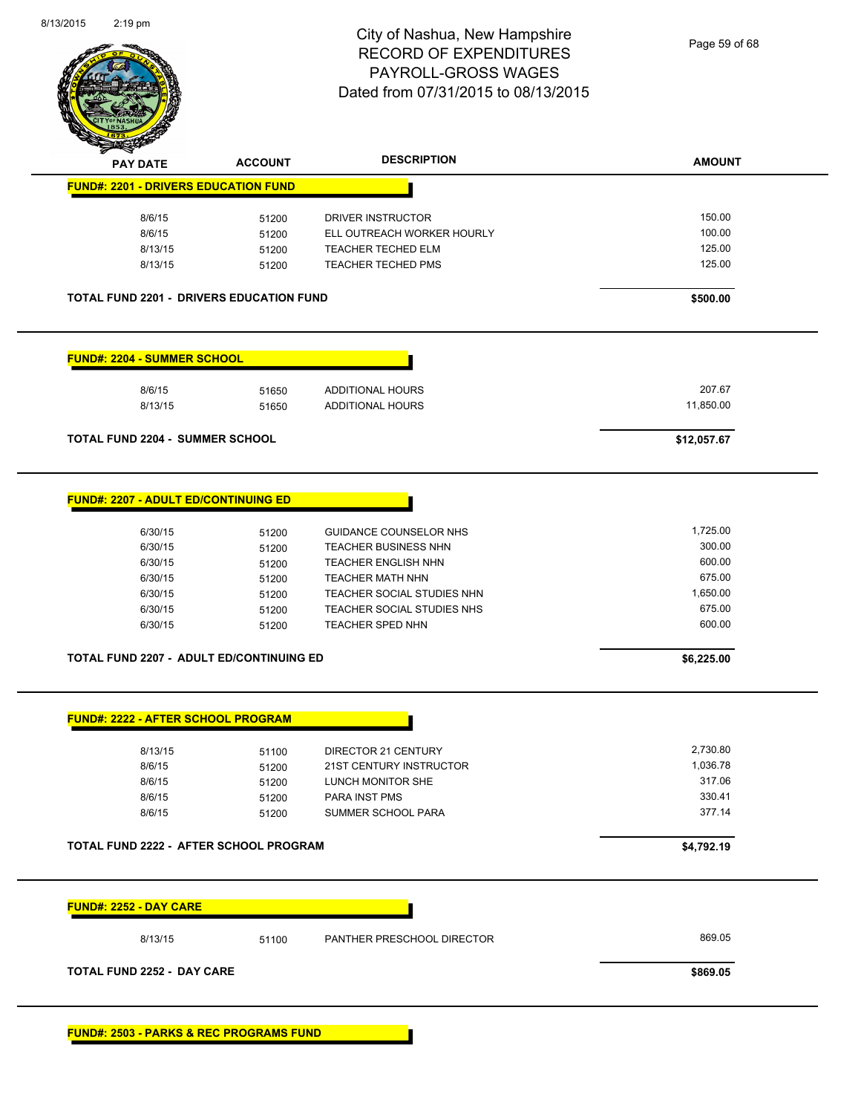

| <b>PAY DATE</b>                                                                    | <b>ACCOUNT</b> | <b>DESCRIPTION</b>                                    | <b>AMOUNT</b>    |
|------------------------------------------------------------------------------------|----------------|-------------------------------------------------------|------------------|
| <b>FUND#: 2201 - DRIVERS EDUCATION FUND</b>                                        |                |                                                       |                  |
| 8/6/15                                                                             | 51200          | DRIVER INSTRUCTOR                                     | 150.00           |
| 8/6/15                                                                             | 51200          | ELL OUTREACH WORKER HOURLY                            | 100.00           |
| 8/13/15                                                                            | 51200          | TEACHER TECHED ELM                                    | 125.00           |
| 8/13/15                                                                            | 51200          | TEACHER TECHED PMS                                    | 125.00           |
| <b>TOTAL FUND 2201 - DRIVERS EDUCATION FUND</b>                                    |                |                                                       | \$500.00         |
| <b>FUND#: 2204 - SUMMER SCHOOL</b>                                                 |                |                                                       |                  |
| 8/6/15                                                                             | 51650          | ADDITIONAL HOURS                                      | 207.67           |
| 8/13/15                                                                            | 51650          | <b>ADDITIONAL HOURS</b>                               | 11,850.00        |
| <b>TOTAL FUND 2204 - SUMMER SCHOOL</b>                                             |                |                                                       | \$12,057.67      |
| <b>FUND#: 2207 - ADULT ED/CONTINUING ED</b>                                        |                |                                                       |                  |
| 6/30/15                                                                            | 51200          | <b>GUIDANCE COUNSELOR NHS</b>                         | 1,725.00         |
| 6/30/15                                                                            | 51200          | <b>TEACHER BUSINESS NHN</b>                           | 300.00           |
| 6/30/15                                                                            | 51200          | <b>TEACHER ENGLISH NHN</b>                            | 600.00           |
|                                                                                    |                |                                                       |                  |
| 6/30/15                                                                            | 51200          | <b>TEACHER MATH NHN</b>                               | 675.00           |
| 6/30/15                                                                            | 51200          | TEACHER SOCIAL STUDIES NHN                            | 1,650.00         |
| 6/30/15<br>6/30/15                                                                 | 51200<br>51200 | TEACHER SOCIAL STUDIES NHS<br><b>TEACHER SPED NHN</b> | 675.00<br>600.00 |
| <b>TOTAL FUND 2207 - ADULT ED/CONTINUING ED</b>                                    |                |                                                       | \$6,225.00       |
| <b>FUND#: 2222 - AFTER SCHOOL PROGRAM</b>                                          |                |                                                       |                  |
| 8/13/15                                                                            | 51100          | DIRECTOR 21 CENTURY                                   | 2,730.80         |
| 8/6/15                                                                             | 51200          | 21ST CENTURY INSTRUCTOR                               | 1,036.78         |
| 8/6/15                                                                             | 51200          | LUNCH MONITOR SHE                                     | 317.06           |
| 8/6/15                                                                             | 51200          | PARA INST PMS                                         | 330.41           |
| 8/6/15                                                                             | 51200          | SUMMER SCHOOL PARA                                    | 377.14           |
|                                                                                    |                |                                                       | \$4,792.19       |
|                                                                                    |                |                                                       |                  |
| TOTAL FUND 2222 - AFTER SCHOOL PROGRAM<br><b>FUND#: 2252 - DAY CARE</b><br>8/13/15 | 51100          | PANTHER PRESCHOOL DIRECTOR                            | 869.05           |

×.

**FUND#: 2503 - PARKS & REC PROGRAMS FUND**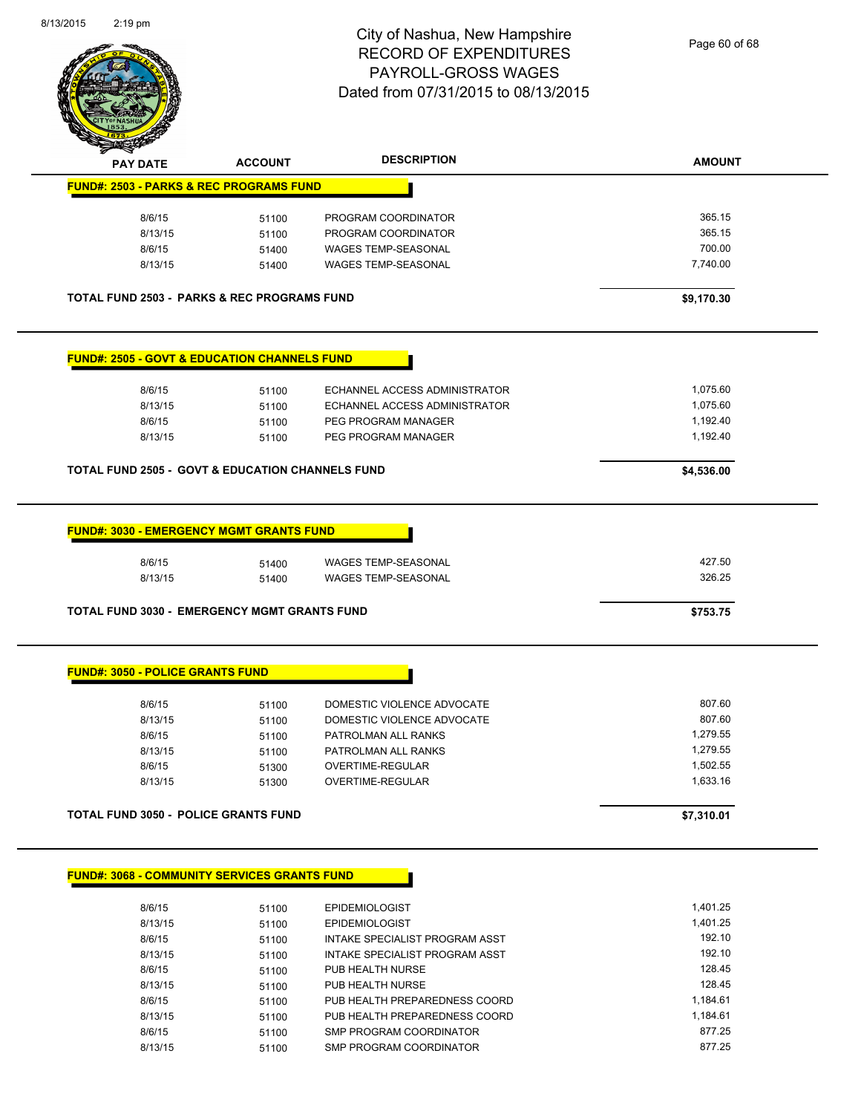

| <b>PAY DATE</b>                                         | <b>ACCOUNT</b> | <b>DESCRIPTION</b>                                               | <b>AMOUNT</b>        |
|---------------------------------------------------------|----------------|------------------------------------------------------------------|----------------------|
| <b>FUND#: 2503 - PARKS &amp; REC PROGRAMS FUND</b>      |                |                                                                  |                      |
| 8/6/15                                                  | 51100          | PROGRAM COORDINATOR                                              | 365.15               |
| 8/13/15                                                 | 51100          | PROGRAM COORDINATOR                                              | 365.15               |
| 8/6/15                                                  | 51400          | <b>WAGES TEMP-SEASONAL</b>                                       | 700.00               |
| 8/13/15                                                 | 51400          | <b>WAGES TEMP-SEASONAL</b>                                       | 7,740.00             |
| <b>TOTAL FUND 2503 - PARKS &amp; REC PROGRAMS FUND</b>  |                |                                                                  | \$9,170.30           |
| <b>FUND#: 2505 - GOVT &amp; EDUCATION CHANNELS FUND</b> |                |                                                                  |                      |
| 8/6/15                                                  | 51100          | ECHANNEL ACCESS ADMINISTRATOR                                    | 1,075.60             |
| 8/13/15                                                 | 51100          | ECHANNEL ACCESS ADMINISTRATOR                                    | 1,075.60             |
| 8/6/15                                                  | 51100          | PEG PROGRAM MANAGER                                              | 1,192.40             |
| 8/13/15                                                 | 51100          | PEG PROGRAM MANAGER                                              | 1,192.40             |
| TOTAL FUND 2505 - GOVT & EDUCATION CHANNELS FUND        |                |                                                                  | \$4,536.00           |
|                                                         |                |                                                                  |                      |
| <b>FUND#: 3030 - EMERGENCY MGMT GRANTS FUND</b>         |                |                                                                  |                      |
| 8/6/15                                                  | 51400          | <b>WAGES TEMP-SEASONAL</b>                                       | 427.50               |
| 8/13/15                                                 | 51400          | WAGES TEMP-SEASONAL                                              | 326.25               |
| <b>TOTAL FUND 3030 - EMERGENCY MGMT GRANTS FUND</b>     |                |                                                                  | \$753.75             |
| <b>FUND#: 3050 - POLICE GRANTS FUND</b>                 |                |                                                                  |                      |
| 8/6/15                                                  | 51100          | DOMESTIC VIOLENCE ADVOCATE                                       | 807.60               |
| 8/13/15                                                 | 51100          | DOMESTIC VIOLENCE ADVOCATE                                       | 807.60               |
|                                                         | 51100          | PATROLMAN ALL RANKS                                              | 1,279.55             |
|                                                         | 51100          | PATROLMAN ALL RANKS                                              | 1,279.55             |
| 8/6/15                                                  |                |                                                                  |                      |
| 8/13/15                                                 |                |                                                                  |                      |
| 8/6/15<br>8/13/15                                       | 51300<br>51300 | OVERTIME-REGULAR<br>OVERTIME-REGULAR                             | 1,502.55<br>1,633.16 |
|                                                         |                |                                                                  |                      |
| <b>TOTAL FUND 3050 - POLICE GRANTS FUND</b>             |                |                                                                  | \$7,310.01           |
| <b>FUND#: 3068 - COMMUNITY SERVICES GRANTS FUND</b>     |                |                                                                  |                      |
|                                                         |                |                                                                  |                      |
| 8/6/15                                                  | 51100          | <b>EPIDEMIOLOGIST</b>                                            | 1,401.25             |
| 8/13/15                                                 | 51100          | <b>EPIDEMIOLOGIST</b>                                            | 1,401.25             |
| 8/6/15<br>8/13/15                                       | 51100<br>51100 | INTAKE SPECIALIST PROGRAM ASST<br>INTAKE SPECIALIST PROGRAM ASST | 192.10<br>192 10     |

| 8/6/15  | 51100 | INTAKE SPECIALIST PROGRAM ASST | 192.10   |
|---------|-------|--------------------------------|----------|
| 8/13/15 | 51100 | INTAKE SPECIALIST PROGRAM ASST | 192.10   |
| 8/6/15  | 51100 | PUB HEALTH NURSE               | 128.45   |
| 8/13/15 | 51100 | PUB HEALTH NURSE               | 128.45   |
| 8/6/15  | 51100 | PUB HEALTH PREPAREDNESS COORD  | 1.184.61 |
| 8/13/15 | 51100 | PUB HEALTH PREPAREDNESS COORD  | 1.184.61 |
| 8/6/15  | 51100 | SMP PROGRAM COORDINATOR        | 877.25   |
| 8/13/15 | 51100 | SMP PROGRAM COORDINATOR        | 877.25   |
|         |       |                                |          |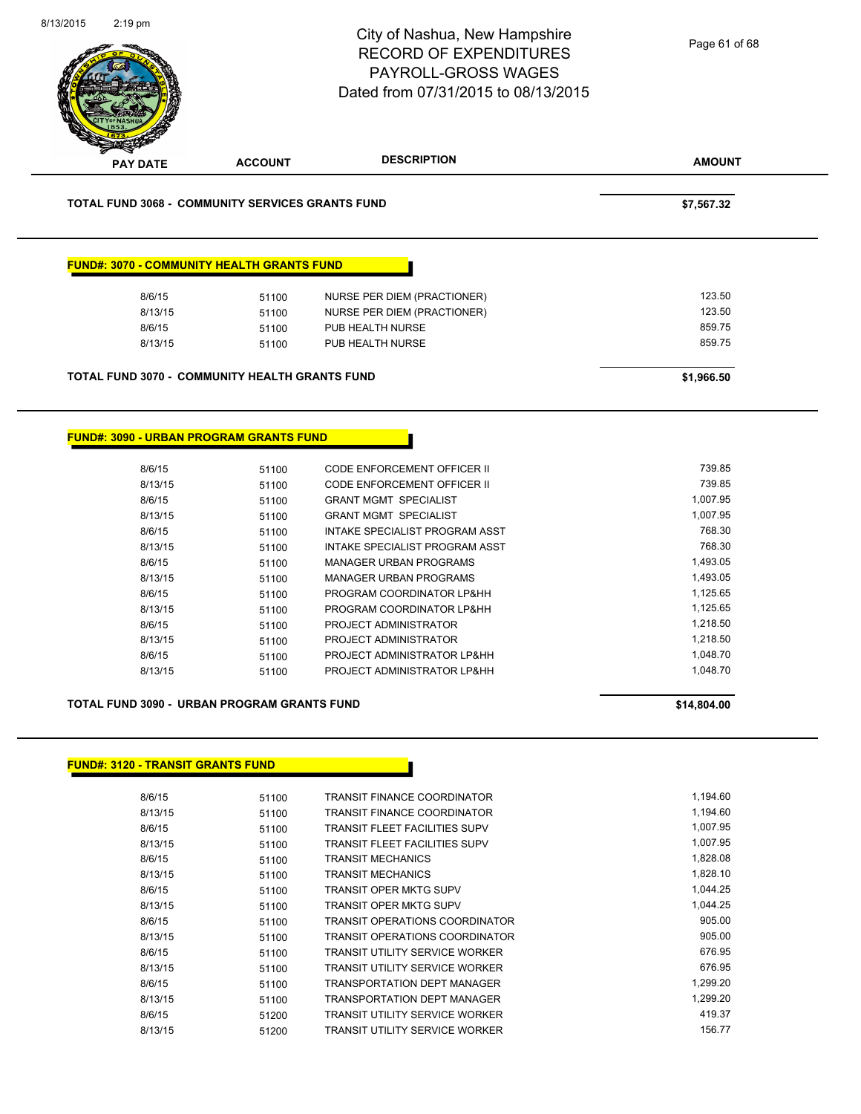| 8/13/2015<br>$2:19$ pm |                                                         | City of Nashua, New Hampshire<br><b>RECORD OF EXPENDITURES</b><br><b>PAYROLL-GROSS WAGES</b><br>Dated from 07/31/2015 to 08/13/2015 | Page 61 of 68        |
|------------------------|---------------------------------------------------------|-------------------------------------------------------------------------------------------------------------------------------------|----------------------|
| <b>PAY DATE</b>        | <b>ACCOUNT</b>                                          | <b>DESCRIPTION</b>                                                                                                                  | <b>AMOUNT</b>        |
|                        | <b>TOTAL FUND 3068 - COMMUNITY SERVICES GRANTS FUND</b> |                                                                                                                                     | \$7,567.32           |
|                        | <b>FUND#: 3070 - COMMUNITY HEALTH GRANTS FUND</b>       |                                                                                                                                     |                      |
| 8/6/15                 | 51100                                                   | NURSE PER DIEM (PRACTIONER)                                                                                                         | 123.50               |
| 8/13/15                | 51100                                                   | NURSE PER DIEM (PRACTIONER)                                                                                                         | 123.50               |
| 8/6/15                 | 51100                                                   | PUB HEALTH NURSE                                                                                                                    | 859.75               |
| 8/13/15                | 51100                                                   | PUB HEALTH NURSE                                                                                                                    | 859.75               |
|                        |                                                         |                                                                                                                                     |                      |
|                        | <b>TOTAL FUND 3070 - COMMUNITY HEALTH GRANTS FUND</b>   |                                                                                                                                     | \$1,966.50           |
| 8/6/15                 | <b>FUND#: 3090 - URBAN PROGRAM GRANTS FUND</b><br>51100 | CODE ENFORCEMENT OFFICER II                                                                                                         | 739.85               |
| 8/13/15                | 51100                                                   | CODE ENFORCEMENT OFFICER II                                                                                                         | 739.85               |
| 8/6/15<br>8/13/15      | 51100                                                   | <b>GRANT MGMT SPECIALIST</b><br><b>GRANT MGMT SPECIALIST</b>                                                                        | 1,007.95<br>1,007.95 |
| 8/6/15                 | 51100                                                   | INTAKE SPECIALIST PROGRAM ASST                                                                                                      | 768.30               |
| 8/13/15                | 51100<br>51100                                          | INTAKE SPECIALIST PROGRAM ASST                                                                                                      | 768.30               |
| 8/6/15                 | 51100                                                   | <b>MANAGER URBAN PROGRAMS</b>                                                                                                       | 1,493.05             |
| 8/13/15                | 51100                                                   | <b>MANAGER URBAN PROGRAMS</b>                                                                                                       | 1,493.05             |
| 8/6/15                 | 51100                                                   | PROGRAM COORDINATOR LP&HH                                                                                                           | 1,125.65             |
| 8/13/15                | 51100                                                   | PROGRAM COORDINATOR LP&HH                                                                                                           | 1,125.65             |
| 8/6/15                 | 51100                                                   | PROJECT ADMINISTRATOR                                                                                                               | 1,218.50             |
| 8/13/15                | 51100                                                   | PROJECT ADMINISTRATOR                                                                                                               | 1,218.50             |
| 8/6/15                 | 51100                                                   | PROJECT ADMINISTRATOR LP&HH                                                                                                         | 1,048.70             |
| 8/13/15                | 51100                                                   | PROJECT ADMINISTRATOR LP&HH                                                                                                         | 1,048.70             |
|                        | TOTAL FUND 3090 - URBAN PROGRAM GRANTS FUND             |                                                                                                                                     | \$14,804.00          |
|                        |                                                         |                                                                                                                                     |                      |
|                        | <b>FUND#: 3120 - TRANSIT GRANTS FUND</b>                |                                                                                                                                     |                      |
| 8/6/15                 | 51100                                                   | TRANSIT FINANCE COORDINATOR                                                                                                         | 1,194.60             |
| 8/13/15                | 51100                                                   | TRANSIT FINANCE COORDINATOR                                                                                                         | 1,194.60             |
| 8/6/15                 | 51100                                                   | TRANSIT FLEET FACILITIES SUPV                                                                                                       | 1,007.95             |
| 8/13/15                | 51100                                                   | TRANSIT FLEET FACILITIES SUPV                                                                                                       | 1,007.95             |

| 8/6/15  | 51100 | I RANSIT FLEET FACILITIES SUPV        | 1,007.95 |
|---------|-------|---------------------------------------|----------|
| 8/13/15 | 51100 | TRANSIT FLEET FACILITIES SUPV         | 1.007.95 |
| 8/6/15  | 51100 | <b>TRANSIT MECHANICS</b>              | 1,828.08 |
| 8/13/15 | 51100 | <b>TRANSIT MECHANICS</b>              | 1,828.10 |
| 8/6/15  | 51100 | <b>TRANSIT OPER MKTG SUPV</b>         | 1.044.25 |
| 8/13/15 | 51100 | TRANSIT OPER MKTG SUPV                | 1,044.25 |
| 8/6/15  | 51100 | <b>TRANSIT OPERATIONS COORDINATOR</b> | 905.00   |
| 8/13/15 | 51100 | TRANSIT OPERATIONS COORDINATOR        | 905.00   |
| 8/6/15  | 51100 | TRANSIT UTILITY SERVICE WORKER        | 676.95   |
| 8/13/15 | 51100 | <b>TRANSIT UTILITY SERVICE WORKER</b> | 676.95   |
| 8/6/15  | 51100 | TRANSPORTATION DEPT MANAGER           | 1,299.20 |
| 8/13/15 | 51100 | TRANSPORTATION DEPT MANAGER           | 1,299.20 |
| 8/6/15  | 51200 | <b>TRANSIT UTILITY SERVICE WORKER</b> | 419.37   |
| 8/13/15 | 51200 | TRANSIT UTILITY SERVICE WORKER        | 156.77   |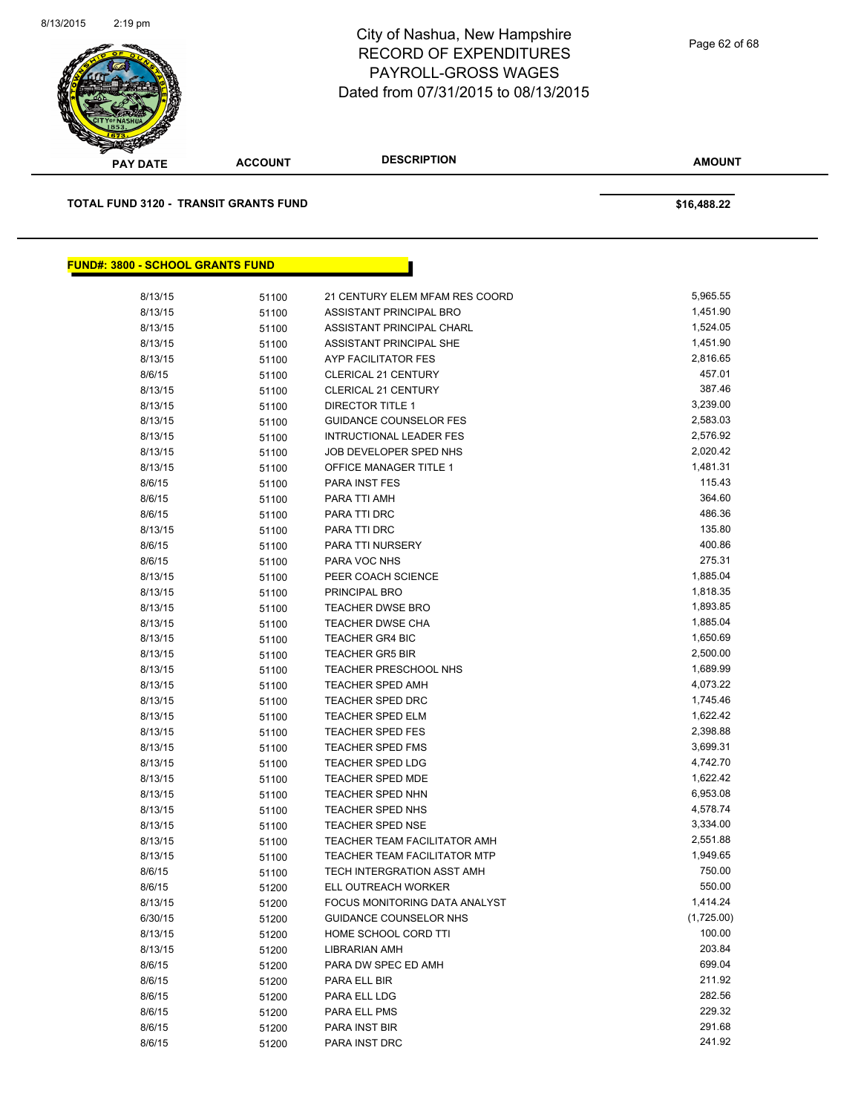

Page 62 of 68

**AMOUNT**

| <b>TOTAL FUND 3120 - TRANSIT GRANTS FUND</b> |       |                                | \$16,488.22 |
|----------------------------------------------|-------|--------------------------------|-------------|
|                                              |       |                                |             |
| <b>FUND#: 3800 - SCHOOL GRANTS FUND</b>      |       |                                |             |
| 8/13/15                                      | 51100 | 21 CENTURY ELEM MFAM RES COORD | 5,965.55    |
| 8/13/15                                      | 51100 | ASSISTANT PRINCIPAL BRO        | 1,451.90    |
| 8/13/15                                      | 51100 | ASSISTANT PRINCIPAL CHARL      | 1,524.05    |
| 8/13/15                                      | 51100 | <b>ASSISTANT PRINCIPAL SHE</b> | 1,451.90    |
| 8/13/15                                      | 51100 | AYP FACILITATOR FES            | 2,816.65    |
| 8/6/15                                       | 51100 | <b>CLERICAL 21 CENTURY</b>     | 457.01      |
| 8/13/15                                      | 51100 | <b>CLERICAL 21 CENTURY</b>     | 387.46      |
| 8/13/15                                      | 51100 | DIRECTOR TITLE 1               | 3,239.00    |
| 8/13/15                                      | 51100 | <b>GUIDANCE COUNSELOR FES</b>  | 2,583.03    |
| 8/13/15                                      | 51100 | <b>INTRUCTIONAL LEADER FES</b> | 2,576.92    |
| 8/13/15                                      | 51100 | JOB DEVELOPER SPED NHS         | 2,020.42    |
| 8/13/15                                      | 51100 | <b>OFFICE MANAGER TITLE 1</b>  | 1,481.31    |
| 8/6/15                                       | 51100 | <b>PARA INST FES</b>           | 115.43      |
| 8/6/15                                       | 51100 | PARA TTI AMH                   | 364.60      |
| 8/6/15                                       | 51100 | PARA TTI DRC                   | 486.36      |
| 8/13/15                                      | 51100 | PARA TTI DRC                   | 135.80      |
| 8/6/15                                       | 51100 | PARA TTI NURSERY               | 400.86      |
| 8/6/15                                       | 51100 | PARA VOC NHS                   | 275.31      |
| 8/13/15                                      | 51100 | PEER COACH SCIENCE             | 1,885.04    |
| 8/13/15                                      | 51100 | PRINCIPAL BRO                  | 1,818.35    |
| 8/13/15                                      | 51100 | <b>TEACHER DWSE BRO</b>        | 1,893.85    |
| 8/13/15                                      | 51100 | <b>TEACHER DWSE CHA</b>        | 1,885.04    |
| 8/13/15                                      | 51100 | <b>TEACHER GR4 BIC</b>         | 1,650.69    |
| 8/13/15                                      | 51100 | <b>TEACHER GR5 BIR</b>         | 2,500.00    |
| 8/13/15                                      | 51100 | TEACHER PRESCHOOL NHS          | 1,689.99    |
| 8/13/15                                      | 51100 | <b>TEACHER SPED AMH</b>        | 4,073.22    |
| 8/13/15                                      | 51100 | <b>TEACHER SPED DRC</b>        | 1,745.46    |
| 8/13/15                                      | 51100 | <b>TEACHER SPED ELM</b>        | 1,622.42    |
| 8/13/15                                      | 51100 | TEACHER SPED FES               | 2,398.88    |
| 8/13/15                                      | 51100 | <b>TEACHER SPED FMS</b>        | 3,699.31    |
| 8/13/15                                      | 51100 | TEACHER SPED LDG               | 4,742.70    |
| 8/13/15                                      | 51100 | <b>TEACHER SPED MDE</b>        | 1,622.42    |
| 8/13/15                                      | 51100 | <b>TEACHER SPED NHN</b>        | 6,953.08    |
| 8/13/15                                      | 51100 | TEACHER SPED NHS               | 4,578.74    |
| 8/13/15                                      | 51100 | <b>TEACHER SPED NSE</b>        | 3,334.00    |
| 8/13/15                                      | 51100 | TEACHER TEAM FACILITATOR AMH   | 2,551.88    |
| 8/13/15                                      | 51100 | TEACHER TEAM FACILITATOR MTP   | 1,949.65    |
| 8/6/15                                       | 51100 | TECH INTERGRATION ASST AMH     | 750.00      |
| 8/6/15                                       | 51200 | ELL OUTREACH WORKER            | 550.00      |
| 8/13/15                                      | 51200 | FOCUS MONITORING DATA ANALYST  | 1,414.24    |
| 6/30/15                                      | 51200 | <b>GUIDANCE COUNSELOR NHS</b>  | (1,725.00)  |
| 8/13/15                                      | 51200 | HOME SCHOOL CORD TTI           | 100.00      |
| 8/13/15                                      | 51200 | <b>LIBRARIAN AMH</b>           | 203.84      |
| 8/6/15                                       | 51200 | PARA DW SPEC ED AMH            | 699.04      |
| 8/6/15                                       | 51200 | PARA ELL BIR                   | 211.92      |
| 8/6/15                                       | 51200 | PARA ELL LDG                   | 282.56      |
| 8/6/15                                       | 51200 | PARA ELL PMS                   | 229.32      |
| 8/6/15                                       | 51200 | PARA INST BIR                  | 291.68      |

8/6/15 51200 PARA INST DRC 241.92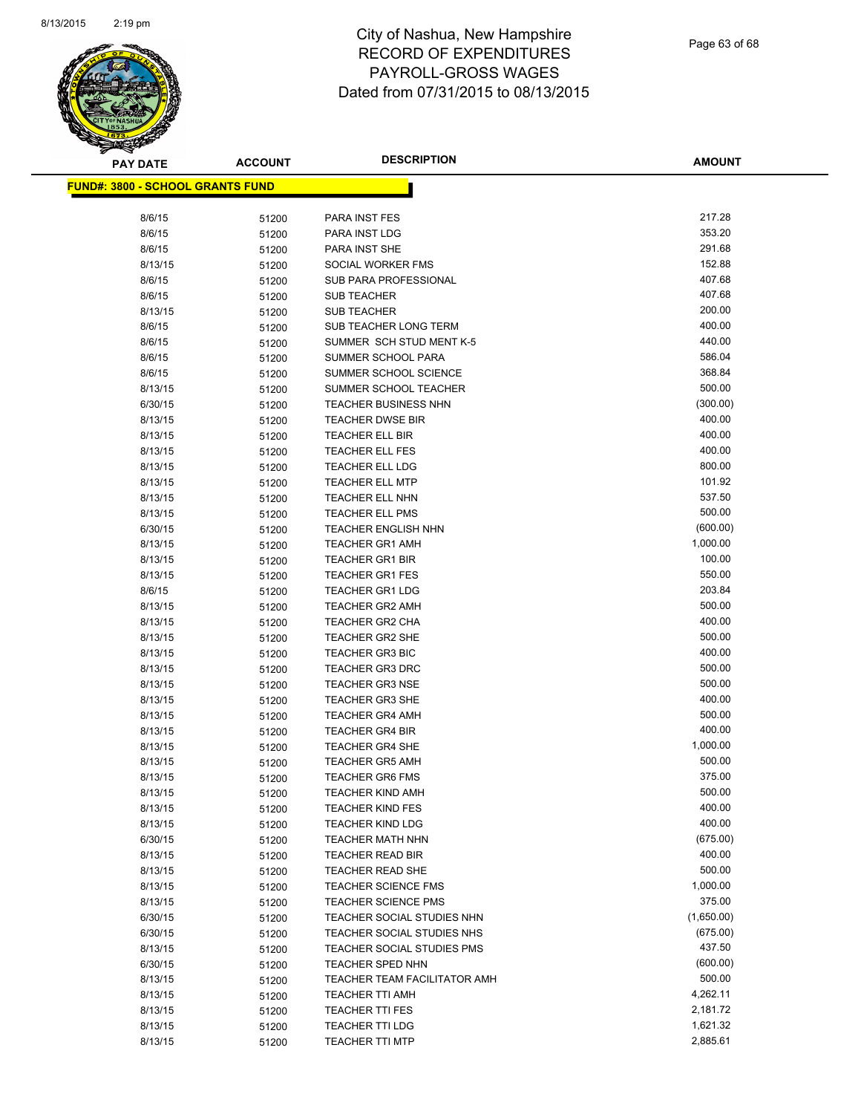

| <b>PAY DATE</b>                          | <b>ACCOUNT</b> | <b>DESCRIPTION</b>                               | <b>AMOUNT</b>    |
|------------------------------------------|----------------|--------------------------------------------------|------------------|
| <u> FUND#: 3800 - SCHOOL GRANTS FUND</u> |                |                                                  |                  |
|                                          |                |                                                  |                  |
| 8/6/15                                   | 51200          | PARA INST FES                                    | 217.28           |
| 8/6/15                                   | 51200          | PARA INST LDG                                    | 353.20           |
| 8/6/15                                   | 51200          | PARA INST SHE                                    | 291.68           |
| 8/13/15                                  | 51200          | SOCIAL WORKER FMS                                | 152.88           |
| 8/6/15                                   | 51200          | SUB PARA PROFESSIONAL                            | 407.68           |
| 8/6/15                                   | 51200          | <b>SUB TEACHER</b>                               | 407.68           |
| 8/13/15                                  | 51200          | <b>SUB TEACHER</b>                               | 200.00           |
| 8/6/15                                   | 51200          | SUB TEACHER LONG TERM                            | 400.00           |
| 8/6/15                                   | 51200          | SUMMER SCH STUD MENT K-5                         | 440.00           |
| 8/6/15                                   | 51200          | SUMMER SCHOOL PARA                               | 586.04           |
| 8/6/15                                   | 51200          | SUMMER SCHOOL SCIENCE                            | 368.84           |
| 8/13/15                                  | 51200          | SUMMER SCHOOL TEACHER                            | 500.00           |
| 6/30/15                                  | 51200          | <b>TEACHER BUSINESS NHN</b>                      | (300.00)         |
| 8/13/15                                  | 51200          | <b>TEACHER DWSE BIR</b>                          | 400.00           |
| 8/13/15                                  | 51200          | <b>TEACHER ELL BIR</b>                           | 400.00           |
| 8/13/15                                  | 51200          | <b>TEACHER ELL FES</b>                           | 400.00           |
| 8/13/15                                  | 51200          | <b>TEACHER ELL LDG</b>                           | 800.00           |
| 8/13/15                                  | 51200          | <b>TEACHER ELL MTP</b>                           | 101.92           |
| 8/13/15                                  | 51200          | <b>TEACHER ELL NHN</b>                           | 537.50           |
| 8/13/15                                  | 51200          | <b>TEACHER ELL PMS</b>                           | 500.00           |
| 6/30/15                                  | 51200          | <b>TEACHER ENGLISH NHN</b>                       | (600.00)         |
| 8/13/15                                  | 51200          | <b>TEACHER GR1 AMH</b>                           | 1,000.00         |
| 8/13/15                                  | 51200          | <b>TEACHER GR1 BIR</b>                           | 100.00           |
| 8/13/15                                  | 51200          | <b>TEACHER GR1 FES</b>                           | 550.00           |
| 8/6/15                                   | 51200          | <b>TEACHER GR1 LDG</b>                           | 203.84           |
| 8/13/15                                  | 51200          | <b>TEACHER GR2 AMH</b>                           | 500.00           |
| 8/13/15                                  | 51200          | <b>TEACHER GR2 CHA</b>                           | 400.00           |
| 8/13/15                                  | 51200          | <b>TEACHER GR2 SHE</b>                           | 500.00           |
| 8/13/15                                  | 51200          | <b>TEACHER GR3 BIC</b>                           | 400.00           |
| 8/13/15                                  | 51200          | <b>TEACHER GR3 DRC</b>                           | 500.00           |
| 8/13/15                                  | 51200          | <b>TEACHER GR3 NSE</b>                           | 500.00<br>400.00 |
| 8/13/15                                  | 51200          | <b>TEACHER GR3 SHE</b>                           | 500.00           |
| 8/13/15                                  | 51200          | <b>TEACHER GR4 AMH</b>                           | 400.00           |
| 8/13/15<br>8/13/15                       | 51200          | <b>TEACHER GR4 BIR</b><br><b>TEACHER GR4 SHE</b> | 1,000.00         |
| 8/13/15                                  | 51200          | <b>TEACHER GR5 AMH</b>                           | 500.00           |
| 8/13/15                                  | 51200<br>51200 | <b>TEACHER GR6 FMS</b>                           | 375.00           |
| 8/13/15                                  | 51200          | <b>TEACHER KIND AMH</b>                          | 500.00           |
| 8/13/15                                  | 51200          | <b>TEACHER KIND FES</b>                          | 400.00           |
| 8/13/15                                  | 51200          | <b>TEACHER KIND LDG</b>                          | 400.00           |
| 6/30/15                                  | 51200          | TEACHER MATH NHN                                 | (675.00)         |
| 8/13/15                                  | 51200          | <b>TEACHER READ BIR</b>                          | 400.00           |
| 8/13/15                                  | 51200          | <b>TEACHER READ SHE</b>                          | 500.00           |
| 8/13/15                                  | 51200          | <b>TEACHER SCIENCE FMS</b>                       | 1,000.00         |
| 8/13/15                                  | 51200          | <b>TEACHER SCIENCE PMS</b>                       | 375.00           |
| 6/30/15                                  | 51200          | TEACHER SOCIAL STUDIES NHN                       | (1,650.00)       |
| 6/30/15                                  | 51200          | TEACHER SOCIAL STUDIES NHS                       | (675.00)         |
| 8/13/15                                  | 51200          | TEACHER SOCIAL STUDIES PMS                       | 437.50           |
| 6/30/15                                  | 51200          | <b>TEACHER SPED NHN</b>                          | (600.00)         |
| 8/13/15                                  | 51200          | TEACHER TEAM FACILITATOR AMH                     | 500.00           |
| 8/13/15                                  | 51200          | <b>TEACHER TTI AMH</b>                           | 4,262.11         |
| 8/13/15                                  | 51200          | <b>TEACHER TTI FES</b>                           | 2,181.72         |
| 8/13/15                                  | 51200          | <b>TEACHER TTI LDG</b>                           | 1,621.32         |
| 8/13/15                                  | 51200          | <b>TEACHER TTI MTP</b>                           | 2,885.61         |
|                                          |                |                                                  |                  |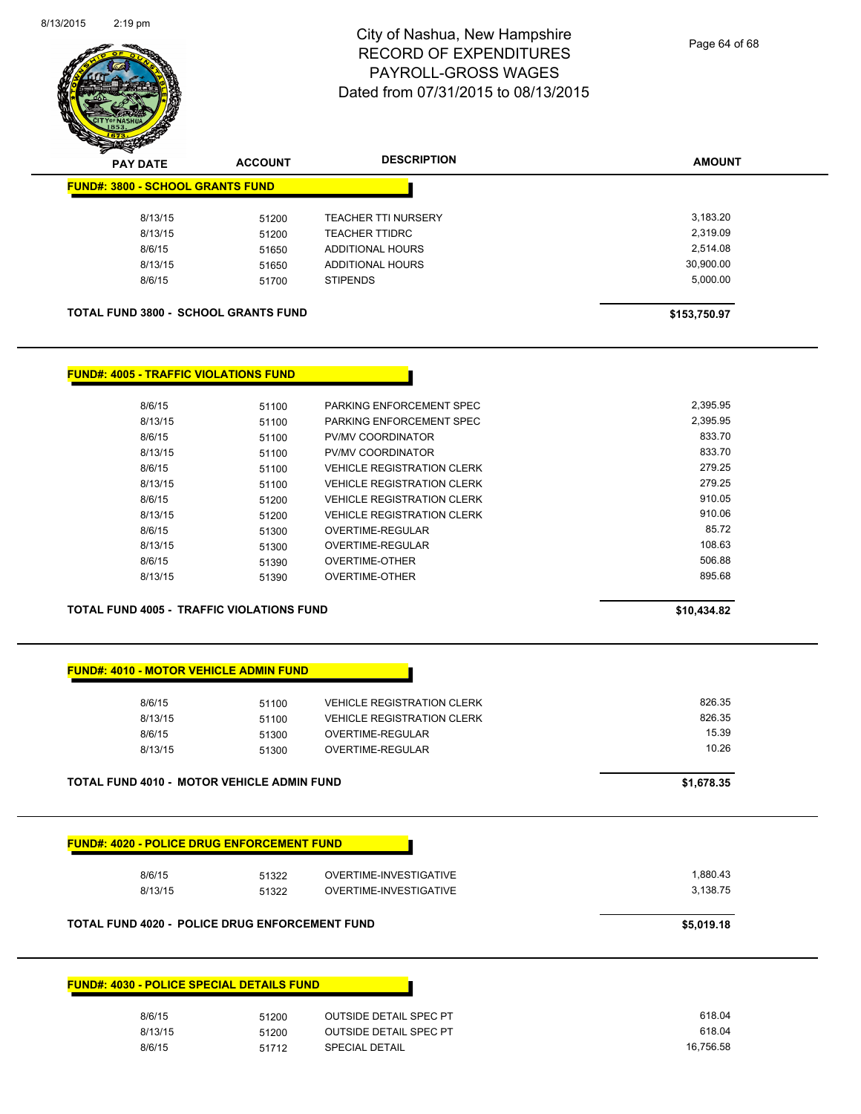

| $\mathscr{D} \rightarrow \mathscr{D}$<br><b>PAY DATE</b> | <b>ACCOUNT</b> | <b>DESCRIPTION</b>         | <b>AMOUNT</b> |
|----------------------------------------------------------|----------------|----------------------------|---------------|
| <b>FUND#: 3800 - SCHOOL GRANTS FUND</b>                  |                |                            |               |
| 8/13/15                                                  | 51200          | <b>TEACHER TTI NURSERY</b> | 3,183.20      |
| 8/13/15                                                  | 51200          | <b>TEACHER TTIDRC</b>      | 2,319.09      |
| 8/6/15                                                   | 51650          | ADDITIONAL HOURS           | 2,514.08      |
| 8/13/15                                                  | 51650          | ADDITIONAL HOURS           | 30,900.00     |
| 8/6/15                                                   | 51700          | <b>STIPENDS</b>            | 5,000.00      |
|                                                          |                |                            |               |
| <b>TOTAL FUND 3800 - SCHOOL GRANTS FUND</b>              |                |                            |               |
|                                                          |                |                            | \$153,750.97  |
|                                                          |                |                            |               |
| <b>FUND#: 4005 - TRAFFIC VIOLATIONS FUND</b>             |                |                            |               |
| 8/6/15                                                   | 51100          | PARKING ENFORCEMENT SPEC   | 2,395.95      |
| 8/13/15                                                  | 51100          | PARKING ENFORCEMENT SPEC   | 2,395.95      |
| 8/6/15                                                   | 51100          | PV/MV COORDINATOR          | 833.70        |

| 8/13/15 | 51100 | <b>PV/MV COORDINATOR</b>          | 833.7U |
|---------|-------|-----------------------------------|--------|
| 8/6/15  | 51100 | <b>VEHICLE REGISTRATION CLERK</b> | 279.25 |
| 8/13/15 | 51100 | <b>VEHICLE REGISTRATION CLERK</b> | 279.25 |
| 8/6/15  | 51200 | <b>VEHICLE REGISTRATION CLERK</b> | 910.05 |
| 8/13/15 | 51200 | <b>VEHICLE REGISTRATION CLERK</b> | 910.06 |
| 8/6/15  | 51300 | OVERTIME-REGULAR                  | 85.72  |
| 8/13/15 | 51300 | OVERTIME-REGULAR                  | 108.63 |
| 8/6/15  | 51390 | OVERTIME-OTHER                    | 506.88 |
| 8/13/15 | 51390 | OVERTIME-OTHER                    | 895.68 |
|         |       |                                   |        |

**TOTAL FUND 4005 - TRAFFIC VIOLATIONS FUND \$10,434.82** 

| <b>FUND#: 4010 - MOTOR VEHICLE ADMIN FUND</b> |  |
|-----------------------------------------------|--|

| 8/6/15  | 51100 | <b>VEHICLE REGISTRATION CLERK</b> | 826.35 |
|---------|-------|-----------------------------------|--------|
| 8/13/15 | 51100 | <b>VEHICLE REGISTRATION CLERK</b> | 826.35 |
| 8/6/15  | 51300 | OVERTIME-REGULAR                  | 15.39  |
| 8/13/15 | 51300 | OVERTIME-REGULAR                  | 10.26  |
|         |       |                                   |        |

**TOTAL FUND 4010 - MOTOR VEHICLE ADMIN FUND \$1,678.35** 

| 8/6/15  | 51322                                                 | OVERTIME-INVESTIGATIVE        | 1,880.43   |
|---------|-------------------------------------------------------|-------------------------------|------------|
| 8/13/15 | 51322                                                 | OVERTIME-INVESTIGATIVE        | 3,138.75   |
|         | <b>TOTAL FUND 4020 - POLICE DRUG ENFORCEMENT FUND</b> |                               | \$5,019.18 |
|         |                                                       |                               |            |
|         |                                                       |                               |            |
|         |                                                       |                               |            |
|         | <b>FUND#: 4030 - POLICE SPECIAL DETAILS FUND</b>      |                               |            |
| 8/6/15  | 51200                                                 | <b>OUTSIDE DETAIL SPEC PT</b> | 618.04     |
| 8/13/15 | 51200                                                 | <b>OUTSIDE DETAIL SPEC PT</b> | 618.04     |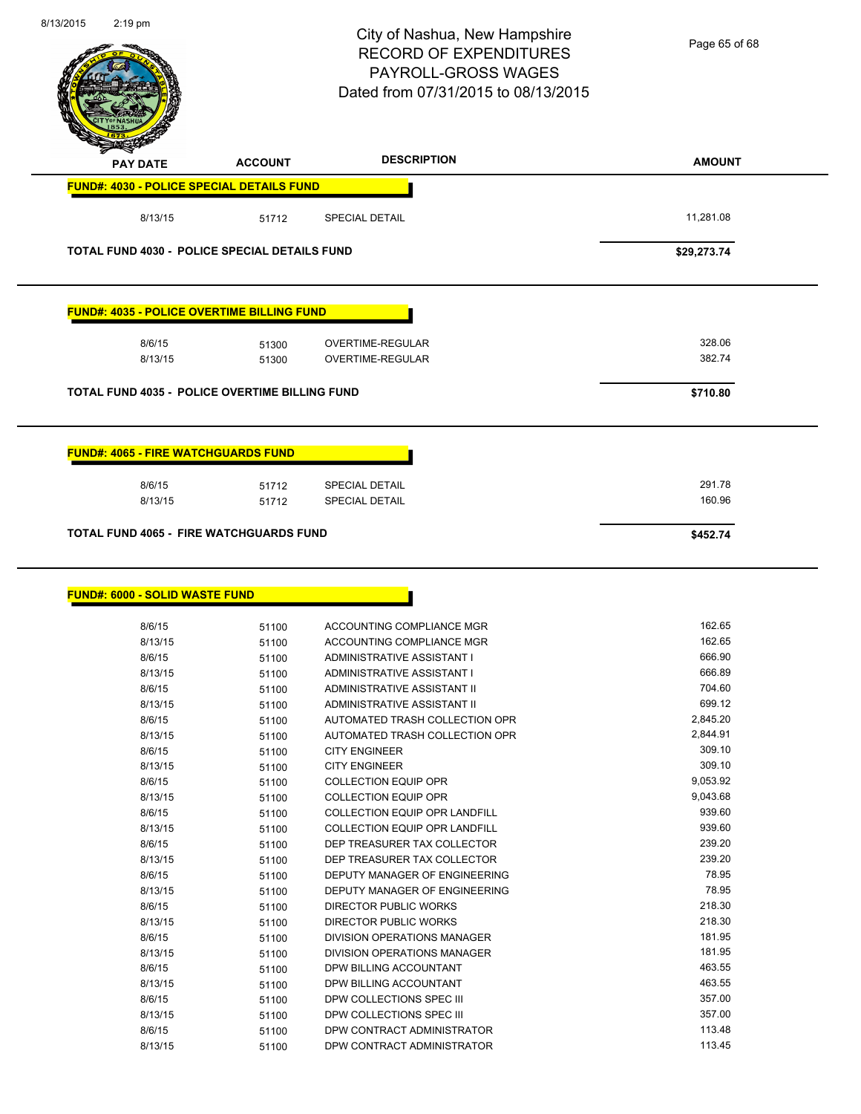| 8/13/2015 | $2:19$ pm                                                        |                | City of Nashua, New Hampshire<br><b>RECORD OF EXPENDITURES</b><br><b>PAYROLL-GROSS WAGES</b><br>Dated from 07/31/2015 to 08/13/2015 | Page 65 of 68        |
|-----------|------------------------------------------------------------------|----------------|-------------------------------------------------------------------------------------------------------------------------------------|----------------------|
|           | <b>PAY DATE</b>                                                  | <b>ACCOUNT</b> | <b>DESCRIPTION</b>                                                                                                                  | <b>AMOUNT</b>        |
|           | <b>FUND#: 4030 - POLICE SPECIAL DETAILS FUND</b>                 |                |                                                                                                                                     |                      |
|           | 8/13/15                                                          | 51712          | <b>SPECIAL DETAIL</b>                                                                                                               | 11,281.08            |
|           | <b>TOTAL FUND 4030 - POLICE SPECIAL DETAILS FUND</b>             |                |                                                                                                                                     | \$29,273.74          |
|           | <b>FUND#: 4035 - POLICE OVERTIME BILLING FUND</b>                |                |                                                                                                                                     |                      |
|           | 8/6/15                                                           | 51300          | OVERTIME-REGULAR<br><b>OVERTIME-REGULAR</b>                                                                                         | 328.06<br>382.74     |
|           | 8/13/15                                                          | 51300          |                                                                                                                                     |                      |
|           | TOTAL FUND 4035 - POLICE OVERTIME BILLING FUND                   |                |                                                                                                                                     | \$710.80             |
|           | <u> FUND#: 4065 - FIRE WATCHGUARDS FUND</u><br>8/6/15<br>8/13/15 | 51712<br>51712 | SPECIAL DETAIL<br><b>SPECIAL DETAIL</b>                                                                                             | 291.78<br>160.96     |
|           | <b>TOTAL FUND 4065 - FIRE WATCHGUARDS FUND</b>                   |                |                                                                                                                                     | \$452.74             |
|           | <b>FUND#: 6000 - SOLID WASTE FUND</b>                            |                |                                                                                                                                     |                      |
|           | 8/6/15<br>8/13/15                                                | 51100<br>51100 | ACCOUNTING COMPLIANCE MGR<br>ACCOUNTING COMPLIANCE MGR                                                                              | 162.65<br>162.65     |
|           | 8/6/15                                                           | 51100          | ADMINISTRATIVE ASSISTANT I                                                                                                          | 666.90               |
|           | 8/13/15                                                          | 51100          | ADMINISTRATIVE ASSISTANT I                                                                                                          | 666.89               |
|           | 8/6/15                                                           | 51100          | ADMINISTRATIVE ASSISTANT II                                                                                                         | 704.60               |
|           | 8/13/15                                                          | 51100          | ADMINISTRATIVE ASSISTANT II                                                                                                         | 699.12               |
|           | 8/6/15                                                           | 51100          | AUTOMATED TRASH COLLECTION OPR<br>AUTOMATED TRASH COLLECTION OPR                                                                    | 2,845.20<br>2,844.91 |
|           | 8/13/15<br>8/6/15                                                | 51100<br>51100 | <b>CITY ENGINEER</b>                                                                                                                | 309.10               |
|           | 8/13/15                                                          | 51100          | <b>CITY ENGINEER</b>                                                                                                                | 309.10               |
|           | 8/6/15                                                           | 51100          | <b>COLLECTION EQUIP OPR</b>                                                                                                         | 9,053.92             |
|           | 8/13/15                                                          | 51100          | <b>COLLECTION EQUIP OPR</b>                                                                                                         | 9,043.68             |
|           | 8/6/15                                                           | 51100          | <b>COLLECTION EQUIP OPR LANDFILL</b>                                                                                                | 939.60               |
|           | 8/13/15                                                          | 51100          | COLLECTION EQUIP OPR LANDFILL                                                                                                       | 939.60               |
|           | 8/6/15                                                           | 51100          | DEP TREASURER TAX COLLECTOR                                                                                                         | 239.20               |
|           | 8/13/15<br>8/6/15                                                | 51100          | DEP TREASURER TAX COLLECTOR<br>DEPUTY MANAGER OF ENGINEERING                                                                        | 239.20<br>78.95      |
|           | 8/13/15                                                          | 51100<br>51100 | DEPUTY MANAGER OF ENGINEERING                                                                                                       | 78.95                |
|           | 8/6/15                                                           | 51100          | DIRECTOR PUBLIC WORKS                                                                                                               | 218.30               |
|           | 8/13/15                                                          | 51100          | DIRECTOR PUBLIC WORKS                                                                                                               | 218.30               |
|           | 8/6/15                                                           | 51100          | DIVISION OPERATIONS MANAGER                                                                                                         | 181.95               |
|           | 8/13/15                                                          | 51100          | DIVISION OPERATIONS MANAGER                                                                                                         | 181.95               |
|           | 8/6/15                                                           | 51100          | DPW BILLING ACCOUNTANT                                                                                                              | 463.55               |
|           | 8/13/15                                                          | 51100          | DPW BILLING ACCOUNTANT                                                                                                              | 463.55               |
|           | 8/6/15                                                           | 51100          | DPW COLLECTIONS SPEC III                                                                                                            | 357.00               |
|           | 8/13/15                                                          | 51100          | DPW COLLECTIONS SPEC III                                                                                                            | 357.00               |
|           | 8/6/15                                                           | 51100          | DPW CONTRACT ADMINISTRATOR                                                                                                          | 113.48               |
|           | 8/13/15                                                          | 51100          | DPW CONTRACT ADMINISTRATOR                                                                                                          | 113.45               |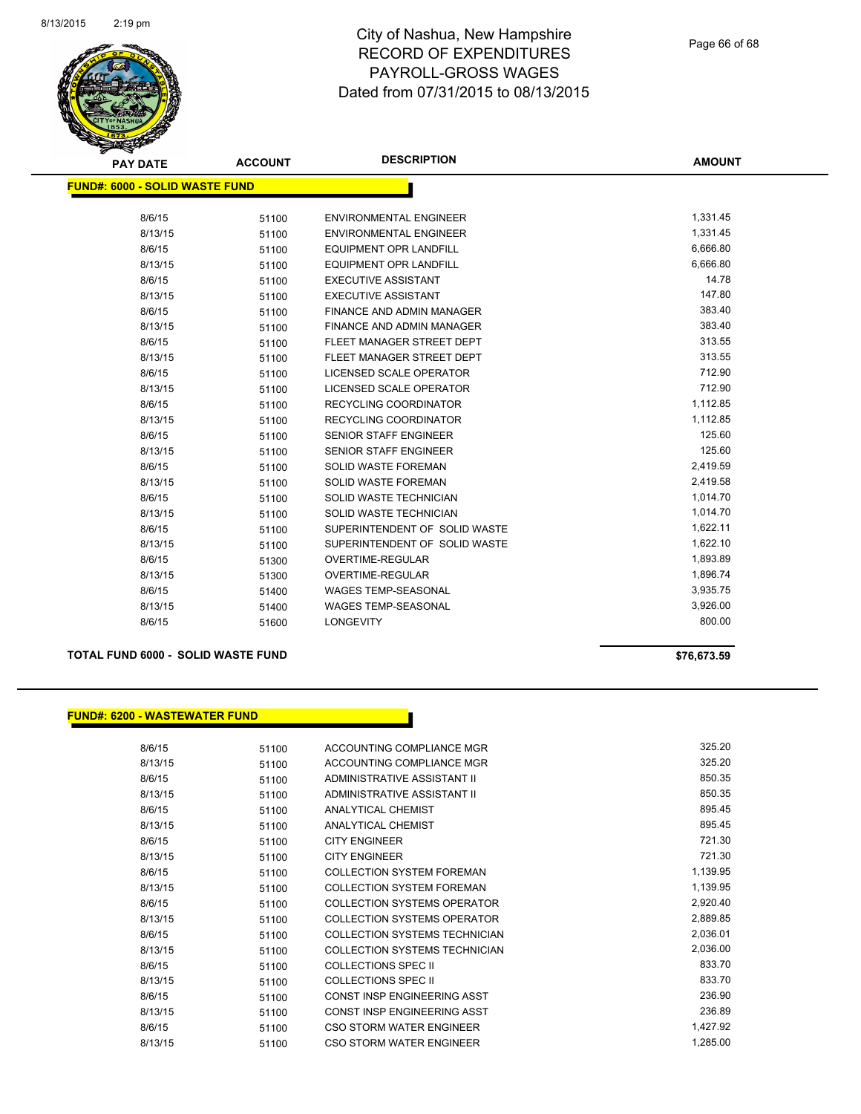

| <b>PAY DATE</b>                       | <b>ACCOUNT</b> | <b>DESCRIPTION</b>            | <b>AMOUNT</b> |
|---------------------------------------|----------------|-------------------------------|---------------|
| <b>FUND#: 6000 - SOLID WASTE FUND</b> |                |                               |               |
|                                       |                |                               |               |
| 8/6/15                                | 51100          | <b>ENVIRONMENTAL ENGINEER</b> | 1,331.45      |
| 8/13/15                               | 51100          | <b>ENVIRONMENTAL ENGINEER</b> | 1,331.45      |
| 8/6/15                                | 51100          | <b>EQUIPMENT OPR LANDFILL</b> | 6,666.80      |
| 8/13/15                               | 51100          | <b>EQUIPMENT OPR LANDFILL</b> | 6,666.80      |
| 8/6/15                                | 51100          | <b>EXECUTIVE ASSISTANT</b>    | 14.78         |
| 8/13/15                               | 51100          | <b>EXECUTIVE ASSISTANT</b>    | 147.80        |
| 8/6/15                                | 51100          | FINANCE AND ADMIN MANAGER     | 383.40        |
| 8/13/15                               | 51100          | FINANCE AND ADMIN MANAGER     | 383.40        |
| 8/6/15                                | 51100          | FLEET MANAGER STREET DEPT     | 313.55        |
| 8/13/15                               | 51100          | FLEET MANAGER STREET DEPT     | 313.55        |
| 8/6/15                                | 51100          | LICENSED SCALE OPERATOR       | 712.90        |
| 8/13/15                               | 51100          | LICENSED SCALE OPERATOR       | 712.90        |
| 8/6/15                                | 51100          | <b>RECYCLING COORDINATOR</b>  | 1,112.85      |
| 8/13/15                               | 51100          | RECYCLING COORDINATOR         | 1,112.85      |
| 8/6/15                                | 51100          | SENIOR STAFF ENGINEER         | 125.60        |
| 8/13/15                               | 51100          | <b>SENIOR STAFF ENGINEER</b>  | 125.60        |
| 8/6/15                                | 51100          | SOLID WASTE FOREMAN           | 2,419.59      |
| 8/13/15                               | 51100          | <b>SOLID WASTE FOREMAN</b>    | 2,419.58      |
| 8/6/15                                | 51100          | SOLID WASTE TECHNICIAN        | 1,014.70      |
| 8/13/15                               | 51100          | SOLID WASTE TECHNICIAN        | 1,014.70      |
| 8/6/15                                | 51100          | SUPERINTENDENT OF SOLID WASTE | 1,622.11      |
| 8/13/15                               | 51100          | SUPERINTENDENT OF SOLID WASTE | 1,622.10      |
| 8/6/15                                | 51300          | <b>OVERTIME-REGULAR</b>       | 1,893.89      |
| 8/13/15                               | 51300          | OVERTIME-REGULAR              | 1,896.74      |
| 8/6/15                                | 51400          | WAGES TEMP-SEASONAL           | 3,935.75      |
| 8/13/15                               | 51400          | <b>WAGES TEMP-SEASONAL</b>    | 3,926.00      |
| 8/6/15                                | 51600          | <b>LONGEVITY</b>              | 800.00        |
|                                       |                |                               |               |

#### **TOTAL FUND 6000 - SOLID WASTE FUND \$76,673.59**

#### **FUND#: 6200 - WASTEWATER FUND**

| 8/6/15  | 51100 | ACCOUNTING COMPLIANCE MGR            | 325.20   |
|---------|-------|--------------------------------------|----------|
| 8/13/15 | 51100 | ACCOUNTING COMPLIANCE MGR            | 325.20   |
| 8/6/15  | 51100 | ADMINISTRATIVE ASSISTANT II          | 850.35   |
| 8/13/15 | 51100 | ADMINISTRATIVE ASSISTANT II          | 850.35   |
| 8/6/15  | 51100 | <b>ANALYTICAL CHEMIST</b>            | 895.45   |
| 8/13/15 | 51100 | <b>ANALYTICAL CHEMIST</b>            | 895.45   |
| 8/6/15  | 51100 | <b>CITY ENGINEER</b>                 | 721.30   |
| 8/13/15 | 51100 | <b>CITY ENGINEER</b>                 | 721.30   |
| 8/6/15  | 51100 | <b>COLLECTION SYSTEM FOREMAN</b>     | 1,139.95 |
| 8/13/15 | 51100 | <b>COLLECTION SYSTEM FOREMAN</b>     | 1,139.95 |
| 8/6/15  | 51100 | <b>COLLECTION SYSTEMS OPERATOR</b>   | 2,920.40 |
| 8/13/15 | 51100 | <b>COLLECTION SYSTEMS OPERATOR</b>   | 2,889.85 |
| 8/6/15  | 51100 | <b>COLLECTION SYSTEMS TECHNICIAN</b> | 2,036.01 |
| 8/13/15 | 51100 | <b>COLLECTION SYSTEMS TECHNICIAN</b> | 2,036.00 |
| 8/6/15  | 51100 | <b>COLLECTIONS SPEC II</b>           | 833.70   |
| 8/13/15 | 51100 | <b>COLLECTIONS SPEC II</b>           | 833.70   |
| 8/6/15  | 51100 | CONST INSP ENGINEERING ASST          | 236.90   |
| 8/13/15 | 51100 | CONST INSP ENGINEERING ASST          | 236.89   |
| 8/6/15  | 51100 | <b>CSO STORM WATER ENGINEER</b>      | 1,427.92 |
| 8/13/15 | 51100 | <b>CSO STORM WATER ENGINEER</b>      | 1,285.00 |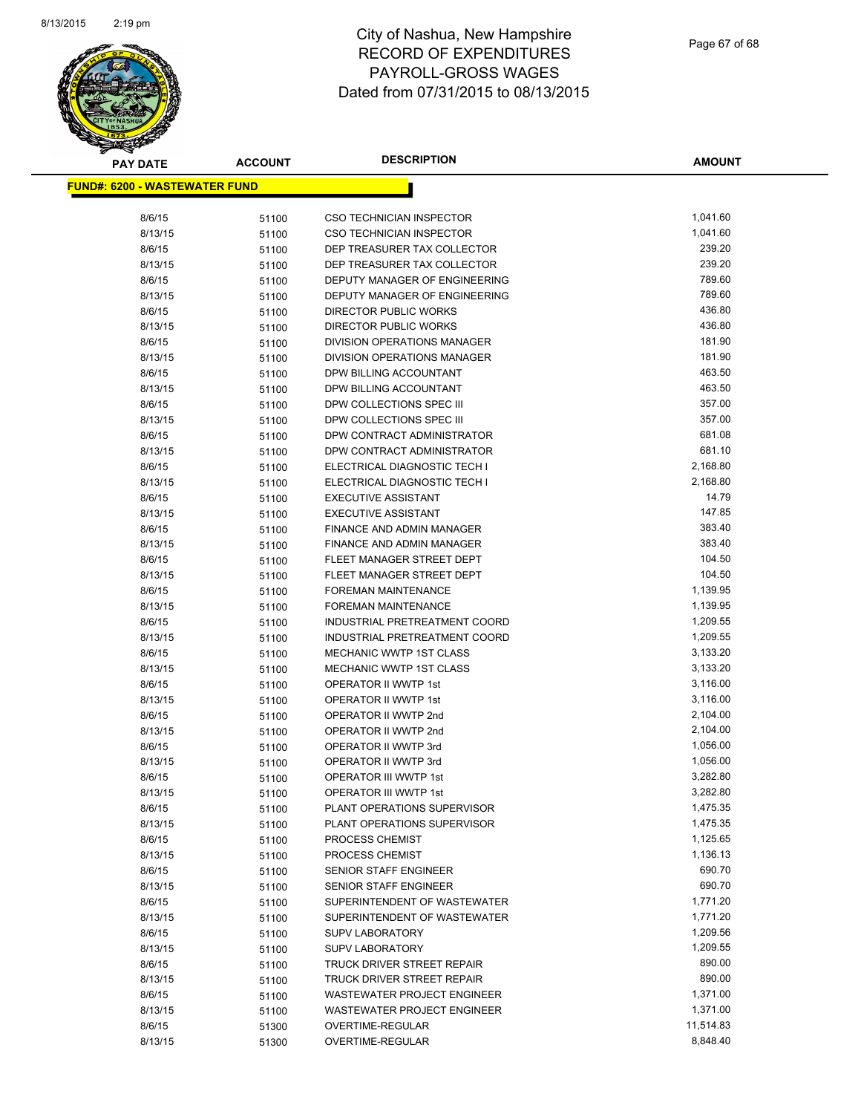

| <b>PAY DATE</b>                       | <b>ACCOUNT</b> | <b>DESCRIPTION</b>                                           | <b>AMOUNT</b>      |
|---------------------------------------|----------------|--------------------------------------------------------------|--------------------|
| <u> FUND#: 6200 - WASTEWATER FUND</u> |                |                                                              |                    |
|                                       |                |                                                              |                    |
| 8/6/15                                | 51100          | <b>CSO TECHNICIAN INSPECTOR</b>                              | 1,041.60           |
| 8/13/15                               | 51100          | <b>CSO TECHNICIAN INSPECTOR</b>                              | 1,041.60           |
| 8/6/15                                | 51100          | DEP TREASURER TAX COLLECTOR                                  | 239.20             |
| 8/13/15                               | 51100          | DEP TREASURER TAX COLLECTOR                                  | 239.20             |
| 8/6/15                                | 51100          | DEPUTY MANAGER OF ENGINEERING                                | 789.60             |
| 8/13/15                               | 51100          | DEPUTY MANAGER OF ENGINEERING                                | 789.60             |
| 8/6/15                                | 51100          | DIRECTOR PUBLIC WORKS                                        | 436.80             |
| 8/13/15                               | 51100          | <b>DIRECTOR PUBLIC WORKS</b>                                 | 436.80             |
| 8/6/15                                | 51100          | DIVISION OPERATIONS MANAGER                                  | 181.90             |
| 8/13/15                               | 51100          | DIVISION OPERATIONS MANAGER                                  | 181.90             |
| 8/6/15                                | 51100          | DPW BILLING ACCOUNTANT                                       | 463.50             |
| 8/13/15                               | 51100          | DPW BILLING ACCOUNTANT                                       | 463.50             |
| 8/6/15                                | 51100          | DPW COLLECTIONS SPEC III                                     | 357.00             |
| 8/13/15                               | 51100          | DPW COLLECTIONS SPEC III                                     | 357.00             |
| 8/6/15                                | 51100          | DPW CONTRACT ADMINISTRATOR                                   | 681.08             |
| 8/13/15                               | 51100          | DPW CONTRACT ADMINISTRATOR                                   | 681.10             |
| 8/6/15                                | 51100          | ELECTRICAL DIAGNOSTIC TECH I                                 | 2,168.80           |
| 8/13/15                               | 51100          | ELECTRICAL DIAGNOSTIC TECH I                                 | 2,168.80           |
| 8/6/15                                | 51100          | <b>EXECUTIVE ASSISTANT</b>                                   | 14.79              |
| 8/13/15                               | 51100          | <b>EXECUTIVE ASSISTANT</b>                                   | 147.85             |
| 8/6/15                                | 51100          | <b>FINANCE AND ADMIN MANAGER</b>                             | 383.40             |
| 8/13/15                               | 51100          | <b>FINANCE AND ADMIN MANAGER</b>                             | 383.40             |
| 8/6/15                                | 51100          | FLEET MANAGER STREET DEPT                                    | 104.50             |
| 8/13/15                               | 51100          | FLEET MANAGER STREET DEPT                                    | 104.50             |
| 8/6/15                                | 51100          | <b>FOREMAN MAINTENANCE</b>                                   | 1,139.95           |
| 8/13/15                               | 51100          | FOREMAN MAINTENANCE                                          | 1,139.95           |
| 8/6/15                                | 51100          | INDUSTRIAL PRETREATMENT COORD                                | 1,209.55           |
| 8/13/15                               | 51100          | INDUSTRIAL PRETREATMENT COORD                                | 1,209.55           |
| 8/6/15                                | 51100          | <b>MECHANIC WWTP 1ST CLASS</b>                               | 3,133.20           |
| 8/13/15                               | 51100          | <b>MECHANIC WWTP 1ST CLASS</b>                               | 3,133.20           |
| 8/6/15                                | 51100          | OPERATOR II WWTP 1st                                         | 3,116.00           |
| 8/13/15                               | 51100          | OPERATOR II WWTP 1st                                         | 3,116.00           |
| 8/6/15                                | 51100          | OPERATOR II WWTP 2nd                                         | 2,104.00           |
| 8/13/15                               | 51100          | OPERATOR II WWTP 2nd                                         | 2,104.00           |
| 8/6/15                                | 51100          | OPERATOR II WWTP 3rd                                         | 1,056.00           |
| 8/13/15                               | 51100          | OPERATOR II WWTP 3rd                                         | 1,056.00           |
| 8/6/15                                | 51100          | OPERATOR III WWTP 1st                                        | 3,282.80           |
| 8/13/15                               | 51100          | OPERATOR III WWTP 1st                                        | 3,282.80           |
| 8/6/15                                | 51100          | PLANT OPERATIONS SUPERVISOR                                  | 1,475.35           |
| 8/13/15                               | 51100          | PLANT OPERATIONS SUPERVISOR                                  | 1,475.35           |
| 8/6/15                                | 51100          | PROCESS CHEMIST                                              | 1,125.65           |
| 8/13/15                               | 51100          | PROCESS CHEMIST                                              | 1,136.13<br>690.70 |
| 8/6/15                                | 51100          | SENIOR STAFF ENGINEER                                        | 690.70             |
| 8/13/15                               | 51100          | SENIOR STAFF ENGINEER                                        | 1,771.20           |
| 8/6/15<br>8/13/15                     | 51100          | SUPERINTENDENT OF WASTEWATER<br>SUPERINTENDENT OF WASTEWATER | 1,771.20           |
| 8/6/15                                | 51100          |                                                              | 1,209.56           |
|                                       | 51100          | <b>SUPV LABORATORY</b>                                       |                    |
| 8/13/15                               | 51100          | SUPV LABORATORY                                              | 1,209.55<br>890.00 |
| 8/6/15<br>8/13/15                     | 51100          | TRUCK DRIVER STREET REPAIR<br>TRUCK DRIVER STREET REPAIR     | 890.00             |
| 8/6/15                                | 51100          | WASTEWATER PROJECT ENGINEER                                  | 1,371.00           |
| 8/13/15                               | 51100          | WASTEWATER PROJECT ENGINEER                                  | 1,371.00           |
| 8/6/15                                | 51100          | OVERTIME-REGULAR                                             | 11,514.83          |
| 8/13/15                               | 51300          | OVERTIME-REGULAR                                             | 8,848.40           |
|                                       | 51300          |                                                              |                    |